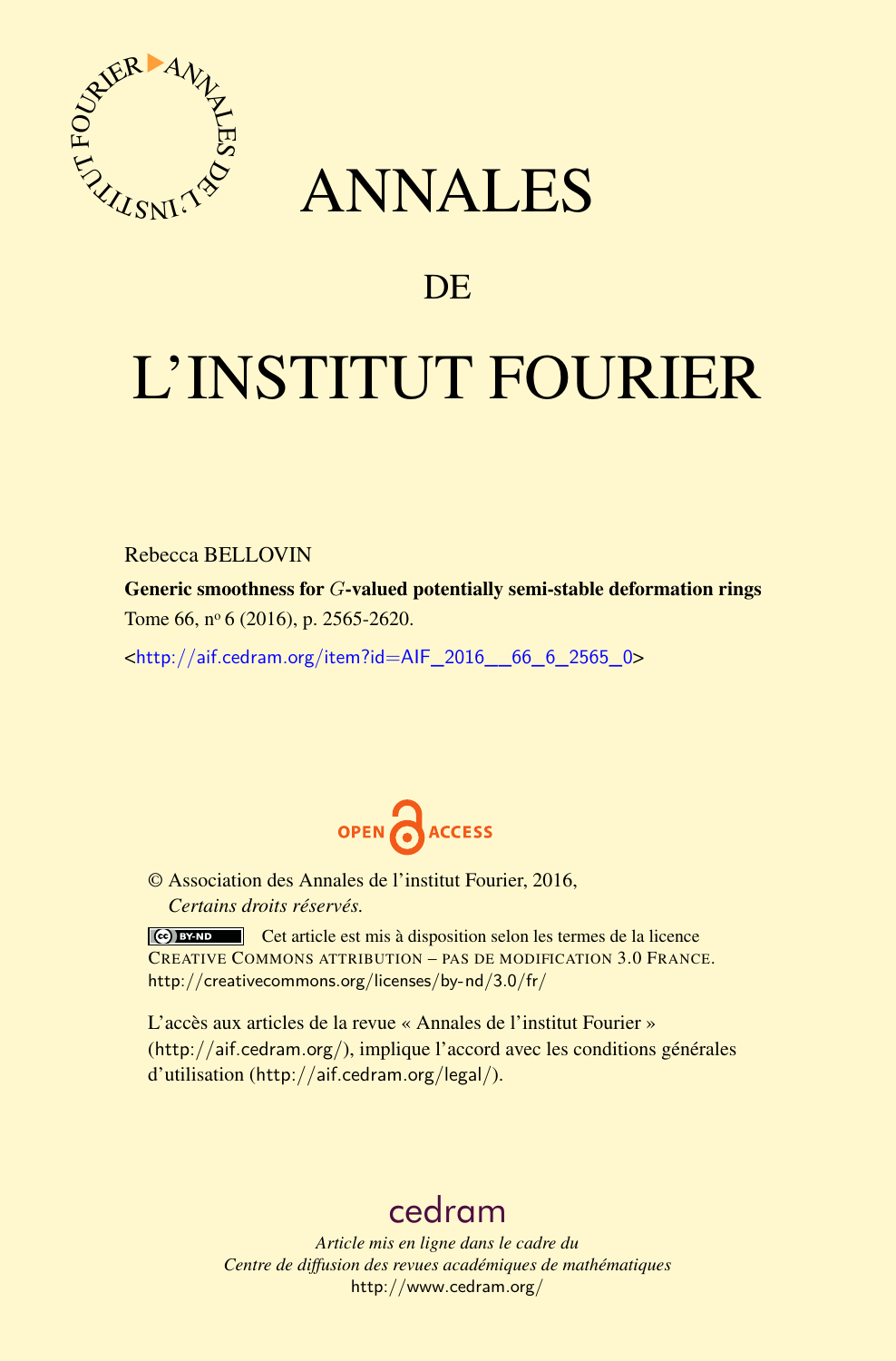

## ANNALES

### **DE**

# L'INSTITUT FOURIER

Rebecca BELLOVIN

Generic smoothness for *G*-valued potentially semi-stable deformation rings Tome 66,  $n^{\circ}$  6 (2016), p. 2565-2620.

 $\kappa$ http://aif.cedram.org/item?id=AIF 2016 66 6 2565 0>



© Association des Annales de l'institut Fourier, 2016, *Certains droits réservés.*

Cet article est mis à disposition selon les termes de la licence CREATIVE COMMONS ATTRIBUTION – PAS DE MODIFICATION 3.0 FRANCE. <http://creativecommons.org/licenses/by-nd/3.0/fr/>

L'accès aux articles de la revue « Annales de l'institut Fourier » (<http://aif.cedram.org/>), implique l'accord avec les conditions générales d'utilisation (<http://aif.cedram.org/legal/>).

## [cedram](http://www.cedram.org/)

*Article mis en ligne dans le cadre du Centre de diffusion des revues académiques de mathématiques* <http://www.cedram.org/>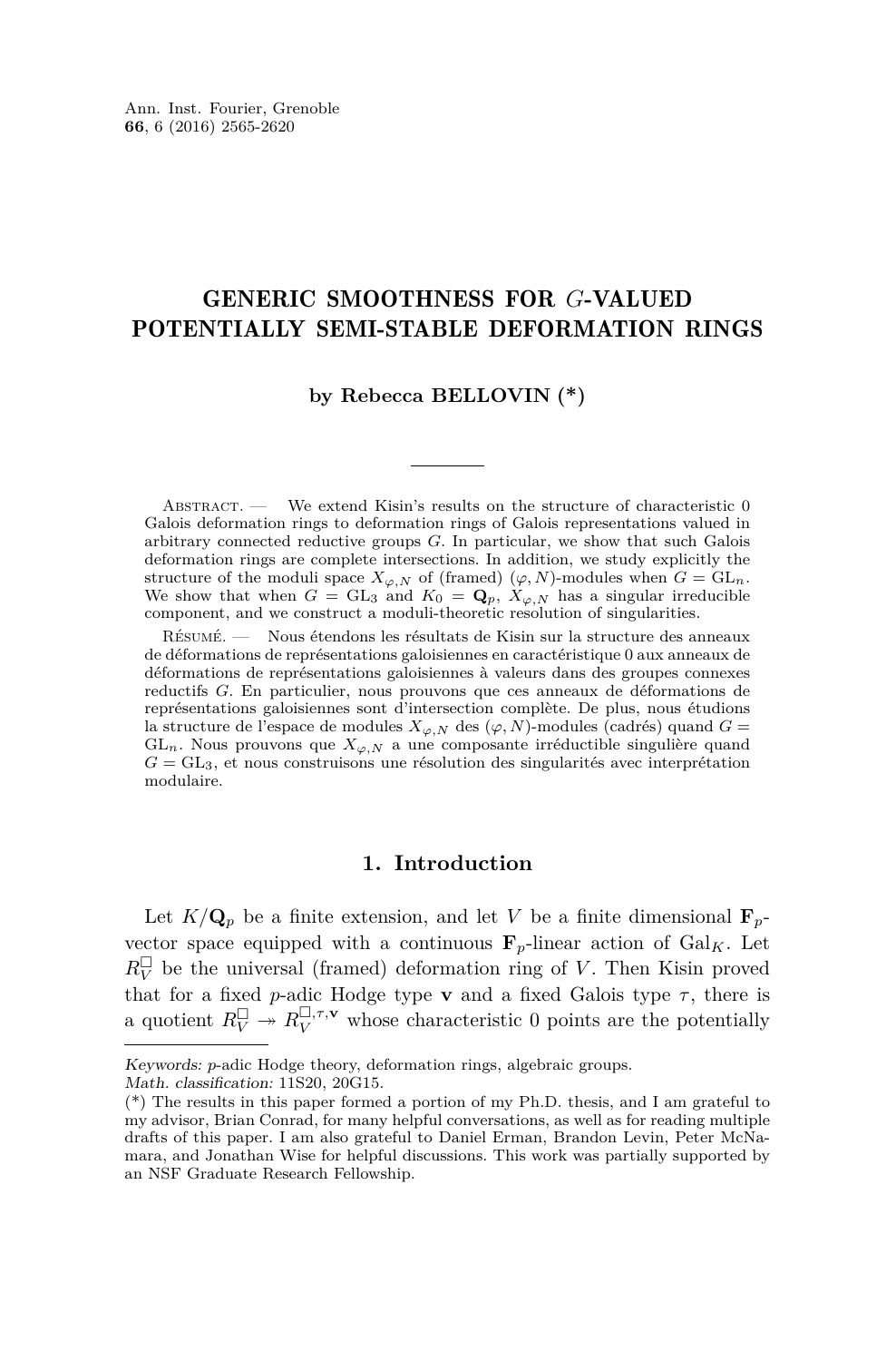#### GENERIC SMOOTHNESS FOR *G*-VALUED POTENTIALLY SEMI-STABLE DEFORMATION RINGS

#### **by Rebecca BELLOVIN (\*)**

ABSTRACT. — We extend Kisin's results on the structure of characteristic 0 Galois deformation rings to deformation rings of Galois representations valued in arbitrary connected reductive groups *G*. In particular, we show that such Galois deformation rings are complete intersections. In addition, we study explicitly the structure of the moduli space  $X_{\varphi,N}$  of (framed)  $(\varphi, N)$ -modules when  $G = GL_n$ . We show that when  $G = GL_3$  and  $K_0 = \mathbf{Q}_p$ ,  $X_{\varphi, N}$  has a singular irreducible component, and we construct a moduli-theoretic resolution of singularities.

Résumé. — Nous étendons les résultats de Kisin sur la structure des anneaux de déformations de représentations galoisiennes en caractéristique 0 aux anneaux de déformations de représentations galoisiennes à valeurs dans des groupes connexes reductifs *G*. En particulier, nous prouvons que ces anneaux de déformations de représentations galoisiennes sont d'intersection complète. De plus, nous étudions la structure de l'espace de modules  $X_{\varphi,N}$  des  $(\varphi, N)$ -modules (cadrés) quand  $G =$ GL<sub>n</sub>. Nous prouvons que  $X_{\varphi,N}$  a une composante irréductible singulière quand  $G = GL_3$ , et nous construisons une résolution des singularités avec interprétation modulaire.

#### **1. Introduction**

Let  $K/\mathbf{Q}_p$  be a finite extension, and let *V* be a finite dimensional  $\mathbf{F}_p$ vector space equipped with a continuous  $\mathbf{F}_p$ -linear action of Gal<sub>K</sub>. Let  $R_V^{\Box}$  be the universal (framed) deformation ring of *V*. Then Kisin proved that for a fixed *p*-adic Hodge type **v** and a fixed Galois type  $\tau$ , there is a quotient  $R_V^{\Box} \rightarrow R_V^{\Box, \tau, \mathbf{v}}$  whose characteristic 0 points are the potentially

Keywords: *p*-adic Hodge theory, deformation rings, algebraic groups.

Math. classification: 11S20, 20G15.

<sup>(\*)</sup> The results in this paper formed a portion of my Ph.D. thesis, and I am grateful to my advisor, Brian Conrad, for many helpful conversations, as well as for reading multiple drafts of this paper. I am also grateful to Daniel Erman, Brandon Levin, Peter McNamara, and Jonathan Wise for helpful discussions. This work was partially supported by an NSF Graduate Research Fellowship.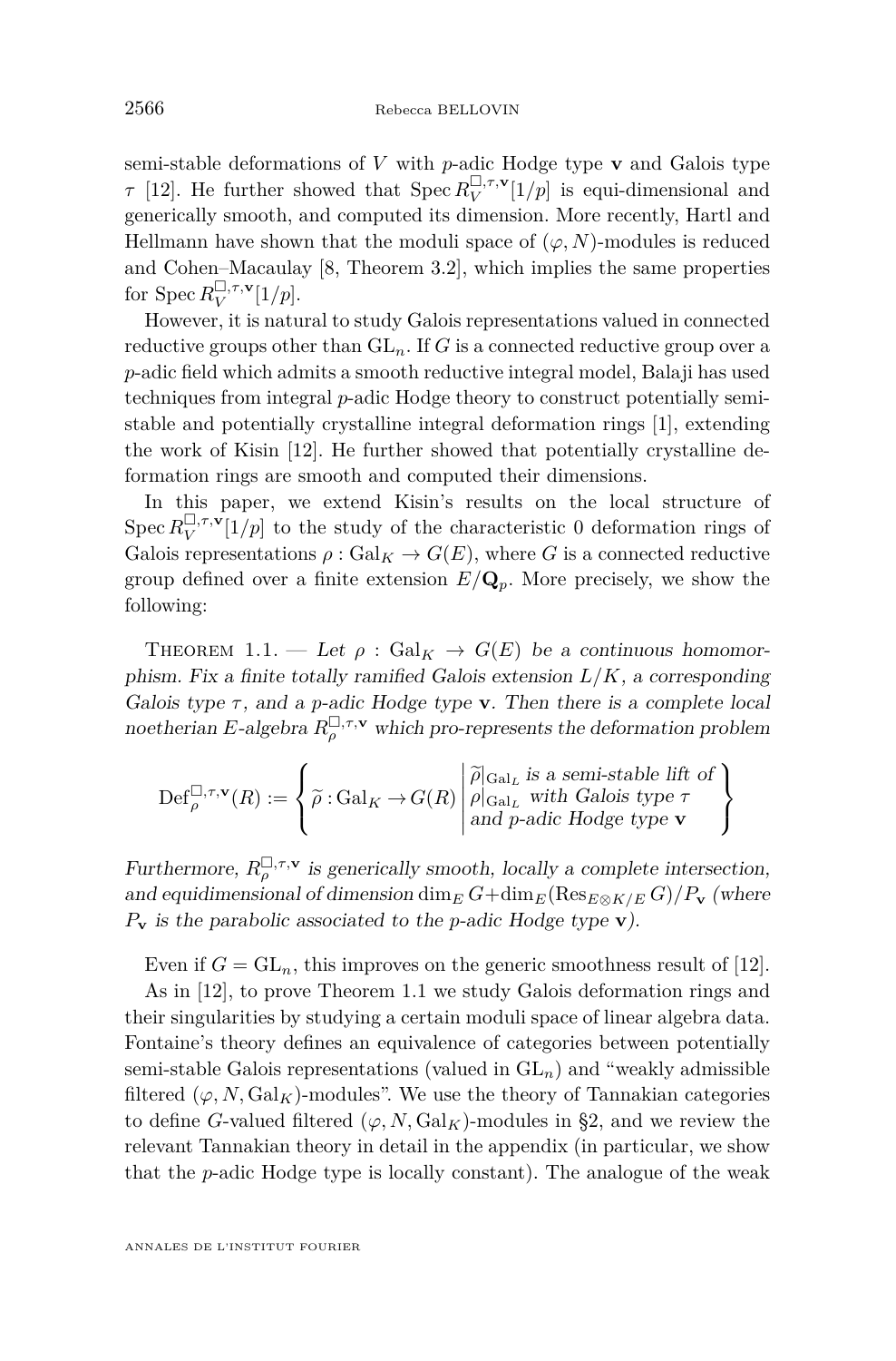semi-stable deformations of *V* with *p*-adic Hodge type **v** and Galois type *τ* [\[12\]](#page-55-0). He further showed that  $Spec R_V^{\Box, \tau, \mathbf{v}}(1/p)$  is equi-dimensional and generically smooth, and computed its dimension. More recently, Hartl and Hellmann have shown that the moduli space of  $(\varphi, N)$ -modules is reduced and Cohen–Macaulay [\[8,](#page-55-1) Theorem 3.2], which implies the same properties for Spec  $R_V^{\square, \tau, \mathbf{v}}[1/p]$ .

However, it is natural to study Galois representations valued in connected reductive groups other than  $GL_n$ . If *G* is a connected reductive group over a *p*-adic field which admits a smooth reductive integral model, Balaji has used techniques from integral *p*-adic Hodge theory to construct potentially semistable and potentially crystalline integral deformation rings [\[1\]](#page-55-2), extending the work of Kisin [\[12\]](#page-55-0). He further showed that potentially crystalline deformation rings are smooth and computed their dimensions.

In this paper, we extend Kisin's results on the local structure of Spec  $R_V^{\square,\tau,\mathbf{v}}[1/p]$  to the study of the characteristic 0 deformation rings of Galois representations  $\rho : \text{Gal}_K \to G(E)$ , where *G* is a connected reductive group defined over a finite extension  $E/\mathbf{Q}_p$ . More precisely, we show the following:

<span id="page-2-0"></span>THEOREM 1.1. — Let  $\rho : \text{Gal}_K \to G(E)$  be a continuous homomorphism. Fix a finite totally ramified Galois extension  $L/K$ , a corresponding Galois type *τ* , and a *p*-adic Hodge type **v**. Then there is a complete local noetherian *E*-algebra  $R_{\rho}^{\Box,\tau,\mathbf{v}}$  which pro-represents the deformation problem

$$
\mathrm{Def}_{\rho}^{\square,\tau,\mathbf{v}}(R) := \left\{\widetilde{\rho}: \mathrm{Gal}_K \to G(R) \middle| \begin{matrix} \widetilde{\rho} \mid_{\mathrm{Gal}_L} \text{ is a semi-stable lift of} \\ \rho \mid_{\mathrm{Gal}_L} \text{ with Galois type } \tau \\ \text{and } p\text{-adic Hodge type } \mathbf{v} \end{matrix}\right\}
$$

Furthermore,  $R_{\rho}^{\Box,\tau,\mathbf{v}}$  is generically smooth, locally a complete intersection, and equidimensional of dimension dim<sub>*E*</sub>  $G + \dim_E(\text{Res}_{E \otimes K/E} G)/P$ **v** (where *P***<sup>v</sup>** is the parabolic associated to the *p*-adic Hodge type **v**).

Even if  $G = GL_n$ , this improves on the generic smoothness result of [\[12\]](#page-55-0).

As in [\[12\]](#page-55-0), to prove Theorem [1.1](#page-2-0) we study Galois deformation rings and their singularities by studying a certain moduli space of linear algebra data. Fontaine's theory defines an equivalence of categories between potentially semi-stable Galois representations (valued in GL*n*) and "weakly admissible filtered  $(\varphi, N, \mathrm{Gal}_K)$ -modules". We use the theory of Tannakian categories to define *G*-valued filtered  $(\varphi, N, \text{Gal}_K)$ -modules in [§2,](#page-4-0) and we review the relevant Tannakian theory in detail in the appendix (in particular, we show that the *p*-adic Hodge type is locally constant). The analogue of the weak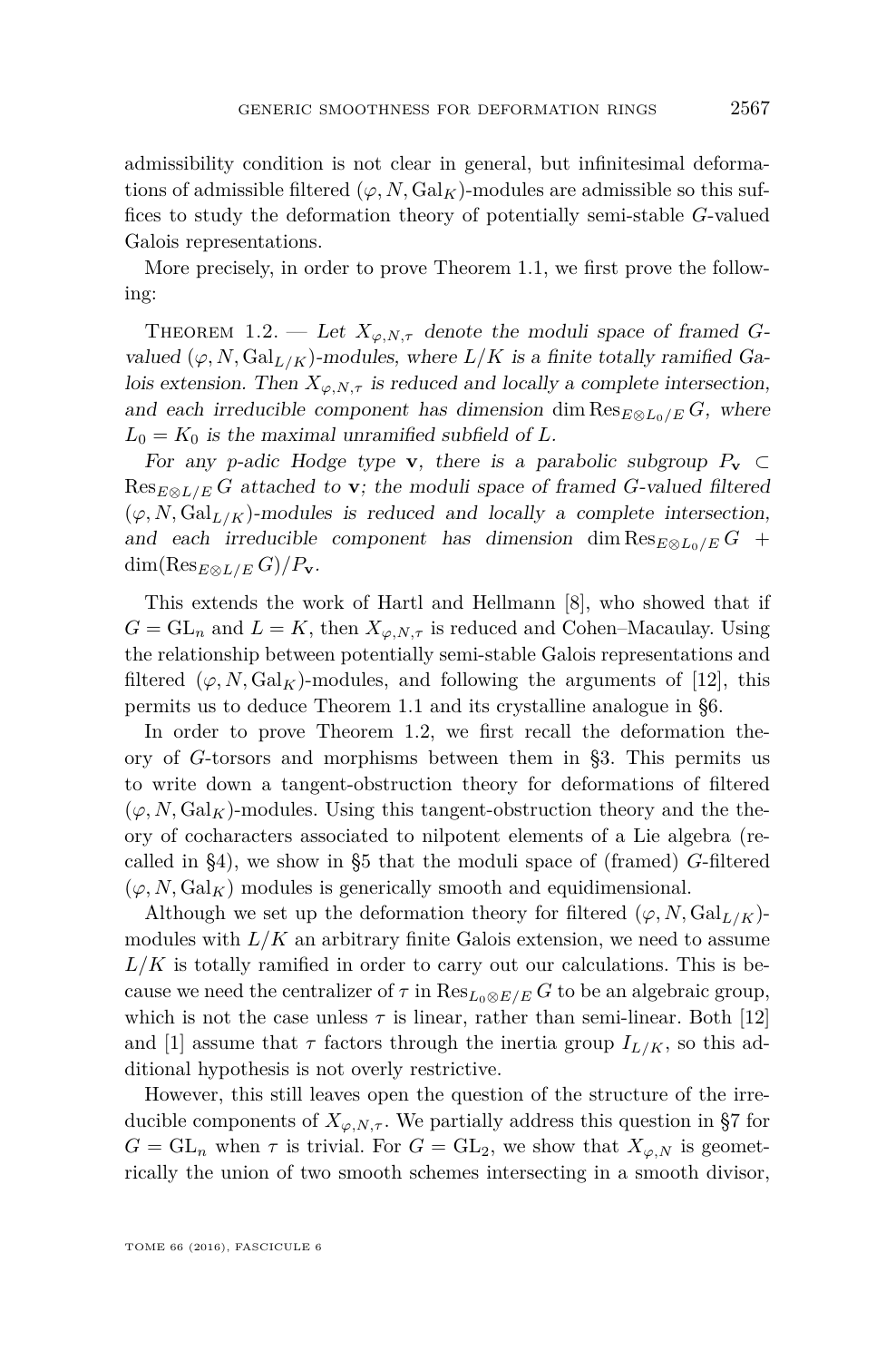admissibility condition is not clear in general, but infinitesimal deformations of admissible filtered  $(\varphi, N, \text{Gal}_K)$ -modules are admissible so this suffices to study the deformation theory of potentially semi-stable *G*-valued Galois representations.

More precisely, in order to prove Theorem [1.1,](#page-2-0) we first prove the following:

<span id="page-3-0"></span>THEOREM 1.2. — Let  $X_{\varphi, N, \tau}$  denote the moduli space of framed *G*valued  $(\varphi, N, \text{Gal}_{L/K})$ -modules, where  $L/K$  is a finite totally ramified Galois extension. Then  $X_{\varphi, N, \tau}$  is reduced and locally a complete intersection, and each irreducible component has dimension dim  $\text{Res}_{E \otimes L_0/E} G$ , where  $L_0 = K_0$  is the maximal unramified subfield of *L*.

For any *p*-adic Hodge type **v**, there is a parabolic subgroup  $P_v \subset$  $Res_{E\otimes L/E} G$  attached to **v**; the moduli space of framed *G*-valued filtered  $(\varphi, N, \text{Gal}_{L/K})$ -modules is reduced and locally a complete intersection, and each irreducible component has dimension dim  $\text{Res}_{E\otimes L_0/E} G$  + dim(Res<sub>E⊗L/E</sub>  $G$ )/ $P$ **v**.

This extends the work of Hartl and Hellmann [\[8\]](#page-55-1), who showed that if  $G = GL_n$  and  $L = K$ , then  $X_{\varphi, N, \tau}$  is reduced and Cohen–Macaulay. Using the relationship between potentially semi-stable Galois representations and filtered  $(\varphi, N, \text{Gal}_K)$ -modules, and following the arguments of [\[12\]](#page-55-0), this permits us to deduce Theorem [1.1](#page-2-0) and its crystalline analogue in [§6.](#page-26-0)

In order to prove Theorem [1.2,](#page-3-0) we first recall the deformation theory of *G*-torsors and morphisms between them in [§3.](#page-7-0) This permits us to write down a tangent-obstruction theory for deformations of filtered  $(\varphi, N, \mathrm{Gal}_K)$ -modules. Using this tangent-obstruction theory and the theory of cocharacters associated to nilpotent elements of a Lie algebra (recalled in [§4\)](#page-15-0), we show in [§5](#page-19-0) that the moduli space of (framed) *G*-filtered  $(\varphi, N, \text{Gal}_K)$  modules is generically smooth and equidimensional.

Although we set up the deformation theory for filtered  $(\varphi, N, \text{Gal}_{L/K})$ modules with  $L/K$  an arbitrary finite Galois extension, we need to assume  $L/K$  is totally ramified in order to carry out our calculations. This is because we need the centralizer of  $\tau$  in  $\text{Res}_{L_0\otimes E/E} G$  to be an algebraic group, which is not the case unless  $\tau$  is linear, rather than semi-linear. Both [\[12\]](#page-55-0) and [\[1\]](#page-55-2) assume that  $\tau$  factors through the inertia group  $I_{L/K}$ , so this additional hypothesis is not overly restrictive.

However, this still leaves open the question of the structure of the irreducible components of  $X_{\varphi,N,\tau}$ . We partially address this question in [§7](#page-30-0) for  $G = GL_n$  when  $\tau$  is trivial. For  $G = GL_2$ , we show that  $X_{\varphi,N}$  is geometrically the union of two smooth schemes intersecting in a smooth divisor,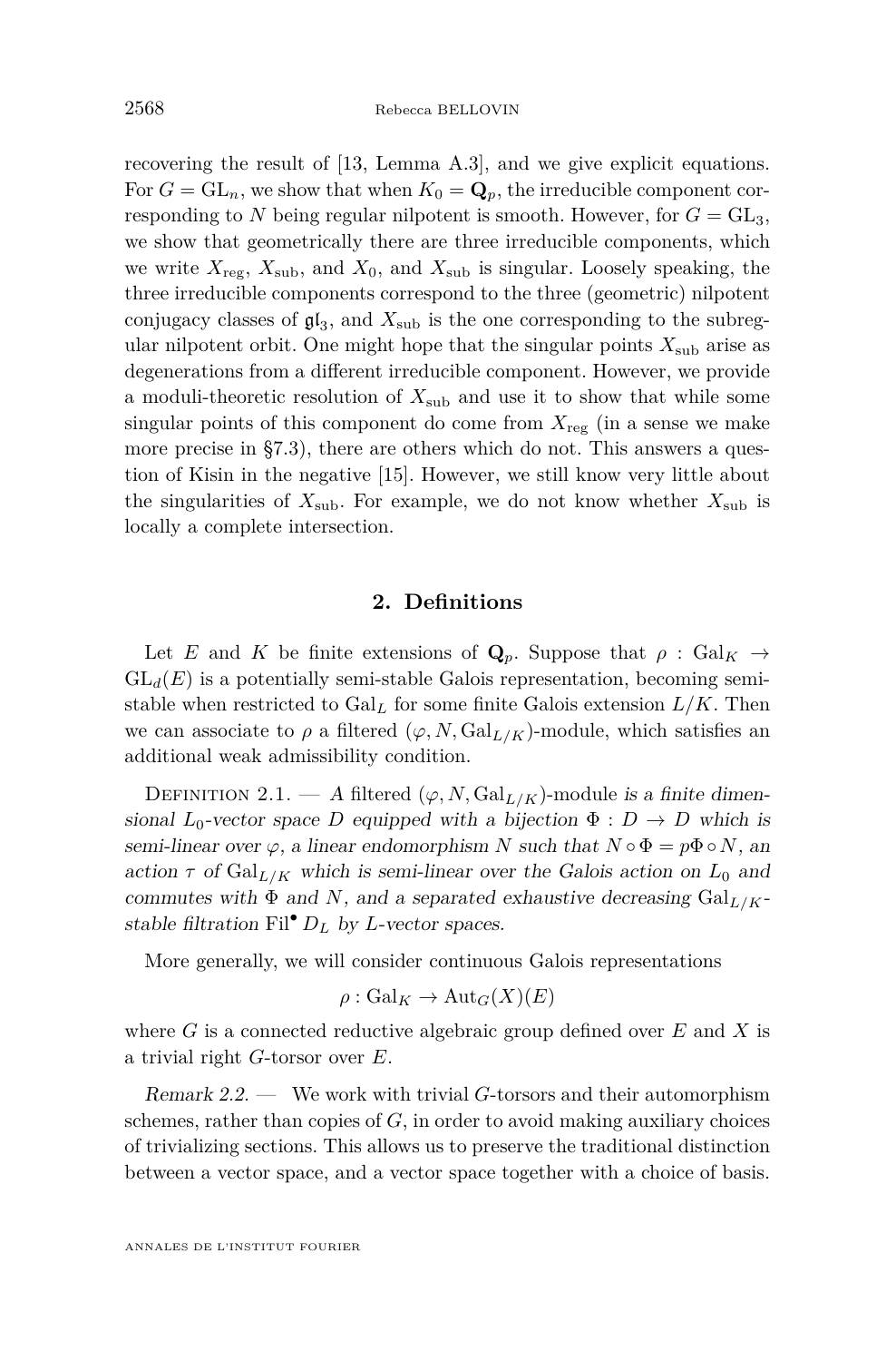recovering the result of [\[13,](#page-55-3) Lemma A.3], and we give explicit equations. For  $G = GL_n$ , we show that when  $K_0 = \mathbf{Q}_p$ , the irreducible component corresponding to *N* being regular nilpotent is smooth. However, for  $G = GL_3$ , we show that geometrically there are three irreducible components, which we write  $X_{\text{reg}}$ ,  $X_{\text{sub}}$ , and  $X_0$ , and  $X_{\text{sub}}$  is singular. Loosely speaking, the three irreducible components correspond to the three (geometric) nilpotent conjugacy classes of  $\mathfrak{gl}_3$ , and  $X_{\text{sub}}$  is the one corresponding to the subregular nilpotent orbit. One might hope that the singular points  $X_{\text{sub}}$  arise as degenerations from a different irreducible component. However, we provide a moduli-theoretic resolution of *X*sub and use it to show that while some singular points of this component do come from  $X_{\text{reg}}$  (in a sense we make more precise in [§7.3\)](#page-38-0), there are others which do not. This answers a question of Kisin in the negative [\[15\]](#page-55-4). However, we still know very little about the singularities of  $X_{sub}$ . For example, we do not know whether  $X_{sub}$  is locally a complete intersection.

#### **2. Definitions**

<span id="page-4-0"></span>Let *E* and *K* be finite extensions of  $\mathbf{Q}_p$ . Suppose that  $\rho : \text{Gal}_K \to$  $GL_d(E)$  is a potentially semi-stable Galois representation, becoming semistable when restricted to  $Gal<sub>L</sub>$  for some finite Galois extension  $L/K$ . Then we can associate to  $\rho$  a filtered  $(\varphi, N, \text{Gal}_{L/K})$ -module, which satisfies an additional weak admissibility condition.

DEFINITION 2.1. — A filtered  $(\varphi, N, \text{Gal}_{L/K})$ -module is a finite dimensional  $L_0$ -vector space *D* equipped with a bijection  $\Phi : D \to D$  which is semi-linear over  $\varphi$ , a linear endomorphism *N* such that  $N \circ \Phi = p\Phi \circ N$ , and action  $\tau$  of  $Gal_{L/K}$  which is semi-linear over the Galois action on  $L_0$  and commutes with  $\Phi$  and *N*, and a separated exhaustive decreasing  $Gal_{L/K}$ stable filtration Fil<sup>•</sup>  $D_L$  by *L*-vector spaces.

More generally, we will consider continuous Galois representations

$$
\rho: \mathrm{Gal}_K \to \mathrm{Aut}_G(X)(E)
$$

where *G* is a connected reductive algebraic group defined over *E* and *X* is a trivial right *G*-torsor over *E*.

Remark 2.2. — We work with trivial *G*-torsors and their automorphism schemes, rather than copies of *G*, in order to avoid making auxiliary choices of trivializing sections. This allows us to preserve the traditional distinction between a vector space, and a vector space together with a choice of basis.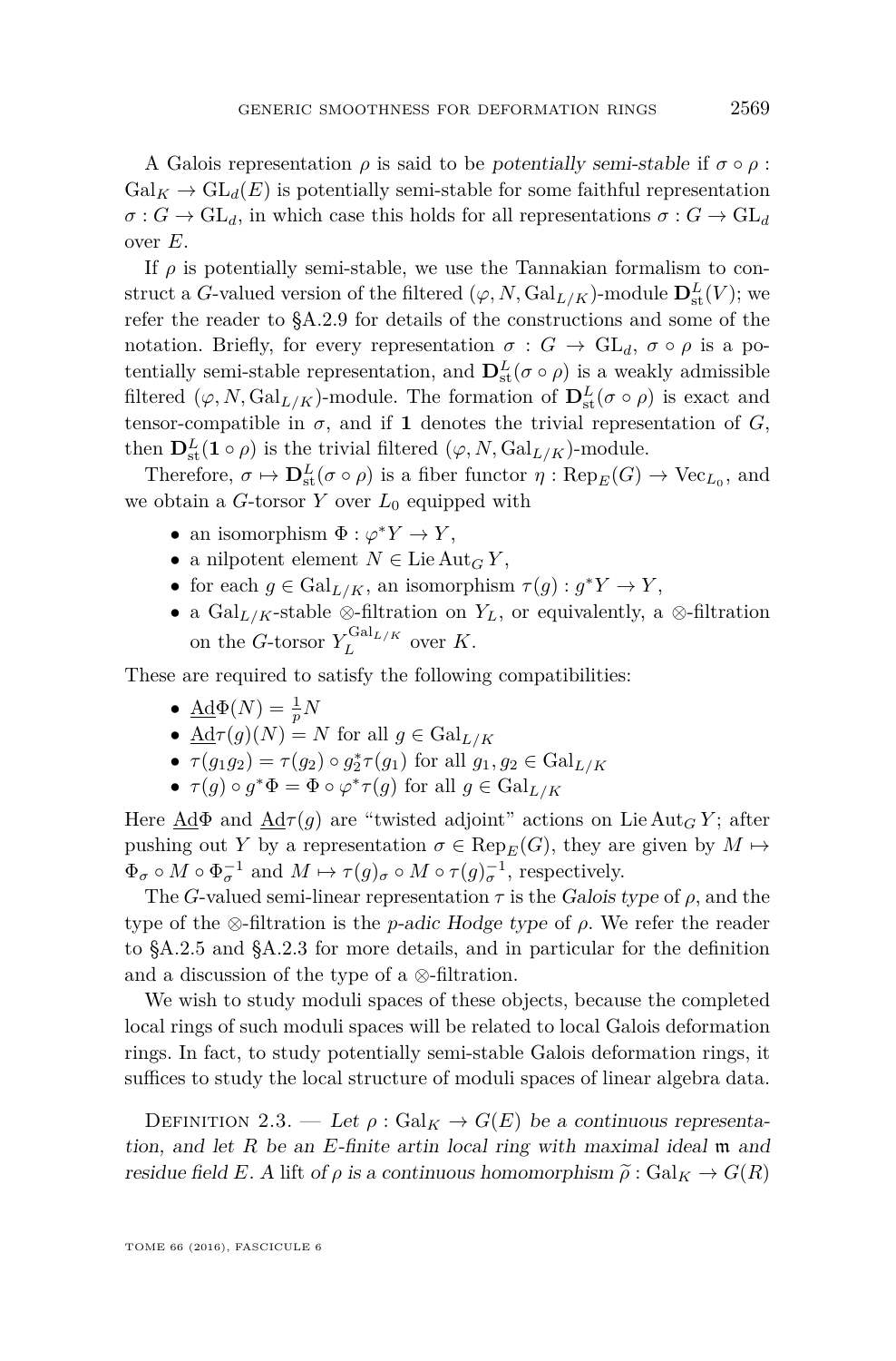A Galois representation  $\rho$  is said to be potentially semi-stable if  $\sigma \circ \rho$ :  $Gal_K \to GL_d(E)$  is potentially semi-stable for some faithful representation  $\sigma$  :  $G \to GL_d$ , in which case this holds for all representations  $\sigma$  :  $G \to GL_d$ over *E*.

If  $\rho$  is potentially semi-stable, we use the Tannakian formalism to construct a *G*-valued version of the filtered  $(\varphi, N, \text{Gal}_{L/K})$ -module  $\mathbf{D}^L_{st}(V)$ ; we refer the reader to [§A.2.9](#page-53-0) for details of the constructions and some of the notation. Briefly, for every representation  $\sigma : G \to GL_d$ ,  $\sigma \circ \rho$  is a potentially semi-stable representation, and  $\mathbf{D}_{st}^{L}(\sigma \circ \rho)$  is a weakly admissible filtered  $(\varphi, N, \text{Gal}_{L/K})$ -module. The formation of  $\mathbf{D}^L_{st}(\sigma \circ \rho)$  is exact and tensor-compatible in  $\sigma$ , and if **1** denotes the trivial representation of *G*, then  $\mathbf{D}_{\text{st}}^L(\mathbf{1} \circ \rho)$  is the trivial filtered  $(\varphi, N, \text{Gal}_{L/K})$ -module.

Therefore,  $\sigma \mapsto \mathbf{D}^L_{\text{st}}(\sigma \circ \rho)$  is a fiber functor  $\eta : \text{Rep}_E(G) \to \text{Vec}_{L_0}$ , and we obtain a *G*-torsor *Y* over  $L_0$  equipped with

- an isomorphism  $\Phi : \varphi^* Y \to Y$ ,
- a nilpotent element  $N \in \text{Lie} \text{Aut}_G Y$ ,
- for each  $g \in \text{Gal}_{L/K}$ , an isomorphism  $\tau(g) : g^*Y \to Y$ ,
- a  $Gal_{L/K}$ -stable ⊗-filtration on  $Y_L$ , or equivalently, a ⊗-filtration on the *G*-torsor  $Y_L^{\text{Gal}_{L/K}}$  $\iota_L^{Gau}$  over *K*.

These are required to satisfy the following compatibilities:

- $\bullet$   $\underline{\mathrm{Ad}}\Phi(N) = \frac{1}{p}N$
- $\overline{\mathbf{Ad}}\tau(g)(N) = N$  for all  $g \in \mathrm{Gal}_{L/K}$
- $\tau(g_1g_2) = \tau(g_2) \circ g_2^* \tau(g_1)$  for all  $g_1, g_2 \in \text{Gal}_{L/K}$
- $\tau(g) \circ g^* \Phi = \Phi \circ \varphi^* \tau(g)$  for all  $g \in \text{Gal}_{L/K}$

Here  $\text{Ad}\Phi$  and  $\text{Ad}\tau(g)$  are "twisted adjoint" actions on Lie Aut<sub>*G*</sub> *Y*; after pushing out *Y* by a representation  $\sigma \in \text{Rep}_E(G)$ , they are given by  $M \mapsto$  $\Phi_{\sigma} \circ M \circ \Phi_{\sigma}^{-1}$  and  $M \mapsto \tau(g)_{\sigma} \circ M \circ \tau(g)_{\sigma}^{-1}$ , respectively.

The *G*-valued semi-linear representation  $\tau$  is the Galois type of  $\rho$ , and the type of the ⊗-filtration is the *p*-adic Hodge type of *ρ*. We refer the reader to [§A.2.5](#page-51-0) and [§A.2.3](#page-47-0) for more details, and in particular for the definition and a discussion of the type of a ⊗-filtration.

We wish to study moduli spaces of these objects, because the completed local rings of such moduli spaces will be related to local Galois deformation rings. In fact, to study potentially semi-stable Galois deformation rings, it suffices to study the local structure of moduli spaces of linear algebra data.

DEFINITION 2.3. — Let  $\rho : \text{Gal}_K \to G(E)$  be a continuous representation, and let *R* be an *E*-finite artin local ring with maximal ideal m and residue field *E*. A lift of  $\rho$  is a continuous homomorphism  $\tilde{\rho}$  : Gal<sub>K</sub>  $\rightarrow$   $G(R)$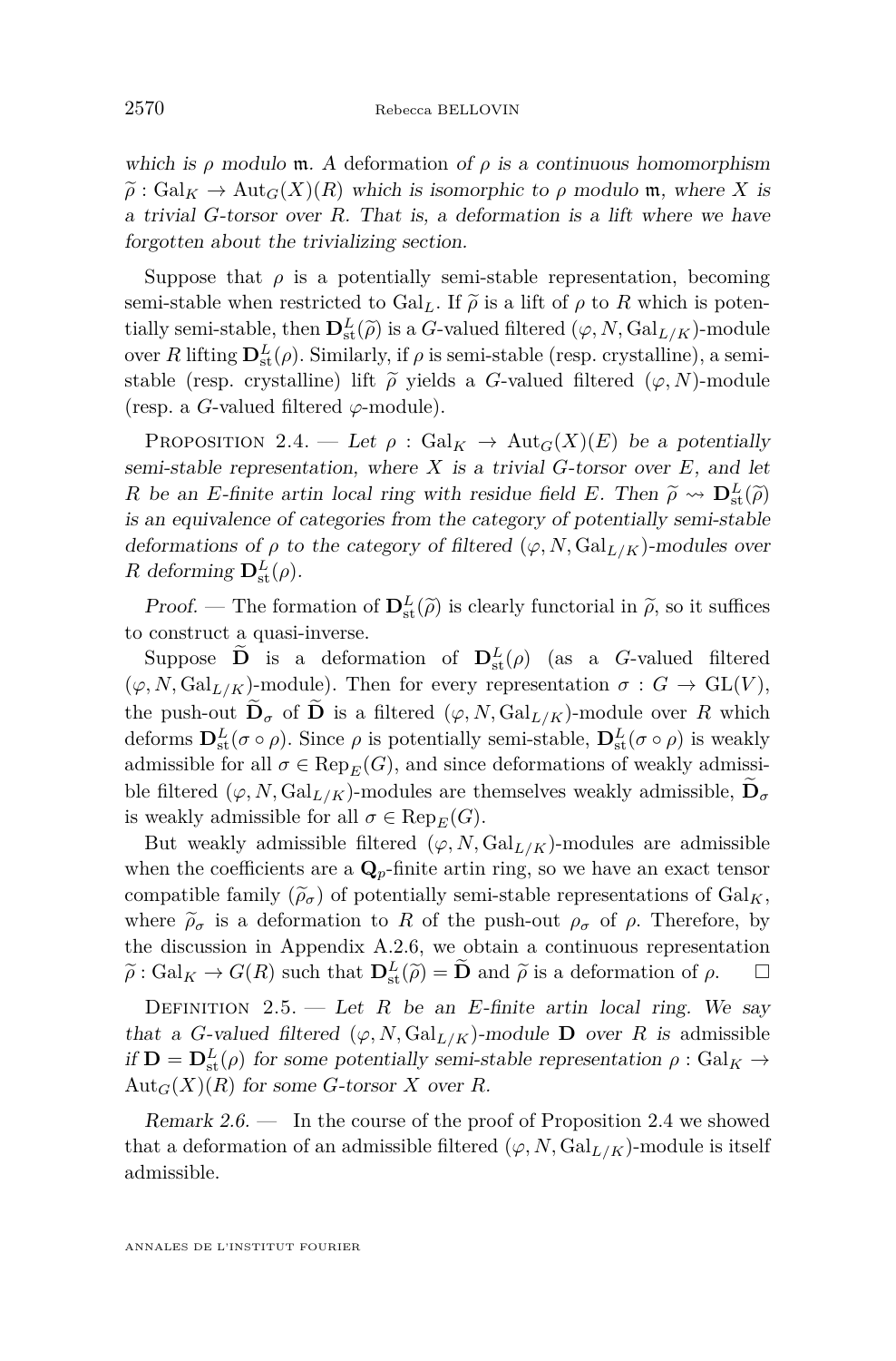which is  $\rho$  modulo m. A deformation of  $\rho$  is a continuous homomorphism  $\tilde{\rho}$ : Gal<sub>K</sub>  $\rightarrow$  Aut<sub>*G</sub>*(*X*)(*R*) which is isomorphic to  $\rho$  modulo m, where *X* is</sub> a trivial *G*-torsor over *R*. That is, a deformation is a lift where we have forgotten about the trivializing section.

Suppose that  $\rho$  is a potentially semi-stable representation, becoming semi-stable when restricted to Gal<sub>L</sub>. If  $\tilde{\rho}$  is a lift of  $\rho$  to R which is potentially semi-stable, then  $\mathbf{D}_k^L(\tilde{\rho})$  is a *G*-valued filtered  $(\varphi, N, \text{Gal}_{L/K})$ -module<br>sympolities  $\mathbf{D}_k^L(\rho)$ . Similarly, if a is sami-stable (resp. expetalling), a semiover *R* lifting  $\mathbf{D}^L_{st}(\rho)$ . Similarly, if  $\rho$  is semi-stable (resp. crystalline), a semistable (resp. crystalline) lift  $\tilde{\rho}$  yields a *G*-valued filtered ( $\varphi$ , *N*)-module (resp. a *G*-valued filtered *ϕ*-module).

<span id="page-6-0"></span>PROPOSITION 2.4. — Let  $\rho$ : Gal<sub>K</sub>  $\rightarrow$  Aut<sub>*G*</sub>(*X*)(*E*) be a potentially semi-stable representation, where *X* is a trivial *G*-torsor over *E*, and let *R* be an *E*-finite artin local ring with residue field *E*. Then  $\tilde{\rho} \rightsquigarrow \mathbf{D}_{st}^L(\tilde{\rho})$ is an equivalence of categories from the category of potentially semi-stable deformations of  $\rho$  to the category of filtered  $(\varphi, N, \text{Gal}_{L/K})$ -modules over *R* deforming  $\mathbf{D}_{\text{st}}^{L}(\rho)$ .

Proof. — The formation of  $\mathbf{D}^L_{st}(\tilde{\rho})$  is clearly functorial in  $\tilde{\rho}$ , so it suffices to construct a quasi-inverse.

Suppose **D** is a deformation of  $\mathbf{D}^L_{\text{st}}(\rho)$  (as a *G*-valued filtered  $(\varphi, N, \mathrm{Gal}_{L/K})$ -module). Then for every representation  $\sigma : G \to \mathrm{GL}(V)$ , the push-out  $\widetilde{\mathbf{D}}_{\sigma}$  of  $\widetilde{\mathbf{D}}$  is a filtered  $(\varphi, N, \text{Gal}_{L/K})$ -module over R which deforms  $\mathbf{D}^L_{st}(\sigma \circ \rho)$ . Since  $\rho$  is potentially semi-stable,  $\mathbf{D}^L_{st}(\sigma \circ \rho)$  is weakly admissible for all  $\sigma \in \text{Rep}_E(G)$ , and since deformations of weakly admissible filtered  $(\varphi, N, \text{Gal}_{L/K})$ -modules are themselves weakly admissible,  $\mathbf{D}_{\sigma}$ is weakly admissible for all  $\sigma \in \text{Rep}_E(G)$ .

But weakly admissible filtered  $(\varphi, N, \text{Gal}_{L/K})$ -modules are admissible when the coefficients are a  $\mathbf{Q}_p$ -finite artin ring, so we have an exact tensor compatible family  $(\tilde{\rho}_{\sigma})$  of potentially semi-stable representations of  $Gal_K$ , where  $\tilde{\rho}_{\sigma}$  is a deformation to *R* of the push-out  $\rho_{\sigma}$  of  $\rho$ . Therefore, by the discussion in Appendix [A.2.6,](#page-51-1) we obtain a continuous representation  $\widetilde{\rho}$ : Gal<sub>K</sub>  $\rightarrow$  *G*(*R*) such that  $\mathbf{D}^L_{st}(\widetilde{\rho}) = \widetilde{\mathbf{D}}$  and  $\widetilde{\rho}$  is a deformation of  $\rho$ .  $\Box$ 

DEFINITION 2.5. — Let *R* be an *E*-finite artin local ring. We say that a *G*-valued filtered  $(\varphi, N, \text{Gal}_{L/K})$ -module **D** over *R* is admissible if  $\mathbf{D} = \mathbf{D}^L_{st}(\rho)$  for some potentially semi-stable representation  $\rho : \text{Gal}_K \to$  $Aut_G(X)(R)$  for some *G*-torsor *X* over *R*.

Remark  $2.6.$  — In the course of the proof of Proposition [2.4](#page-6-0) we showed that a deformation of an admissible filtered  $(\varphi, N, \text{Gal}_{L/K})$ -module is itself admissible.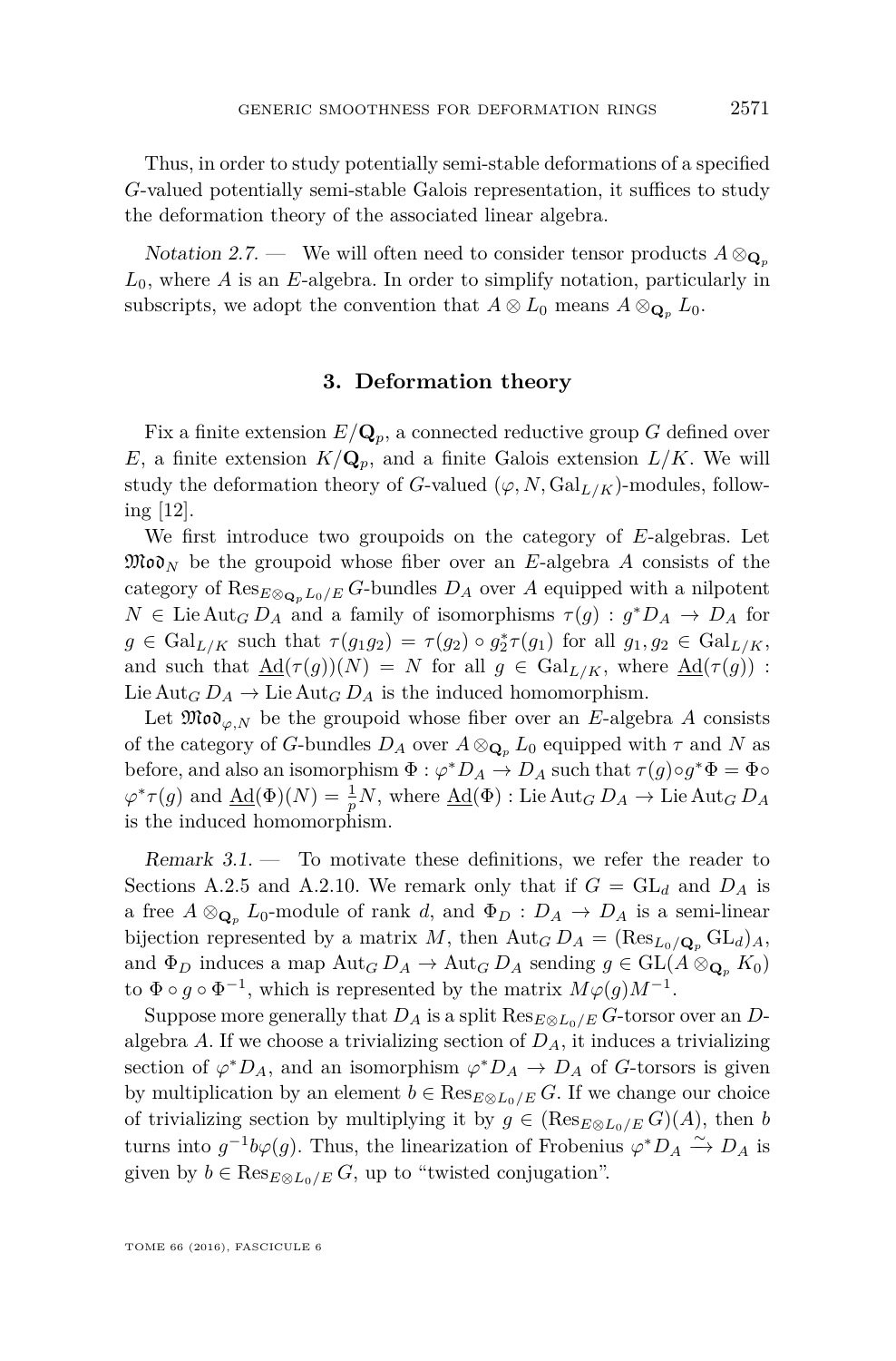Thus, in order to study potentially semi-stable deformations of a specified *G*-valued potentially semi-stable Galois representation, it suffices to study the deformation theory of the associated linear algebra.

Notation 2.7. — We will often need to consider tensor products  $A \otimes_{\mathbf{Q}_p} A$ *L*0, where *A* is an *E*-algebra. In order to simplify notation, particularly in subscripts, we adopt the convention that  $A \otimes L_0$  means  $A \otimes_{\mathbf{Q}_n} L_0$ .

#### **3. Deformation theory**

<span id="page-7-0"></span>Fix a finite extension  $E/\mathbf{Q}_p$ , a connected reductive group G defined over *E*, a finite extension  $K/\mathbf{Q}_p$ , and a finite Galois extension  $L/K$ . We will study the deformation theory of *G*-valued  $(\varphi, N, \text{Gal}_{L/K})$ -modules, following [\[12\]](#page-55-0).

We first introduce two groupoids on the category of *E*-algebras. Let  $\mathfrak{Mod}_N$  be the groupoid whose fiber over an *E*-algebra *A* consists of the category of  $\text{Res}_{E \otimes_{\mathbf{Q}_n} L_0/E} G$ -bundles  $D_A$  over  $A$  equipped with a nilpotent  $N \in \text{Lie} \text{Aut}_G D_A$  and a family of isomorphisms  $\tau(g) : g^* D_A \to D_A$  for  $g \in \text{Gal}_{L/K}$  such that  $\tau(g_1g_2) = \tau(g_2) \circ g_2^*\tau(g_1)$  for all  $g_1, g_2 \in \text{Gal}_{L/K}$ , and such that  $\underline{\mathrm{Ad}}(\tau(g))(N) = N$  for all  $g \in \mathrm{Gal}_{L/K}$ , where  $\underline{\mathrm{Ad}}(\tau(g))$ : Lie Aut<sub>*G*</sub>  $D_A \rightarrow$  Lie Aut<sub>*G*</sub>  $D_A$  is the induced homomorphism.

Let  $\mathfrak{Mod}_{\varphi,N}$  be the groupoid whose fiber over an *E*-algebra *A* consists of the category of *G*-bundles  $D_A$  over  $A \otimes_{\mathbf{Q}_p} L_0$  equipped with  $\tau$  and  $N$  as before, and also an isomorphism  $\Phi : \varphi^* D_A \to D_A$  such that  $\tau(g) \circ g^* \Phi = \Phi \circ$  $\varphi^* \tau(g)$  and  $\underline{\mathrm{Ad}}(\Phi)(N) = \frac{1}{p}N$ , where  $\underline{\mathrm{Ad}}(\Phi)$  : Lie  $\mathrm{Aut}_G D_A \to \mathrm{Lie} \, \mathrm{Aut}_G D_A$ is the induced homomorphism.

Remark 3.1. — To motivate these definitions, we refer the reader to Sections [A.2.5](#page-51-0) and [A.2.10.](#page-54-0) We remark only that if  $G = GL_d$  and  $D_A$  is a free  $A \otimes_{\mathbf{Q}_p} L_0$ -module of rank *d*, and  $\Phi_D : D_A \to D_A$  is a semi-linear bijection represented by a matrix *M*, then  $\text{Aut}_G D_A = (\text{Res}_{L_0/\mathbf{Q}_p} \text{GL}_d)_A$ , and  $\Phi_D$  induces a map  $\text{Aut}_G D_A \to \text{Aut}_G D_A$  sending  $g \in \text{GL}(A \otimes_{\mathbf{Q}_p} K_0)$ to  $\Phi \circ g \circ \Phi^{-1}$ , which is represented by the matrix  $M\varphi(g)M^{-1}$ .

Suppose more generally that  $D_A$  is a split  $\text{Res}_{E \otimes L_0/E} G$ -torsor over an  $D$ algebra  $A$ . If we choose a trivializing section of  $D_A$ , it induces a trivializing section of  $\varphi^* D_A$ , and an isomorphism  $\varphi^* D_A \to D_A$  of *G*-torsors is given by multiplication by an element  $b \in \text{Res}_{E \otimes L_0/E} G$ . If we change our choice of trivializing section by multiplying it by  $g \in (\text{Res}_{E \otimes L_0/E} G)(A)$ , then *b* turns into  $g^{-1}b\varphi(g)$ . Thus, the linearization of Frobenius  $\varphi^*D_A \xrightarrow{\sim} D_A$  is given by  $b \in \text{Res}_{E \otimes L_0/E} G$ , up to "twisted conjugation".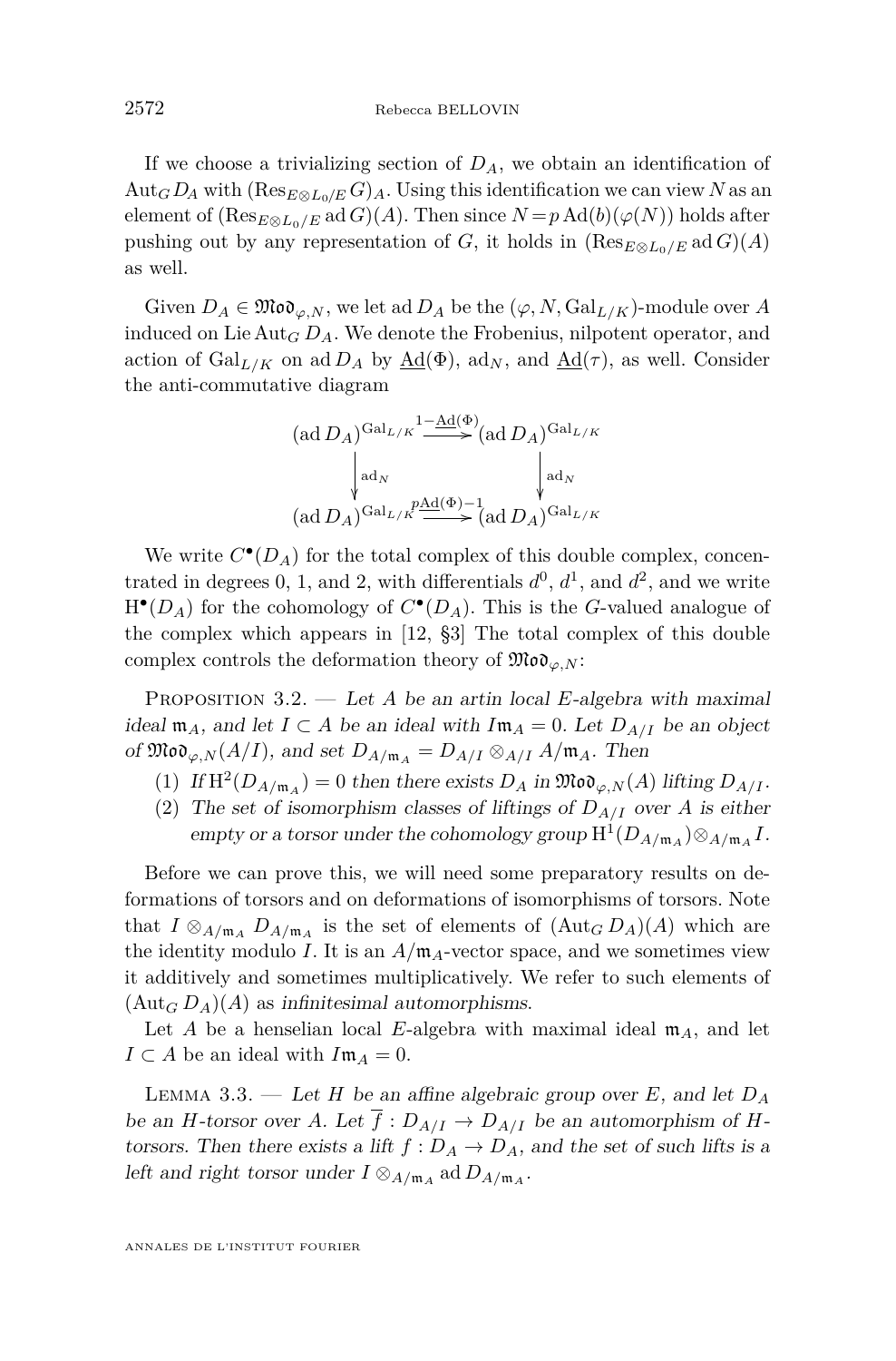If we choose a trivializing section of  $D_A$ , we obtain an identification of Aut<sub>*G*</sub>  $D_A$  with  $(Res_{E \otimes I_0 / E} G)_A$ . Using this identification we can view *N* as an element of  $(\text{Res}_{E\otimes L_0/E}$  ad  $G)(A)$ . Then since  $N = p \text{Ad}(b)(\varphi(N))$  holds after pushing out by any representation of *G*, it holds in  $(\text{Res}_{E \otimes L_0/E} \text{ad } G)(A)$ as well.

Given  $D_A \in \mathfrak{Mod}_{\varphi,N}$ , we let ad  $D_A$  be the  $(\varphi, N, \mathrm{Gal}_{L/K})$ -module over A induced on Lie Aut*<sup>G</sup> DA*. We denote the Frobenius, nilpotent operator, and action of  $Gal_{L/K}$  on ad  $D_A$  by  $\underline{Ad}(\Phi)$ , ad<sub>N</sub>, and  $\underline{Ad}(\tau)$ , as well. Consider the anti-commutative diagram

$$
(\text{ad }D_A)^{\text{Gal}_{L/K}} \xrightarrow{\text{l}\text{--Ad}(\Phi)} (\text{ad }D_A)^{\text{Gal}_{L/K}}
$$
\n
$$
\downarrow \text{ad}_N
$$
\n
$$
(\text{ad }D_A)^{\text{Gal}_{L/K}} \xrightarrow{\text{ad}(\Phi)-1} (\text{ad }D_A)^{\text{Gal}_{L/K}}
$$

We write  $C^{\bullet}(D_A)$  for the total complex of this double complex, concentrated in degrees 0, 1, and 2, with differentials  $d^0$ ,  $d^1$ , and  $d^2$ , and we write  $H^{\bullet}(D_A)$  for the cohomology of  $C^{\bullet}(D_A)$ . This is the *G*-valued analogue of the complex which appears in [\[12,](#page-55-0) §3] The total complex of this double complex controls the deformation theory of  $\mathfrak{Mod}_{\varphi,N}$ :

<span id="page-8-1"></span>Proposition 3.2. — Let *A* be an artin local *E*-algebra with maximal ideal  $\mathfrak{m}_A$ , and let *I*  $\subset$  *A* be an ideal with  $I\mathfrak{m}_A = 0$ . Let  $D_{A/I}$  be an object of  $\mathfrak{Mod}_{\varphi,N}(A/I)$ , and set  $D_{A/\mathfrak{m}_A} = D_{A/I} \otimes_{A/I} A/\mathfrak{m}_A$ . Then

- (1) If  $\mathrm{H}^2(D_{A/\mathfrak{m}_A}) = 0$  then there exists  $D_A$  in  $\mathfrak{Mod}_{\varphi,N}(A)$  lifting  $D_{A/I}$ .
- (2) The set of isomorphism classes of liftings of  $D_{A/I}$  over *A* is either empty or a torsor under the cohomology group  $H^1(D_{A/\mathfrak{m}_A}) \otimes_{A/\mathfrak{m}_A} I$ .

Before we can prove this, we will need some preparatory results on deformations of torsors and on deformations of isomorphisms of torsors. Note that  $I \otimes_{A/\mathfrak{m}_A} D_{A/\mathfrak{m}_A}$  is the set of elements of  $(\text{Aut}_G D_A)(A)$  which are the identity modulo *I*. It is an  $A/\mathfrak{m}_A$ -vector space, and we sometimes view it additively and sometimes multiplicatively. We refer to such elements of  $(\text{Aut}_G D_A)(A)$  as infinitesimal automorphisms.

Let *A* be a henselian local *E*-algebra with maximal ideal  $m_A$ , and let  $I \subset A$  be an ideal with  $I \mathfrak{m}_A = 0$ .

<span id="page-8-0"></span>LEMMA 3.3. — Let *H* be an affine algebraic group over *E*, and let  $D_A$ be an *H*-torsor over *A*. Let  $\overline{f}: D_{A/I} \to D_{A/I}$  be an automorphism of *H*torsors. Then there exists a lift  $f: D_A \to D_A$ , and the set of such lifts is a left and right torsor under  $I \otimes_{A/\mathfrak{m}_A} \text{ad} D_{A/\mathfrak{m}_A}$ .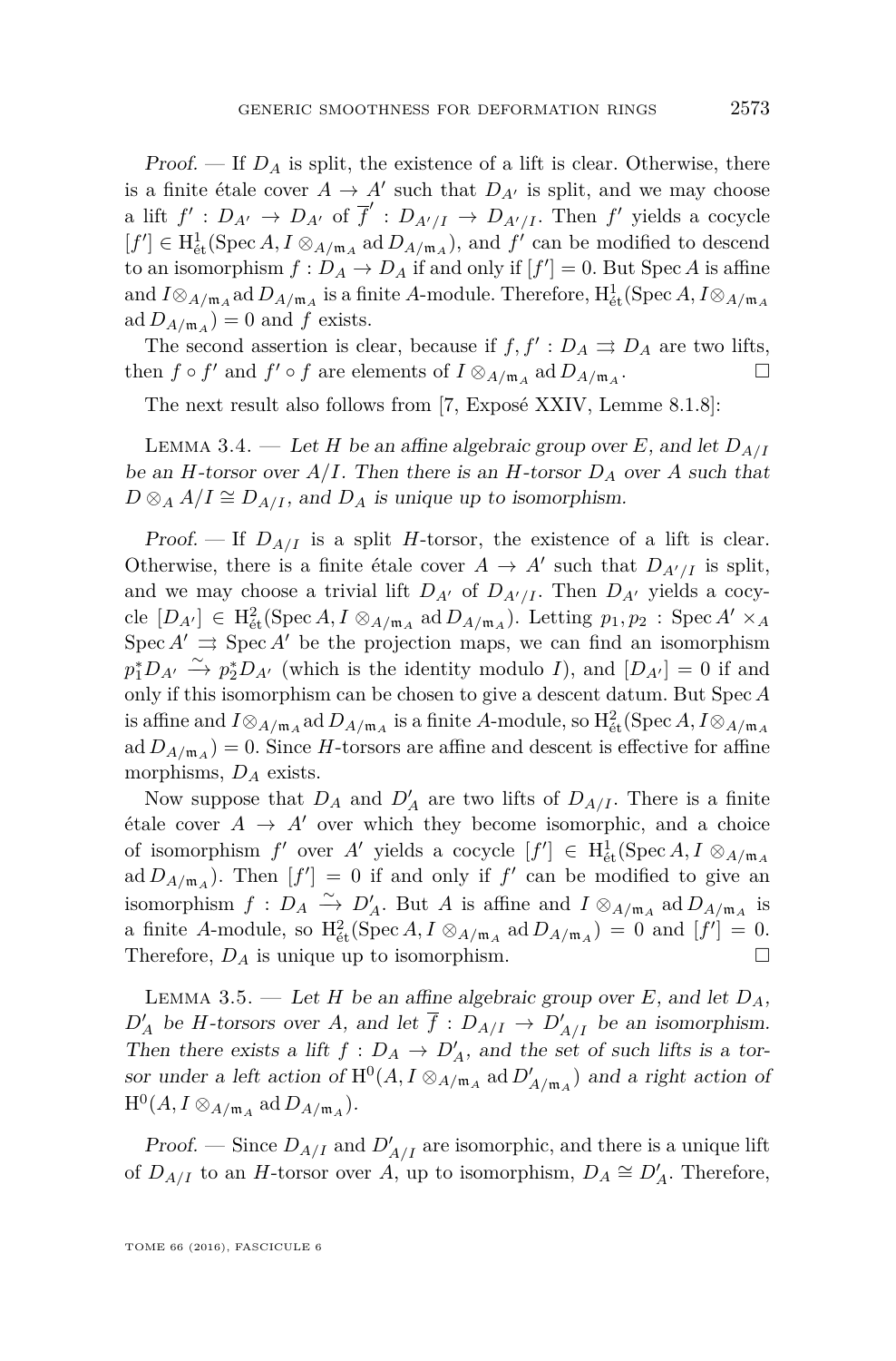Proof.  $\mathcal{F}$  If  $D_A$  is split, the existence of a lift is clear. Otherwise, there is a finite étale cover  $A \to A'$  such that  $D_{A'}$  is split, and we may choose a lift  $f' : D_{A'} \to D_{A'}$  of  $\overline{f}' : D_{A'/I} \to D_{A'/I}$ . Then  $f'$  yields a cocycle  $[f'] \in H^1_{\text{\'et}}(\text{Spec } A, I \otimes_{A/\mathfrak{m}_A} \text{ad } D_{A/\mathfrak{m}_A}),$  and  $f'$  can be modified to descend to an isomorphism  $f: D_A \to D_A$  if and only if  $[f'] = 0$ . But Spec A is affine and  $I \otimes_{A/\mathfrak{m}_A}$  ad  $D_{A/\mathfrak{m}_A}$  is a finite *A*-module. Therefore,  $\mathrm{H}^1_{\text{\'et}}(\mathrm{Spec}\,A, I \otimes_{A/\mathfrak{m}_A}A)$  $ad D_{A/\mathfrak{m}_A}$  = 0 and  $f$  exists.

The second assertion is clear, because if  $f, f': D_A \rightrightarrows D_A$  are two lifts, then  $f \circ f'$  and  $f' \circ f$  are elements of  $I \otimes_{A/\mathfrak{m}_A} \text{ad} D_{A/\mathfrak{m}_A}$ . — Первый профессиональный стандарт и профессиональный стандарт и профессиональный стандарт и профессиональны<br>В собстановки профессиональный стандарт и профессиональный стандарт и профессиональный стандарт и профессионал

The next result also follows from [\[7,](#page-55-5) Exposé XXIV, Lemme 8.1.8]:

<span id="page-9-1"></span>LEMMA 3.4. — Let *H* be an affine algebraic group over *E*, and let  $D_{A/I}$ be an *H*-torsor over  $A/I$ . Then there is an *H*-torsor  $D_A$  over *A* such that  $D \otimes_A A/I \cong D_{A/I}$ , and  $D_A$  is unique up to isomorphism.

Proof. — If  $D_{A/I}$  is a split *H*-torsor, the existence of a lift is clear. Otherwise, there is a finite étale cover  $A \to A'$  such that  $D_{A'/I}$  is split, and we may choose a trivial lift  $D_{A}$ <sup>0</sup> of  $D_{A^{\prime}/I}$ . Then  $D_{A^{\prime}}$  yields a cocy- ${\rm (cle)}$   $[D_{A'}] \in H^2_{\text{\'et}}(\text{Spec } A, I \otimes_{A/\mathfrak{m}_A} \text{ad } D_{A/\mathfrak{m}_A}).$  Letting  $p_1, p_2$ : Spec  $A' \times_A$ Spec  $A' \rightrightarrows$  Spec  $A'$  be the projection maps, we can find an isomorphism  $p_1^* D_{A'} \xrightarrow{\sim} p_2^* D_{A'}$  (which is the identity modulo *I*), and  $[D_{A'}] = 0$  if and only if this isomorphism can be chosen to give a descent datum. But Spec *A* is affine and  $I \otimes_{A/\mathfrak{m}_A}$  ad  $D_{A/\mathfrak{m}_A}$  is a finite  $A$ -module, so  $\mathrm{H}^2_{\mathrm{\acute{e}t}}(\mathrm{Spec}\,A, I \otimes_{A/\mathfrak{m}_A}A)$  $ad D_{A/\mathfrak{m}_A}$  = 0. Since *H*-torsors are affine and descent is effective for affine morphisms, *D<sup>A</sup>* exists.

Now suppose that  $D_A$  and  $D'_A$  are two lifts of  $D_{A/I}$ . There is a finite étale cover  $A \rightarrow A'$  over which they become isomorphic, and a choice of isomorphism  $f'$  over  $A'$  yields a cocycle  $[f'] \in H^1_{\text{\'et}}(\text{Spec } A, I \otimes_{A/\mathfrak{m}_A} A)$ ad  $D_{A/\mathfrak{m}_A}$ ). Then  $[f'] = 0$  if and only if  $f'$  can be modified to give an isomorphism  $f: D_A \xrightarrow{\sim} D'_A$ . But *A* is affine and  $I \otimes_{A/\mathfrak{m}_A}$  ad  $D_{A/\mathfrak{m}_A}$  is a finite *A*-module, so  $H^2_{\text{\'et}}(\text{Spec }A, I \otimes_{A/\mathfrak{m}_A} \text{ad} D_{A/\mathfrak{m}_A}) = 0$  and  $[f'] = 0$ . Therefore,  $D_A$  is unique up to isomorphism.

<span id="page-9-0"></span>LEMMA 3.5. — Let *H* be an affine algebraic group over *E*, and let  $D_A$ ,  $D'_A$  be *H*-torsors over *A*, and let  $\overline{f}: D_{A/I} \to D'_{A/I}$  be an isomorphism. Then there exists a lift  $f: D_A \to D'_A$ , and the set of such lifts is a torsor under a left action of  $H^0(A, I \otimes_{A/\mathfrak{m}_A} \text{ad } D'_{A/\mathfrak{m}_A})$  and a right action of  $\mathrm{H}^0(A, I \otimes_{A/\mathfrak{m}_A} \mathrm{ad}\, D_{A/\mathfrak{m}_A}).$ 

*Proof.* — Since  $D_{A/I}$  and  $D'_{A/I}$  are isomorphic, and there is a unique lift of  $D_{A/I}$  to an *H*-torsor over *A*, up to isomorphism,  $D_A \cong D'_A$ . Therefore,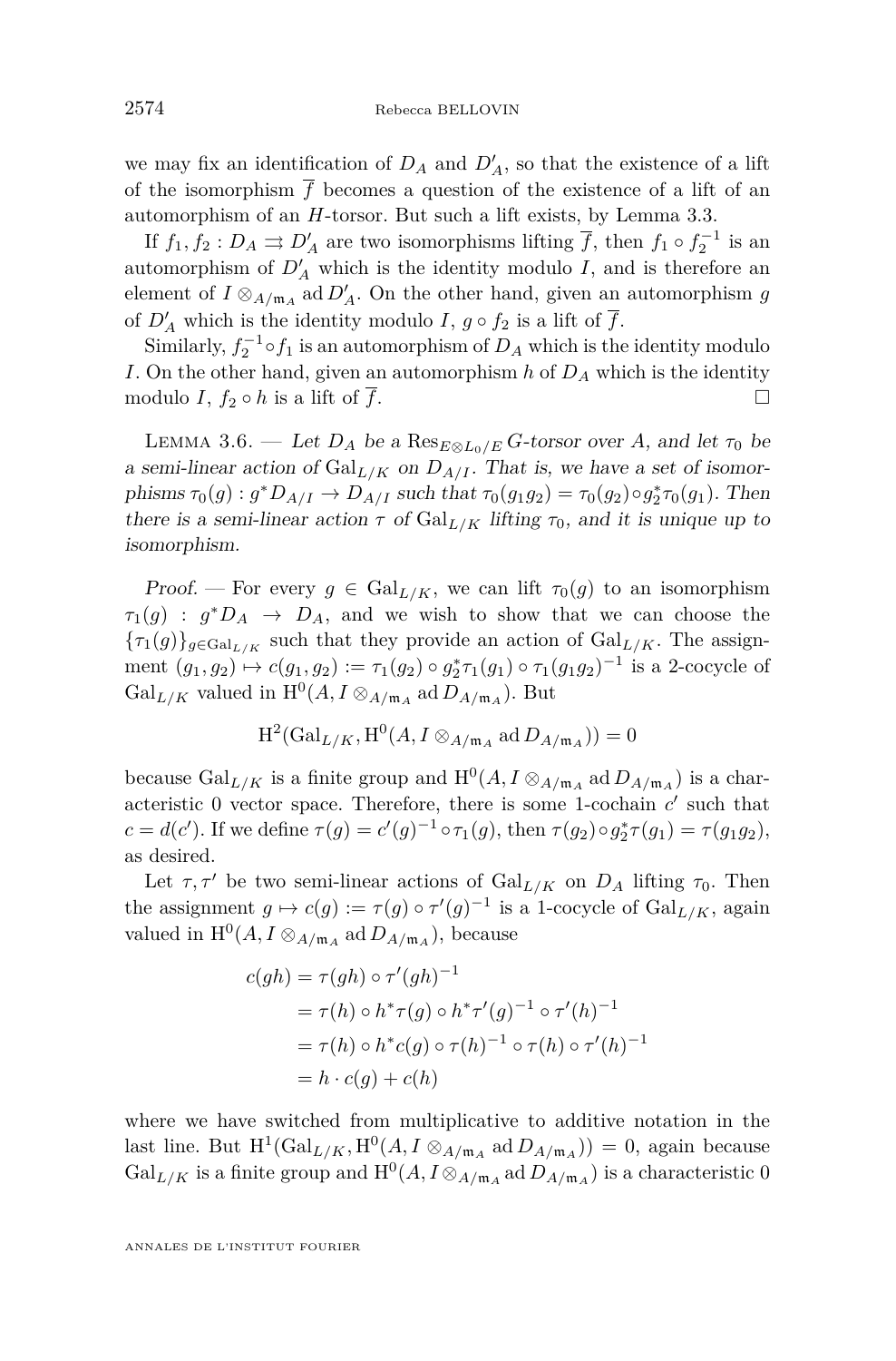we may fix an identification of  $D_A$  and  $D'_A$ , so that the existence of a lift of the isomorphism  $\overline{f}$  becomes a question of the existence of a lift of an automorphism of an *H*-torsor. But such a lift exists, by Lemma [3.3.](#page-8-0)

If  $f_1, f_2 : D_A \rightrightarrows D'_A$  are two isomorphisms lifting  $\overline{f}$ , then  $f_1 \circ f_2^{-1}$  is an automorphism of  $D'_{A}$  which is the identity modulo *I*, and is therefore an element of  $I \otimes_{A/\mathfrak{m}_A}$  ad  $D'_A$ . On the other hand, given an automorphism  $g$ of  $D'_{A}$  which is the identity modulo *I*,  $g \circ f_2$  is a lift of  $\overline{f}$ .

Similarly,  $f_2^{-1} \circ f_1$  is an automorphism of  $D_A$  which is the identity modulo *I*. On the other hand, given an automorphism *h* of *D<sup>A</sup>* which is the identity modulo *I*,  $f_2 \circ h$  is a lift of  $\overline{f}$ .

<span id="page-10-0"></span>LEMMA 3.6. — Let  $D_A$  be a  $\text{Res}_{E \otimes L_0/E} G$ -torsor over A, and let  $\tau_0$  be a semi-linear action of  $Gal_{L/K}$  on  $D_{A/I}$ . That is, we have a set of isomorphisms  $\tau_0(g) : g^*D_{A/I} \to D_{A/I}$  such that  $\tau_0(g_1g_2) = \tau_0(g_2) \circ g_2^*\tau_0(g_1)$ . Then there is a semi-linear action  $\tau$  of  $Gal_{L/K}$  lifting  $\tau_0$ , and it is unique up to isomorphism.

Proof. — For every  $g \in \text{Gal}_{L/K}$ , we can lift  $\tau_0(g)$  to an isomorphism  $\tau_1(g)$  :  $g^*D_A \to D_A$ , and we wish to show that we can choose the  ${\tau_1(g)}_{g \in \text{Gal}_{L/K}}$  such that they provide an action of  $\text{Gal}_{L/K}$ . The assignment  $(g_1, g_2) \mapsto c(g_1, g_2) := \tau_1(g_2) \circ g_2^* \tau_1(g_1) \circ \tau_1(g_1 g_2)^{-1}$  is a 2-cocycle of Gal<sub>L/K</sub> valued in  $\mathrm{H}^0(A, I \otimes_{A/\mathfrak{m}_A} \mathrm{ad} D_{A/\mathfrak{m}_A})$ . But

$$
H^2(\text{Gal}_{L/K}, H^0(A, I \otimes_{A/\mathfrak{m}_A} \text{ad}\, D_{A/\mathfrak{m}_A})) = 0
$$

because  $Gal_{L/K}$  is a finite group and  $H^0(A, I \otimes_{A/\mathfrak{m}_A} ad D_{A/\mathfrak{m}_A})$  is a characteristic  $0$  vector space. Therefore, there is some 1-cochain  $c'$  such that *c* = *d*(*c*<sup>'</sup>). If we define *τ*(*g*) = *c*'(*g*)<sup>-1</sup> ∘ *τ*<sub>1</sub>(*g*), then *τ*(*g*<sub>2</sub>)∘*g*<sub>2</sub><sup>\*</sup>*τ*(*g*<sub>1</sub>) = *τ*(*g*<sub>1</sub>*g*<sub>2</sub>), as desired.

Let  $\tau, \tau'$  be two semi-linear actions of  $Gal_{L/K}$  on  $D_A$  lifting  $\tau_0$ . Then the assignment  $g \mapsto c(g) := \tau(g) \circ \tau'(g)^{-1}$  is a 1-cocycle of  $\text{Gal}_{L/K}$ , again valued in  $\mathrm{H}^0(A, I \otimes_{A/\mathfrak{m}_A} \mathrm{ad} D_{A/\mathfrak{m}_A}),$  because

$$
c(gh) = \tau(gh) \circ \tau'(gh)^{-1}
$$
  
=  $\tau(h) \circ h^* \tau(g) \circ h^* \tau'(g)^{-1} \circ \tau'(h)^{-1}$   
=  $\tau(h) \circ h^* c(g) \circ \tau(h)^{-1} \circ \tau(h) \circ \tau'(h)^{-1}$   
=  $h \cdot c(g) + c(h)$ 

where we have switched from multiplicative to additive notation in the last line. But  $H^1(\text{Gal}_{L/K}, \text{H}^0(A, I \otimes_{A/\mathfrak{m}_A} \text{ad }D_{A/\mathfrak{m}_A})) = 0$ , again because Gal<sub>L/K</sub> is a finite group and  $H^0(A, I \otimes_{A/\mathfrak{m}_A} \text{ad }D_{A/\mathfrak{m}_A})$  is a characteristic 0

ANNALES DE L'INSTITUT FOURIER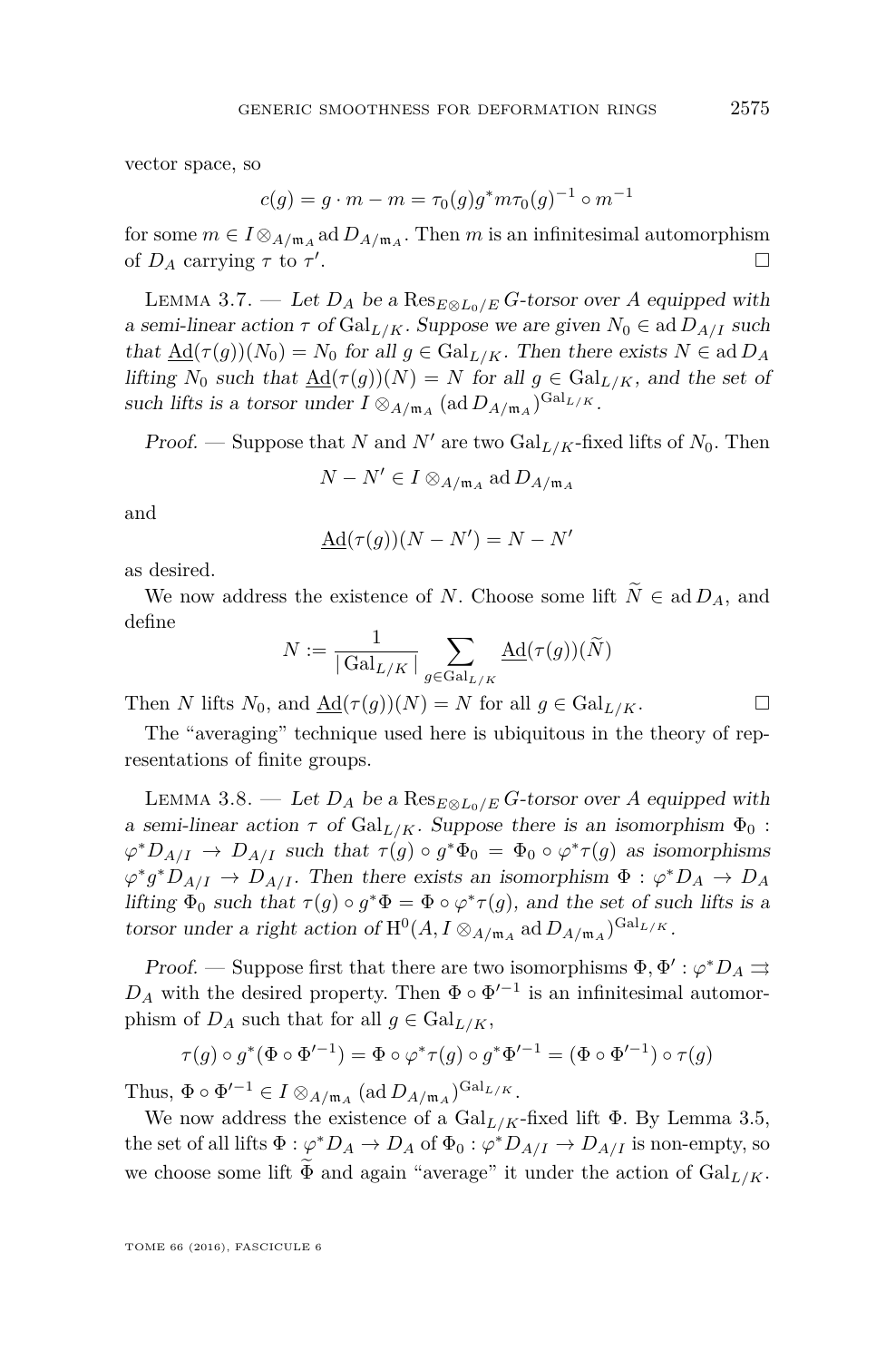vector space, so

$$
c(g) = g \cdot m - m = \tau_0(g)g^*m\tau_0(g)^{-1} \circ m^{-1}
$$

for some  $m \in I \otimes_{A/\mathfrak{m}_A} \text{ad} D_{A/\mathfrak{m}_A}$ . Then  $m$  is an infinitesimal automorphism of  $D_A$  carrying  $\tau$  to  $\tau'$ .

<span id="page-11-0"></span>LEMMA 3.7. — Let  $D_A$  be a  $\text{Res}_{E \otimes L_0/E} G$ -torsor over *A* equipped with a semi-linear action  $\tau$  of Gal<sub>L/K</sub>. Suppose we are given  $N_0 \in \text{ad } D_{A/I}$  such that  $\underline{\text{Ad}}(\tau(g))(N_0) = N_0$  for all  $g \in \text{Gal}_{L/K}$ . Then there exists  $N \in \text{ad }D_A$ lifting  $N_0$  such that  $\text{Ad}(\tau(q))(N) = N$  for all  $q \in \text{Gal}_{L/K}$ , and the set of such lifts is a torsor under  $I \otimes_{A/\mathfrak{m}_A} (\text{ad } D_{A/\mathfrak{m}_A})^{\text{Gal}_{L/K}}$ .

Proof. — Suppose that *N* and *N'* are two  $Gal_{L/K}$ -fixed lifts of  $N_0$ . Then

$$
N - N' \in I \otimes_{A/\mathfrak{m}_A} \operatorname{ad} D_{A/\mathfrak{m}_A}
$$

and

$$
\underline{\mathrm{Ad}}(\tau(g))(N - N') = N - N'
$$

as desired.

We now address the existence of *N*. Choose some lift  $\widetilde{N} \in \text{ad } D_A$ , and define

$$
N:=\frac{1}{|\operatorname{Gal}_{L/K}|}\sum_{g\in \operatorname{Gal}_{L/K}}\operatorname{Ad}(\tau(g))(\widetilde{N})
$$

Then *N* lifts  $N_0$ , and  $\underline{\text{Ad}}(\tau(g))(N) = N$  for all  $g \in \text{Gal}_{L/K}$ .

The "averaging" technique used here is ubiquitous in the theory of representations of finite groups.

<span id="page-11-1"></span>LEMMA 3.8. — Let  $D_A$  be a Res<sub>E⊗L0</sub>/E<sup>C</sup>-torsor over *A* equipped with a semi-linear action  $\tau$  of Gal<sub>L/K</sub>. Suppose there is an isomorphism  $\Phi_0$ :  $\varphi^* D_{A/I} \to D_{A/I}$  such that  $\tau(g) \circ g^* \Phi_0 = \Phi_0 \circ \varphi^* \tau(g)$  as isomorphisms  $\varphi^* g^* D_{A/I} \to D_{A/I}$ . Then there exists an isomorphism  $\Phi : \varphi^* D_A \to D_A$ lifting  $\Phi_0$  such that  $\tau(g) \circ g^* \Phi = \Phi \circ \varphi^* \tau(g)$ , and the set of such lifts is a torsor under a right action of  $H^0(A, I \otimes_{A/\mathfrak{m}_A} \mathrm{ad} D_{A/\mathfrak{m}_A})^{\mathrm{Gal}_{L/K}}$ .

Proof. — Suppose first that there are two isomorphisms  $\Phi$ ,  $\Phi'$ :  $\varphi^* D_A \rightrightarrows$  $D_A$  with the desired property. Then  $\Phi \circ \Phi'^{-1}$  is an infinitesimal automorphism of  $D_A$  such that for all  $g \in \text{Gal}_{L/K}$ ,

$$
\tau(g) \circ g^*(\Phi \circ \Phi'^{-1}) = \Phi \circ \varphi^* \tau(g) \circ g^* \Phi'^{-1} = (\Phi \circ \Phi'^{-1}) \circ \tau(g)
$$

Thus,  $\Phi \circ \Phi'^{-1} \in I \otimes_{A/\mathfrak{m}_A} (\text{ad } D_{A/\mathfrak{m}_A})^{\text{Gal}_{L/K}}.$ 

We now address the existence of a  $Gal_{L/K}$ -fixed lift  $\Phi$ . By Lemma [3.5,](#page-9-0) the set of all lifts  $\Phi : \varphi^* D_A \to D_A$  of  $\Phi_0 : \varphi^* D_{A/I} \to D_{A/I}$  is non-empty, so we choose some lift  $\Phi$  and again "average" it under the action of  $Gal_{L/K}$ .

TOME 66 (2016), FASCICULE 6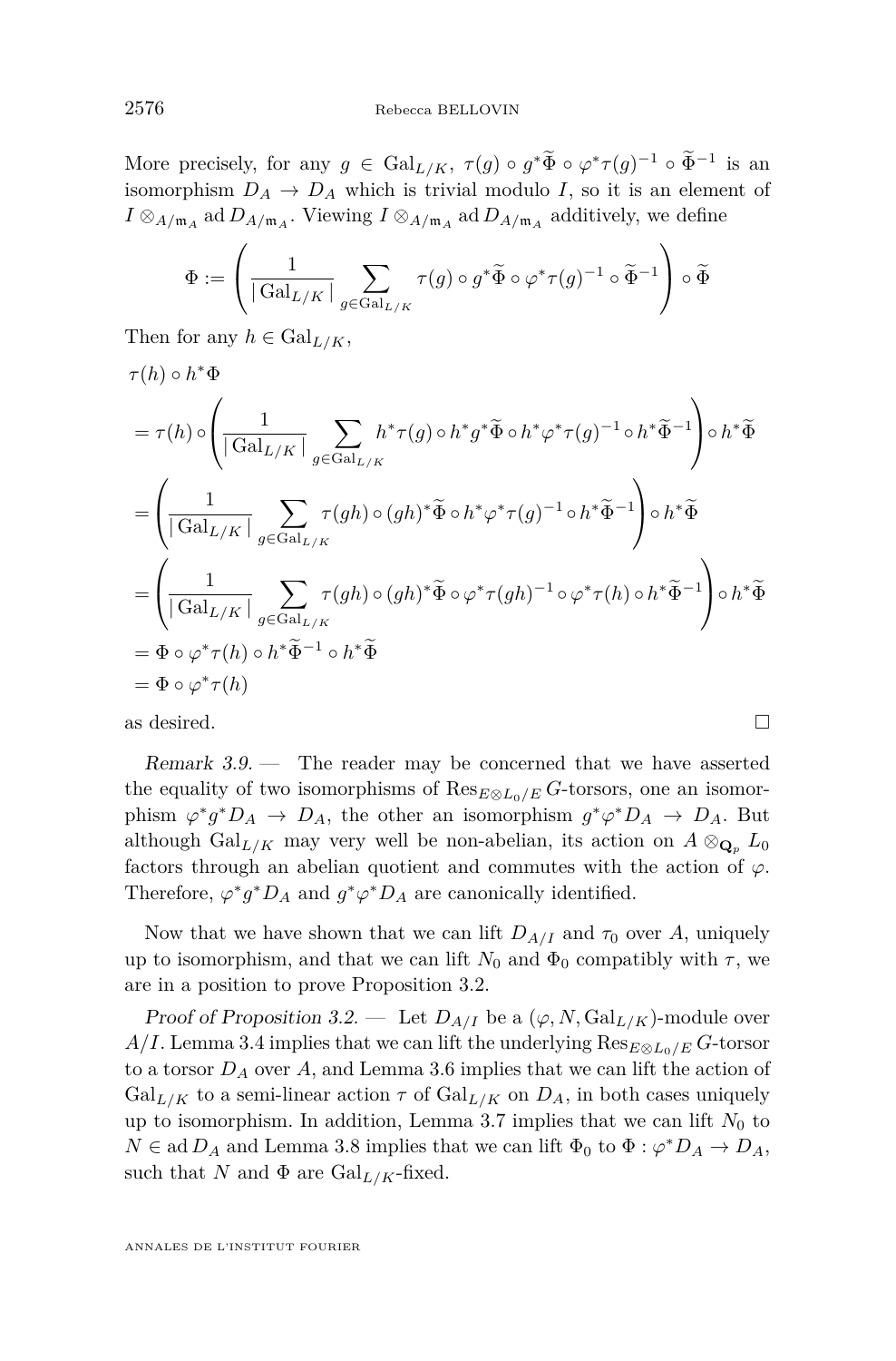More precisely, for any  $g \in \text{Gal}_{L/K}$ ,  $\tau(g) \circ g^* \Phi \circ \varphi^* \tau(g)^{-1} \circ \Phi^{-1}$  is an isomorphism  $D_A \rightarrow D_A$  which is trivial modulo *I*, so it is an element of  $I \otimes_{A/\mathfrak{m}_A}$  ad  $D_{A/\mathfrak{m}_A}$ . Viewing  $I \otimes_{A/\mathfrak{m}_A}$  additively, we define

$$
\Phi:=\left(\frac{1}{|\operatorname{Gal}_{L/K}|}\sum_{g\in \operatorname{Gal}_{L/K}}\tau(g)\circ g^*\widetilde{\Phi}\circ \varphi^*\tau(g)^{-1}\circ \widetilde{\Phi}^{-1}\right)\circ \widetilde{\Phi}
$$

Then for any  $h \in \text{Gal}_{L/K}$ ,

$$
\tau(h) \circ h^*\Phi
$$
\n
$$
= \tau(h) \circ \left( \frac{1}{|\operatorname{Gal}_{L/K}|} \sum_{g \in \operatorname{Gal}_{L/K}} h^*\tau(g) \circ h^*g^*\tilde{\Phi} \circ h^*\varphi^*\tau(g)^{-1} \circ h^*\tilde{\Phi}^{-1} \right) \circ h^*\tilde{\Phi}
$$
\n
$$
= \left( \frac{1}{|\operatorname{Gal}_{L/K}|} \sum_{g \in \operatorname{Gal}_{L/K}} \tau(gh) \circ (gh)^*\tilde{\Phi} \circ h^*\varphi^*\tau(g)^{-1} \circ h^*\tilde{\Phi}^{-1} \right) \circ h^*\tilde{\Phi}
$$
\n
$$
= \left( \frac{1}{|\operatorname{Gal}_{L/K}|} \sum_{g \in \operatorname{Gal}_{L/K}} \tau(gh) \circ (gh)^*\tilde{\Phi} \circ \varphi^*\tau(gh)^{-1} \circ \varphi^*\tau(h) \circ h^*\tilde{\Phi}^{-1} \right) \circ h^*\tilde{\Phi}
$$
\n
$$
= \Phi \circ \varphi^*\tau(h) \circ h^*\tilde{\Phi}^{-1} \circ h^*\tilde{\Phi}
$$
\n
$$
= \Phi \circ \varphi^*\tau(h)
$$

as desired.  $\Box$ 

Remark 3.9. — The reader may be concerned that we have asserted the equality of two isomorphisms of  $\text{Res}_{E \otimes L_0/E} G$ -torsors, one an isomorphism  $\varphi^* g^* D_A \to D_A$ , the other an isomorphism  $g^* \varphi^* D_A \to D_A$ . But although  $Gal_{L/K}$  may very well be non-abelian, its action on  $A \otimes_{\mathbf{Q}_n} L_0$ factors through an abelian quotient and commutes with the action of  $\varphi$ . Therefore,  $\varphi^* g^* D_A$  and  $g^* \varphi^* D_A$  are canonically identified.

Now that we have shown that we can lift  $D_{A/I}$  and  $\tau_0$  over A, uniquely up to isomorphism, and that we can lift  $N_0$  and  $\Phi_0$  compatibly with  $\tau$ , we are in a position to prove Proposition [3.2.](#page-8-1)

Proof of Proposition [3.2.](#page-8-1) — Let  $D_{A/I}$  be a  $(\varphi, N, \text{Gal}_{L/K})$ -module over *A/I*. Lemma [3.4](#page-9-1) implies that we can lift the underlying  $\text{Res}_{E \otimes L_0/E} G$ -torsor to a torsor *D<sup>A</sup>* over *A*, and Lemma [3.6](#page-10-0) implies that we can lift the action of Gal<sub>L/K</sub> to a semi-linear action  $\tau$  of Gal<sub>L/K</sub> on  $D_A$ , in both cases uniquely up to isomorphism. In addition, Lemma [3.7](#page-11-0) implies that we can lift  $N_0$  to  $N \in \text{ad } D_A$  and Lemma [3.8](#page-11-1) implies that we can lift  $\Phi_0$  to  $\Phi : \varphi^* D_A \to D_A$ , such that *N* and  $\Phi$  are Gal<sub>L/K</sub>-fixed.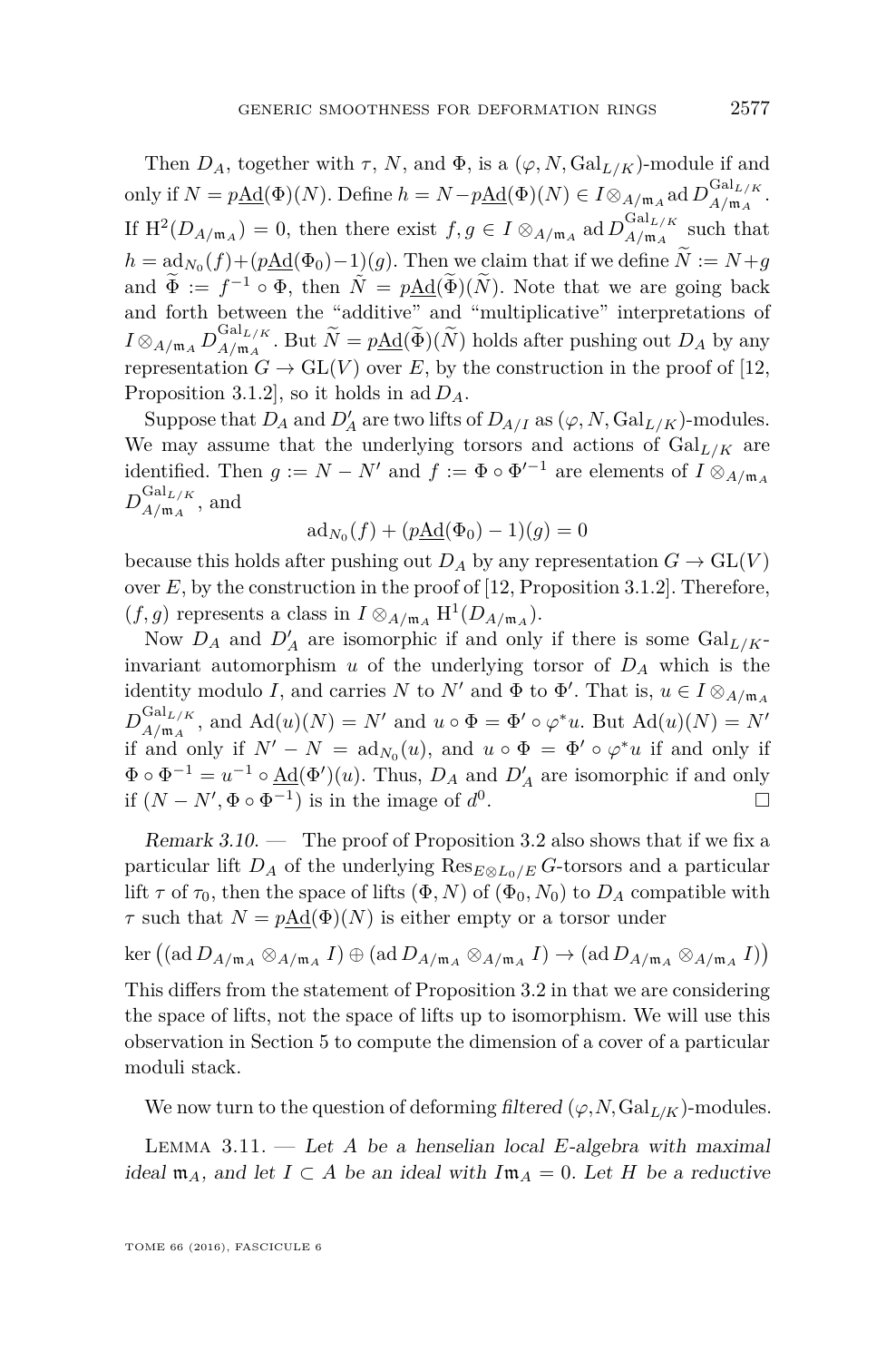Then  $D_A$ , together with  $\tau$ , *N*, and  $\Phi$ , is a  $(\varphi, N, \text{Gal}_{L/K})$ -module if and only if  $N = p\underline{\text{Ad}}(\Phi)(N)$ . Define  $h = N - p\underline{\text{Ad}}(\Phi)(N) \in I \otimes_{A/\mathfrak{m}_A} \text{ad} D_{A/\mathfrak{m}_A}^{\text{Gal}_{L/K}}$  $A/\mathfrak{m}_A$ . If  $\text{H}^2(D_{A/\mathfrak{m}_A}) = 0$ , then there exist  $f, g \in I \otimes_{A/\mathfrak{m}_A} \text{ad} D_{A/\mathfrak{m}_A}^{\text{Gal}_{L/K}}$  $\frac{GmL}{A/m_A}$  such that  $h = \text{ad}_{N_0}(f) + (p\underline{\text{Ad}}(\Phi_0) - 1)(g)$ . Then we claim that if we define  $N := N + g$ and  $\widetilde{\Phi} := f^{-1} \circ \Phi$ , then  $\widetilde{N} = p\underline{\text{Ad}}(\widetilde{\Phi})(\widetilde{N})$ . Note that we are going back and forth between the "additive" and "multiplicative" interpretations of  $I\otimes_{A/\mathfrak{m}_A}D^{\mathrm{Gal}_{L/K}}_{A/\mathfrak{m}_A}$  $A/\mathfrak{m}_A$ . But  $N = p\underline{\text{Ad}}(\Phi)(N)$  holds after pushing out  $D_A$  by any representation  $G \to GL(V)$  over E, by the construction in the proof of [\[12,](#page-55-0) Proposition 3.1.2], so it holds in ad *DA*.

Suppose that  $D_A$  and  $D'_A$  are two lifts of  $D_{A/I}$  as  $(\varphi, N, \mathrm{Gal}_{L/K})$ -modules. We may assume that the underlying torsors and actions of  $Gal_{L/K}$  are identified. Then  $g := N - N'$  and  $f := \Phi \circ \Phi'^{-1}$  are elements of  $I \otimes_{A/\mathfrak{m}_A} I$  $D_{A/\mathfrak{m}_A}^{\mathrm{Gal}_{L/K}}$  $\frac{G_{aL/K}}{A/\mathfrak{m}_A}$ , and

$$
ad_{N_0}(f) + (p\underline{Ad}(\Phi_0) - 1)(g) = 0
$$

because this holds after pushing out  $D_A$  by any representation  $G \to GL(V)$ over *E*, by the construction in the proof of [\[12,](#page-55-0) Proposition 3.1.2]. Therefore,  $(f, g)$  represents a class in  $I \otimes_{A/\mathfrak{m}_A} H^1(D_{A/\mathfrak{m}_A}).$ 

Now  $D_A$  and  $D'_A$  are isomorphic if and only if there is some  $Gal_{L/K}$ invariant automorphism  $u$  of the underlying torsor of  $D_A$  which is the identity modulo *I*, and carries *N* to *N'* and  $\Phi$  to  $\Phi'$ . That is,  $u \in I \otimes_{A/\mathfrak{m}_A} A$  $D_{A/\mathfrak{m}_A}^{\mathrm{Gal}_{L/K}}$  $A_{A/\mathfrak{m}_A}^{\mathrm{Gal}_{L/K}}$ , and  $\mathrm{Ad}(u)(N) = N'$  and  $u \circ \Phi = \Phi' \circ \varphi^* u$ . But  $\mathrm{Ad}(u)(N) = N'$ if and only if  $N' - N = ad_{N_0}(u)$ , and  $u \circ \Phi = \Phi' \circ \varphi^* u$  if and only if  $\Phi \circ \Phi^{-1} = u^{-1} \circ \underline{\text{Ad}}(\Phi')(u)$ . Thus,  $D_A$  and  $D'_A$  are isomorphic if and only if  $(N - N', \Phi \circ \Phi^{-1})$  is in the image of  $d^0$ . В последните последните под извести в последните под извести в последните под извести в собита на селото на<br>В последните под извести в последните под извести в последните под извести в последните под извести в последни

<span id="page-13-0"></span>Remark  $3.10.$  — The proof of Proposition [3.2](#page-8-1) also shows that if we fix a particular lift  $D_A$  of the underlying  $\text{Res}_{E \otimes L_0/E} G$ -torsors and a particular lift  $\tau$  of  $\tau_0$ , then the space of lifts  $(\Phi, N)$  of  $(\Phi_0, N_0)$  to  $D_A$  compatible with *τ* such that  $N = p \text{Ad}(\Phi)(N)$  is either empty or a torsor under

$$
\ker ((\mathrm{ad}\,D_{A/\mathfrak{m}_A}\otimes_{A/\mathfrak{m}_A}I)\oplus (\mathrm{ad}\,D_{A/\mathfrak{m}_A}\otimes_{A/\mathfrak{m}_A}I)\to (\mathrm{ad}\,D_{A/\mathfrak{m}_A}\otimes_{A/\mathfrak{m}_A}I))
$$

This differs from the statement of Proposition [3.2](#page-8-1) in that we are considering the space of lifts, not the space of lifts up to isomorphism. We will use this observation in Section [5](#page-19-0) to compute the dimension of a cover of a particular moduli stack.

We now turn to the question of deforming filtered  $(\varphi, N, \text{Gal}_{L/K})$ -modules.

Lemma 3.11. — Let *A* be a henselian local *E*-algebra with maximal ideal  $\mathfrak{m}_A$ , and let  $I \subset A$  be an ideal with  $I\mathfrak{m}_A = 0$ . Let H be a reductive

TOME 66 (2016), FASCICULE 6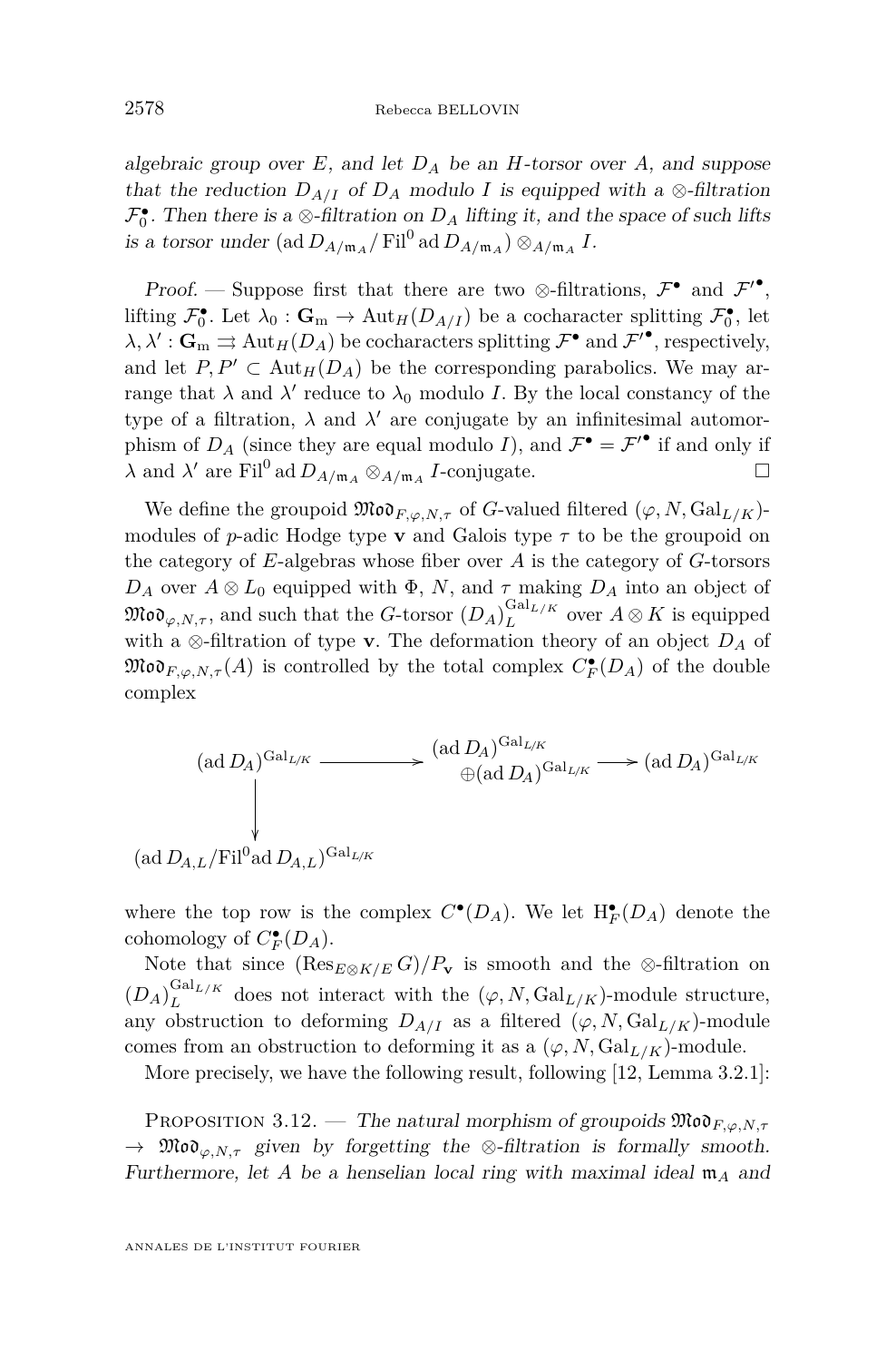algebraic group over  $E$ , and let  $D_A$  be an *H*-torsor over  $A$ , and suppose that the reduction  $D_{A/I}$  of  $D_A$  modulo *I* is equipped with a ⊗-filtration  $\mathcal{F}_0^{\bullet}$ . Then there is a ⊗-filtration on  $D_A$  lifting it, and the space of such lifts is a torsor under  $(\text{ad }D_{A/\mathfrak{m}_A}/\text{Fil}^0 \text{ ad }D_{A/\mathfrak{m}_A})\otimes_{A/\mathfrak{m}_A} I$ .

Proof. — Suppose first that there are two  $\otimes$ -filtrations,  $\mathcal{F}^{\bullet}$  and  $\mathcal{F}'^{\bullet}$ , lifting  $\mathcal{F}_0^{\bullet}$ . Let  $\lambda_0 : \mathbf{G}_m \to \text{Aut}_H(D_{A/I})$  be a cocharacter splitting  $\mathcal{F}_0^{\bullet}$ , let  $\lambda, \lambda': \mathbf{G}_{\mathrm{m}} \rightrightarrows \mathrm{Aut}_{H}(D_{A})$  be cocharacters splitting  $\mathcal{F}^{\bullet}$  and  $\mathcal{F}'^{\bullet}$ , respectively, and let  $P, P' \subset Aut_H(D_A)$  be the corresponding parabolics. We may arrange that  $\lambda$  and  $\lambda'$  reduce to  $\lambda_0$  modulo *I*. By the local constancy of the type of a filtration,  $\lambda$  and  $\lambda'$  are conjugate by an infinitesimal automorphism of  $D_A$  (since they are equal modulo *I*), and  $\mathcal{F}^{\bullet} = \mathcal{F}'^{\bullet}$  if and only if  $\lambda$  and  $\lambda'$  are Fil<sup>0</sup> ad  $D_{A/\mathfrak{m}_A} \otimes_{A/\mathfrak{m}_A} I$ -conjugate.

We define the groupoid  $\mathfrak{Mod}_{F, \varphi, N, \tau}$  of *G*-valued filtered  $(\varphi, N, \mathrm{Gal}_{L/K})$ modules of *p*-adic Hodge type **v** and Galois type  $\tau$  to be the groupoid on the category of *E*-algebras whose fiber over *A* is the category of *G*-torsors *D<sub>A</sub>* over  $A \otimes L_0$  equipped with  $\Phi$ , *N*, and  $\tau$  making  $D_A$  into an object of  $\mathfrak{Mod}_{\varphi,N,\tau}$ , and such that the *G*-torsor  $(D_A)^{\mathrm{Gal}_{L/K}}_L$  $L^{Gall L/K}$  over  $A \otimes K$  is equipped with a ⊗-filtration of type **v**. The deformation theory of an object *D<sup>A</sup>* of  $\mathfrak{Mod}_{F,\varphi,N,\tau}(A)$  is controlled by the total complex  $C_F^{\bullet}(D_A)$  of the double complex

$$
(\text{ad }D_A)^{\text{Gal}_{L/K}} \xrightarrow{\qquad \qquad} (\text{ad }D_A)^{\text{Gal}_{L/K}} \xrightarrow{\qquad \qquad} (\text{ad }D_A)^{\text{Gal}_{L/K}} \xrightarrow{\qquad \qquad} (\text{ad }D_A)^{\text{Gal}_{L/K}}
$$
\n
$$
(\text{ad }D_{A,L}/\text{Fil}^0 \text{ad }D_{A,L})^{\text{Gal}_{L/K}}
$$

where the top row is the complex  $C^{\bullet}(D_A)$ . We let  $H^{\bullet}_F(D_A)$  denote the cohomology of  $C_F^{\bullet}(D_A)$ .

Note that since  $(\text{Res}_{E\otimes K/E} G)/P_v$  is smooth and the ⊗-filtration on  $(D_A)^{{\mathrm{Gal}}_{L/K}}_L$  $L^{U_{L/K}}$  does not interact with the  $(\varphi, N, \text{Gal}_{L/K})$ -module structure, any obstruction to deforming  $D_{A/I}$  as a filtered  $(\varphi, N, \text{Gal}_{L/K})$ -module comes from an obstruction to deforming it as a  $(\varphi, N, \mathrm{Gal}_{L/K})$ -module.

More precisely, we have the following result, following [\[12,](#page-55-0) Lemma 3.2.1]:

<span id="page-14-0"></span>Proposition 3.12. — The natural morphism of groupoids Mod*F,ϕ,N,τ*  $\rightarrow$  Mo $o_{\varphi,N,\tau}$  given by forgetting the  $\otimes$ -filtration is formally smooth. Furthermore, let *A* be a henselian local ring with maximal ideal m*<sup>A</sup>* and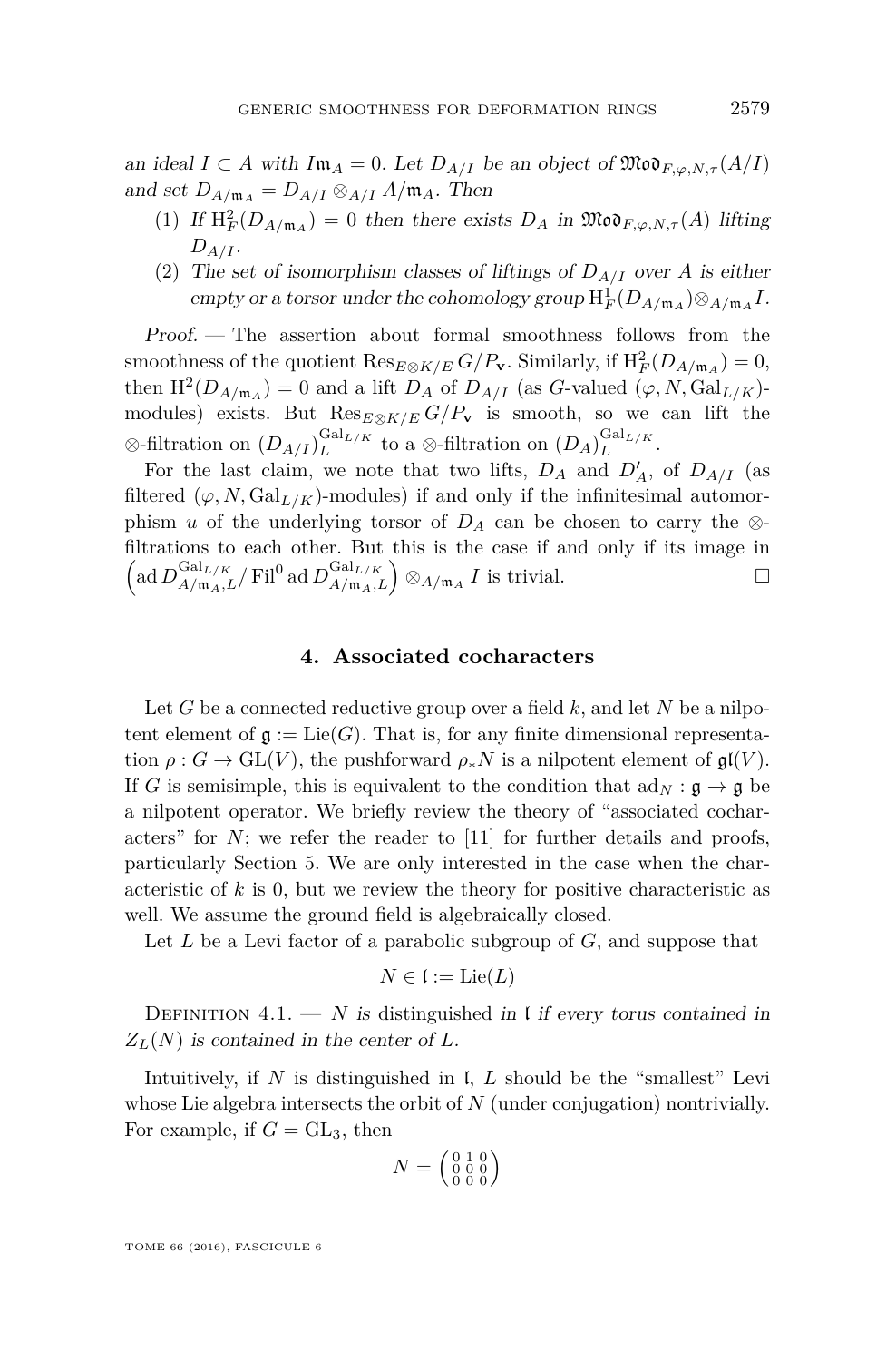an ideal  $I \subset A$  with  $I \mathfrak{m}_A = 0$ . Let  $D_{A/I}$  be an object of  $\mathfrak{Mod}_{F, \varphi, N, \tau}(A/I)$ and set  $D_{A/\mathfrak{m}_A} = D_{A/I} \otimes_{A/I} A/\mathfrak{m}_A$ . Then

- (1) If  $H_F^2(D_{A/\mathfrak{m}_A}) = 0$  then there exists  $D_A$  in  $\mathfrak{Mod}_{F,\varphi,N,\tau}(A)$  lifting *DA/I* .
- (2) The set of isomorphism classes of liftings of  $D_{A/I}$  over A is either empty or a torsor under the cohomology group  $H_F^1(D_{A/\mathfrak{m}_A})\otimes_{A/\mathfrak{m}_A} I$ .

Proof. — The assertion about formal smoothness follows from the smoothness of the quotient  $\text{Res}_{E \otimes K/E} G/P_{\mathbf{v}}$ . Similarly, if  $H_F^2(D_{A/\mathfrak{m}_A}) = 0$ , then  $H^2(D_{A/\mathfrak{m}_A}) = 0$  and a lift  $D_A$  of  $D_{A/I}$  (as *G*-valued  $(\varphi, N, \text{Gal}_{L/K})$ modules) exists. But  $\text{Res}_{E\otimes K/E} G/P_{\mathbf{v}}$  is smooth, so we can lift the  $\otimes$ -filtration on  $(D_{A/I})_L^{\text{Gal}_{L/K}}$  $L^{Gal_{L/K}}$  to a  $\otimes$ -filtration on  $(D_A)^{Gal_{L/K}}_L$  $L^{a_{L/K}}$ .

For the last claim, we note that two lifts,  $D_A$  and  $D'_A$ , of  $D_{A/I}$  (as filtered  $(\varphi, N, \text{Gal}_{L/K})$ -modules) if and only if the infinitesimal automorphism *u* of the underlying torsor of  $D_A$  can be chosen to carry the ⊗filtrations to each other. But this is the case if and only if its image in  $\left(\text{ad }D_{A/\mathfrak{m}_A,L}^{\text{Gal}_{L/K}}/ \text{Fil}^0 \text{ ad } D_{A/\mathfrak{m}_A,L}^{\text{Gal}_{L/K}}\right) \otimes_{A/\mathfrak{m}_A} I \text{ is trivial.}$ 

#### **4. Associated cocharacters**

<span id="page-15-0"></span>Let *G* be a connected reductive group over a field *k*, and let *N* be a nilpotent element of  $\mathfrak{g} := \text{Lie}(G)$ . That is, for any finite dimensional representation  $\rho: G \to \mathrm{GL}(V)$ , the pushforward  $\rho_* N$  is a nilpotent element of  $\mathfrak{gl}(V)$ . If *G* is semisimple, this is equivalent to the condition that  $\text{ad}_N : \mathfrak{g} \to \mathfrak{g}$  be a nilpotent operator. We briefly review the theory of "associated cocharacters" for  $N$ ; we refer the reader to  $[11]$  for further details and proofs, particularly Section 5. We are only interested in the case when the characteristic of *k* is 0, but we review the theory for positive characteristic as well. We assume the ground field is algebraically closed.

Let *L* be a Levi factor of a parabolic subgroup of *G*, and suppose that

$$
N \in \mathfrak{l} := \mathrm{Lie}(L)
$$

DEFINITION  $4.1. - N$  is distinguished in I if every torus contained in *ZL*(*N*) is contained in the center of *L*.

Intuitively, if *N* is distinguished in l, *L* should be the "smallest" Levi whose Lie algebra intersects the orbit of *N* (under conjugation) nontrivially. For example, if  $G = GL_3$ , then

$$
N = \left(\begin{smallmatrix} 0 & 1 & 0 \\ 0 & 0 & 0 \\ 0 & 0 & 0 \end{smallmatrix}\right)
$$

TOME 66 (2016), FASCICULE 6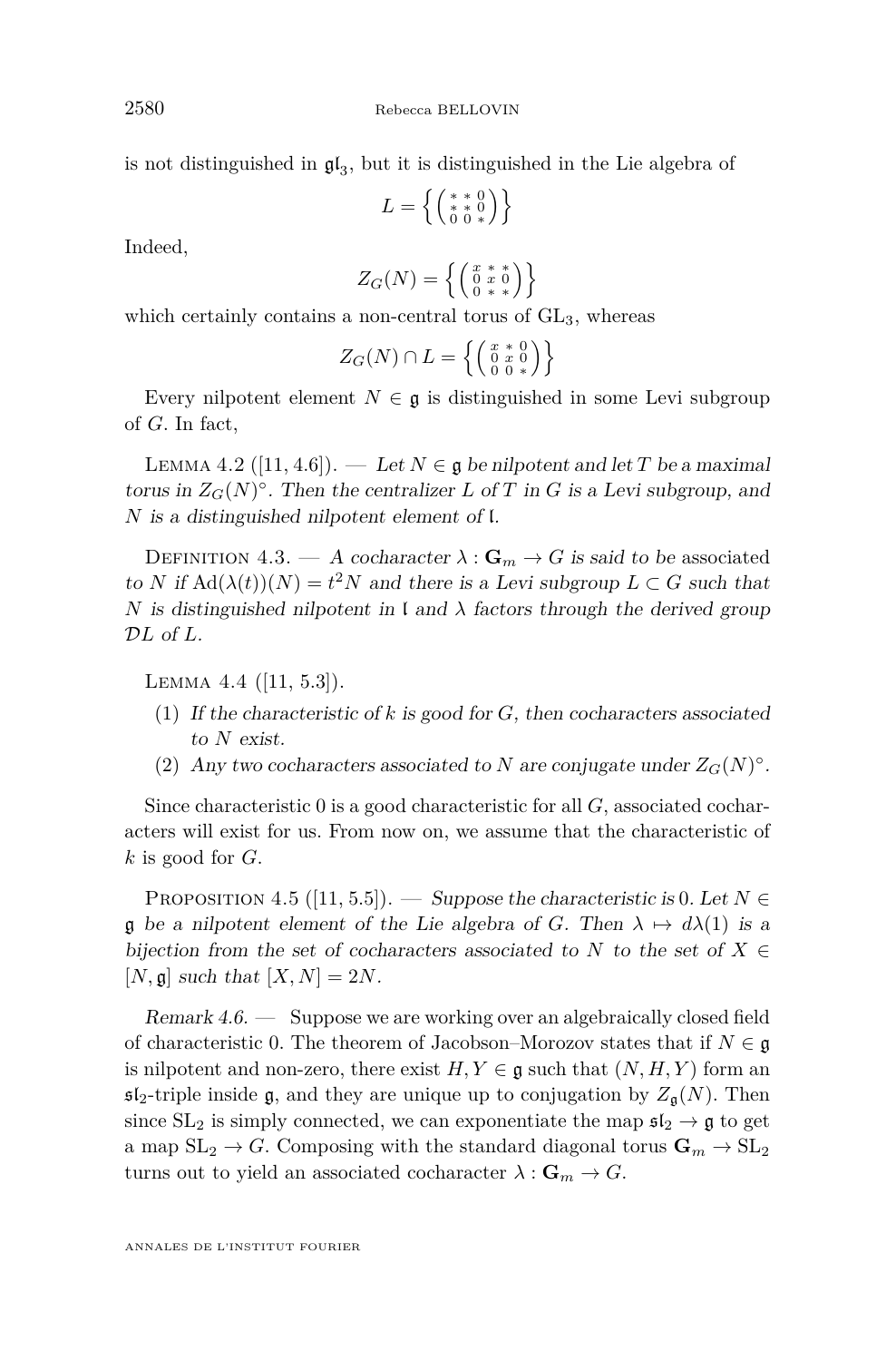is not distinguished in  $\mathfrak{gl}_3$ , but it is distinguished in the Lie algebra of

$$
L=\left\{\left(\begin{smallmatrix} *&0\\ *&0\\ 0&0&* \end{smallmatrix}\right)\right\}
$$

Indeed,

$$
Z_G(N) = \left\{ \left( \begin{smallmatrix} x & * & * \\ 0 & x & 0 \\ 0 & * & * \end{smallmatrix} \right) \right\}
$$

which certainly contains a non-central torus of  $GL_3$ , whereas

$$
Z_G(N) \cap L = \left\{ \left( \begin{smallmatrix} x & * & 0 \\ 0 & x & 0 \\ 0 & 0 & * \end{smallmatrix} \right) \right\}
$$

Every nilpotent element  $N \in \mathfrak{g}$  is distinguished in some Levi subgroup of *G*. In fact,

LEMMA 4.2 ([\[11,](#page-55-6) 4.6]). — Let  $N \in \mathfrak{g}$  be nilpotent and let *T* be a maximal torus in  $Z_G(N)^\circ$ . Then the centralizer *L* of *T* in *G* is a Levi subgroup, and *N* is a distinguished nilpotent element of l.

DEFINITION 4.3. — A cocharacter  $\lambda : \mathbf{G}_m \to G$  is said to be associated to *N* if  $\text{Ad}(\lambda(t))(N) = t^2N$  and there is a Levi subgroup  $L \subset G$  such that *N* is distinguished nilpotent in  $\iota$  and  $\lambda$  factors through the derived group D*L* of *L*.

Lemma 4.4 ([\[11,](#page-55-6) 5.3]).

- (1) If the characteristic of *k* is good for *G*, then cocharacters associated to *N* exist.
- (2) Any two cocharacters associated to *N* are conjugate under  $Z_G(N)^\circ$ .

Since characteristic 0 is a good characteristic for all *G*, associated cocharacters will exist for us. From now on, we assume that the characteristic of *k* is good for *G*.

<span id="page-16-0"></span>PROPOSITION 4.5 ([\[11,](#page-55-6) 5.5]). — Suppose the characteristic is 0. Let  $N \in$ g be a nilpotent element of the Lie algebra of *G*. Then  $\lambda \mapsto d\lambda(1)$  is a bijection from the set of cocharacters associated to *N* to the set of  $X \in$  $[N, \mathfrak{g}]$  such that  $[X, N] = 2N$ .

Remark 4.6. — Suppose we are working over an algebraically closed field of characteristic 0. The theorem of Jacobson–Morozov states that if  $N \in \mathfrak{g}$ is nilpotent and non-zero, there exist  $H, Y \in \mathfrak{g}$  such that  $(N, H, Y)$  form an  $\mathfrak{sl}_2$ -triple inside g, and they are unique up to conjugation by  $Z_{\mathfrak{a}}(N)$ . Then since  $SL_2$  is simply connected, we can exponentiate the map  $\mathfrak{sl}_2 \to \mathfrak{g}$  to get a map  $SL_2 \to G$ . Composing with the standard diagonal torus  $\mathbf{G}_m \to SL_2$ turns out to yield an associated cocharacter  $\lambda : \mathbf{G}_m \to G$ .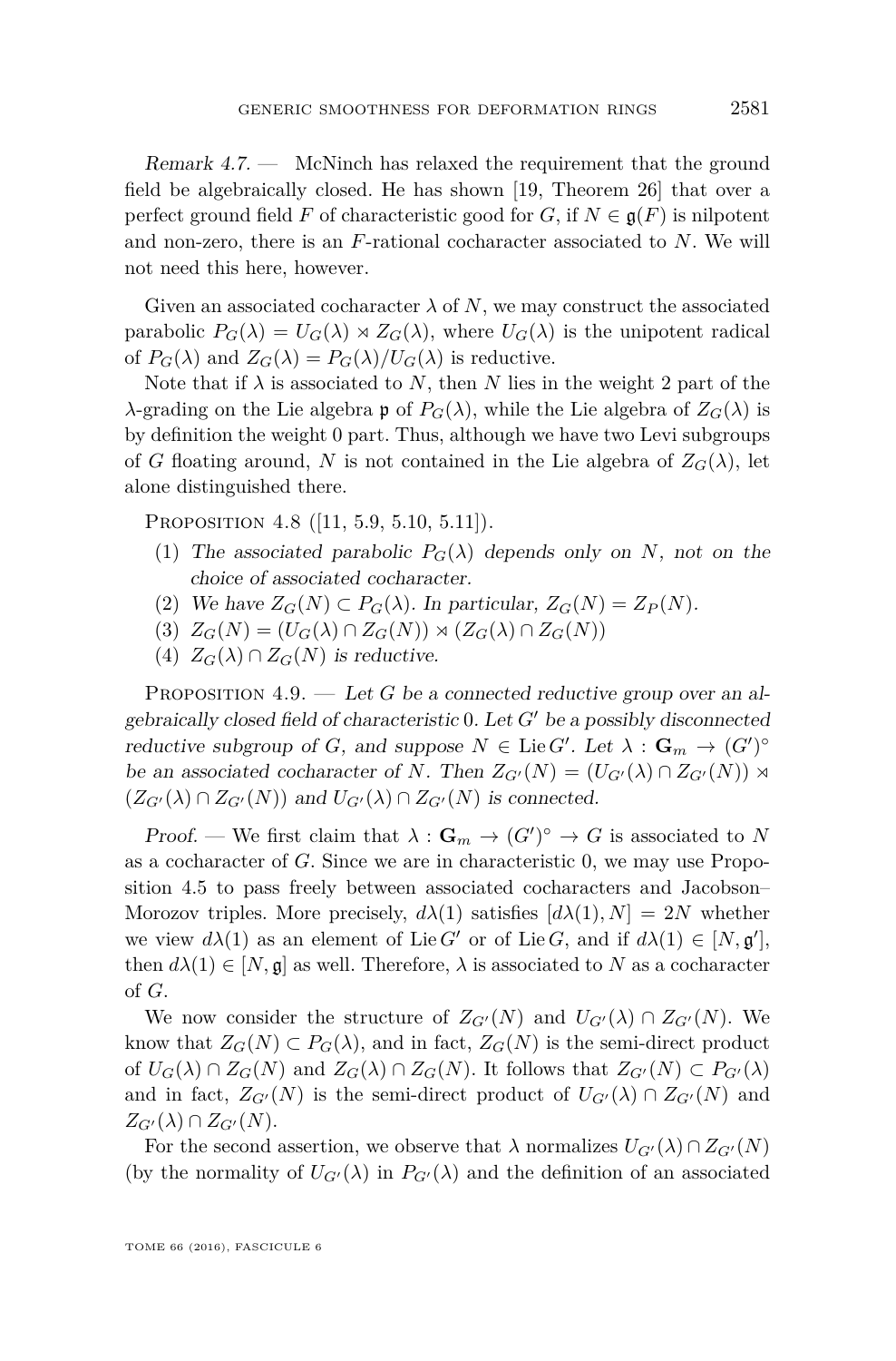Remark 4.7. — McNinch has relaxed the requirement that the ground field be algebraically closed. He has shown [\[19,](#page-56-0) Theorem 26] that over a perfect ground field *F* of characteristic good for *G*, if  $N \in \mathfrak{g}(F)$  is nilpotent and non-zero, there is an *F*-rational cocharacter associated to *N*. We will not need this here, however.

Given an associated cocharacter  $\lambda$  of N, we may construct the associated parabolic  $P_G(\lambda) = U_G(\lambda) \rtimes Z_G(\lambda)$ , where  $U_G(\lambda)$  is the unipotent radical of  $P_G(\lambda)$  and  $Z_G(\lambda) = P_G(\lambda)/U_G(\lambda)$  is reductive.

Note that if  $\lambda$  is associated to N, then N lies in the weight 2 part of the *λ*-grading on the Lie algebra **p** of  $P$ <sup>*G*</sup>( $λ$ ), while the Lie algebra of  $Z$ <sup>*G*</sup>( $λ$ ) is by definition the weight 0 part. Thus, although we have two Levi subgroups of *G* floating around, *N* is not contained in the Lie algebra of  $Z_G(\lambda)$ , let alone distinguished there.

PROPOSITION 4.8 ([\[11,](#page-55-6) 5.9, 5.10, 5.11]).

- (1) The associated parabolic  $P_G(\lambda)$  depends only on *N*, not on the choice of associated cocharacter.
- (2) We have  $Z_G(N) \subset P_G(\lambda)$ . In particular,  $Z_G(N) = Z_P(N)$ .
- $(Z_G(N) = (U_G(\lambda) \cap Z_G(N)) \rtimes (Z_G(\lambda) \cap Z_G(N))$
- (4)  $Z_G(\lambda) \cap Z_G(N)$  is reductive.

<span id="page-17-0"></span>PROPOSITION 4.9. — Let *G* be a connected reductive group over an algebraically closed field of characteristic  $0$ . Let  $G'$  be a possibly disconnected reductive subgroup of *G*, and suppose  $N \in \text{Lie } G'$ . Let  $\lambda : \mathbf{G}_m \to (G')^{\circ}$ be an associated cocharacter of *N*. Then  $Z_{G'}(N) = (U_{G'}(\lambda) \cap Z_{G'}(N))$   $\rtimes$  $(Z_{G'}(\lambda) \cap Z_{G'}(N))$  and  $U_{G'}(\lambda) \cap Z_{G'}(N)$  is connected.

Proof. — We first claim that  $\lambda : \mathbf{G}_m \to (G')^{\circ} \to G$  is associated to N as a cocharacter of *G*. Since we are in characteristic 0, we may use Proposition [4.5](#page-16-0) to pass freely between associated cocharacters and Jacobson– Morozov triples. More precisely,  $d\lambda(1)$  satisfies  $[d\lambda(1), N] = 2N$  whether we view  $d\lambda(1)$  as an element of Lie *G'* or of Lie *G*, and if  $d\lambda(1) \in [N, \mathfrak{g}'],$ then  $d\lambda(1) \in [N, \mathfrak{g}]$  as well. Therefore,  $\lambda$  is associated to N as a cocharacter of *G*.

We now consider the structure of  $Z_{G'}(N)$  and  $U_{G'}(\lambda) \cap Z_{G'}(N)$ . We know that  $Z_G(N) \subset P_G(\lambda)$ , and in fact,  $Z_G(N)$  is the semi-direct product of  $U_G(\lambda) \cap Z_G(N)$  and  $Z_G(\lambda) \cap Z_G(N)$ . It follows that  $Z_{G'}(N) \subset P_{G'}(\lambda)$ and in fact,  $Z_{G'}(N)$  is the semi-direct product of  $U_{G'}(\lambda) \cap Z_{G'}(N)$  and  $Z_{G'}(\lambda) \cap Z_{G'}(N)$ .

For the second assertion, we observe that  $\lambda$  normalizes  $U_{G'}(\lambda) \cap Z_{G'}(N)$ (by the normality of  $U_{G}(\lambda)$  in  $P_{G}(\lambda)$  and the definition of an associated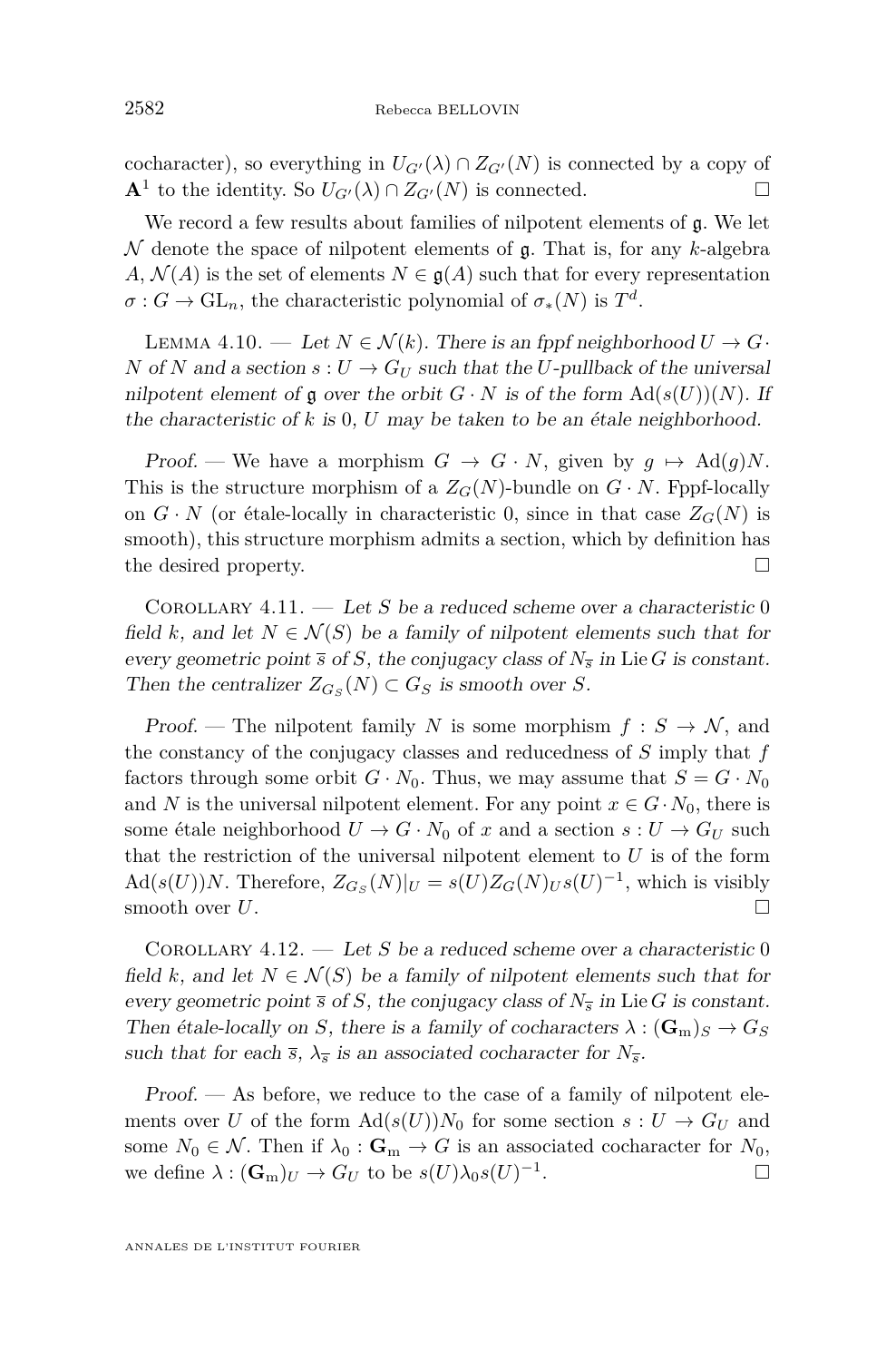cocharacter), so everything in  $U_{G}(\lambda) \cap Z_{G'}(N)$  is connected by a copy of **A**<sup>1</sup> to the identity. So  $U_{G'}(\lambda) \cap Z_{G'}(N)$  is connected. □

We record a few results about families of nilpotent elements of  $\mathfrak{g}$ . We let N denote the space of nilpotent elements of g. That is, for any *k*-algebra *A*,  $\mathcal{N}(A)$  is the set of elements  $N \in \mathfrak{g}(A)$  such that for every representation  $\sigma$  : *G*  $\rightarrow$  GL<sub>n</sub>, the characteristic polynomial of  $\sigma_*(N)$  is  $T^d$ .

<span id="page-18-1"></span>LEMMA 4.10. — Let  $N \in \mathcal{N}(k)$ . There is an fppf neighborhood  $U \to G$ . *N* of *N* and a section  $s: U \to G_U$  such that the *U*-pullback of the universal nilpotent element of  $\mathfrak g$  over the orbit  $G \cdot N$  is of the form  $\text{Ad}(s(U))(N)$ . If the characteristic of *k* is 0, *U* may be taken to be an étale neighborhood.

Proof. — We have a morphism  $G \to G \cdot N$ , given by  $g \mapsto \text{Ad}(g)N$ . This is the structure morphism of a  $Z_G(N)$ -bundle on  $G \cdot N$ . Fppf-locally on  $G \cdot N$  (or étale-locally in characteristic 0, since in that case  $Z_G(N)$  is smooth), this structure morphism admits a section, which by definition has the desired property.

<span id="page-18-0"></span>Corollary 4.11. — Let *S* be a reduced scheme over a characteristic 0 field *k*, and let  $N \in \mathcal{N}(S)$  be a family of nilpotent elements such that for every geometric point  $\bar{s}$  of *S*, the conjugacy class of  $N_{\bar{s}}$  in Lie *G* is constant. Then the centralizer  $Z_{G_S}(N) \subset G_S$  is smooth over *S*.

Proof. — The nilpotent family *N* is some morphism  $f : S \to N$ , and the constancy of the conjugacy classes and reducedness of *S* imply that *f* factors through some orbit  $G \cdot N_0$ . Thus, we may assume that  $S = G \cdot N_0$ and *N* is the universal nilpotent element. For any point  $x \in G \cdot N_0$ , there is some étale neighborhood  $U \to G \cdot N_0$  of *x* and a section  $s: U \to G_U$  such that the restriction of the universal nilpotent element to *U* is of the form  $\text{Ad}(s(U))N$ . Therefore,  $Z_{G_S}(N)|_U = s(U)Z_G(N)_Us(U)^{-1}$ , which is visibly smooth over  $U$ .

Corollary 4.12. — Let *S* be a reduced scheme over a characteristic 0 field k, and let  $N \in \mathcal{N}(S)$  be a family of nilpotent elements such that for every geometric point  $\overline{s}$  of *S*, the conjugacy class of  $N_{\overline{s}}$  in Lie *G* is constant. Then étale-locally on *S*, there is a family of cocharacters  $\lambda : (\mathbf{G}_m)_S \to G_S$ such that for each  $\bar{s}$ ,  $\lambda_{\bar{s}}$  is an associated cocharacter for  $N_{\bar{s}}$ .

Proof. — As before, we reduce to the case of a family of nilpotent elements over *U* of the form  $\text{Ad}(s(U))N_0$  for some section  $s: U \to G_U$  and some  $N_0 \in \mathcal{N}$ . Then if  $\lambda_0 : \mathbf{G}_m \to G$  is an associated cocharacter for  $N_0$ , we define  $\lambda : (\mathbf{G}_m)_U \to G_U$  to be  $s(U)\lambda_0 s(U)^{-1}$ . — Первый профессиональный профессиональный профессиональный профессиональный профессиональный профессиональн<br>В собстановки профессиональный профессиональный профессиональный профессиональный профессиональный профессиона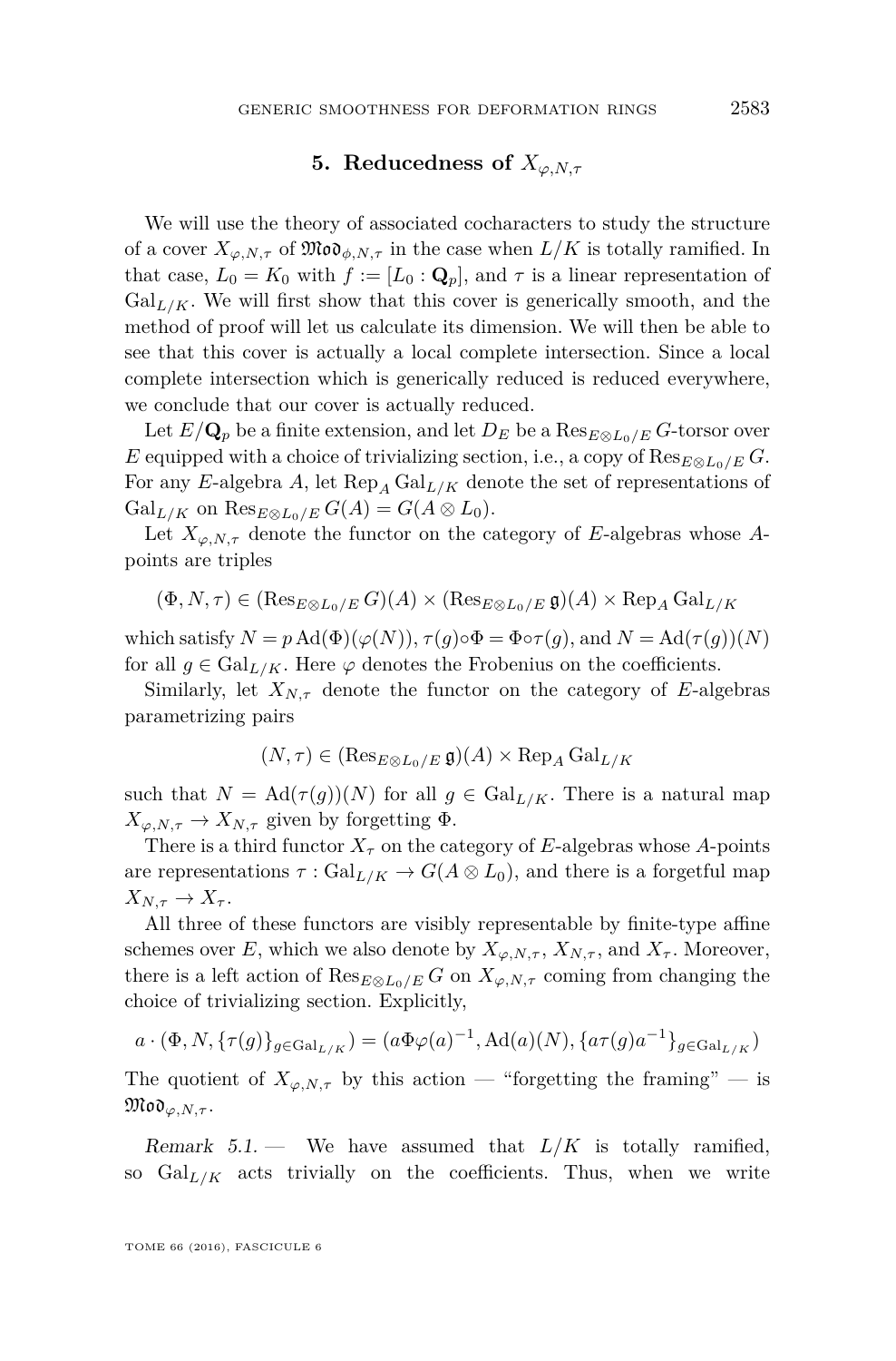#### **5.** Reducedness of  $X_{\varphi, N,\tau}$

<span id="page-19-0"></span>We will use the theory of associated cocharacters to study the structure of a cover  $X_{\varphi,N,\tau}$  of  $\mathfrak{Mod}_{\phi,N,\tau}$  in the case when  $L/K$  is totally ramified. In that case,  $L_0 = K_0$  with  $f := [L_0 : \mathbf{Q}_p]$ , and  $\tau$  is a linear representation of  $Gal_{L/K}$ . We will first show that this cover is generically smooth, and the method of proof will let us calculate its dimension. We will then be able to see that this cover is actually a local complete intersection. Since a local complete intersection which is generically reduced is reduced everywhere, we conclude that our cover is actually reduced.

Let  $E/\mathbf{Q}_p$  be a finite extension, and let  $D_E$  be a  $\text{Res}_{E\otimes L_0/E} G$ -torsor over *E* equipped with a choice of trivializing section, i.e., a copy of  $\text{Res}_{E \otimes L_0/E} G$ . For any *E*-algebra *A*, let  $\text{Rep}_A \text{Gal}_{L/K}$  denote the set of representations of  $Gal_{L/K}$  on  $Res_{E\otimes L_0/E} G(A) = G(A \otimes L_0).$ 

Let  $X_{\varphi, N, \tau}$  denote the functor on the category of *E*-algebras whose *A*points are triples

$$
(\Phi, N, \tau) \in (\operatorname{Res}_{E \otimes L_0/E} G)(A) \times (\operatorname{Res}_{E \otimes L_0/E} \mathfrak{g})(A) \times \operatorname{Rep}_A \operatorname{Gal}_{L/K}
$$

which satisfy  $N = p \text{Ad}(\Phi)(\varphi(N)), \tau(q) \circ \Phi = \Phi \circ \tau(q)$ , and  $N = \text{Ad}(\tau(q))(N)$ for all  $g \in \text{Gal}_{L/K}$ . Here  $\varphi$  denotes the Frobenius on the coefficients.

Similarly, let  $X_{N,\tau}$  denote the functor on the category of *E*-algebras parametrizing pairs

$$
(N, \tau) \in (\operatorname{Res}_{E \otimes L_0/E} \mathfrak{g})(A) \times \operatorname{Rep}_A \operatorname{Gal}_{L/K}
$$

such that  $N = \text{Ad}(\tau(g))(N)$  for all  $g \in \text{Gal}_{L/K}$ . There is a natural map  $X_{\varphi, N, \tau} \to X_{N, \tau}$  given by forgetting  $\Phi$ .

There is a third functor  $X_{\tau}$  on the category of *E*-algebras whose *A*-points are representations  $\tau : \text{Gal}_{L/K} \to G(A \otimes L_0)$ , and there is a forgetful map  $X_{N,\tau} \to X_{\tau}$ .

All three of these functors are visibly representable by finite-type affine schemes over *E*, which we also denote by  $X_{\varphi, N, \tau}$ ,  $X_{N, \tau}$ , and  $X_{\tau}$ . Moreover, there is a left action of  $\text{Res}_{E\otimes L_0/E} G$  on  $X_{\varphi,N,\tau}$  coming from changing the choice of trivializing section. Explicitly,

$$
a\cdot(\Phi,N,\{\tau(g)\}_{g\in{\mathrm{Gal}}_{L/K}})=(a\Phi\varphi(a)^{-1},\mathrm{Ad}(a)(N),\{a\tau(g)a^{-1}\}_{g\in{\mathrm{Gal}}_{L/K}})
$$

The quotient of  $X_{\varphi,N,\tau}$  by this action — "forgetting the framing" — is  $\mathfrak{Mod}_{\varphi,N,\tau}$ .

Remark  $5.1$  — We have assumed that  $L/K$  is totally ramified, so  $Gal_{L/K}$  acts trivially on the coefficients. Thus, when we write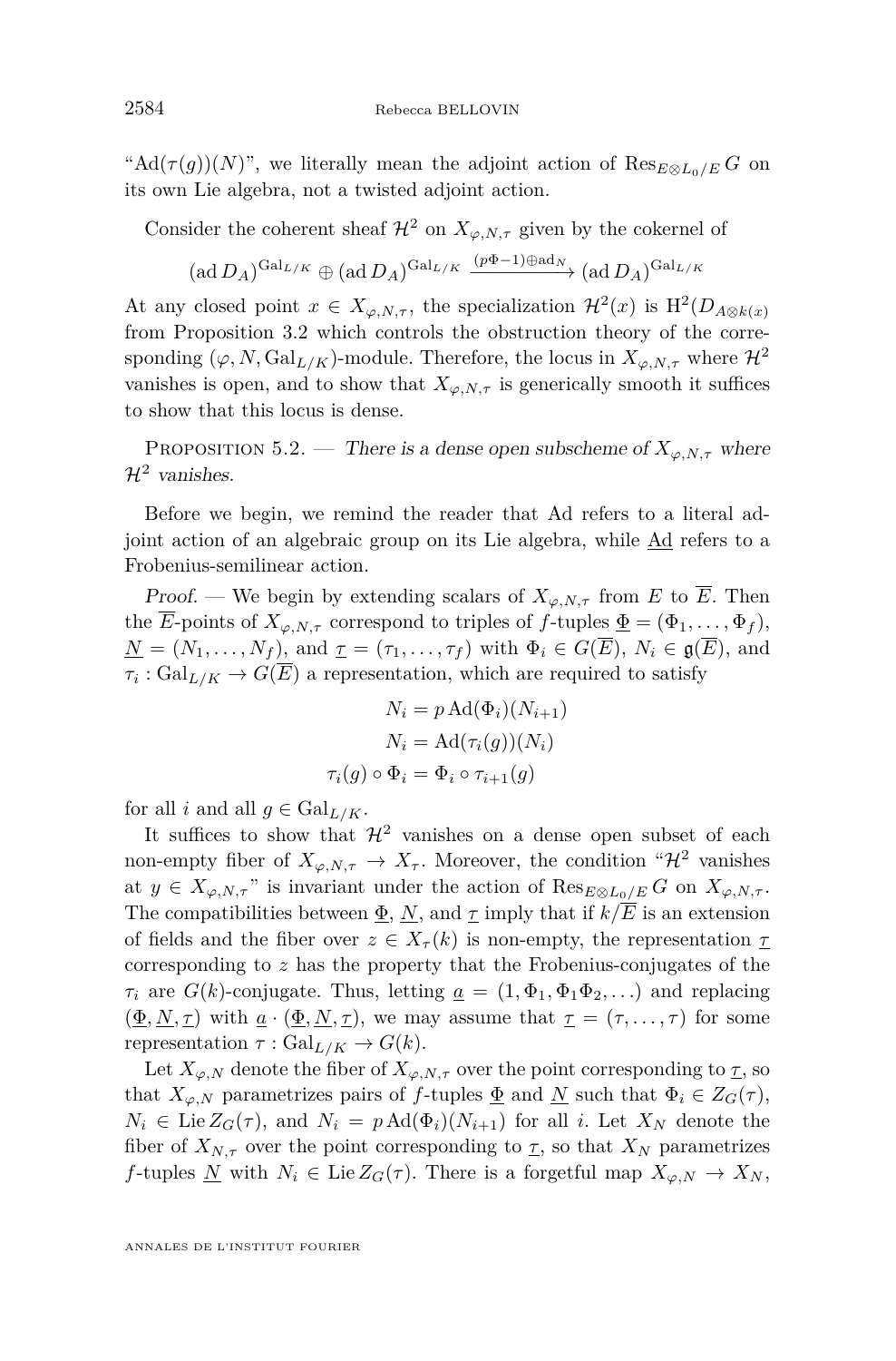"Ad( $\tau(g)$ )(*N*)", we literally mean the adjoint action of  $\text{Res}_{E \otimes L_0/E} G$  on its own Lie algebra, not a twisted adjoint action.

Consider the coherent sheaf  $\mathcal{H}^2$  on  $X_{\varphi, N, \tau}$  given by the cokernel of

$$
(\text{ad }D_A)^{\text{Gal}_{L/K}} \oplus (\text{ad }D_A)^{\text{Gal}_{L/K}} \xrightarrow{(p\Phi-1)\oplus \text{ad}_N} (\text{ad }D_A)^{\text{Gal}_{L/K}}
$$

At any closed point  $x \in X_{\varphi,N,\tau}$ , the specialization  $\mathcal{H}^2(x)$  is  $\mathrm{H}^2(D_{A\otimes k(x)})$ from Proposition [3.2](#page-8-1) which controls the obstruction theory of the corresponding  $(\varphi, N, \text{Gal}_{L/K})$ -module. Therefore, the locus in  $X_{\varphi, N, \tau}$  where  $\mathcal{H}^2$ vanishes is open, and to show that  $X_{\varphi, N, \tau}$  is generically smooth it suffices to show that this locus is dense.

PROPOSITION 5.2. — There is a dense open subscheme of  $X_{\varphi,N,\tau}$  where  $\mathcal{H}^2$  vanishes.

Before we begin, we remind the reader that Ad refers to a literal adjoint action of an algebraic group on its Lie algebra, while Ad refers to a Frobenius-semilinear action.

Proof. — We begin by extending scalars of  $X_{\varphi, N, \tau}$  from *E* to  $\overline{E}$ . Then the  $\overline{E}$ -points of  $X_{\varphi, N, \tau}$  correspond to triples of  $f$ -tuples  $\underline{\Phi} = (\Phi_1, \ldots, \Phi_f)$ ,  $\underline{N} = (N_1, \ldots, N_f)$ , and  $\underline{\tau} = (\tau_1, \ldots, \tau_f)$  with  $\Phi_i \in G(\overline{E})$ ,  $N_i \in \mathfrak{g}(\overline{E})$ , and  $\tau_i$ :  $Gal_{L/K} \to G(E)$  a representation, which are required to satisfy

$$
N_i = p \operatorname{Ad}(\Phi_i)(N_{i+1})
$$

$$
N_i = \operatorname{Ad}(\tau_i(g))(N_i)
$$

$$
\tau_i(g) \circ \Phi_i = \Phi_i \circ \tau_{i+1}(g)
$$

for all *i* and all  $g \in \text{Gal}_{L/K}$ .

It suffices to show that  $\mathcal{H}^2$  vanishes on a dense open subset of each non-empty fiber of  $X_{\varphi,N,\tau} \to X_{\tau}$ . Moreover, the condition " $\mathcal{H}^2$  vanishes at  $y \in X_{\varphi, N, \tau}$  " is invariant under the action of  $\text{Res}_{E \otimes L_0/E} G$  on  $X_{\varphi, N, \tau}$ . The compatibilities between  $\underline{\Phi}$ ,  $\underline{N}$ , and  $\underline{\tau}$  imply that if  $k/\overline{E}$  is an extension of fields and the fiber over  $z \in X_\tau(k)$  is non-empty, the representation  $\tau$ corresponding to *z* has the property that the Frobenius-conjugates of the  $\tau_i$  are  $G(k)$ -conjugate. Thus, letting  $\underline{a} = (1, \Phi_1, \Phi_1, \Phi_2, ...)$  and replacing  $(\underline{\Phi}, \underline{N}, \underline{\tau})$  with  $\underline{a} \cdot (\underline{\Phi}, \underline{N}, \underline{\tau})$ , we may assume that  $\underline{\tau} = (\tau, \ldots, \tau)$  for some representation  $\tau : \text{Gal}_{L/K} \to G(k)$ .

Let  $X_{\varphi,N}$  denote the fiber of  $X_{\varphi,N,\tau}$  over the point corresponding to  $\tau$ , so that  $X_{\varphi,N}$  parametrizes pairs of *f*-tuples  $\underline{\Phi}$  and  $\underline{N}$  such that  $\Phi_i \in Z_G(\tau)$ ,  $N_i \in \text{Lie } Z_G(\tau)$ , and  $N_i = p \text{Ad}(\Phi_i)(N_{i+1})$  for all *i*. Let  $X_N$  denote the fiber of  $X_{N,\tau}$  over the point corresponding to  $\underline{\tau}$ , so that  $X_N$  parametrizes *f*-tuples <u>*N* with  $N_i \in \text{Lie } Z_G(\tau)$ . There is a forgetful map  $X_{\varphi,N} \to X_N$ ,</u>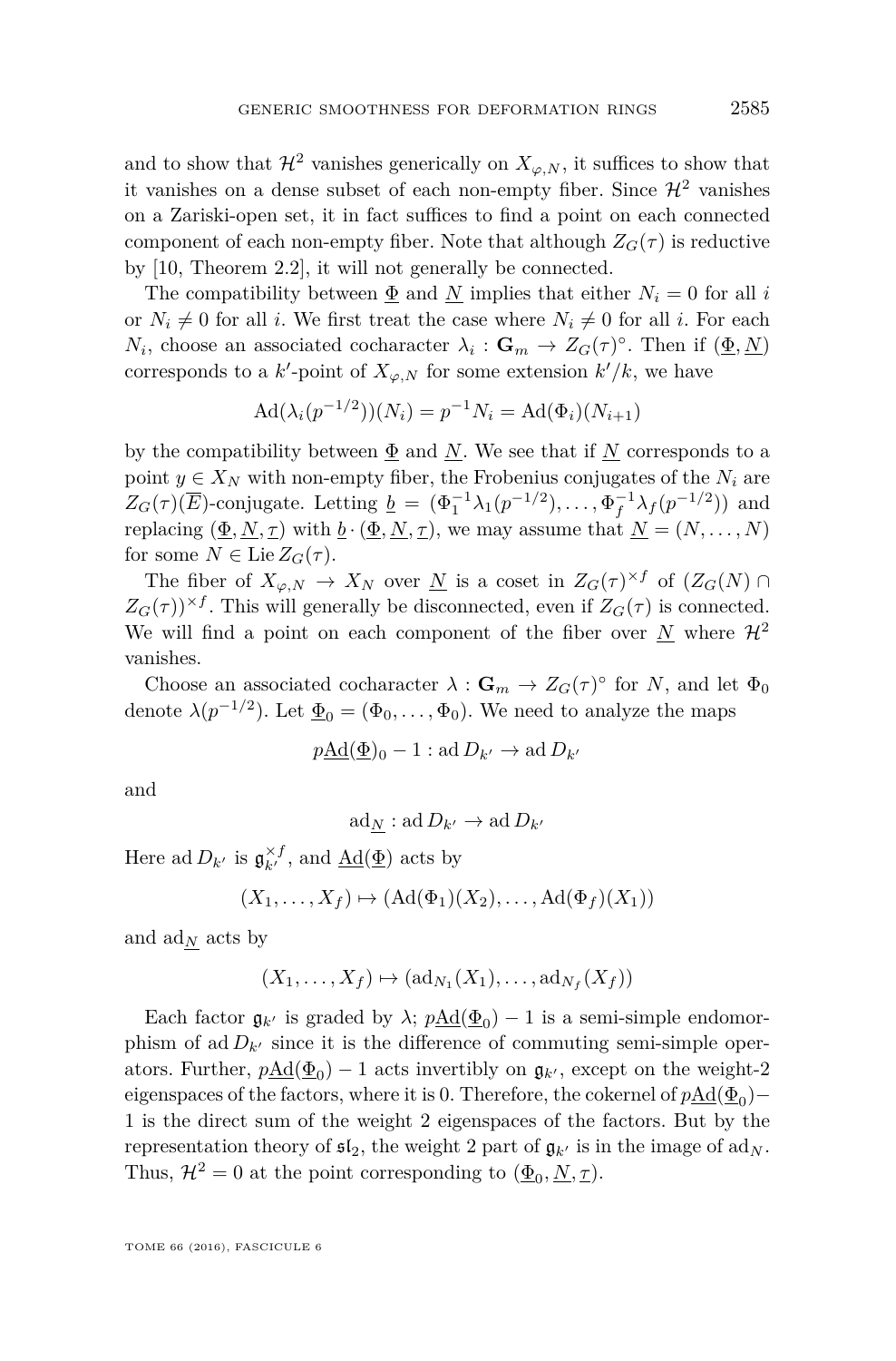and to show that  $\mathcal{H}^2$  vanishes generically on  $X_{\varphi,N}$ , it suffices to show that it vanishes on a dense subset of each non-empty fiber. Since  $\mathcal{H}^2$  vanishes on a Zariski-open set, it in fact suffices to find a point on each connected component of each non-empty fiber. Note that although  $Z_G(\tau)$  is reductive by [\[10,](#page-55-7) Theorem 2.2], it will not generally be connected.

The compatibility between  $\Phi$  and *N* implies that either  $N_i = 0$  for all *i* or  $N_i \neq 0$  for all *i*. We first treat the case where  $N_i \neq 0$  for all *i*. For each *N*<sub>*i*</sub>, choose an associated cocharacter  $\lambda_i$  :  $\mathbf{G}_m \to Z_G(\tau)^\circ$ . Then if  $(\underline{\Phi}, \underline{N})$ corresponds to a  $k'$ -point of  $X_{\varphi,N}$  for some extension  $k'/k$ , we have

$$
Ad(\lambda_i(p^{-1/2}))(N_i) = p^{-1}N_i = Ad(\Phi_i)(N_{i+1})
$$

by the compatibility between  $\Phi$  and *N*. We see that if *N* corresponds to a point  $y \in X_N$  with non-empty fiber, the Frobenius conjugates of the  $N_i$  are  $Z_G(\tau)(\overline{E})$ -conjugate. Letting  $\underline{b} = (\Phi_1^{-1}\lambda_1(p^{-1/2}), \ldots, \Phi_f^{-1}\lambda_f(p^{-1/2}))$  and replacing  $(\underline{\Phi}, N, \underline{\tau})$  with  $\underline{b} \cdot (\underline{\Phi}, N, \underline{\tau})$ , we may assume that  $\underline{N} = (N, \ldots, N)$ for some  $N \in \text{Lie } Z_G(\tau)$ .

The fiber of  $X_{\varphi,N} \to X_N$  over <u>N</u> is a coset in  $Z_G(\tau)^{\times f}$  of  $(Z_G(N) \cap$  $Z_G(\tau)$ <sup> $\times f$ </sup>. This will generally be disconnected, even if  $Z_G(\tau)$  is connected. We will find a point on each component of the fiber over  $\underline{N}$  where  $\mathcal{H}^2$ vanishes.

Choose an associated cocharacter  $\lambda : \mathbf{G}_m \to Z_G(\tau)^\circ$  for *N*, and let  $\Phi_0$ denote  $\lambda(p^{-1/2})$ . Let  $\underline{\Phi}_0 = (\Phi_0, \ldots, \Phi_0)$ . We need to analyze the maps

$$
p\underline{\mathrm{Ad}}(\underline{\Phi})_0 - 1 : \mathrm{ad} D_{k'} \to \mathrm{ad} D_{k'}
$$

and

$$
\mathrm{ad}_{\underline{N}}:\mathrm{ad}\,D_{k'}\to\mathrm{ad}\,D_{k'}
$$

Here ad  $D_{k'}$  is  $\mathfrak{g}_{k'}^{\times f}$ , and  $\underline{\mathrm{Ad}}(\underline{\Phi})$  acts by

$$
(X_1, \ldots, X_f) \mapsto (Ad(\Phi_1)(X_2), \ldots, Ad(\Phi_f)(X_1))
$$

and  $\text{ad}_N$  acts by

$$
(X_1,\ldots,X_f)\mapsto (\mathrm{ad}_{N_1}(X_1),\ldots,\mathrm{ad}_{N_f}(X_f))
$$

Each factor  $\mathfrak{g}_{k}$  is graded by  $\lambda$ ;  $p\underline{\text{Ad}}(\underline{\Phi}_0) - 1$  is a semi-simple endomorphism of ad  $D_{k}$  since it is the difference of commuting semi-simple operators. Further,  $p\underline{\text{Ad}}(\underline{\Phi}_0) - 1$  acts invertibly on  $\mathfrak{g}_{k'}$ , except on the weight-2 eigenspaces of the factors, where it is 0. Therefore, the cokernel of  $p\underline{\mathrm{Ad}}(\underline{\Phi}_0)-$ 1 is the direct sum of the weight 2 eigenspaces of the factors. But by the representation theory of  $\mathfrak{sl}_2$ , the weight 2 part of  $\mathfrak{g}_{k}$  is in the image of  $ad_N$ . Thus,  $\mathcal{H}^2 = 0$  at the point corresponding to  $(\underline{\Phi}_0, \underline{N}, \underline{\tau})$ .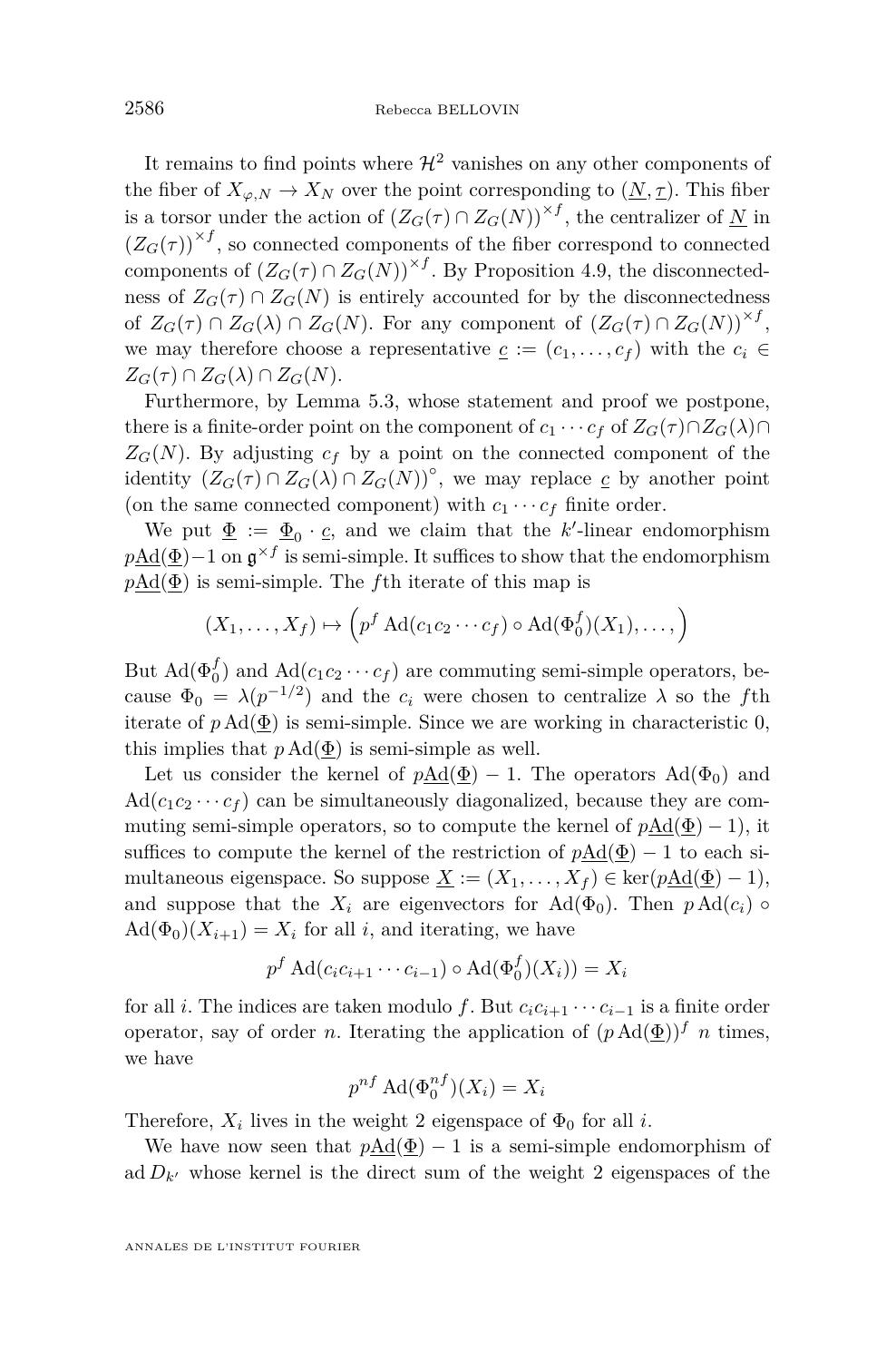It remains to find points where  $\mathcal{H}^2$  vanishes on any other components of the fiber of  $X_{\varphi,N} \to X_N$  over the point corresponding to  $(\underline{N}, \underline{\tau})$ . This fiber is a torsor under the action of  $(Z_G(\tau) \cap Z_G(N))^{*f}$ , the centralizer of  $\underline{N}$  in  $(Z_G(\tau))^{*f}$ , so connected components of the fiber correspond to connected components of  $(Z_G(\tau) \cap Z_G(N))$ <sup>×f</sup>. By Proposition [4.9,](#page-17-0) the disconnectedness of  $Z_G(\tau) \cap Z_G(N)$  is entirely accounted for by the disconnectedness of  $Z_G(\tau) \cap Z_G(\lambda) \cap Z_G(N)$ . For any component of  $(Z_G(\tau) \cap Z_G(N))^{*f}$ , we may therefore choose a representative  $c := (c_1, \ldots, c_f)$  with the  $c_i \in$  $Z_G(\tau) \cap Z_G(\lambda) \cap Z_G(N).$ 

Furthermore, by Lemma [5.3,](#page-24-0) whose statement and proof we postpone, there is a finite-order point on the component of  $c_1 \cdots c_f$  of  $Z_G(\tau) \cap Z_G(\lambda) \cap$  $Z_G(N)$ . By adjusting  $c_f$  by a point on the connected component of the identity  $(Z_G(\tau) \cap Z_G(\lambda) \cap Z_G(N))^{\circ}$ , we may replace  $\underline{c}$  by another point (on the same connected component) with  $c_1 \cdots c_f$  finite order.

We put  $\underline{\Phi} := \underline{\Phi}_0 \cdot \underline{c}$ , and we claim that the *k*'-linear endomorphism *p*Ad( $\Phi$ )−1 on  $\mathfrak{g}^{\times f}$  is semi-simple. It suffices to show that the endomorphism *p*Ad(Φ) is semi-simple. The *f*th iterate of this map is

$$
(X_1,\ldots,X_f)\mapsto \left(p^f\operatorname{Ad}(c_1c_2\cdots c_f)\circ\operatorname{Ad}(\Phi_0^f)(X_1),\ldots,\right)
$$

But  $\text{Ad}(\Phi_0^f)$  and  $\text{Ad}(c_1c_2\cdots c_f)$  are commuting semi-simple operators, because  $\Phi_0 = \lambda (p^{-1/2})$  and the  $c_i$  were chosen to centralize  $\lambda$  so the fth iterate of  $p \text{Ad}(\Phi)$  is semi-simple. Since we are working in characteristic 0, this implies that  $p \text{Ad}(\underline{\Phi})$  is semi-simple as well.

Let us consider the kernel of  $p\underline{Ad}(\underline{\Phi}) - 1$ . The operators  $Ad(\Phi_0)$  and  $\text{Ad}(c_1c_2 \cdots c_f)$  can be simultaneously diagonalized, because they are commuting semi-simple operators, so to compute the kernel of  $p\text{Ad}(\Phi) - 1$ , it suffices to compute the kernel of the restriction of  $p\text{Ad}(\Phi) - 1$  to each simultaneous eigenspace. So suppose  $\underline{X} := (X_1, \ldots, X_f) \in \text{ker}(p \underline{Ad}(\underline{\Phi}) - 1),$ and suppose that the  $X_i$  are eigenvectors for Ad( $\Phi_0$ ). Then  $p \text{Ad}(c_i)$   $\circ$  $\text{Ad}(\Phi_0)(X_{i+1}) = X_i$  for all *i*, and iterating, we have

$$
p^f \operatorname{Ad}(c_i c_{i+1} \cdots c_{i-1}) \circ \operatorname{Ad}(\Phi_0^f)(X_i)) = X_i
$$

for all *i*. The indices are taken modulo *f*. But  $c_i c_{i+1} \cdots c_{i-1}$  is a finite order operator, say of order *n*. Iterating the application of  $(p \text{Ad}(\underline{\Phi}))^f$  *n* times, we have

$$
p^{nf} \operatorname{Ad}(\Phi_0^{nf})(X_i) = X_i
$$

Therefore,  $X_i$  lives in the weight 2 eigenspace of  $\Phi_0$  for all *i*.

We have now seen that  $p\text{Ad}(\Phi) - 1$  is a semi-simple endomorphism of ad  $D_{k}$ <sup>0</sup> whose kernel is the direct sum of the weight 2 eigenspaces of the

ANNALES DE L'INSTITUT FOURIER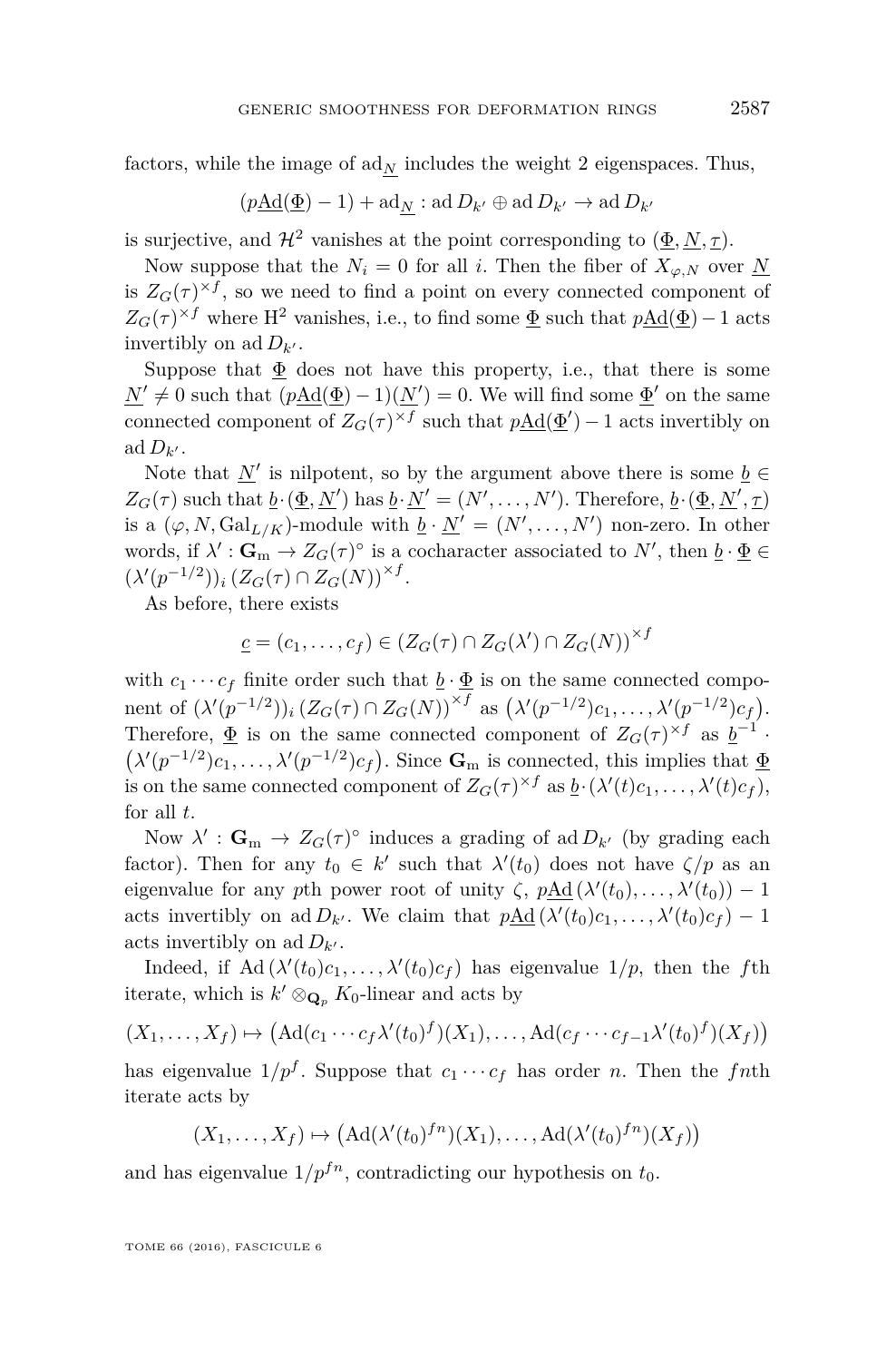factors, while the image of  $ad_N$  includes the weight 2 eigenspaces. Thus,

$$
(p\underline{\mathrm{Ad}}(\underline{\Phi})-1)+\mathrm{ad}_{\underline{N}}:\mathrm{ad}\,D_{k'}\oplus\mathrm{ad}\,D_{k'}\to\mathrm{ad}\,D_{k'}
$$

is surjective, and  $\mathcal{H}^2$  vanishes at the point corresponding to  $(\underline{\Phi}, \underline{N}, \underline{\tau})$ .

Now suppose that the  $N_i = 0$  for all *i*. Then the fiber of  $X_{\varphi,N}$  over N is  $Z_G(\tau)^{\times f}$ , so we need to find a point on every connected component of  $Z_G(\tau)^{\times f}$  where H<sup>2</sup> vanishes, i.e., to find some  $\underline{\Phi}$  such that  $p\underline{\mathrm{Ad}}(\underline{\Phi})-1$  acts invertibly on ad  $D_{k'}$ .

Suppose that  $\Phi$  does not have this property, i.e., that there is some  $\underline{N}' \neq 0$  such that  $(p\underline{Ad}(\underline{\Phi}) - 1)(\underline{N}') = 0$ . We will find some  $\underline{\Phi}'$  on the same connected component of  $Z_G(\tau)^{\times f}$  such that  $p\underline{\text{Ad}}(\underline{\Phi}') - 1$  acts invertibly on ad  $D_{k'}$ .

Note that  $\underline{N}'$  is nilpotent, so by the argument above there is some  $\underline{b} \in$ *Z<sub>G</sub>*(*τ*) such that  $\underline{b} \cdot (\underline{\Phi}, \underline{N}')$  has  $\underline{b} \cdot \underline{N}' = (N', \ldots, N')$ . Therefore,  $\underline{b} \cdot (\underline{\Phi}, \underline{N}', \underline{\tau})$ is a  $(\varphi, N, \mathrm{Gal}_{L/K})$ -module with  $\underline{b} \cdot \underline{N}' = (N', \ldots, N')$  non-zero. In other words, if  $\lambda' : \mathbf{G}_m \to Z_G(\tau)^\circ$  is a cocharacter associated to  $N'$ , then  $\underline{b} \cdot \underline{\Phi} \in$  $(\lambda'(p^{-1/2}))_i (Z_G(\tau) \cap Z_G(N))^{\times f}.$ 

As before, there exists

$$
\underline{c} = (c_1, \ldots, c_f) \in (Z_G(\tau) \cap Z_G(\lambda') \cap Z_G(N))^{\times f}
$$

with  $c_1 \cdots c_f$  finite order such that  $\underline{b} \cdot \underline{\Phi}$  is on the same connected component of  $(\lambda'(p^{-1/2}))_i (Z_G(\tau) \cap Z_G(N))^{*f}$  as  $(\lambda'(p^{-1/2})c_1, \ldots, \lambda'(p^{-1/2})c_f)$ . Therefore,  $\underline{\Phi}$  is on the same connected component of  $Z_G(\tau)^{\times f}$  as  $\underline{b}^{-1}$ .  $(\lambda'(p^{-1/2})c_1, \ldots, \lambda'(p^{-1/2})c_f)$ . Since  $\mathbf{G}_m$  is connected, this implies that  $\underline{\Phi}$ is on the same connected component of  $Z_G(\tau)^{\times f}$  as  $\underline{b} \cdot (\lambda'(t)c_1, \ldots, \lambda'(t)c_f)$ , for all *t*.

Now  $\lambda' : \mathbf{G}_m \to Z_G(\tau)^\circ$  induces a grading of ad  $D_{k'}$  (by grading each factor). Then for any  $t_0 \in k'$  such that  $\lambda'(t_0)$  does not have  $\zeta/p$  as an eigenvalue for any *p*th power root of unity  $\zeta$ ,  $p\underline{\text{Ad}}(\lambda'(t_0), \ldots, \lambda'(t_0)) - 1$ acts invertibly on ad  $D_{k'}$ . We claim that  $p\underline{\text{Ad}}(\lambda'(t_0)c_1, \ldots, \lambda'(t_0)c_f) - 1$ acts invertibly on ad  $D_{k'}$ .

Indeed, if  $\text{Ad}(\lambda'(t_0)c_1,\ldots,\lambda'(t_0)c_f)$  has eigenvalue  $1/p$ , then the fth iterate, which is  $k' \otimes_{\mathbf{Q}_p} K_0$ -linear and acts by

$$
(X_1,\ldots,X_f)\mapsto (\mathrm{Ad}(c_1\cdots c_f\lambda'(t_0)^f)(X_1),\ldots,\mathrm{Ad}(c_f\cdots c_{f-1}\lambda'(t_0)^f)(X_f))
$$

has eigenvalue  $1/p^f$ . Suppose that  $c_1 \cdots c_f$  has order *n*. Then the fnth iterate acts by

$$
(X_1, \ldots, X_f) \mapsto (\mathrm{Ad}(\lambda'(t_0)^{fn})(X_1), \ldots, \mathrm{Ad}(\lambda'(t_0)^{fn})(X_f))
$$

and has eigenvalue  $1/p^{fn}$ , contradicting our hypothesis on  $t_0$ .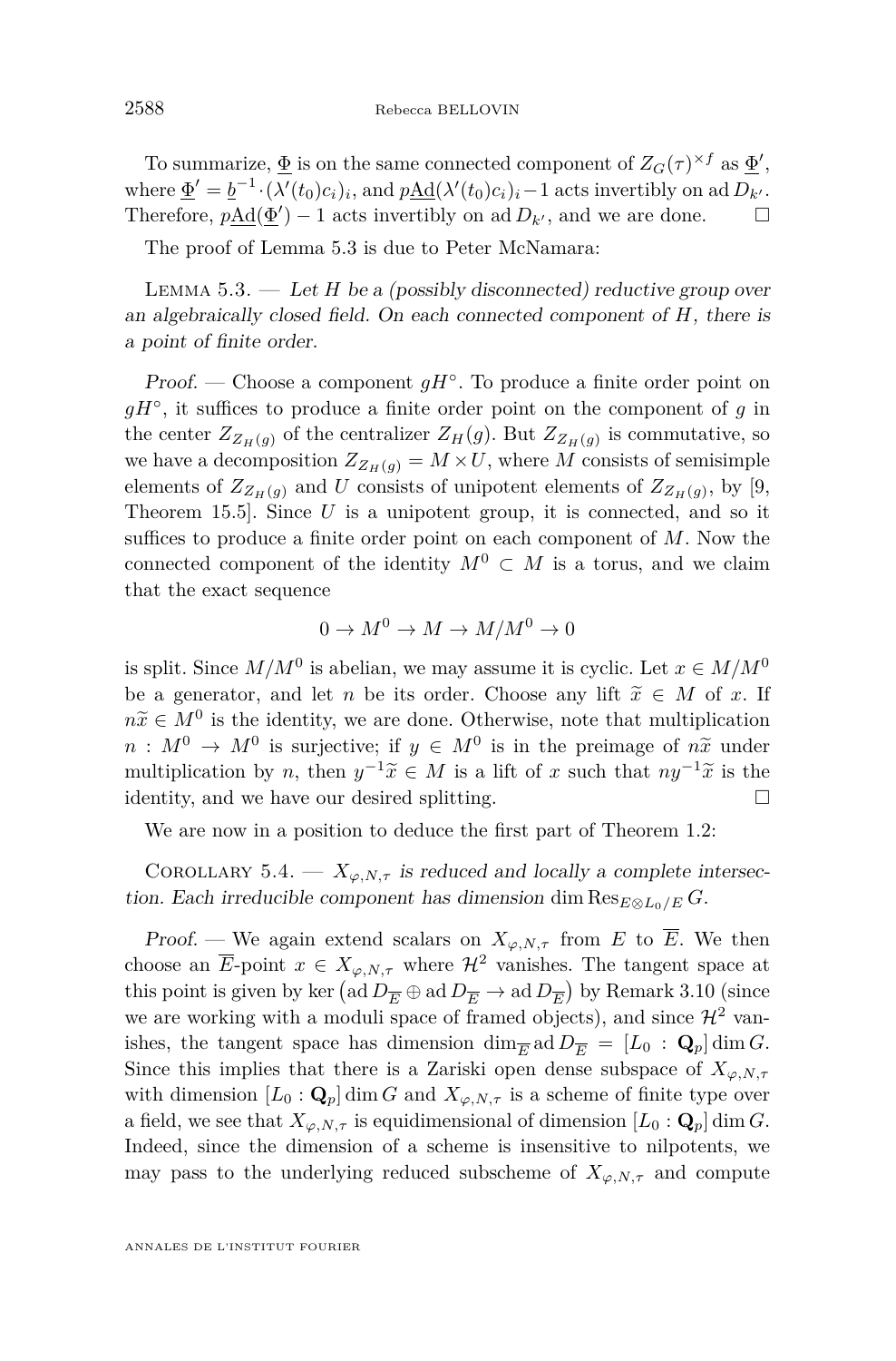To summarize,  $\underline{\Phi}$  is on the same connected component of  $Z_G(\tau)^{\times f}$  as  $\underline{\Phi}'$ , where  $\underline{\Phi}' = \underline{b}^{-1} \cdot (\lambda'(t_0)c_i)_i$ , and  $p\underline{\text{Ad}}(\lambda'(t_0)c_i)_i - 1$  acts invertibly on ad  $D_{k'}$ . Therefore,  $p\underline{\text{Ad}}(\underline{\Phi}') - 1$  acts invertibly on ad  $D_{k'}$ , and we are done.  $\square$ 

The proof of Lemma [5.3](#page-24-0) is due to Peter McNamara:

<span id="page-24-0"></span>LEMMA  $5.3.$  — Let *H* be a (possibly disconnected) reductive group over an algebraically closed field. On each connected component of *H*, there is a point of finite order.

Proof. — Choose a component  $gH^{\circ}$ . To produce a finite order point on *gH*◦ , it suffices to produce a finite order point on the component of *g* in the center  $Z_{Z_H(g)}$  of the centralizer  $Z_H(g)$ . But  $Z_{Z_H(g)}$  is commutative, so we have a decomposition  $Z_{Z_H(q)} = M \times U$ , where M consists of semisimple elements of  $Z_{Z_H(g)}$  and U consists of unipotent elements of  $Z_{Z_H(g)}$ , by [\[9,](#page-55-8) Theorem 15.5]. Since *U* is a unipotent group, it is connected, and so it suffices to produce a finite order point on each component of *M*. Now the connected component of the identity  $M^0 \subset M$  is a torus, and we claim that the exact sequence

$$
0 \to M^0 \to M \to M/M^0 \to 0
$$

is split. Since  $M/M^0$  is abelian, we may assume it is cyclic. Let  $x \in M/M^0$ be a generator, and let *n* be its order. Choose any lift  $\tilde{x} \in M$  of *x*. If  $n\tilde{x} \in M^0$  is the identity, we are done. Otherwise, note that multiplication  $n : M^0 \to M^0$  is surjective; if  $y \in M^0$  is in the preimage of  $n\tilde{x}$  under<br>multiplication by a then  $y^{-1} \tilde{z} \in M$  is a lift of a such that  $xy^{-1} \tilde{z}$  is the multiplication by *n*, then  $y^{-1}\tilde{x} \in M$  is a lift of *x* such that  $ny^{-1}\tilde{x}$  is the identity and we have any desired splitting identity, and we have our desired splitting.

We are now in a position to deduce the first part of Theorem [1.2:](#page-3-0)

COROLLARY 5.4. —  $X_{\varphi,N,\tau}$  is reduced and locally a complete intersection. Each irreducible component has dimension dim  $\text{Res}_{E\otimes L_0/E} G$ .

Proof. — We again extend scalars on  $X_{\varphi, N, \tau}$  from *E* to  $\overline{E}$ . We then choose an  $\overline{E}$ -point  $x \in X_{\varphi, N, \tau}$  where  $\mathcal{H}^2$  vanishes. The tangent space at this point is given by ker  $\left(\text{ad }D_{\overline{E}} \oplus \text{ad }D_{\overline{E}} \to \text{ad }D_{\overline{E}}\right)$  by Remark [3.10](#page-13-0) (since we are working with a moduli space of framed objects), and since  $\mathcal{H}^2$  vanishes, the tangent space has dimension  $\dim_{\overline{E}} \text{ad} D_{\overline{E}} = [L_0 : \mathbf{Q}_p] \dim G$ . Since this implies that there is a Zariski open dense subspace of  $X_{\varphi,N,\tau}$ with dimension  $[L_0 : \mathbf{Q}_p]$  dim *G* and  $X_{\varphi, N, \tau}$  is a scheme of finite type over a field, we see that  $X_{\varphi,N,\tau}$  is equidimensional of dimension  $[L_0: \mathbf{Q}_p]$  dim *G*. Indeed, since the dimension of a scheme is insensitive to nilpotents, we may pass to the underlying reduced subscheme of  $X_{\varphi,N,\tau}$  and compute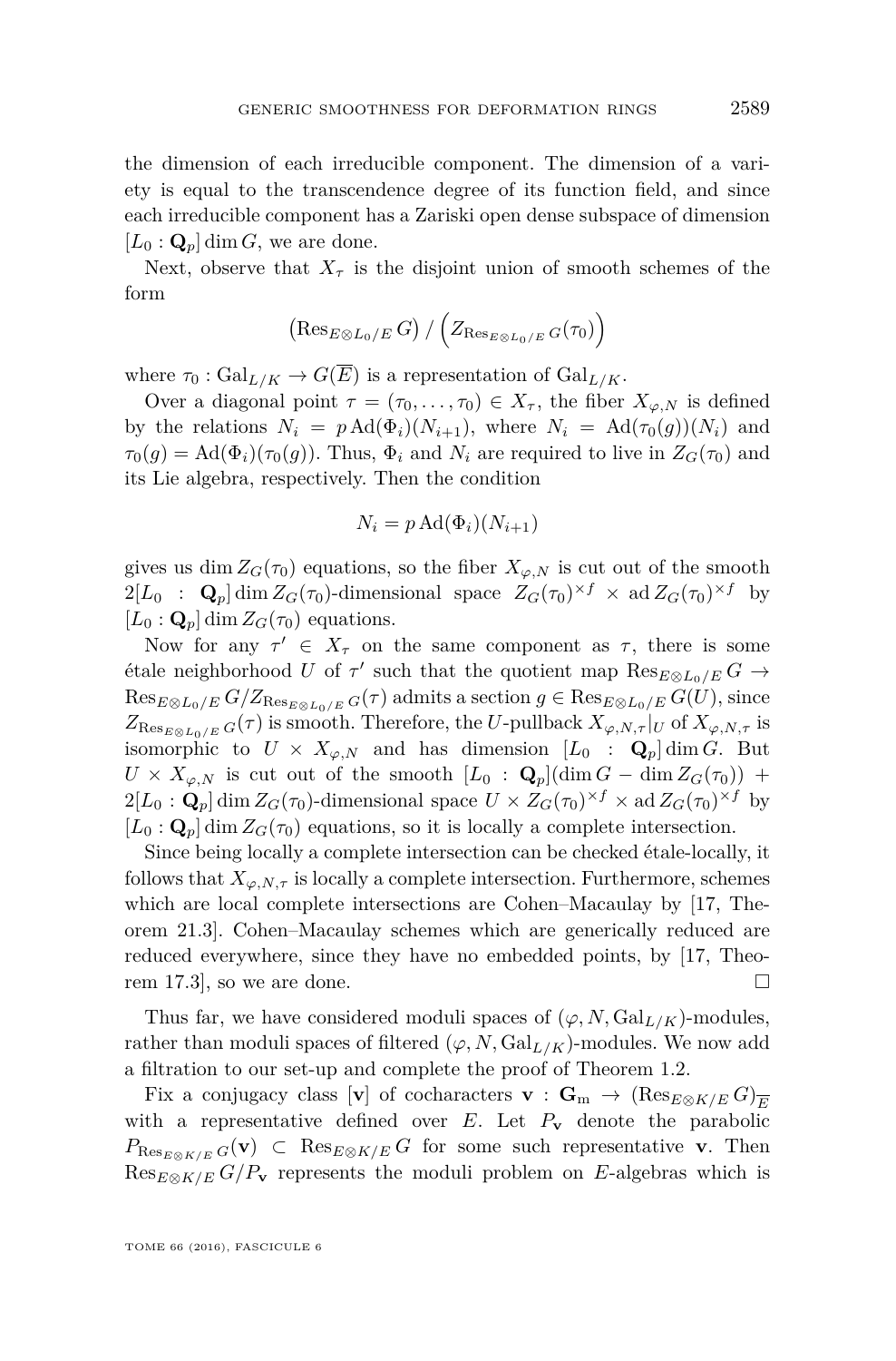the dimension of each irreducible component. The dimension of a variety is equal to the transcendence degree of its function field, and since each irreducible component has a Zariski open dense subspace of dimension  $[L_0: \mathbf{Q}_p]$  dim *G*, we are done.

Next, observe that  $X_{\tau}$  is the disjoint union of smooth schemes of the form

$$
\left(\operatorname{Res}_{E\otimes L_0/E}G\right)/\left(Z_{\operatorname{Res}_{E\otimes L_0/E}G}(\tau_0)\right)
$$

where  $\tau_0$ :  $Gal_{L/K} \to G(\overline{E})$  is a representation of  $Gal_{L/K}$ .

Over a diagonal point  $\tau = (\tau_0, \ldots, \tau_0) \in X_{\tau}$ , the fiber  $X_{\varphi, N}$  is defined by the relations  $N_i = p \text{Ad}(\Phi_i)(N_{i+1}),$  where  $N_i = \text{Ad}(\tau_0(g))(N_i)$  and  $\tau_0(g) = \text{Ad}(\Phi_i)(\tau_0(g))$ . Thus,  $\Phi_i$  and  $N_i$  are required to live in  $Z_G(\tau_0)$  and its Lie algebra, respectively. Then the condition

$$
N_i = p \operatorname{Ad}(\Phi_i)(N_{i+1})
$$

gives us dim  $Z_G(\tau_0)$  equations, so the fiber  $X_{\varphi,N}$  is cut out of the smooth  $2[L_0 : \mathbf{Q}_p] \dim Z_G(\tau_0)$ -dimensional space  $Z_G(\tau_0)^{\times f} \times \mathrm{ad} Z_G(\tau_0)^{\times f}$  by  $[L_0: \mathbf{Q}_p]$  dim  $Z_G(\tau_0)$  equations.

Now for any  $\tau' \in X_{\tau}$  on the same component as  $\tau$ , there is some  $\epsilon$  tale neighborhood *U* of  $\tau'$  such that the quotient map  $\text{Res}_{E\otimes L_0/E} G \rightarrow$  $\text{Res}_{E \otimes L_0/E} G/Z_{\text{Res}_{E \otimes L_0/E} G(\tau)$  admits a section  $g \in \text{Res}_{E \otimes L_0/E} G(U)$ , since  $Z_{\text{Res}_{E \otimes \mathcal{L}_0/E}} G(\tau)$  is smooth. Therefore, the *U*-pullback  $X_{\varphi, N, \tau}|_U$  of  $X_{\varphi, N, \tau}$  is isomorphic to  $U \times X_{\varphi,N}$  and has dimension  $[L_0 : \mathbf{Q}_p]$  dim *G*. But  $U \times X_{\varphi,N}$  is cut out of the smooth  $[L_0 : \mathbf{Q}_p](\dim G - \dim Z_G(\tau_0))$  +  $2[L_0: \mathbf{Q}_p]$  dim  $Z_G(\tau_0)$ -dimensional space  $U \times Z_G(\tau_0)^{\times f} \times \text{ad }Z_G(\tau_0)^{\times f}$  by  $[L_0: \mathbf{Q}_p]$  dim  $Z_G(\tau_0)$  equations, so it is locally a complete intersection.

Since being locally a complete intersection can be checked étale-locally, it follows that  $X_{\varphi, N, \tau}$  is locally a complete intersection. Furthermore, schemes which are local complete intersections are Cohen–Macaulay by [\[17,](#page-56-1) Theorem 21.3]. Cohen–Macaulay schemes which are generically reduced are reduced everywhere, since they have no embedded points, by [\[17,](#page-56-1) Theorem 17.3, so we are done.

Thus far, we have considered moduli spaces of  $(\varphi, N, \text{Gal}_{L/K})$ -modules, rather than moduli spaces of filtered  $(\varphi, N, \text{Gal}_{L/K})$ -modules. We now add a filtration to our set-up and complete the proof of Theorem [1.2.](#page-3-0)

Fix a conjugacy class [**v**] of cocharacters **v** :  $\mathbf{G}_m$   $\to$   $(Res_{E \otimes K/E} G)_{\overline{E}}$ with a representative defined over  $E$ . Let  $P_v$  denote the parabolic  $P_{\text{Res}_{E\otimes K/E} G}(\mathbf{v}) \subset \text{Res}_{E\otimes K/E} G$  for some such representative **v**. Then  $\text{Res}_{E\otimes K/E} G/P_{\mathbf{v}}$  represents the moduli problem on *E*-algebras which is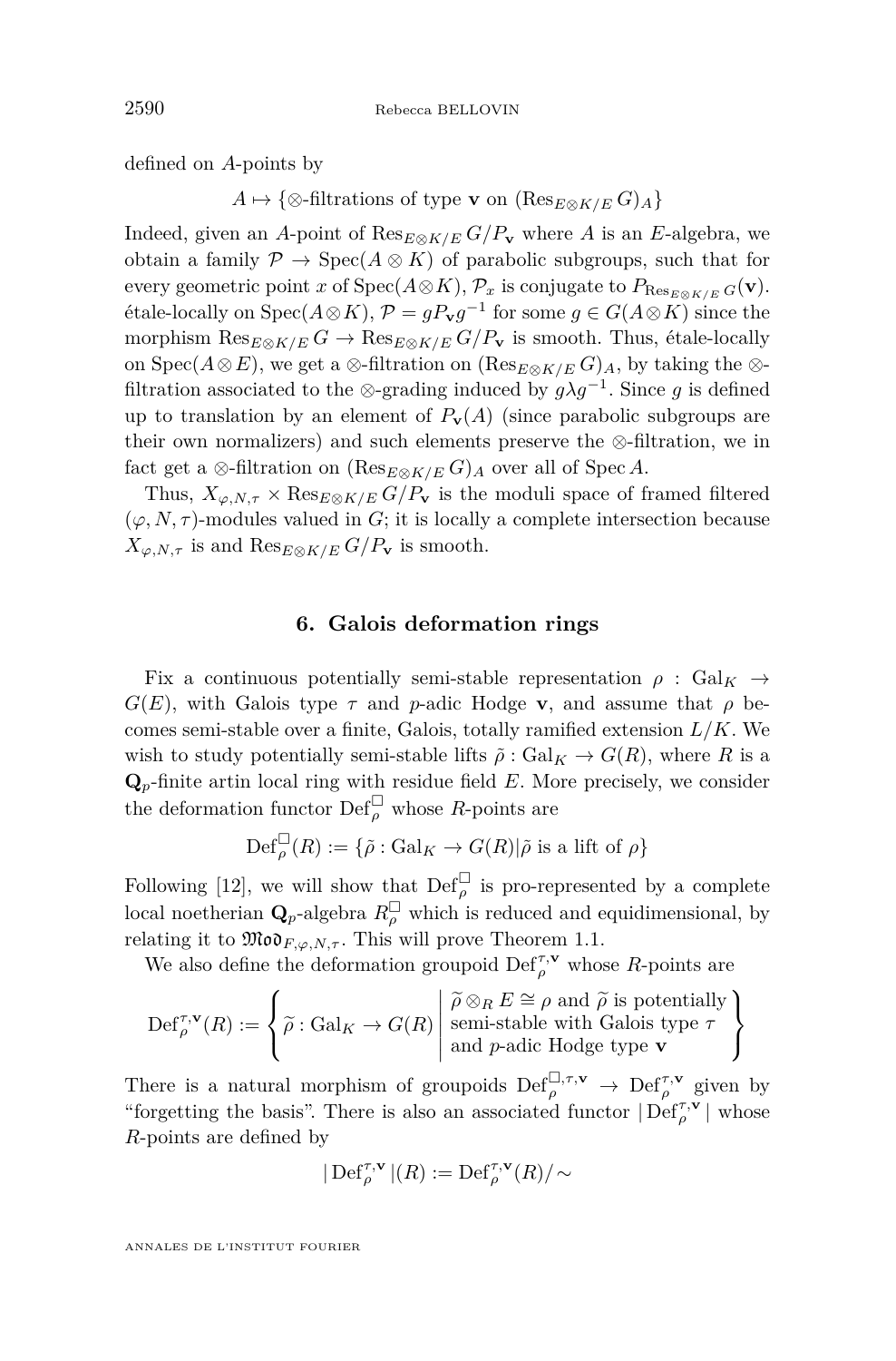defined on *A*-points by

*A*  $\mapsto$  {⊗-filtrations of type **v** on (Res<sub>*E*⊗*K*/*E*</sub> *G*)<sub>*A*</sub>}

Indeed, given an *A*-point of  $\text{Res}_{E \otimes K/E} G/P_{\mathbf{v}}$  where *A* is an *E*-algebra, we obtain a family  $\mathcal{P} \to \text{Spec}(A \otimes K)$  of parabolic subgroups, such that for every geometric point *x* of  $Spec(A \otimes K)$ ,  $\mathcal{P}_x$  is conjugate to  $P_{Res_{E \otimes K/E}} G(\mathbf{v})$ .  $\text{[the locally on } \text{Spec}(A \otimes K), \mathcal{P} = gP_{\mathbf{v}}g^{-1} \text{ for some } g \in G(A \otimes K) \text{ since the }$ morphism  $\text{Res}_{E \otimes K/E} G \to \text{Res}_{E \otimes K/E} G/P_{\mathbf{v}}$  is smooth. Thus, étale-locally on Spec( $A \otimes E$ ), we get a  $\otimes$ -filtration on ( $\text{Res}_{E \otimes K/E} G$ )<sub>*A*</sub>, by taking the  $\otimes$ filtration associated to the ⊗-grading induced by  $g\lambda g^{-1}$ . Since g is defined up to translation by an element of  $P_{\mathbf{v}}(A)$  (since parabolic subgroups are their own normalizers) and such elements preserve the ⊗-filtration, we in fact get a ⊗-filtration on  $(\text{Res}_{E\otimes K/E} G)_A$  over all of Spec *A*.

Thus,  $X_{\varphi, N, \tau} \times \text{Res}_{E \otimes K/E} G/P_{\mathbf{v}}$  is the moduli space of framed filtered  $(\varphi, N, \tau)$ -modules valued in *G*; it is locally a complete intersection because  $X_{\varphi, N, \tau}$  is and  $\text{Res}_{E \otimes K/E} G/P_{\mathbf{v}}$  is smooth.

#### **6. Galois deformation rings**

<span id="page-26-0"></span>Fix a continuous potentially semi-stable representation  $\rho$  : Gal<sub>K</sub>  $\rightarrow$  $G(E)$ , with Galois type  $\tau$  and *p*-adic Hodge **v**, and assume that  $\rho$  becomes semi-stable over a finite, Galois, totally ramified extension *L/K*. We wish to study potentially semi-stable lifts  $\tilde{\rho}$  : Gal<sub>K</sub>  $\rightarrow$  G(R), where R is a **Q***p*-finite artin local ring with residue field *E*. More precisely, we consider the deformation functor  $\mathrm{Def}_{\rho}^{\square}$  whose *R*-points are

$$
\operatorname{Def}_{\rho}^{\square}(R):=\{\tilde{\rho}:\operatorname{Gal}_{K} \to G(R)|\tilde{\rho} \text{ is a lift of } \rho\}
$$

Following [\[12\]](#page-55-0), we will show that  $\text{Def}_{\rho}^{\square}$  is pro-represented by a complete local noetherian  $\mathbf{Q}_p$ -algebra  $R_\rho^{\square}$  which is reduced and equidimensional, by relating it to  $\mathfrak{Mod}_{F, \varphi, N, \tau}$ . This will prove Theorem [1.1.](#page-2-0)

We also define the deformation groupoid  $\operatorname{Def}_{\rho}^{\tau,\mathbf{v}}$  whose *R*-points are

$$
\operatorname{Def}_{\rho}^{\tau,\mathbf{v}}(R):=\left\{\widetilde{\rho}:\operatorname{Gal}_{K}\to G(R)\left|\begin{array}{l}\widetilde{\rho}\otimes_{R}E\cong\rho\text{ and }\widetilde{\rho}\text{ is potentially}\\ \text{semi-stable with Galois type }\tau\\\text{and }p\text{-adic Hodge type }\mathbf{v}\end{array}\right.\right\}
$$

There is a natural morphism of groupoids  $\text{Def}_{\rho}^{\Box,\tau,\mathbf{v}} \to \text{Def}_{\rho}^{\tau,\mathbf{v}}$  given by "forgetting the basis". There is also an associated functor  $|\operatorname{Def}_{\rho}^{\tau,\mathbf{v}}|$  whose *R*-points are defined by

$$
|\operatorname{Def}_{\rho}^{\tau,\mathbf{v}}|(R):=\operatorname{Def}_{\rho}^{\tau,\mathbf{v}}(R)/{\sim}
$$

ANNALES DE L'INSTITUT FOURIER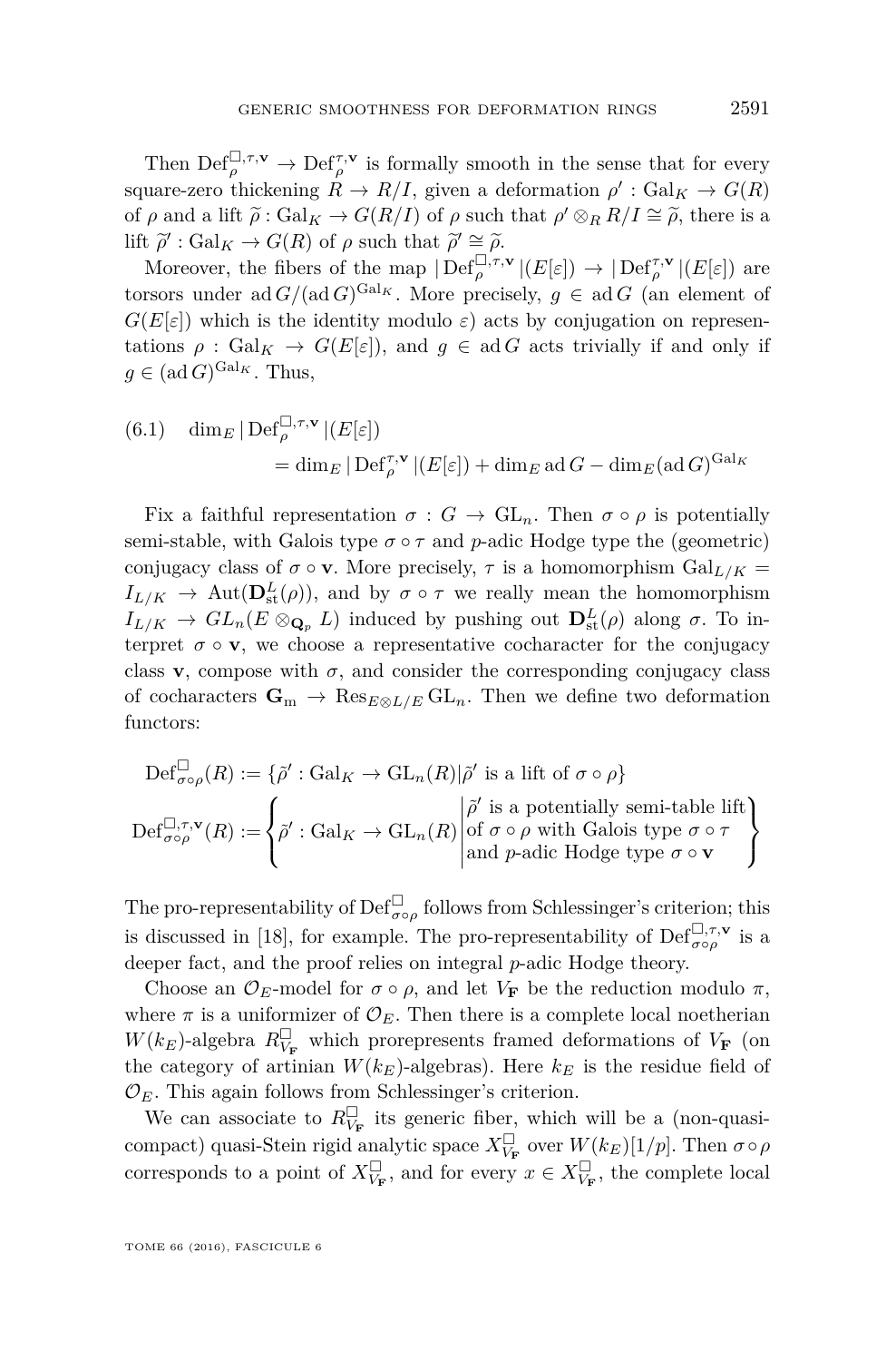Then  $\text{Def}_{\rho}^{\square,\tau,\mathbf{v}} \to \text{Def}_{\rho}^{\tau,\mathbf{v}}$  is formally smooth in the sense that for every square-zero thickening  $R \to R/I$ , given a deformation  $\rho' : \text{Gal}_K \to G(R)$ of *ρ* and a lift  $\tilde{\rho}:$  Gal<sub>K</sub>  $\rightarrow$  *G*(*R*/*I*) of *ρ* such that  $\rho' \otimes_R R/I \cong \tilde{\rho}$ , there is a lift  $\tilde{\rho}'$ ,  $C_1$ ,  $C_2$ ,  $C_3$ lift  $\tilde{\rho}'$ : Gal<sub>K</sub> → *G*(*R*) of  $\rho$  such that  $\tilde{\rho}' \cong \tilde{\rho}$ .<br>Moreover, the fibers of the man  $\text{Dof}^{\Box, \tau}$ .

Moreover, the fibers of the map  $|\text{Def}_{\rho}^{\Box,\tau,\mathbf{v}}|(E[\varepsilon]) \to |\text{Def}_{\rho}^{\tau,\mathbf{v}}|(E[\varepsilon])$  are torsors under ad  $G/(\text{ad }G)^{\text{Gal }K}$ . More precisely,  $g \in \text{ad }G$  (an element of  $G(E[\varepsilon])$  which is the identity modulo  $\varepsilon$ ) acts by conjugation on representations  $\rho$ : Gal<sub>K</sub>  $\rightarrow$  G(*E*[ $\varepsilon$ ]), and  $g \in$  ad *G* acts trivially if and only if  $g \in (\text{ad }G)^{\text{Gal}_{K}}$ . Thus,

<span id="page-27-0"></span>(6.1) 
$$
\dim_E |\operatorname{Def}_{\rho}^{\Box, \tau, \mathbf{v}}| (E[\varepsilon])
$$

$$
= \dim_E |\operatorname{Def}_{\rho}^{\tau, \mathbf{v}}| (E[\varepsilon]) + \dim_E \operatorname{ad} G - \dim_E (\operatorname{ad} G)^{\operatorname{Gal}_K}
$$

Fix a faithful representation  $\sigma : G \to GL_n$ . Then  $\sigma \circ \rho$  is potentially semi-stable, with Galois type  $\sigma \circ \tau$  and *p*-adic Hodge type the (geometric) conjugacy class of  $\sigma \circ \mathbf{v}$ . More precisely,  $\tau$  is a homomorphism Gal<sub>L/K</sub> =  $I_{L/K}$   $\rightarrow$  Aut( $\mathbf{D}^L_{st}(\rho)$ ), and by  $\sigma \circ \tau$  we really mean the homomorphism  $I_{L/K} \to GL_n(E \otimes_{\mathbf{Q}_p} L)$  induced by pushing out  $\mathbf{D}^L_{st}(\rho)$  along  $\sigma$ . To interpret  $\sigma \circ \mathbf{v}$ , we choose a representative cocharacter for the conjugacy class **v**, compose with  $\sigma$ , and consider the corresponding conjugacy class of cocharacters  $\mathbf{G}_m \to \text{Res}_{E \otimes L/E} \text{GL}_n$ . Then we define two deformation functors:

$$
\operatorname{Def}_{\sigma \circ \rho}^{\square}(R) := \{ \tilde{\rho}' : \operatorname{Gal}_K \to \operatorname{GL}_n(R) | \tilde{\rho}' \text{ is a lift of } \sigma \circ \rho \}
$$
  

$$
\operatorname{Def}_{\sigma \circ \rho}^{\square, \tau, \mathbf{v}}(R) := \left\{ \tilde{\rho}' : \operatorname{Gal}_K \to \operatorname{GL}_n(R) \middle| \begin{aligned} & \tilde{\rho}' \text{ is a potentially semi-table lift} \\ & \text{of } \sigma \circ \rho \text{ with Galois type } \sigma \circ \tau \\ & \text{and } p\text{-adic Hodge type } \sigma \circ \mathbf{v} \end{aligned} \right\}
$$

The pro-representability of  $\mathrm{Def}_{\sigma \circ \rho}^{\square}$  follows from Schlessinger's criterion; this is discussed in [\[18\]](#page-56-2), for example. The pro-representability of  $\text{Def}_{\sigma \circ \rho}^{\Box, \tau, \mathbf{v}}$  is a deeper fact, and the proof relies on integral *p*-adic Hodge theory.

Choose an  $\mathcal{O}_E$ -model for  $\sigma \circ \rho$ , and let  $V_F$  be the reduction modulo  $\pi$ , where  $\pi$  is a uniformizer of  $\mathcal{O}_E$ . Then there is a complete local noetherian  $W(k_E)$ -algebra  $R_{V_{\bf F}}^{\Box}$  which prorepresents framed deformations of  $V_{\bf F}$  (on the category of artinian  $W(k_E)$ -algebras). Here  $k_E$  is the residue field of  $\mathcal{O}_E$ . This again follows from Schlessinger's criterion.

We can associate to  $R^{\Box}_{V_{\mathbf{F}}}$  its generic fiber, which will be a (non-quasicompact) quasi-Stein rigid analytic space  $X_{V_{\bf F}}^{\square}$  over  $W(k_E)[1/p]$ . Then  $\sigma \circ \rho$ corresponds to a point of  $X_{V_{\mathbf{F}}}^{\square}$ , and for every  $x \in X_{V_{\mathbf{F}}}^{\square}$ , the complete local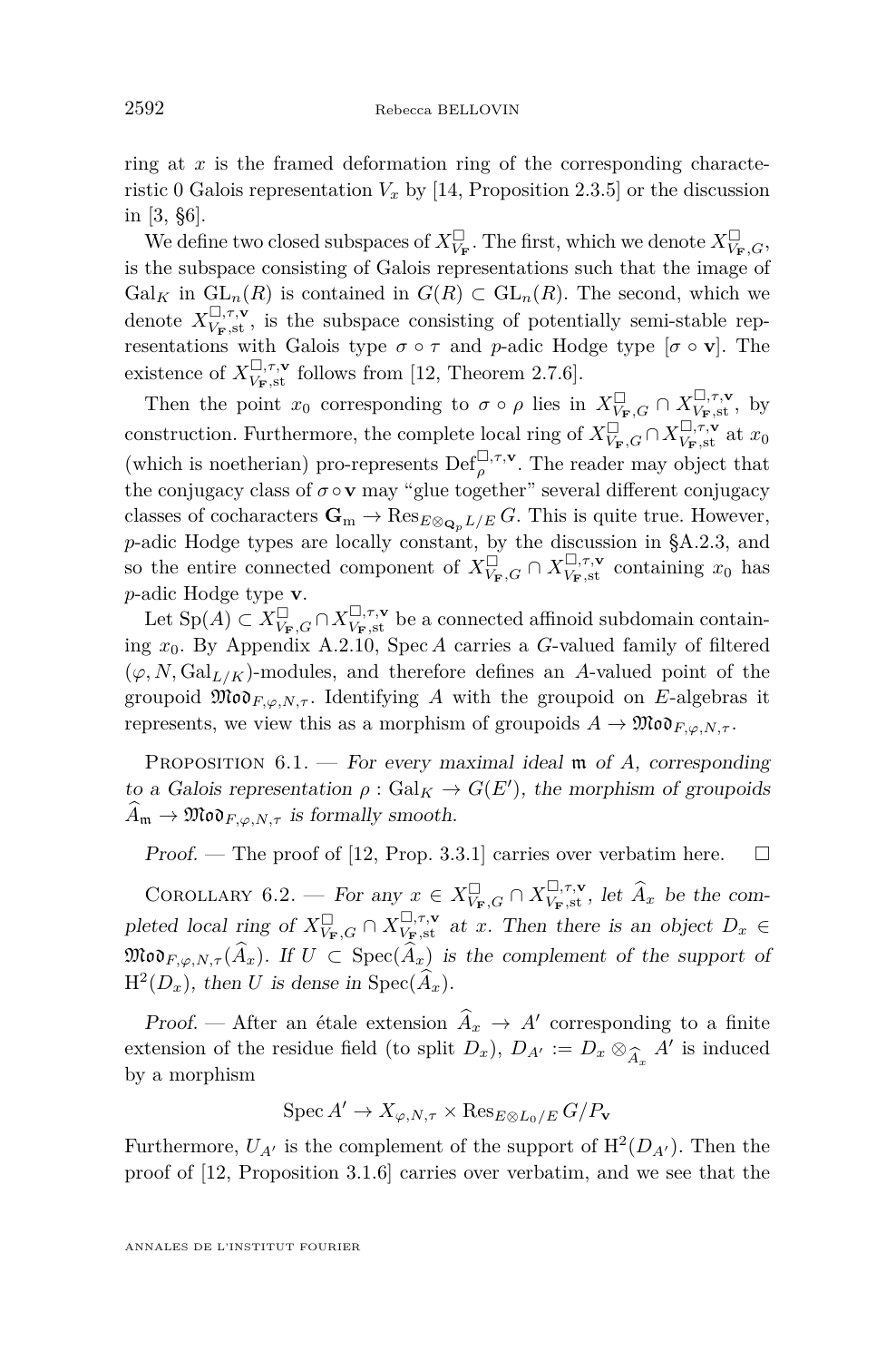ring at *x* is the framed deformation ring of the corresponding characteristic 0 Galois representation  $V_x$  by [\[14,](#page-55-9) Proposition 2.3.5] or the discussion in [\[3,](#page-55-10) §6].

We define two closed subspaces of  $X_{V_{\bf F}}^\square$  . The first, which we denote  $X_{V_{\bf F},G}^\square,$ is the subspace consisting of Galois representations such that the image of  $Gal_K$  in  $GL_n(R)$  is contained in  $G(R) \subset GL_n(R)$ . The second, which we denote  $X_{V_{\mathbf{F}},s\mathbf{t}}^{\square,\tau,\mathbf{v}}$ , is the subspace consisting of potentially semi-stable representations with Galois type  $\sigma \circ \tau$  and *p*-adic Hodge type  $[\sigma \circ \mathbf{v}]$ . The existence of  $X_{V_{\mathbf{F}},\text{st}}^{\square,\tau,\mathbf{v}}$  follows from [\[12,](#page-55-0) Theorem 2.7.6].

Then the point  $x_0$  corresponding to  $\sigma \circ \rho$  lies in  $X_{V_{\mathbf{F}},G}^{\square} \cap X_{V_{\mathbf{F}},\mathbf{st}}^{\square,\tau,\mathbf{v}},$  by construction. Furthermore, the complete local ring of  $X_{V_{\mathbf{F}},G}^{\square} \cap X_{V_{\mathbf{F}},\mathsf{st}}^{\square,\tau,\mathbf{v}}$  at  $x_0$ (which is noetherian) pro-represents  $\mathrm{Def}_{\rho}^{\square,\tau,\mathbf{v}}$ . The reader may object that the conjugacy class of  $\sigma \circ \mathbf{v}$  may "glue together" several different conjugacy classes of cocharacters  $\mathbf{G}_m \to \text{Res}_{E \otimes_{\mathbf{Q}_p} L/E} G$ . This is quite true. However, *p*-adic Hodge types are locally constant, by the discussion in [§A.2.3,](#page-47-0) and so the entire connected component of  $X_{V_{\mathbf{F}},G}^{\square} \cap X_{V_{\mathbf{F}},\text{st}}^{\square,\tau,\mathbf{v}}$  containing  $x_0$  has *p*-adic Hodge type **v**.

Let  $Sp(A) \subset X_{V_{\bf F},G}^{\square} \cap X_{V_{\bf F},s}^{\square,\tau,\mathbf{v}}$  be a connected affinoid subdomain containing *x*0. By Appendix [A.2.10,](#page-54-0) Spec *A* carries a *G*-valued family of filtered  $(\varphi, N, \mathrm{Gal}_{L/K})$ -modules, and therefore defines an *A*-valued point of the groupoid  $\mathfrak{Mod}_{F,\varphi,N,\tau}$ . Identifying A with the groupoid on E-algebras it represents, we view this as a morphism of groupoids  $A \to \mathfrak{Mod}_{F, \varphi, N, \tau}$ .

<span id="page-28-0"></span>PROPOSITION 6.1. — For every maximal ideal m of A, corresponding to a Galois representation  $\rho : \text{Gal}_K \to G(E')$ , the morphism of groupoids  $\widehat{A}_{\mathfrak{m}} \to \mathfrak{Mod}_{F, \varphi, N, \tau}$  is formally smooth.

Proof. — The proof of [\[12,](#page-55-0) Prop. 3.3.1] carries over verbatim here.  $\Box$ 

COROLLARY 6.2. — For any  $x \in X_{V_{\mathbf{F}},G}^{\square} \cap X_{V_{\mathbf{F}},\text{st}}^{\square,\tau,\mathbf{v}}$ , let  $\widehat{A}_x$  be the completed local ring of  $X_{V_{\mathbf{F}},G}^{\square} \cap X_{V_{\mathbf{F}},s\mathbf{t}}^{\square,\tau,\mathbf{v}}$  at *x*. Then there is an object  $D_x \in$  $\mathfrak{Mod}_{F, φ, N, τ}(A_x)$ . If  $U \subset \text{Spec}(A_x)$  is the complement of the support of  $H^2(D_x)$ , then *U* is dense in  $Spec(\widehat{A}_x)$ .

Proof. — After an étale extension  $\hat{A}_x \to A'$  corresponding to a finite extension of the residue field (to split  $D_x$ ),  $D_{A'} := D_x \otimes_{\widehat{A}_x} A'$  is induced by a morphism by a morphism

$$
\operatorname{Spec} A' \to X_{\varphi, N, \tau} \times \operatorname{Res}_{E \otimes L_0/E} G/P_{\mathbf{v}}
$$

Furthermore,  $U_{A'}$  is the complement of the support of  $H^2(D_{A'})$ . Then the proof of [\[12,](#page-55-0) Proposition 3.1.6] carries over verbatim, and we see that the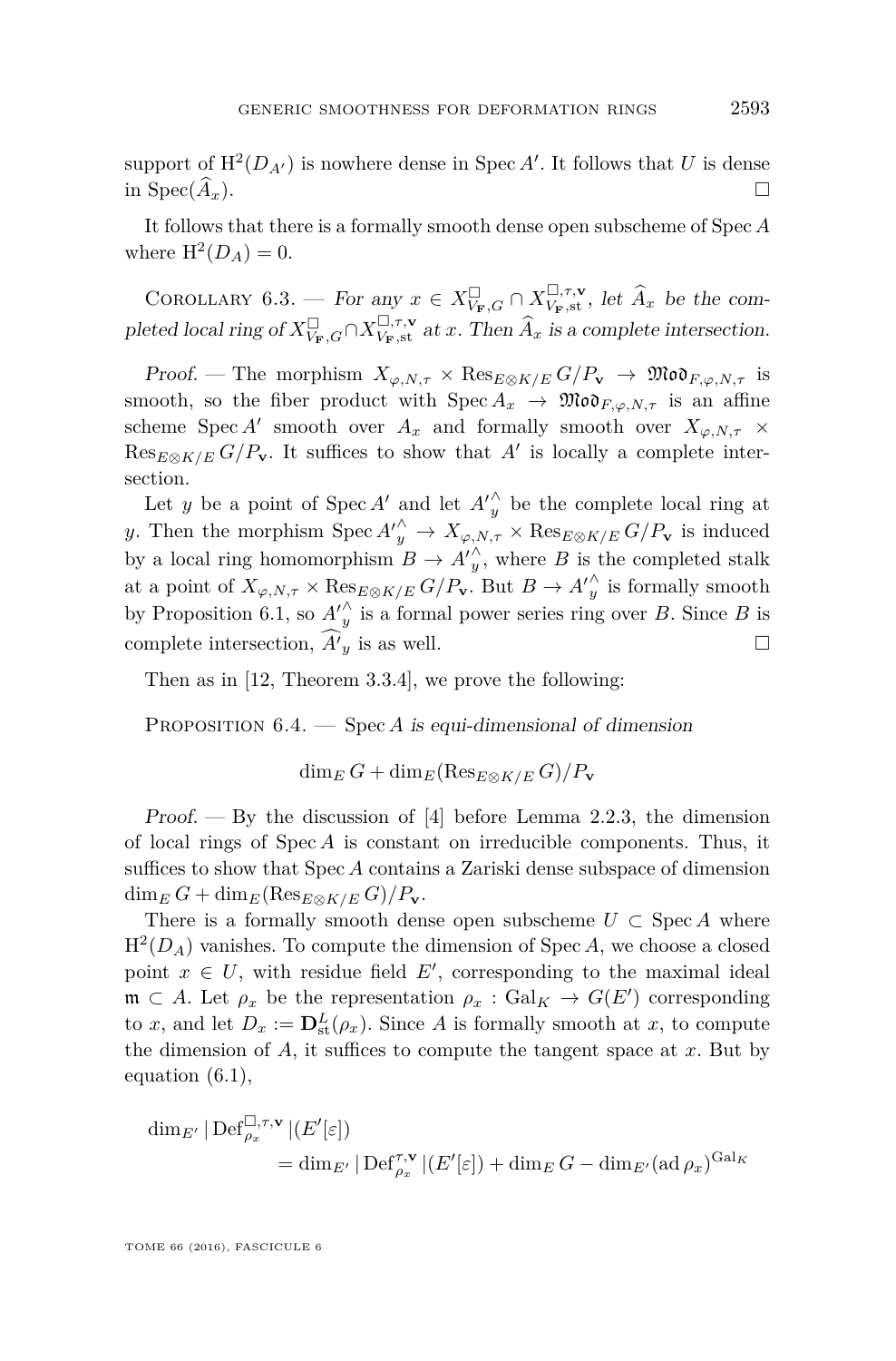support of  $H^2(D_{A'})$  is nowhere dense in Spec *A'*. It follows that *U* is dense in Spec $(\widehat{A}_x)$ .

It follows that there is a formally smooth dense open subscheme of Spec *A* where  $H^2(D_A) = 0$ .

COROLLARY 6.3. — For any  $x \in X_{V_{\mathbf{F}},G}^{\square} \cap X_{V_{\mathbf{F}},\mathbf{st}}^{\square,\tau,\mathbf{v}}$ , let  $\widehat{A}_x$  be the completed local ring of  $X_{V_{\mathbf{F}},G}^{\square} \cap X_{V_{\mathbf{F}},s\mathbf{t}}^{\square,\tau,\mathbf{v}}$  at *x*. Then  $\widehat{A}_x$  is a complete intersection.

Proof. — The morphism  $X_{\varphi, N, \tau} \times \text{Res}_{E \otimes K/E} G/P_{\mathbf{v}} \to \mathfrak{Mod}_{F, \varphi, N, \tau}$  is smooth, so the fiber product with  $\text{Spec } A_x \to \mathfrak{Mod}_{F, \varphi, N, \tau}$  is an affine scheme Spec *A'* smooth over  $A_x$  and formally smooth over  $X_{\varphi, N, \tau}$  ×  $\text{Res}_{E\otimes K/E} G/P_{\mathbf{v}}$ . It suffices to show that *A'* is locally a complete intersection.

Let *y* be a point of  $Spec A'$  and let  $A'_{y}^{\wedge}$  be the complete local ring at *y*. Then the morphism  $Spec A'_{y}^{\wedge} \to X_{\varphi,N,\tau} \times Res_{E \otimes K/E} G/P_{\mathbf{v}}$  is induced by a local ring homomorphism  $B \to {A'}_y^{\wedge}$ , where *B* is the completed stalk at a point of  $X_{\varphi,N,\tau} \times \text{Res}_{E \otimes K/E} G/P_{\mathbf{v}}$ . But  $B \to {A'}_y^{\wedge}$  is formally smooth by Proposition [6.1,](#page-28-0) so  $A_{y}^{\prime\wedge}$  is a formal power series ring over *B*. Since *B* is complete intersection,  $\widehat{A'}_y$  is as well.

Then as in [\[12,](#page-55-0) Theorem 3.3.4], we prove the following:

PROPOSITION 6.4. — Spec *A* is equi-dimensional of dimension

 $\dim_E G + \dim_E (\text{Res}_{E \otimes K/E} G)/P$ **v** 

Proof.  $-$  By the discussion of [\[4\]](#page-55-11) before Lemma 2.2.3, the dimension of local rings of Spec *A* is constant on irreducible components. Thus, it suffices to show that Spec *A* contains a Zariski dense subspace of dimension  $\dim_E G + \dim_E (\text{Res}_{E \otimes K/E} G)/P_{\mathbf{v}}$ .

There is a formally smooth dense open subscheme  $U \subset \operatorname{Spec} A$  where  $H^2(D_A)$  vanishes. To compute the dimension of Spec *A*, we choose a closed point  $x \in U$ , with residue field  $E'$ , corresponding to the maximal ideal  $\mathfrak{m} \subset A$ . Let  $\rho_x$  be the representation  $\rho_x : \text{Gal}_K \to G(E')$  corresponding to *x*, and let  $D_x := \mathbf{D}^L_{\text{st}}(\rho_x)$ . Since *A* is formally smooth at *x*, to compute the dimension of  $A$ , it suffices to compute the tangent space at  $x$ . But by equation [\(6.1\)](#page-27-0),

$$
\begin{aligned} \dim_{E'} |\operatorname{Def}_{\rho_x}^{\square,\tau,\mathbf{v}}|(E'[\varepsilon]) \\ &= \dim_{E'} |\operatorname{Def}_{\rho_x}^{\tau,\mathbf{v}}|(E'[\varepsilon]) + \dim_{E} G - \dim_{E'} (\operatorname{ad} \rho_x)^{\operatorname{Gal}_K} \end{aligned}
$$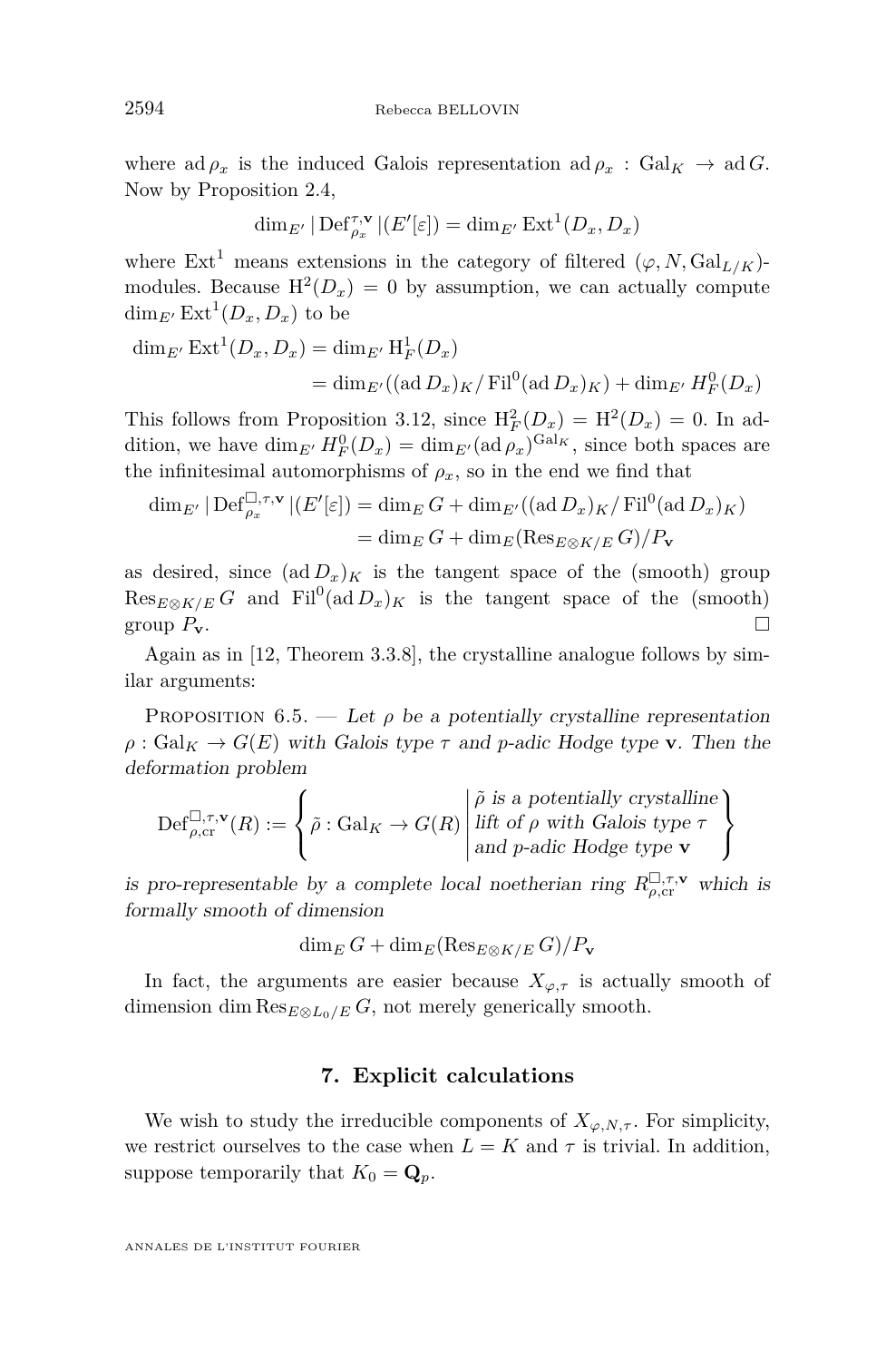where ad  $\rho_x$  is the induced Galois representation ad  $\rho_x$ : Gal<sub>K</sub>  $\rightarrow$  ad *G*. Now by Proposition [2.4,](#page-6-0)

$$
\dim_{E'}|\operatorname{Def}_{\rho_x}^{\tau,\mathbf{v}}|(E'[\varepsilon])=\dim_{E'}\operatorname{Ext}^1(D_x,D_x)
$$

where  $\text{Ext}^1$  means extensions in the category of filtered  $(\varphi, N, \text{Gal}_{L/K})$ modules. Because  $H^2(D_x) = 0$  by assumption, we can actually compute  $\dim_{E'} \operatorname{Ext}^1(D_x, D_x)$  to be

$$
\dim_{E'} \operatorname{Ext}^1(D_x, D_x) = \dim_{E'} \operatorname{H}_F^1(D_x)
$$
  
= 
$$
\dim_{E'} ((\operatorname{ad} D_x)_K / \operatorname{Fil}^0(\operatorname{ad} D_x)_K) + \dim_{E'} H_F^0(D_x)
$$

This follows from Proposition [3.12,](#page-14-0) since  $H_F^2(D_x) = H^2(D_x) = 0$ . In addition, we have  $\dim_{E'} H_F^0(D_x) = \dim_{E'} (\text{ad}\,\rho_x)^{\text{Gal}_K}$ , since both spaces are the infinitesimal automorphisms of  $\rho_x$ , so in the end we find that

$$
\dim_{E'} |\operatorname{Def}_{\rho_x}^{\square, \tau, \mathbf{v}}| (E'[\varepsilon]) = \dim_E G + \dim_{E'} ((\operatorname{ad} D_x)_K / \operatorname{Fil}^0(\operatorname{ad} D_x)_K)
$$
  
= 
$$
\dim_E G + \dim_E (\operatorname{Res}_{E \otimes K/E} G) / P_{\mathbf{v}}
$$

as desired, since  $(\text{ad }D_x)_K$  is the tangent space of the (smooth) group  $\text{Res}_{E\otimes K/E} G$  and  $\text{Fil}^0(\text{ad }D_x)_K$  is the tangent space of the (smooth) group  $P$ **v**.

Again as in [\[12,](#page-55-0) Theorem 3.3.8], the crystalline analogue follows by similar arguments:

PROPOSITION 6.5. — Let  $\rho$  be a potentially crystalline representation  $\rho$  : Gal<sub>K</sub>  $\rightarrow$  *G*(*E*) with Galois type *τ* and *p*-adic Hodge type **v**. Then the deformation problem

$$
\mathrm{Def}_{\rho,\text{cr}}^{\square,\tau,\mathbf{v}}(R) := \left\{\tilde{\rho}: \text{Gal}_K \to G(R) \middle| \begin{aligned} &\tilde{\rho} \text{ is a potentially crystalline} \\ &\text{lift of } \rho \text{ with Galois type } \tau \\ &\text{and } p\text{-adic Hodge type } \mathbf{v} \end{aligned} \right\}
$$

is pro-representable by a complete local noetherian ring  $R_{\rho,\text{cr}}^{\Box,\tau,\mathbf{v}}$  which is formally smooth of dimension

$$
\dim_E G + \dim_E (\text{Res}_{E \otimes K/E} G)/P_{\mathbf{v}}
$$

In fact, the arguments are easier because  $X_{\varphi,\tau}$  is actually smooth of dimension dim  $\text{Res}_{E \otimes L_0/E} G$ , not merely generically smooth.

#### **7. Explicit calculations**

<span id="page-30-0"></span>We wish to study the irreducible components of  $X_{\varphi,N,\tau}$ . For simplicity, we restrict ourselves to the case when  $L = K$  and  $\tau$  is trivial. In addition, suppose temporarily that  $K_0 = \mathbf{Q}_p$ .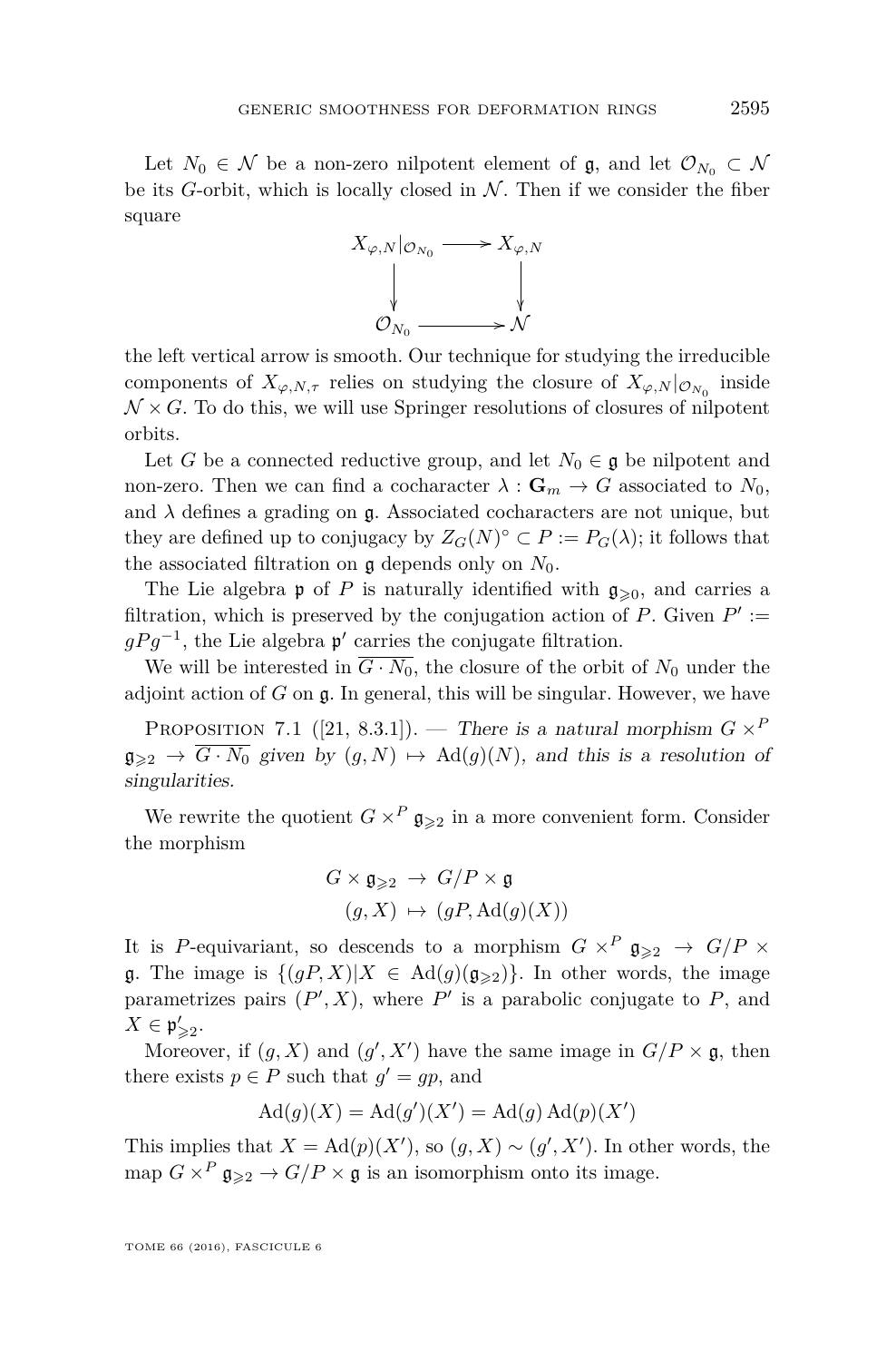Let  $N_0 \in \mathcal{N}$  be a non-zero nilpotent element of g, and let  $\mathcal{O}_{N_0} \subset \mathcal{N}$ be its *G*-orbit, which is locally closed in  $N$ . Then if we consider the fiber square



the left vertical arrow is smooth. Our technique for studying the irreducible components of  $X_{\varphi,N,\tau}$  relies on studying the closure of  $X_{\varphi,N}|_{\mathcal{O}_{N_0}}$  inside  $\mathcal{N} \times G$ . To do this, we will use Springer resolutions of closures of nilpotent orbits.

Let *G* be a connected reductive group, and let  $N_0 \in \mathfrak{g}$  be nilpotent and non-zero. Then we can find a cocharacter  $\lambda : \mathbf{G}_m \to G$  associated to  $N_0$ , and  $\lambda$  defines a grading on  $\mathfrak{g}$ . Associated cocharacters are not unique, but they are defined up to conjugacy by  $Z_G(N)^\circ \subset P := P_G(\lambda)$ ; it follows that the associated filtration on  $\mathfrak g$  depends only on  $N_0$ .

The Lie algebra **p** of *P* is naturally identified with  $\mathfrak{g}_{\geq 0}$ , and carries a filtration, which is preserved by the conjugation action of  $P$ . Given  $P' :=$  $gPg^{-1}$ , the Lie algebra  $p'$  carries the conjugate filtration.

We will be interested in  $\overline{G \cdot N_0}$ , the closure of the orbit of  $N_0$  under the adjoint action of *G* on g. In general, this will be singular. However, we have

PROPOSITION 7.1 ([\[21,](#page-56-3) 8.3.1]). — There is a natural morphism  $G \times^P$  $\mathfrak{g}_{\geqslant 2} \to \overline{G \cdot N_0}$  given by  $(g, N) \mapsto \text{Ad}(g)(N)$ , and this is a resolution of singularities.

We rewrite the quotient  $G \times^P \mathfrak{g}_{\geq 2}$  in a more convenient form. Consider the morphism

$$
G \times \mathfrak{g}_{\geqslant 2} \to G/P \times \mathfrak{g}
$$
  

$$
(g, X) \mapsto (gP, \text{Ad}(g)(X))
$$

It is *P*-equivariant, so descends to a morphism  $G \times^P \mathfrak{g}_{\geqslant 2} \to G/P \times$ g. The image is  $\{(gP, X)|X \in \text{Ad}(g)(g_{\geq 2})\}$ . In other words, the image parametrizes pairs  $(P', X)$ , where  $P'$  is a parabolic conjugate to  $P$ , and  $X \in \mathfrak{p}'_{\geqslant 2}.$ 

Moreover, if  $(g, X)$  and  $(g', X')$  have the same image in  $G/P \times \mathfrak{g}$ , then there exists  $p \in P$  such that  $g' = gp$ , and

$$
Ad(g)(X) = Ad(g')(X') = Ad(g) Ad(p)(X')
$$

This implies that  $X = \text{Ad}(p)(X')$ , so  $(g, X) \sim (g', X')$ . In other words, the map  $G \times^P \mathfrak{g}_{\geqslant 2} \to G/P \times \mathfrak{g}$  is an isomorphism onto its image.

TOME 66 (2016), FASCICULE 6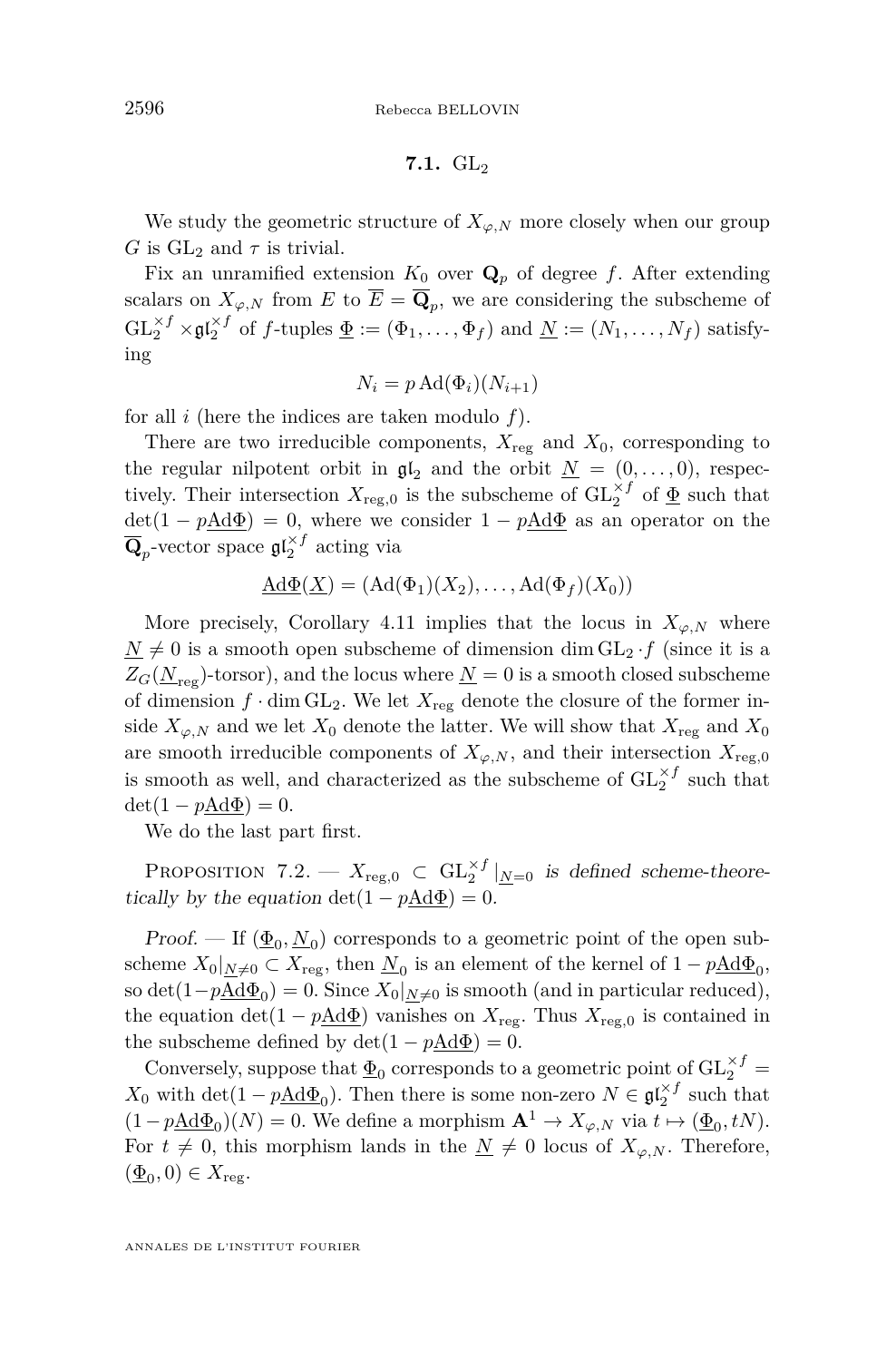$$
7.1. \, \mathrm{GL}_2
$$

We study the geometric structure of  $X_{\varphi,N}$  more closely when our group *G* is  $GL_2$  and  $\tau$  is trivial.

Fix an unramified extension  $K_0$  over  $\mathbf{Q}_p$  of degree f. After extending scalars on  $X_{\varphi,N}$  from  $E$  to  $E = \mathbf{Q}_p$ , we are considering the subscheme of  $\mathrm{GL}_2^{\times f} \times \mathfrak{gl}_2^{\times f}$  of *f*-tuples  $\underline{\Phi} := (\Phi_1, \ldots, \Phi_f)$  and  $\underline{N} := (N_1, \ldots, N_f)$  satisfying

$$
N_i = p \operatorname{Ad}(\Phi_i)(N_{i+1})
$$

for all *i* (here the indices are taken modulo *f*).

There are two irreducible components,  $X_{\text{reg}}$  and  $X_0$ , corresponding to the regular nilpotent orbit in  $\mathfrak{gl}_2$  and the orbit  $\underline{N} = (0, \ldots, 0)$ , respectively. Their intersection  $X_{\text{reg},0}$  is the subscheme of  $\text{GL}_2^{\times f}$  of  $\underline{\Phi}$  such that  $\det(1 - p \underline{A} d\Phi) = 0$ , where we consider  $1 - p \underline{A} d\Phi$  as an operator on the  $\overline{\mathbf{Q}}_p$ -vector space  $\mathfrak{gl}_2^{\times f}$  acting via

$$
\underline{\mathrm{Ad}\Phi}(X) = (\mathrm{Ad}(\Phi_1)(X_2), \dots, \mathrm{Ad}(\Phi_f)(X_0))
$$

More precisely, Corollary [4.11](#page-18-0) implies that the locus in  $X_{\varphi,N}$  where  $N \neq 0$  is a smooth open subscheme of dimension dim  $GL_2 \cdot f$  (since it is a  $Z_G(\underline{N}_{res})$ -torsor), and the locus where  $\underline{N}=0$  is a smooth closed subscheme of dimension  $f \cdot \dim GL_2$ . We let  $X_{reg}$  denote the closure of the former inside  $X_{\varphi,N}$  and we let  $X_0$  denote the latter. We will show that  $X_{\text{reg}}$  and  $X_0$ are smooth irreducible components of  $X_{\varphi,N}$ , and their intersection  $X_{\text{reg},0}$ is smooth as well, and characterized as the subscheme of  $GL_2^{\times f}$  such that  $\det(1 - pA d\Phi) = 0.$ 

We do the last part first.

PROPOSITION 7.2. —  $X_{\text{reg},0} \subset GL_2^{\times f}|_{\underline{N}=0}$  is defined scheme-theoretically by the equation  $det(1 - pA d\Phi) = 0$ .

Proof. — If  $(\underline{\Phi}_0, \underline{N}_0)$  corresponds to a geometric point of the open subscheme  $X_0|_{\underline{N}\neq 0} \subset X_{\text{reg}}$ , then  $\underline{N}_0$  is an element of the kernel of  $1 - p\underline{Ad}\Phi_0$ , so det( $1-p\underline{\text{Ad}}\Phi_0$ ) = 0. Since  $X_0|_{\underline{N}\neq 0}$  is smooth (and in particular reduced), the equation  $\det(1 - p\underline{Ad}\Phi)$  vanishes on  $X_{reg}$ . Thus  $X_{reg,0}$  is contained in the subscheme defined by  $\det(1 - p \underline{A} d\Phi) = 0$ .

Conversely, suppose that  $\underline{\Phi}_0$  corresponds to a geometric point of  $\mathrm{GL}_2^{\times f}=$  $X_0$  with  $\det(1 - p\underline{\text{Ad}}\Phi_0)$ . Then there is some non-zero  $N \in \mathfrak{gl}_2^{\times f}$  such that  $(1 - p\underline{\text{Ad}}\Phi_0)(N) = 0$ . We define a morphism  $\mathbf{A}^1 \to X_{\varphi,N}$  via  $t \mapsto (\underline{\Phi}_0, tN)$ . For  $t \neq 0$ , this morphism lands in the  $N \neq 0$  locus of  $X_{\varphi,N}$ . Therefore,  $(\underline{\Phi}_0, 0) \in X_{\text{reg}}.$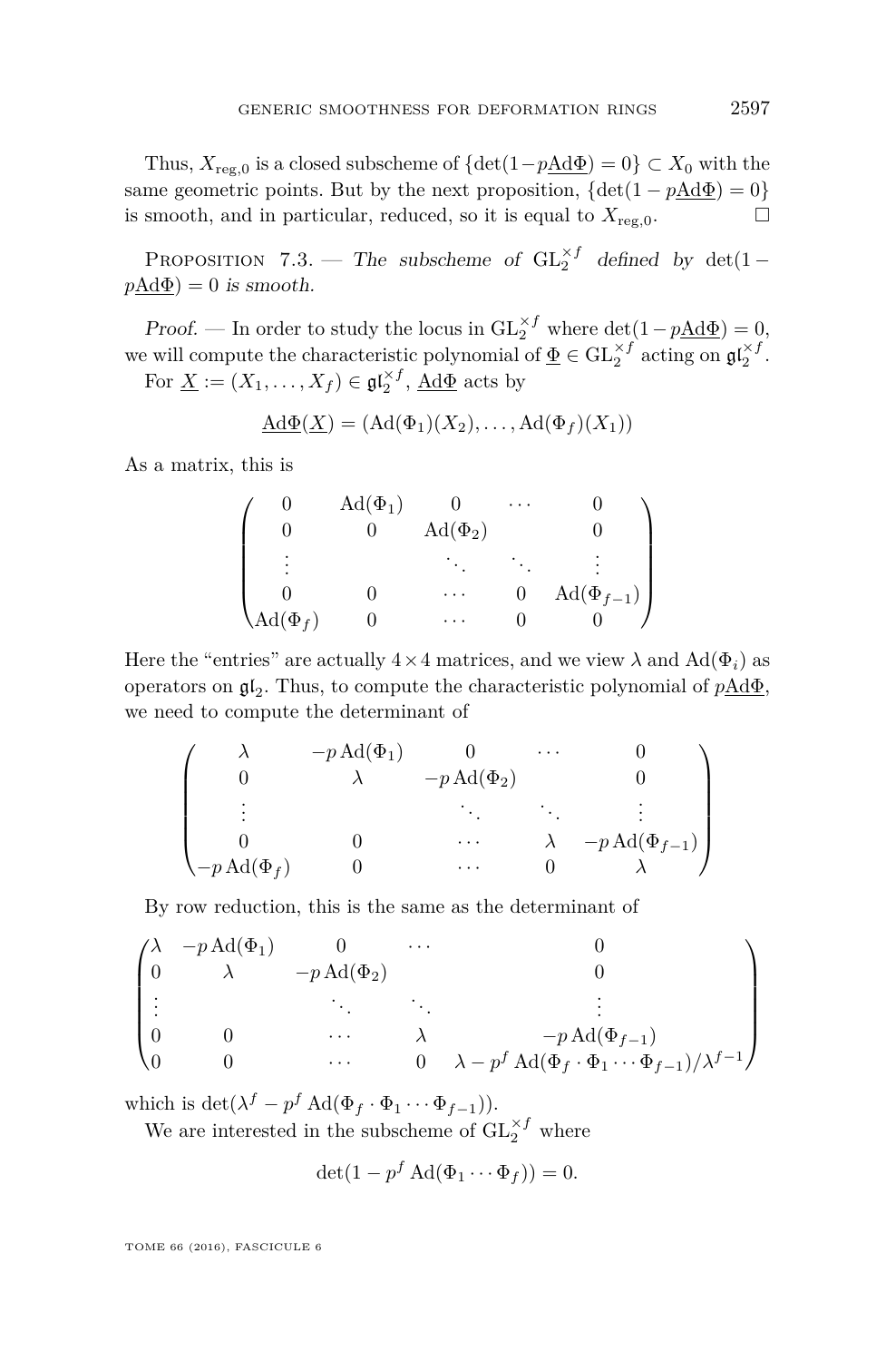Thus,  $X_{reg,0}$  is a closed subscheme of  $\{\det(1-p\underline{\text{Ad}}\Phi)=0\}\subset X_0$  with the same geometric points. But by the next proposition,  $\{\det(1 - pA d\Phi) = 0\}$ is smooth, and in particular, reduced, so it is equal to  $X_{reg,0}$ .

PROPOSITION 7.3. — The subscheme of  $GL_2^{\times f}$  defined by  $det(1$  $p\text{Ad}\Phi$ ) = 0 is smooth.

Proof. — In order to study the locus in  $GL_2^{\times f}$  where  $det(1 - p\underline{Ad}\Phi) = 0$ , we will compute the characteristic polynomial of  $\underline{\Phi} \in GL_2^{\times f}$  acting on  $\mathfrak{gl}_2^{\times f}$ .

For  $\underline{X} := (X_1, \ldots, X_f) \in \mathfrak{gl}_2^{\times f}$ ,  $\underline{Ad}\Phi$  acts by

$$
\underline{\mathrm{Ad}\Phi}(X) = (\mathrm{Ad}(\Phi_1)(X_2), \dots, \mathrm{Ad}(\Phi_f)(X_1))
$$

As a matrix, this is

|                     | $\text{Ad}(\Phi_1)$ |                     | $\cdots$ |                           |
|---------------------|---------------------|---------------------|----------|---------------------------|
|                     |                     | $\text{Ad}(\Phi_2)$ |          |                           |
| ٠                   |                     |                     |          |                           |
|                     |                     | .                   |          | $\mathrm{Ad}(\Phi_{f-1})$ |
| $\text{Ad}(\Phi_f)$ |                     |                     |          |                           |

Here the "entries" are actually  $4 \times 4$  matrices, and we view  $\lambda$  and  $Ad(\Phi_i)$  as operators on  $\mathfrak{gl}_2$ . Thus, to compute the characteristic polynomial of  $p\underline{\text{Ad}}\Phi$ , we need to compute the determinant of

$$
\begin{pmatrix}\n\lambda & -p \operatorname{Ad}(\Phi_1) & 0 & \cdots & 0 \\
0 & \lambda & -p \operatorname{Ad}(\Phi_2) & 0 \\
\vdots & \vdots & \ddots & \ddots & \vdots \\
0 & 0 & \cdots & \lambda & -p \operatorname{Ad}(\Phi_{f-1}) \\
-p \operatorname{Ad}(\Phi_f) & 0 & \cdots & 0 & \lambda\n\end{pmatrix}
$$

By row reduction, this is the same as the determinant of

$$
\begin{pmatrix}\n\lambda & -p \,\mathrm{Ad}(\Phi_1) & 0 & \cdots & 0 \\
0 & \lambda & -p \,\mathrm{Ad}(\Phi_2) & 0 \\
\vdots & \ddots & \ddots & \vdots \\
0 & 0 & \cdots & \lambda & -p \,\mathrm{Ad}(\Phi_{f-1}) \\
0 & 0 & \cdots & 0 & \lambda - p^f \,\mathrm{Ad}(\Phi_f \cdot \Phi_1 \cdots \Phi_{f-1})/\lambda^{f-1}\n\end{pmatrix}
$$

which is  $\det(\lambda^f - p^f \operatorname{Ad}(\Phi_f \cdot \Phi_1 \cdots \Phi_{f-1}))$ .

We are interested in the subscheme of  $\mathrm{GL}_2^{\times f}$  where

$$
\det(1 - p^f \operatorname{Ad}(\Phi_1 \cdots \Phi_f)) = 0.
$$

TOME 66 (2016), FASCICULE 6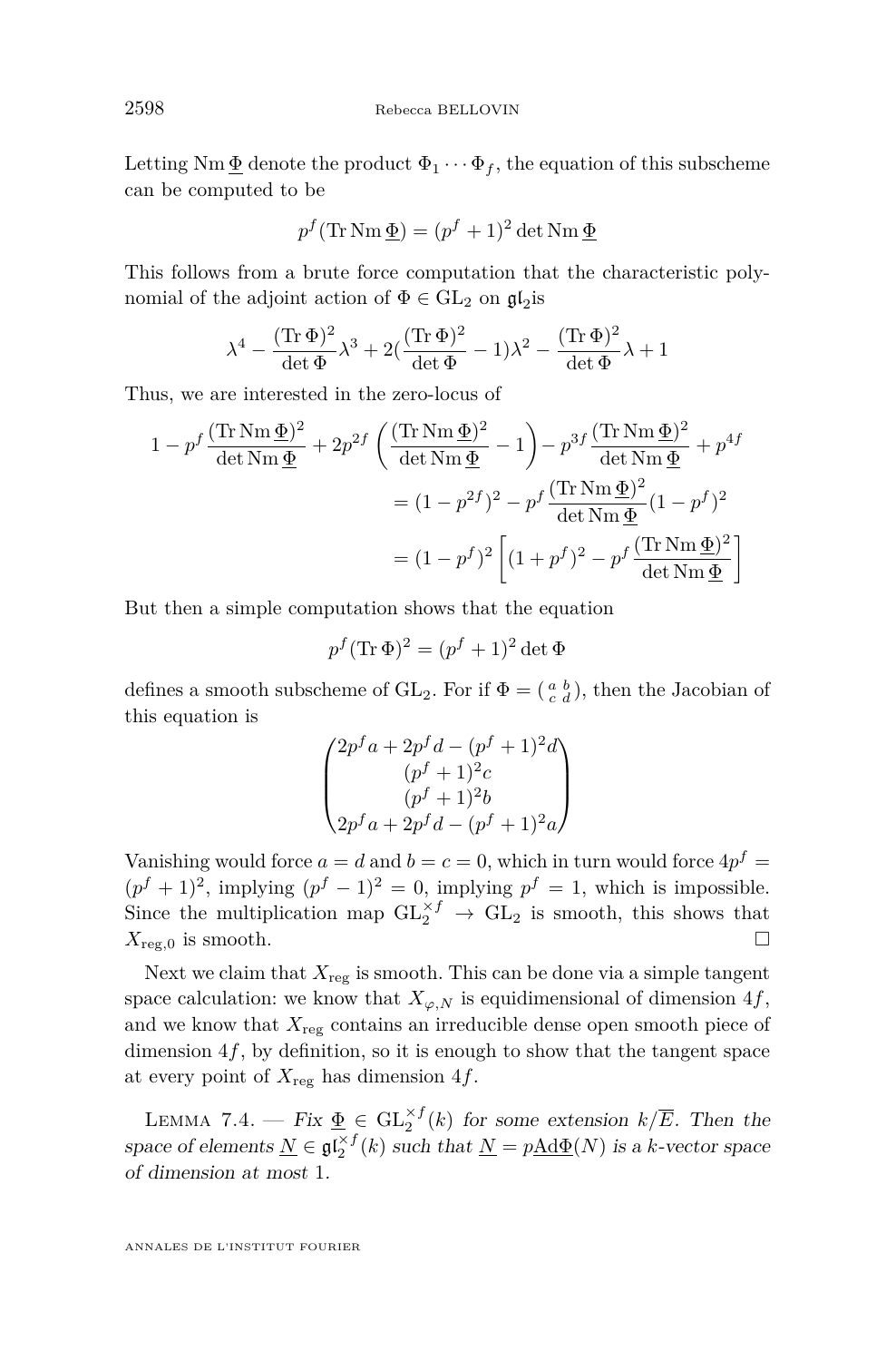Letting  $Nm \Phi$  denote the product  $\Phi_1 \cdots \Phi_f$ , the equation of this subscheme can be computed to be

$$
p^f(\text{Tr}\,\text{Nm}\,\underline{\Phi}) = (p^f + 1)^2 \det \text{Nm}\,\underline{\Phi}
$$

This follows from a brute force computation that the characteristic polynomial of the adjoint action of  $\Phi \in GL_2$  on  $\mathfrak{gl}_2$  is

$$
\lambda^4 - \frac{(\text{Tr}\,\Phi)^2}{\det\Phi}\lambda^3 + 2\left(\frac{(\text{Tr}\,\Phi)^2}{\det\Phi} - 1\right)\lambda^2 - \frac{(\text{Tr}\,\Phi)^2}{\det\Phi}\lambda + 1
$$

Thus, we are interested in the zero-locus of

$$
1 - p^f \frac{(\text{Tr}\,\text{Nm}\,\underline{\Phi})^2}{\det\text{Nm}\,\underline{\Phi}} + 2p^{2f} \left( \frac{(\text{Tr}\,\text{Nm}\,\underline{\Phi})^2}{\det\text{Nm}\,\underline{\Phi}} - 1 \right) - p^{3f} \frac{(\text{Tr}\,\text{Nm}\,\underline{\Phi})^2}{\det\text{Nm}\,\underline{\Phi}} + p^{4f}
$$

$$
= (1 - p^{2f})^2 - p^f \frac{(\text{Tr}\,\text{Nm}\,\underline{\Phi})^2}{\det\text{Nm}\,\underline{\Phi}} (1 - p^f)^2
$$

$$
= (1 - p^f)^2 \left[ (1 + p^f)^2 - p^f \frac{(\text{Tr}\,\text{Nm}\,\underline{\Phi})^2}{\det\text{Nm}\,\underline{\Phi}} \right]
$$

But then a simple computation shows that the equation

$$
p^f(\text{Tr}\,\Phi)^2 = (p^f + 1)^2 \det \Phi
$$

defines a smooth subscheme of  $GL_2$ . For if  $\Phi = \begin{pmatrix} a & b \\ c & d \end{pmatrix}$ , then the Jacobian of this equation is

$$
\begin{pmatrix} 2p^fa + 2p^fd - (p^f + 1)^2d \\ (p^f + 1)^2c \\ (p^f + 1)^2b \\ 2p^fa + 2p^fd - (p^f + 1)^2a \end{pmatrix}
$$

Vanishing would force  $a = d$  and  $b = c = 0$ , which in turn would force  $4p^f =$  $(p^f + 1)^2$ , implying  $(p^f - 1)^2 = 0$ , implying  $p^f = 1$ , which is impossible. Since the multiplication map  $GL_2^{\times f} \to GL_2$  is smooth, this shows that  $X_{\text{reg},0}$  is smooth.

Next we claim that  $X_{\text{reg}}$  is smooth. This can be done via a simple tangent space calculation: we know that  $X_{\varphi,N}$  is equidimensional of dimension 4*f*, and we know that  $X_{\text{reg}}$  contains an irreducible dense open smooth piece of dimension 4*f*, by definition, so it is enough to show that the tangent space at every point of *X*reg has dimension 4*f*.

LEMMA 7.4. — Fix  $\underline{\Phi} \in GL_2^{\times f}(k)$  for some extension  $k/\overline{E}$ . Then the space of elements  $\underline{N} \in \mathfrak{gl}_2^{\times f}(k)$  such that  $\underline{N} = p\underline{Ad}\Phi(N)$  is a *k*-vector space of dimension at most 1.

ANNALES DE L'INSTITUT FOURIER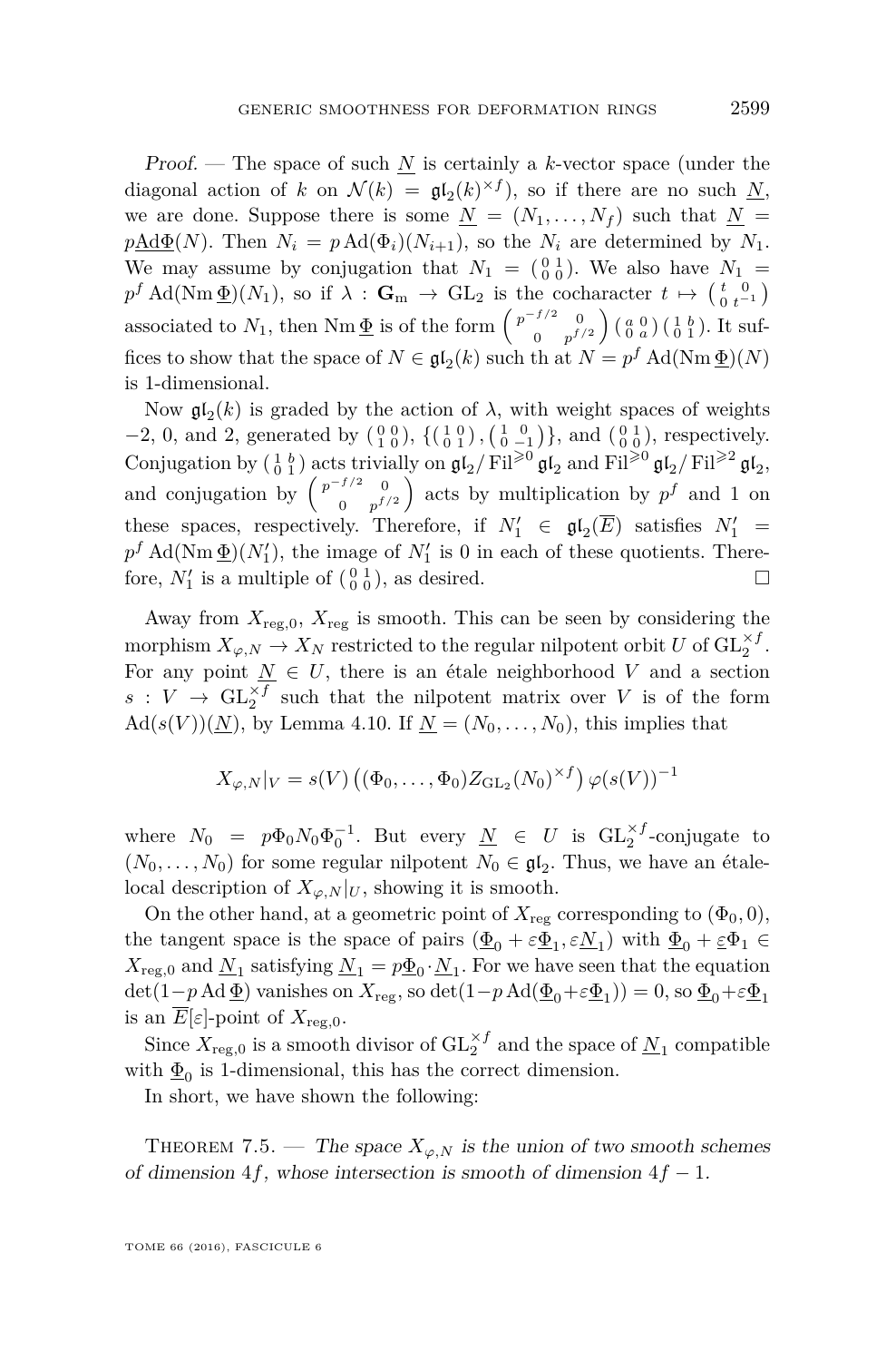Proof. — The space of such *N* is certainly a *k*-vector space (under the diagonal action of *k* on  $\mathcal{N}(k) = \mathfrak{gl}_2(k)^{\times f}$ , so if there are no such <u>N</u>, we are done. Suppose there is some  $N = (N_1, \ldots, N_f)$  such that  $N =$  $p\underline{\text{Ad}}\Phi(N)$ . Then  $N_i = p \text{Ad}}(\Phi_i)(N_{i+1})$ , so the  $N_i$  are determined by  $N_1$ . We may assume by conjugation that  $N_1 = \begin{pmatrix} 0 & 1 \\ 0 & 0 \end{pmatrix}$ . We also have  $N_1 =$  $p^f$  Ad(Nm  $\underline{\Phi}$ )( $N_1$ ), so if  $\lambda$  :  $\mathbf{G}_m \to \text{GL}_2$  is the cocharacter  $t \mapsto {\begin{pmatrix} t & 0 \\ 0 & t^{-1} \end{pmatrix}}$ associated to  $N_1$ , then Nm  $\underline{\Phi}$  is of the form  $\begin{pmatrix} p^{-f/2} & 0 \\ 0 & p^{f/2} \end{pmatrix}$  $\begin{pmatrix} f/2 & 0 \\ 0 & p^{f/2} \end{pmatrix}$   $\begin{pmatrix} a & 0 \\ 0 & a \end{pmatrix}$   $\begin{pmatrix} 1 & b \\ 0 & 1 \end{pmatrix}$ . It suffices to show that the space of  $N \in \mathfrak{gl}_2(k)$  such th at  $N = p^f \operatorname{Ad}(\operatorname{Nm} \underline{\Phi})(N)$ is 1-dimensional.

Now  $\mathfrak{gl}_2(k)$  is graded by the action of  $\lambda$ , with weight spaces of weights −2, 0, and 2, generated by  $\begin{pmatrix} 0 & 0 \\ 1 & 0 \end{pmatrix}$ ,  $\begin{pmatrix} 1 & 0 \\ 0 & 1 \end{pmatrix}$ ,  $\begin{pmatrix} 1 & 0 \\ 0 & -1 \end{pmatrix}$ }, and  $\begin{pmatrix} 0 & 1 \\ 0 & 0 \end{pmatrix}$ , respectively. Conjugation by  $\left(\begin{smallmatrix} 1 & b \\ 0 & 1 \end{smallmatrix}\right)$  acts trivially on  $\mathfrak{gl}_2/\mathrm{Fil}^{\geq 0} \mathfrak{gl}_2$  and  $\mathrm{Fil}^{\geq 0} \mathfrak{gl}_2/\mathrm{Fil}^{\geq 2} \mathfrak{gl}_2$ , and conjugation by  $\begin{pmatrix} p^{-f/2} & 0 \\ 0 & f \end{pmatrix}$  $\binom{f/2}{0}$   $\binom{0}{p}$  acts by multiplication by  $p<sup>f</sup>$  and 1 on these spaces, respectively. Therefore, if  $N'_1 \in \mathfrak{gl}_2(\overline{E})$  satisfies  $N'_1$  =  $p<sup>f</sup>$  Ad(Nm $\underline{\Phi}$ )( $N'_{1}$ ), the image of  $N'_{1}$  is 0 in each of these quotients. Therefore,  $N'_1$  is a multiple of  $\begin{pmatrix} 0 & 1 \\ 0 & 0 \end{pmatrix}$ , as desired.

Away from  $X_{\text{reg},0}$ ,  $X_{\text{reg}}$  is smooth. This can be seen by considering the morphism  $X_{\varphi,N} \to X_N$  restricted to the regular nilpotent orbit  $U$  of  $\mathrm{GL}_2^{\times f}$ . For any point  $\underline{N} \in U$ , there is an étale neighborhood *V* and a section  $s: V \to GL_2^{\times f}$  such that the nilpotent matrix over *V* is of the form  $\text{Ad}(s(V))(\underline{N})$ , by Lemma [4.10.](#page-18-1) If  $\underline{N}=(N_0,\ldots,N_0)$ , this implies that

$$
X_{\varphi,N}|_V = s(V) \left( (\Phi_0,\ldots,\Phi_0) Z_{\operatorname{GL}_2}(N_0)^{\times f} \right) \varphi(s(V))^{-1}
$$

where  $N_0 = p\Phi_0 N_0 \Phi_0^{-1}$ . But every  $\underline{N} \in U$  is  $GL_2^{\times f}$ -conjugate to  $(N_0, \ldots, N_0)$  for some regular nilpotent  $N_0 \in \mathfrak{gl}_2$ . Thus, we have an étalelocal description of  $X_{\varphi,N}|_U$ , showing it is smooth.

On the other hand, at a geometric point of  $X_{\text{reg}}$  corresponding to  $(\Phi_0, 0)$ , the tangent space is the space of pairs  $(\underline{\Phi}_0 + \varepsilon \underline{\Phi}_1, \varepsilon \underline{N}_1)$  with  $\underline{\Phi}_0 + \varepsilon \underline{\Phi}_1 \in$  $X_{\text{reg},0}$  and  $\underline{N}_1$  satisfying  $\underline{N}_1 = p\underline{\Phi}_0 \cdot \underline{N}_1$ . For we have seen that the equation  $\det(1-p \operatorname{Ad} \underline{\Phi})$  vanishes on  $X_{\operatorname{reg}}$ , so  $\det(1-p \operatorname{Ad}(\underline{\Phi}_0+\varepsilon \underline{\Phi}_1))=0$ , so  $\underline{\Phi}_0+\varepsilon \underline{\Phi}_1$ is an  $E[\varepsilon]$ -point of  $X_{\text{reg},0}$ .

Since  $X_{\text{reg},0}$  is a smooth divisor of  $\mathrm{GL}_2^{\times f}$  and the space of  $\underline{N}_1$  compatible with  $\underline{\Phi}_0$  is 1-dimensional, this has the correct dimension.

In short, we have shown the following:

THEOREM 7.5. — The space  $X_{\varphi,N}$  is the union of two smooth schemes of dimension 4*f*, whose intersection is smooth of dimension 4*f* − 1.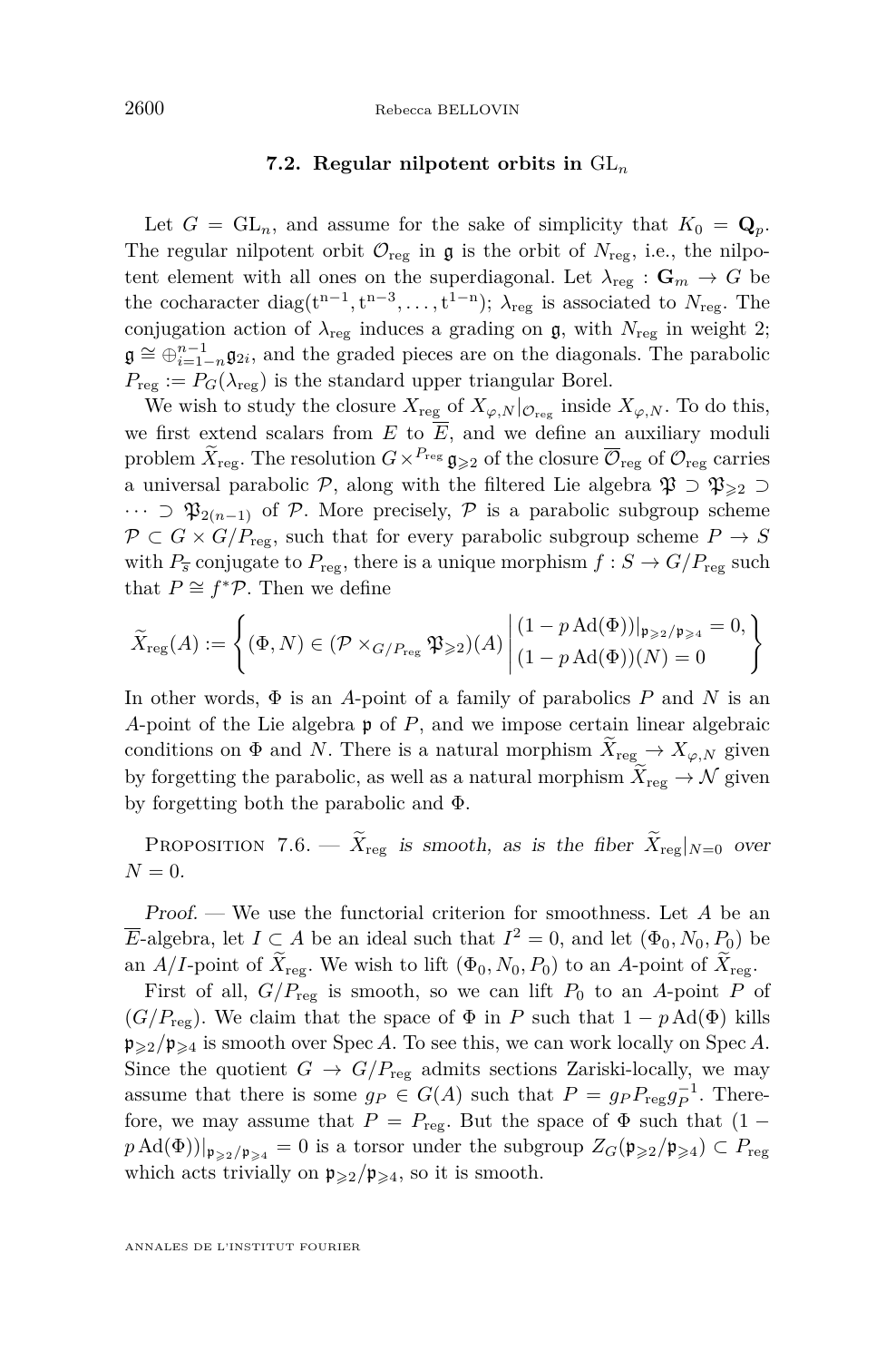#### **7.2. Regular nilpotent orbits in** GL*<sup>n</sup>*

Let  $G = GL_n$ , and assume for the sake of simplicity that  $K_0 = \mathbf{Q}_p$ . The regular nilpotent orbit  $\mathcal{O}_{reg}$  in  $\mathfrak g$  is the orbit of  $N_{reg}$ , i.e., the nilpotent element with all ones on the superdiagonal. Let  $\lambda_{reg} : \mathbf{G}_m \to G$  be the cocharacter diag( $t^{n-1}, t^{n-3}, \ldots, t^{1-n}$ );  $\lambda_{reg}$  is associated to  $N_{reg}$ . The conjugation action of  $\lambda_{\text{reg}}$  induces a grading on  $\mathfrak{g}$ , with  $N_{\text{reg}}$  in weight 2;  $\mathfrak{g} \cong \bigoplus_{i=1}^{n-1} \mathfrak{g}_{2i}$ , and the graded pieces are on the diagonals. The parabolic  $P_{\text{reg}} := P_G(\lambda_{\text{reg}})$  is the standard upper triangular Borel.

We wish to study the closure  $X_{\text{reg}}$  of  $X_{\varphi,N}|_{\mathcal{O}_{\text{reg}}}$  inside  $X_{\varphi,N}$ . To do this, we first extend scalars from  $E$  to  $\overline{E}$ , and we define an auxiliary moduli problem  $\widetilde{X}_{\text{reg}}$ . The resolution  $G \times^{P_{\text{reg}}} \mathfrak{g}_{\geqslant 2}$  of the closure  $\overline{\mathcal{O}}_{\text{reg}}$  of  $\mathcal{O}_{\text{reg}}$  carries a universal parabolic P, along with the filtered Lie algebra  $\mathfrak{P} \supset \mathfrak{P}_{\geq 2} \supset$  $\cdots$  ⊃  $\mathfrak{P}_{2(n-1)}$  of P. More precisely, P is a parabolic subgroup scheme  $P \subset G \times G/P_{\text{rec}}$ , such that for every parabolic subgroup scheme  $P \to S$ with  $P_{\overline{s}}$  conjugate to  $P_{\text{reg}}$ , there is a unique morphism  $f : S \to G/P_{\text{reg}}$  such that  $P \cong f^* \mathcal{P}$ . Then we define

$$
\widetilde{X}_{\text{reg}}(A) := \left\{ (\Phi, N) \in (\mathcal{P} \times_{G/P_{\text{reg}}} \mathfrak{P}_{\geqslant 2})(A) \middle| \begin{aligned} (1 - p \operatorname{Ad}(\Phi))|_{\mathfrak{p}_{\geqslant 2}/\mathfrak{p}_{\geqslant 4}} = 0, \\ (1 - p \operatorname{Ad}(\Phi))(N) = 0 \end{aligned} \right\}
$$

In other words, Φ is an *A*-point of a family of parabolics *P* and *N* is an *A*-point of the Lie algebra p of *P*, and we impose certain linear algebraic conditions on  $\Phi$  and *N*. There is a natural morphism  $X_{reg} \to X_{\varphi,N}$  given by forgetting the parabolic, as well as a natural morphism  $X_{reg} \to \mathcal{N}$  given by forgetting both the parabolic and Φ.

PROPOSITION 7.6. —  $\widetilde{X}_{\text{reg}}$  is smooth, as is the fiber  $\widetilde{X}_{\text{reg}}|_{N=0}$  over  $N = 0$ .

Proof. — We use the functorial criterion for smoothness. Let *A* be an *E*-algebra, let  $I \subset A$  be an ideal such that  $I^2 = 0$ , and let  $(\Phi_0, N_0, P_0)$  be an *A/I*-point of  $\widetilde{X}_{\text{reg}}$ . We wish to lift  $(\Phi_0, N_0, P_0)$  to an *A*-point of  $X_{\text{reg}}$ .

First of all,  $G/P_{\text{reg}}$  is smooth, so we can lift  $P_0$  to an A-point P of  $(G/P_{\text{reg}})$ . We claim that the space of  $\Phi$  in *P* such that  $1 - p \text{Ad}(\Phi)$  kills  $\mathfrak{p}_{\geq 2}/\mathfrak{p}_{\geq 4}$  is smooth over Spec *A*. To see this, we can work locally on Spec *A*. Since the quotient  $G \to G/P_{\text{reg}}$  admits sections Zariski-locally, we may assume that there is some  $g_P \in G(A)$  such that  $P = g_P P_{reg} g_P^{-1}$ . Therefore, we may assume that  $P = P_{\text{reg}}$ . But the space of  $\Phi$  such that  $(1$  $p \text{Ad}(\Phi)$ |<sub>P>2</sub>/<sub>P>4</sub> = 0 is a torsor under the subgroup  $Z_G(\mathfrak{p}_{\geqslant 2}/\mathfrak{p}_{\geqslant 4}) \subset P_{\text{reg}}$ which acts trivially on  $\mathfrak{p}_{\geqslant 2}/\mathfrak{p}_{\geqslant 4}$ , so it is smooth.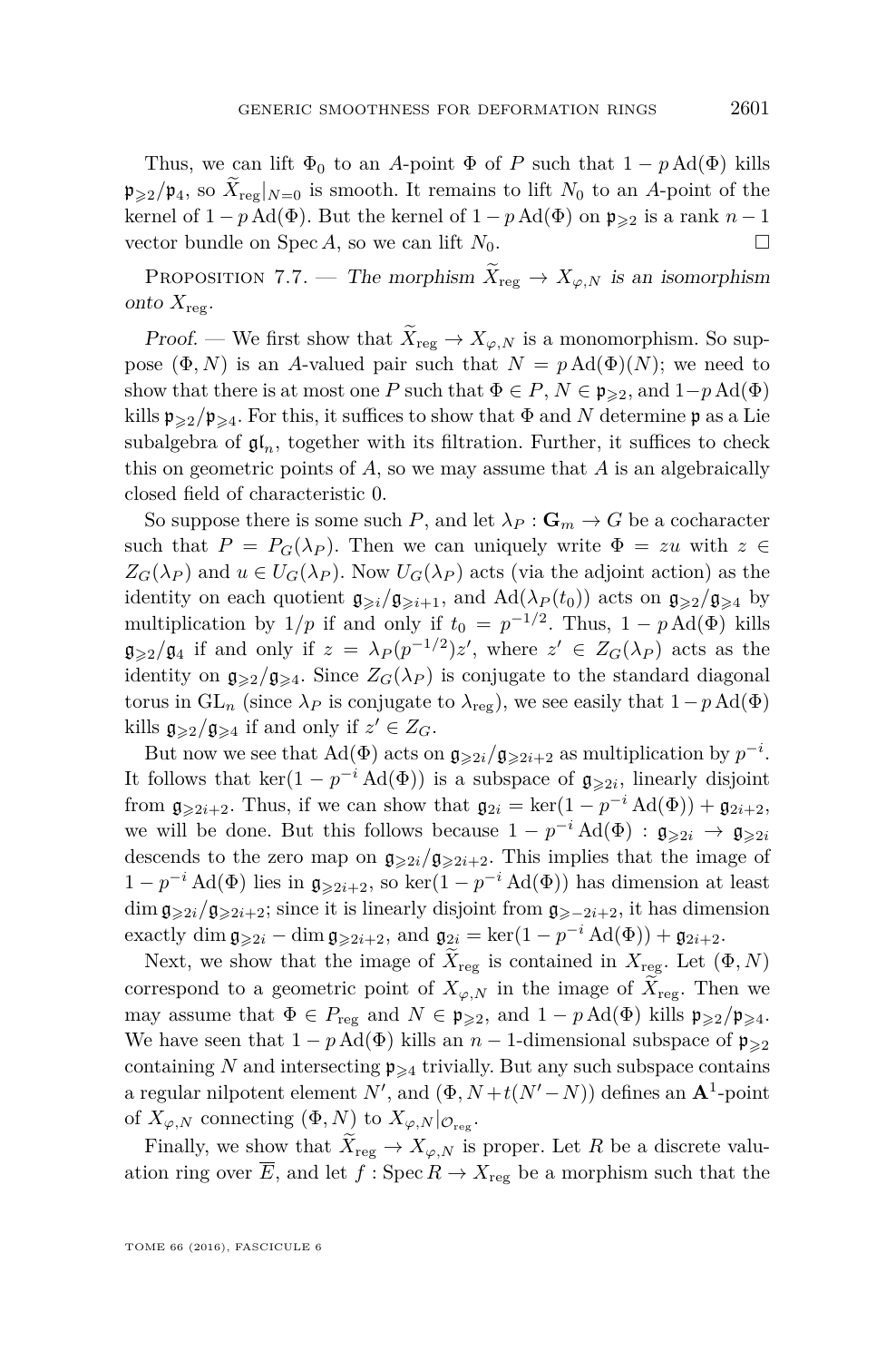Thus, we can lift  $\Phi_0$  to an *A*-point  $\Phi$  of *P* such that  $1 - p \text{Ad}(\Phi)$  kills  $\mathfrak{p}_{\geq 2}/\mathfrak{p}_4$ , so  $\bar{X}_{\text{rec}}|_{N=0}$  is smooth. It remains to lift  $N_0$  to an A-point of the kernel of  $1 - p \text{Ad}(\Phi)$ . But the kernel of  $1 - p \text{Ad}(\Phi)$  on  $\mathfrak{p}_{\geqslant 2}$  is a rank  $n - 1$ vector bundle on Spec *A*, so we can lift  $N_0$ .

PROPOSITION 7.7. — The morphism  $\widetilde{X}_{reg} \to X_{\varphi,N}$  is an isomorphism onto  $X_{\text{reg}}$ .

Proof. — We first show that  $\widetilde{X}_{reg} \to X_{\varphi,N}$  is a monomorphism. So suppose  $(\Phi, N)$  is an *A*-valued pair such that  $N = p \text{Ad}(\Phi)(N)$ ; we need to show that there is at most one *P* such that  $\Phi \in P$ ,  $N \in \mathfrak{p}_{\geq 2}$ , and  $1-p \text{Ad}(\Phi)$ kills  $\mathfrak{p}_{\geq 2}/\mathfrak{p}_{\geq 4}$ . For this, it suffices to show that  $\Phi$  and  $N$  determine  $\mathfrak{p}$  as a Lie subalgebra of  $\mathfrak{gl}_n$ , together with its filtration. Further, it suffices to check this on geometric points of *A*, so we may assume that *A* is an algebraically closed field of characteristic 0.

So suppose there is some such *P*, and let  $\lambda_P : \mathbf{G}_m \to G$  be a cocharacter such that  $P = P_G(\lambda_P)$ . Then we can uniquely write  $\Phi = zu$  with  $z \in$  $Z_G(\lambda_P)$  and  $u \in U_G(\lambda_P)$ . Now  $U_G(\lambda_P)$  acts (via the adjoint action) as the identity on each quotient  $g_{\geq i}/g_{\geq i+1}$ , and  $\text{Ad}(\lambda_P(t_0))$  acts on  $g_{\geq 2}/g_{\geq 4}$  by multiplication by  $1/p$  if and only if  $t_0 = p^{-1/2}$ . Thus,  $1 - p \text{Ad}(\Phi)$  kills  $\mathfrak{g}_{\geqslant2}/\mathfrak{g}_4$  if and only if  $z = \lambda_P(p^{-1/2})z'$ , where  $z' \in Z_G(\lambda_P)$  acts as the identity on  $g_{\geq 2}/g_{\geq 4}$ . Since  $Z_G(\lambda_P)$  is conjugate to the standard diagonal torus in  $GL_n$  (since  $\lambda_P$  is conjugate to  $\lambda_{reg}$ ), we see easily that  $1-p \text{Ad}(\Phi)$ kills  $\mathfrak{g}_{\geqslant 2}/\mathfrak{g}_{\geqslant 4}$  if and only if  $z' \in Z_G$ .

But now we see that  $\text{Ad}(\Phi)$  acts on  $\mathfrak{g}_{\geqslant 2i}/\mathfrak{g}_{\geqslant 2i+2}$  as multiplication by  $p^{-i}$ . It follows that ker(1 –  $p^{-i}$  Ad( $\Phi$ )) is a subspace of  $\mathfrak{g}_{\geqslant 2i}$ , linearly disjoint from  $\mathfrak{g}_{\geqslant 2i+2}$ . Thus, if we can show that  $\mathfrak{g}_{2i} = \ker(1 - p^{-i} \operatorname{Ad}(\Phi)) + \mathfrak{g}_{2i+2}$ , we will be done. But this follows because  $1 - p^{-i} \text{Ad}(\Phi) : \mathfrak{g}_{\geqslant 2i} \to \mathfrak{g}_{\geqslant 2i}$ descends to the zero map on  $\mathfrak{g}_{\geqslant 2i}/\mathfrak{g}_{\geqslant 2i+2}$ . This implies that the image of  $1 - p^{-i}$  Ad(Φ) lies in  $\mathfrak{g}_{\geqslant 2i+2}$ , so ker( $1 - p^{-i}$  Ad(Φ)) has dimension at least dim  $\mathfrak{g}_{\geqslant2i}/\mathfrak{g}_{\geqslant2i+2}$ ; since it is linearly disjoint from  $\mathfrak{g}_{\geqslant2i+2}$ , it has dimension exactly dim  $\mathfrak{g}_{\geqslant 2i}$  – dim  $\mathfrak{g}_{\geqslant 2i+2}$ , and  $\mathfrak{g}_{2i} = \ker(1 - p^{-i} \operatorname{Ad}(\Phi)) + \mathfrak{g}_{2i+2}$ .

Next, we show that the image of  $X_{reg}$  is contained in  $X_{reg}$ . Let  $(\Phi, N)$ correspond to a geometric point of  $X_{\varphi,N}$  in the image of  $\tilde{X}_{reg}$ . Then we may assume that  $\Phi \in P_{\text{reg}}$  and  $N \in \mathfrak{p}_{\geqslant 2}$ , and  $1 - p \text{Ad}(\Phi)$  kills  $\mathfrak{p}_{\geqslant 2}/\mathfrak{p}_{\geqslant 4}$ . We have seen that  $1 - p \text{Ad}(\Phi)$  kills an  $n - 1$ -dimensional subspace of  $\mathfrak{p}_{\geq 2}$ containing N and intersecting  $\mathfrak{p}_{\geq 4}$  trivially. But any such subspace contains a regular nilpotent element  $N'$ , and  $(\Phi, N + t(N' - N))$  defines an  $\mathbf{A}^1$ -point of  $X_{\varphi,N}$  connecting  $(\Phi, N)$  to  $X_{\varphi,N}|_{\mathcal{O}_{reg}}$ .

Finally, we show that  $\widetilde{X}_{reg} \to X_{\varphi,N}$  is proper. Let R be a discrete valuation ring over *E*, and let  $f : \text{Spec } R \to X_{\text{reg}}$  be a morphism such that the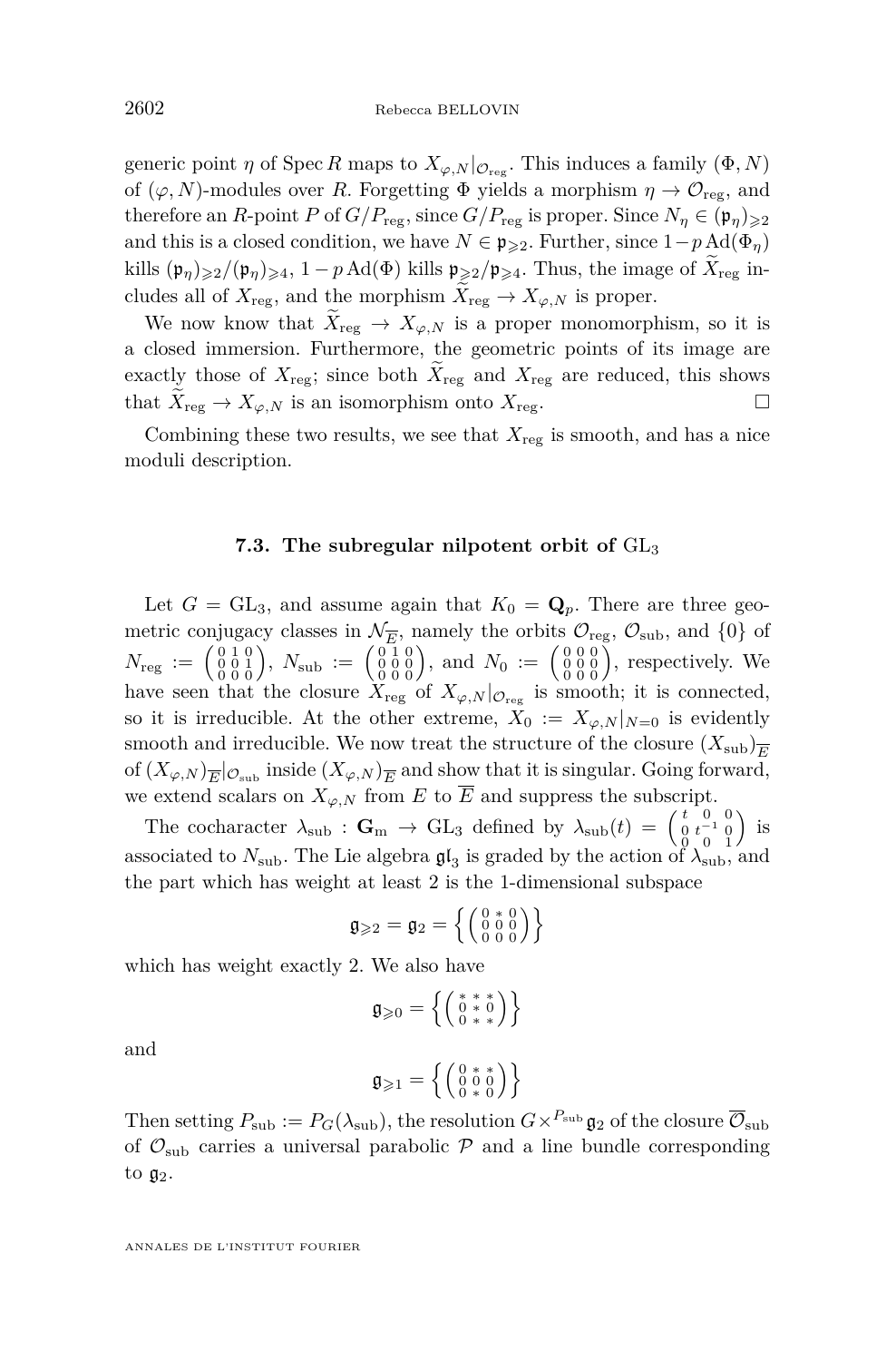generic point *η* of Spec *R* maps to  $X_{\varphi,N}|_{\mathcal{O}_{reg}}$ . This induces a family  $(\Phi, N)$ of  $(\varphi, N)$ -modules over *R*. Forgetting  $\Phi$  yields a morphism  $\eta \to \mathcal{O}_{reg}$ , and therefore an *R*-point *P* of  $G/P_{\text{reg}}$ , since  $G/P_{\text{reg}}$  is proper. Since  $N_{\eta} \in (\mathfrak{p}_{\eta})_{\geqslant 2}$ and this is a closed condition, we have  $N \in \mathfrak{p}_{\geqslant 2}$ . Further, since  $1-p \text{Ad}(\Phi_{\eta})$ kills  $(\mathfrak{p}_{\eta})_{\geqslant2}/(\mathfrak{p}_{\eta})_{\geqslant4}$ ,  $1-p \text{Ad}(\Phi)$  kills  $\mathfrak{p}_{\geqslant2}/\mathfrak{p}_{\geqslant4}$ . Thus, the image of  $X_{\text{reg}}$  includes all of  $X_{\text{reg}}$ , and the morphism  $\widetilde{X}_{\text{reg}} \to X_{\varphi,N}$  is proper.

We now know that  $\widetilde{X}_{reg} \to X_{\varphi,N}$  is a proper monomorphism, so it is a closed immersion. Furthermore, the geometric points of its image are exactly those of  $X_{\text{reg}}$ ; since both  $\widetilde{X}_{\text{reg}}$  and  $X_{\text{reg}}$  are reduced, this shows that  $\widetilde{X}_{\text{reg}} \to X_{\infty}$  is an isomorphism onto  $X_{\text{reg}}$ . that  $X_{reg} \to X_{\varphi,N}$  is an isomorphism onto  $X_{reg}$ .

Combining these two results, we see that  $X_{\text{reg}}$  is smooth, and has a nice moduli description.

#### **7.3. The subregular nilpotent orbit of** GL<sup>3</sup>

<span id="page-38-0"></span>Let  $G = GL_3$ , and assume again that  $K_0 = \mathbf{Q}_p$ . There are three geometric conjugacy classes in  $\mathcal{N}_{\overline{E}}$ , namely the orbits  $\mathcal{O}_{reg}$ ,  $\mathcal{O}_{sub}$ , and  $\{0\}$  of  $N_{\text{reg}} := \begin{pmatrix} 0 & 1 & 0 \ 0 & 0 & 1 \ 0 & 0 & 0 \end{pmatrix}$ ,  $N_{\text{sub}} := \begin{pmatrix} 0 & 1 & 0 \ 0 & 0 & 0 \ 0 & 0 & 0 \end{pmatrix}$ , and  $N_0 := \begin{pmatrix} 0 & 0 & 0 \ 0 & 0 & 0 \ 0 & 0 & 0 \end{pmatrix}$ , respectively. We have seen that the closure  $X_{\text{reg}}$  of  $X_{\varphi,N}|_{\mathcal{O}_{\text{reg}}}$  is smooth; it is connected, so it is irreducible. At the other extreme,  $X_0 := X_{\varphi,N}|_{N=0}$  is evidently smooth and irreducible. We now treat the structure of the closure  $(X_{sub})_{\overline{F}}$ of  $(X_{\varphi,N})_{\overline{E}}|_{\mathcal{O}_{\text{sub}}}$  inside  $(X_{\varphi,N})_{\overline{E}}$  and show that it is singular. Going forward, we extend scalars on  $X_{\varphi,N}$  from *E* to  $\overline{E}$  and suppress the subscript.

The cocharacter  $\lambda_{sub}$ : **G**<sub>m</sub>  $\rightarrow$  GL<sub>3</sub> defined by  $\lambda_{sub}(t) = \begin{pmatrix} t & 0 & 0 \\ 0 & t^{-1} & 0 \\ 0 & 0 & 1 \end{pmatrix}$  $\big)$  is associated to  $N_{\rm sub}$ . The Lie algebra  $\mathfrak{gl}_3$  is graded by the action of  $\lambda_{\rm sub}$ , and the part which has weight at least 2 is the 1-dimensional subspace

$$
\mathfrak{g}_{\geqslant2}=\mathfrak{g}_2=\left\{\left(\begin{smallmatrix}0 & * & 0\\ 0 & 0 & 0\\ 0 & 0 & 0\end{smallmatrix}\right)\right\}
$$

which has weight exactly 2. We also have

$$
\mathfrak{g}_{\geqslant 0} = \left\{ \left( \begin{smallmatrix} * & * & * \\ 0 & * & 0 \\ 0 & * & * \end{smallmatrix} \right) \right\}
$$

and

$$
\mathfrak{g}_{\geqslant 1}=\left\{\left(\begin{smallmatrix}0 & * & * \\ 0 & 0 & 0 \\ 0 & * & 0\end{smallmatrix}\right)\right\}
$$

Then setting  $P_{sub} := P_G(\lambda_{sub})$ , the resolution  $G \times^{P_{sub}} \mathfrak{g}_2$  of the closure  $\overline{\mathcal{O}}_{sub}$ of  $\mathcal{O}_{sub}$  carries a universal parabolic  $\mathcal P$  and a line bundle corresponding to  $\mathfrak{g}_2$ .

ANNALES DE L'INSTITUT FOURIER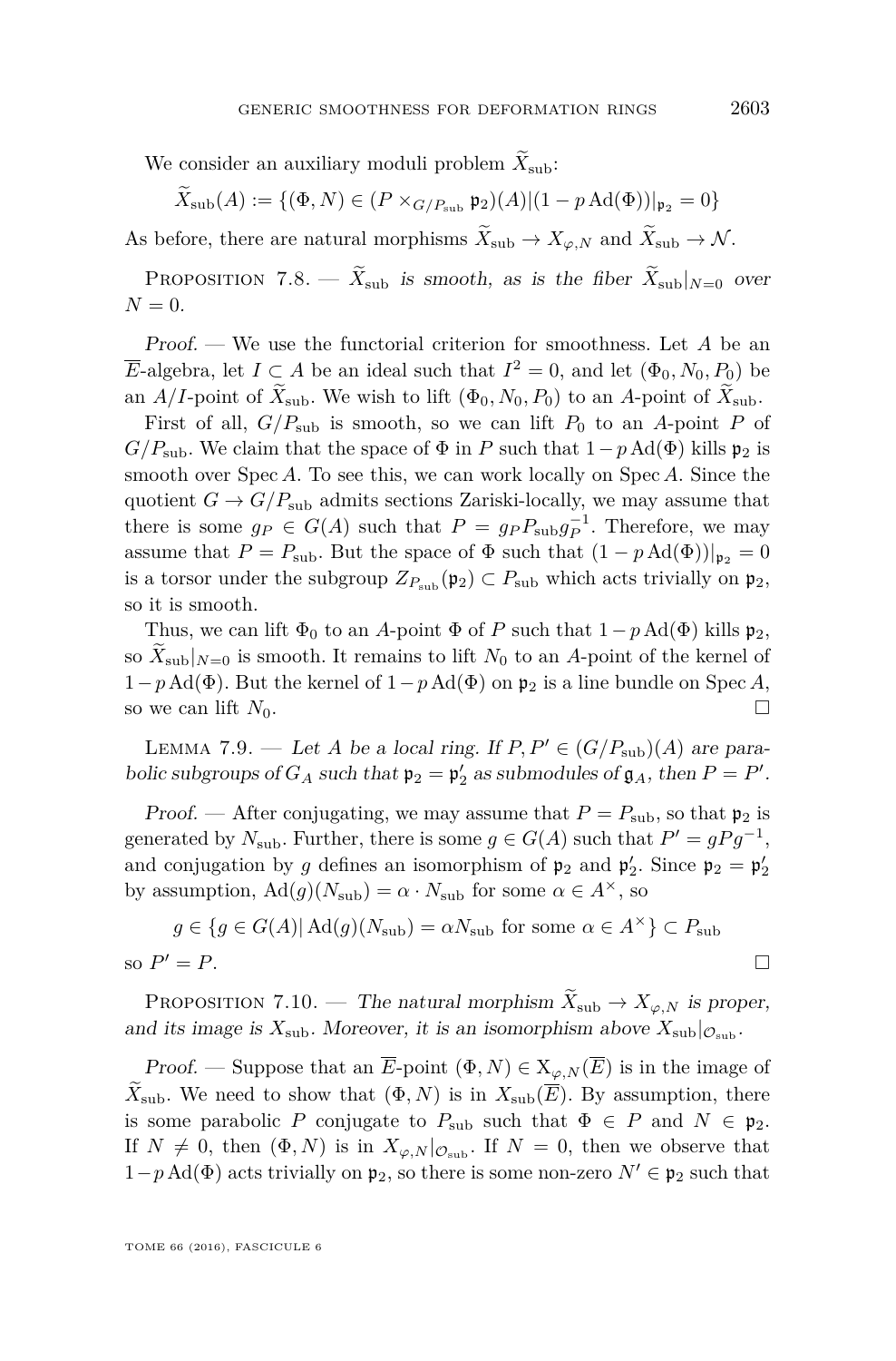We consider an auxiliary moduli problem  $\widetilde{X}_{sub}$ :

 $\widetilde{X}_{sub}(A) := \{ (\Phi, N) \in (P \times_{G/P_{sub}} \mathfrak{p}_2)(A) | (1 - p \operatorname{Ad}(\Phi))|_{\mathfrak{p}_2} = 0 \}$ 

As before, there are natural morphisms  $\widetilde{X}_{sub} \to X_{\varphi N}$  and  $\widetilde{X}_{sub} \to \mathcal{N}$ .

PROPOSITION 7.8. —  $\widetilde{X}_{sub}$  is smooth, as is the fiber  $\widetilde{X}_{sub}|_{N=0}$  over  $N = 0$ .

Proof. — We use the functorial criterion for smoothness. Let *A* be an *E*-algebra, let  $I \subset A$  be an ideal such that  $I^2 = 0$ , and let  $(\Phi_0, N_0, P_0)$  be an *A/I*-point of  $\widetilde{X}_{sub}$ . We wish to lift  $(\Phi_0, N_0, P_0)$  to an *A*-point of  $\widetilde{X}_{sub}$ .

First of all,  $G/P_{sub}$  is smooth, so we can lift  $P_0$  to an A-point P of *G/P*<sub>sub</sub>. We claim that the space of  $\Phi$  in *P* such that  $1-p \text{Ad}(\Phi)$  kills  $\mathfrak{p}_2$  is smooth over Spec *A*. To see this, we can work locally on Spec *A*. Since the quotient  $G \to G/P_{sub}$  admits sections Zariski-locally, we may assume that there is some  $g_P \in G(A)$  such that  $P = g_P P_{\text{sub}} g_P^{-1}$ . Therefore, we may assume that  $P = P_{\text{sub}}$ . But the space of  $\Phi$  such that  $(1 - p \text{Ad}(\Phi))|_{\mathfrak{p}_2} = 0$ is a torsor under the subgroup  $Z_{P_{sub}}(\mathfrak{p}_2) \subset P_{sub}$  which acts trivially on  $\mathfrak{p}_2$ , so it is smooth.

Thus, we can lift  $\Phi_0$  to an *A*-point  $\Phi$  of *P* such that  $1-p \text{Ad}(\Phi)$  kills  $\mathfrak{p}_2$ , so  $X_{\text{sub}}|_{N=0}$  is smooth. It remains to lift  $N_0$  to an A-point of the kernel of  $1-p \text{Ad}(\Phi)$ . But the kernel of  $1-p \text{Ad}(\Phi)$  on  $\mathfrak{p}_2$  is a line bundle on Spec *A*, so we can lift  $N_0$ .

<span id="page-39-0"></span>LEMMA 7.9. — Let *A* be a local ring. If  $P, P' \in (G/P_{sub})(A)$  are parabolic subgroups of  $G_A$  such that  $\mathfrak{p}_2 = \mathfrak{p}'_2$  as submodules of  $\mathfrak{g}_A$ , then  $P = P'$ .

*Proof.* — After conjugating, we may assume that  $P = P_{sub}$ , so that  $\mathfrak{p}_2$  is generated by  $N_{\text{sub}}$ . Further, there is some  $g \in G(A)$  such that  $P' = gPg^{-1}$ , and conjugation by *g* defines an isomorphism of  $\mathfrak{p}_2$  and  $\mathfrak{p}'_2$ . Since  $\mathfrak{p}_2 = \mathfrak{p}'_2$ by assumption,  $\text{Ad}(g)(N_{\text{sub}}) = \alpha \cdot N_{\text{sub}}$  for some  $\alpha \in A^{\times}$ , so

$$
g \in \{g \in G(A) | Ad(g)(N_{\text{sub}}) = \alpha N_{\text{sub}} \text{ for some } \alpha \in A^{\times} \} \subset P_{\text{sub}}
$$
  
so  $P' = P$ .

PROPOSITION 7.10. — The natural morphism  $\widetilde{X}_{sub} \to X_{\varphi, N}$  is proper, and its image is  $X_{sub}$ . Moreover, it is an isomorphism above  $X_{sub}|_{\mathcal{O}_{sub}}$ .

Proof. — Suppose that an  $\overline{E}$ -point  $(\Phi, N) \in X_{\varphi, N}(\overline{E})$  is in the image of  $X_{sub}$ . We need to show that  $(\Phi, N)$  is in  $X_{sub}(\overline{E})$ . By assumption, there is some parabolic *P* conjugate to  $P_{\text{sub}}$  such that  $\Phi \in P$  and  $N \in \mathfrak{p}_2$ . If  $N \neq 0$ , then  $(\Phi, N)$  is in  $X_{\varphi, N}|_{\mathcal{O}_{sub}}$ . If  $N = 0$ , then we observe that  $1-p \text{Ad}(\Phi)$  acts trivially on  $\mathfrak{p}_2$ , so there is some non-zero  $N' \in \mathfrak{p}_2$  such that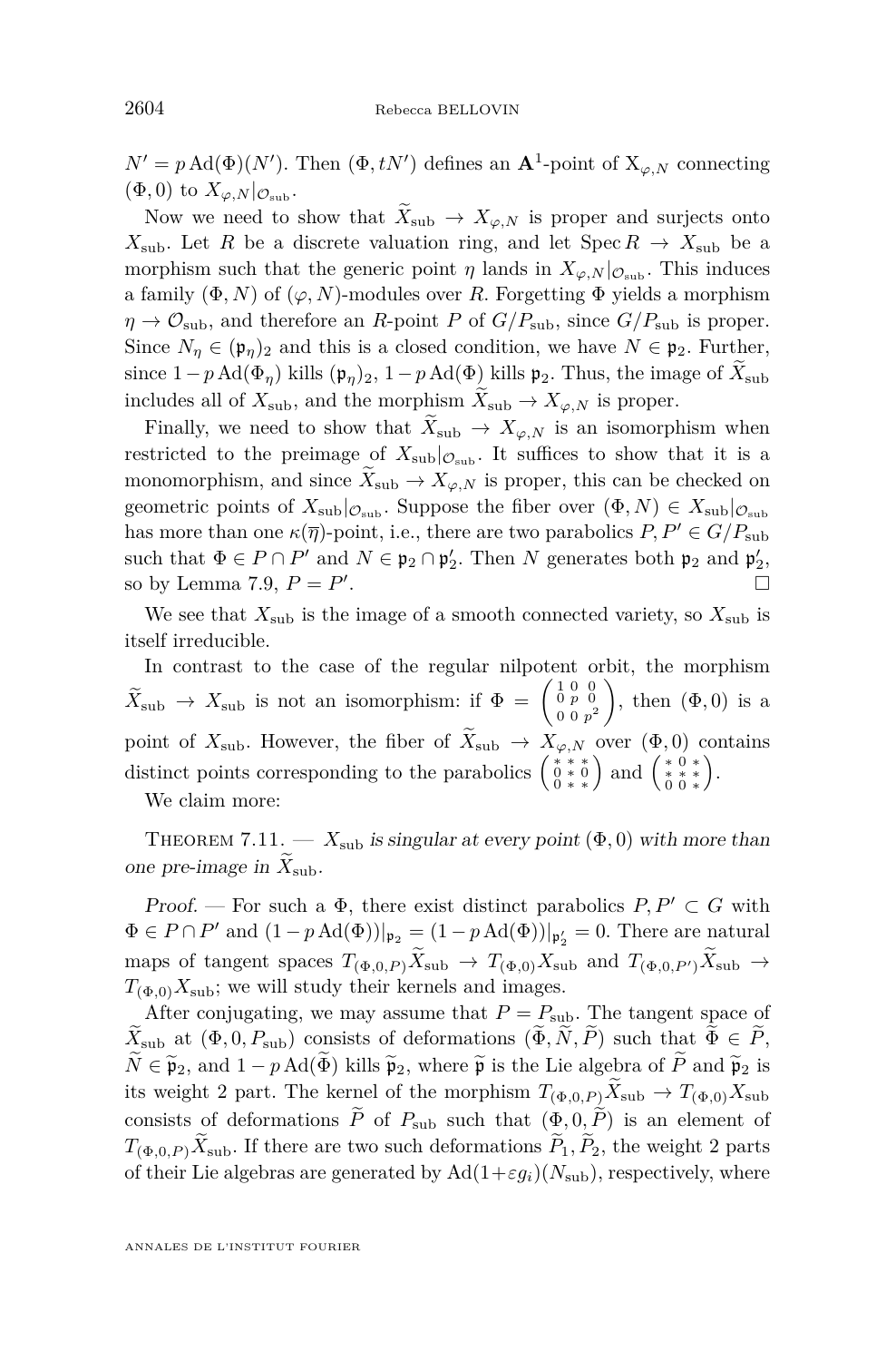$N' = p \text{ Ad}(\Phi)(N')$ . Then  $(\Phi, tN')$  defines an  $\mathbf{A}^1$ -point of  $X_{\varphi, N}$  connecting  $(\Phi, 0)$  to  $X_{\varphi, N}|_{\mathcal{O}_{\text{sub}}}$ .

Now we need to show that  $\widetilde{X}_{sub} \to X_{\varphi,N}$  is proper and surjects onto *X*<sub>sub</sub>. Let *R* be a discrete valuation ring, and let  $Spec R \rightarrow X_{sub}$  be a morphism such that the generic point *η* lands in  $X_{\varphi,N}|_{\mathcal{O}_{\text{sub}}}$ . This induces a family  $(\Phi, N)$  of  $(\varphi, N)$ -modules over *R*. Forgetting  $\Phi$  yields a morphism  $\eta \rightarrow \mathcal{O}_{sub}$ , and therefore an *R*-point *P* of  $G/P_{sub}$ , since  $G/P_{sub}$  is proper. Since  $N_{\eta} \in (\mathfrak{p}_{\eta})_2$  and this is a closed condition, we have  $N \in \mathfrak{p}_2$ . Further, since  $1-p \text{Ad}(\Phi_{\eta})$  kills  $(\mathfrak{p}_{\eta})_2$ ,  $1-p \text{Ad}(\Phi)$  kills  $\mathfrak{p}_2$ . Thus, the image of  $\widetilde{X}_{\text{sub}}$ includes all of  $X_{sub}$ , and the morphism  $\widetilde{X}_{sub} \to X_{\varphi,N}$  is proper.

Finally, we need to show that  $X_{sub} \rightarrow X_{\varphi,N}$  is an isomorphism when restricted to the preimage of  $X_{sub}|_{\mathcal{O}_{sub}}$ . It suffices to show that it is a monomorphism, and since  $\widetilde{X}_{sub} \to X_{\varphi,N}$  is proper, this can be checked on geometric points of  $X_{sub}|_{\mathcal{O}_{sub}}$ . Suppose the fiber over  $(\Phi, N) \in X_{sub}|_{\mathcal{O}_{sub}}$ has more than one  $\kappa(\overline{\eta})$ -point, i.e., there are two parabolics  $P, P' \in G/P_{sub}$ such that  $\Phi \in P \cap P'$  and  $N \in \mathfrak{p}_2 \cap \mathfrak{p}'_2$ . Then *N* generates both  $\mathfrak{p}_2$  and  $\mathfrak{p}'_2$ , so by Lemma [7.9,](#page-39-0)  $P = P'$ .

We see that  $X_{sub}$  is the image of a smooth connected variety, so  $X_{sub}$  is itself irreducible.

In contrast to the case of the regular nilpotent orbit, the morphism  $\widetilde{X}_{\text{sub}} \rightarrow X_{\text{sub}}$  is not an isomorphism: if  $\Phi = \begin{pmatrix} 1 & 0 & 0 \\ 0 & p & 0 \\ 0 & 0 & p^2 \end{pmatrix}$  $0 \; 0 \; p^2$ ), then  $(\Phi, 0)$  is a point of  $X_{sub}$ . However, the fiber of  $\widetilde{X}_{sub} \rightarrow X_{\varphi,N}$  over  $(\Phi, 0)$  contains distinct points corresponding to the parabolics  $\begin{pmatrix} * & * & * \\ 0 & * & * \\ 0 & * & * \end{pmatrix}$  and  $\begin{pmatrix} * & 0 & * \\ * & * & * \\ * & * & * \end{pmatrix}$ .

We claim more:

<span id="page-40-0"></span>THEOREM 7.11. —  $X_{sub}$  is singular at every point  $(\Phi, 0)$  with more than one pre-image in  $X_{\text{sub}}$ .

Proof. — For such a  $\Phi$ , there exist distinct parabolics  $P, P' \subset G$  with  $\Phi \in P \cap P'$  and  $(1 - p \operatorname{Ad}(\Phi))|_{\mathfrak{p}_2} = (1 - p \operatorname{Ad}(\Phi))|_{\mathfrak{p}_2'} = 0$ . There are natural maps of tangent spaces  $T_{(\Phi,0,P)}\widetilde{X}_{\text{sub}} \to T_{(\Phi,0)}X_{\text{sub}}$  and  $T_{(\Phi,0,P')}\widetilde{X}_{\text{sub}} \to$  $T_{(\Phi,0)}X_{\text{sub}}$ ; we will study their kernels and images.

After conjugating, we may assume that  $P = P_{\text{sub}}$ . The tangent space of  $\widetilde{X}_{\text{sub}}$  at  $(\Phi, 0, P_{\text{sub}})$  consists of deformations  $(\widetilde{\Phi}, \widetilde{N}, \widetilde{P})$  such that  $\widetilde{\Phi} \in \widetilde{P}$ ,  $\widetilde{N} \in \widetilde{\mathfrak{p}}_2$ , and  $1 - p \text{Ad}(\widetilde{\Phi})$  kills  $\widetilde{\mathfrak{p}}_2$ , where  $\widetilde{\mathfrak{p}}$  is the Lie algebra of  $\widetilde{P}$  and  $\widetilde{\mathfrak{p}}_2$  is its weight 2 part. The kernel of the morphism  $T_{(\Phi,0,P)}\tilde{X}_{\text{sub}} \to T_{(\Phi,0)}X_{\text{sub}}$ consists of deformations  $\tilde{P}$  of  $P_{sub}$  such that  $(\Phi, 0, \tilde{P})$  is an element of  $T_{(\Phi,0,P)}\widetilde{X}_{\text{sub}}$ . If there are two such deformations  $\widetilde{P}_1, \widetilde{P}_2$ , the weight 2 parts of their Lie algebras are generated by  $\text{Ad}(1+\varepsilon g_i)(N_{\text{sub}})$ , respectively, where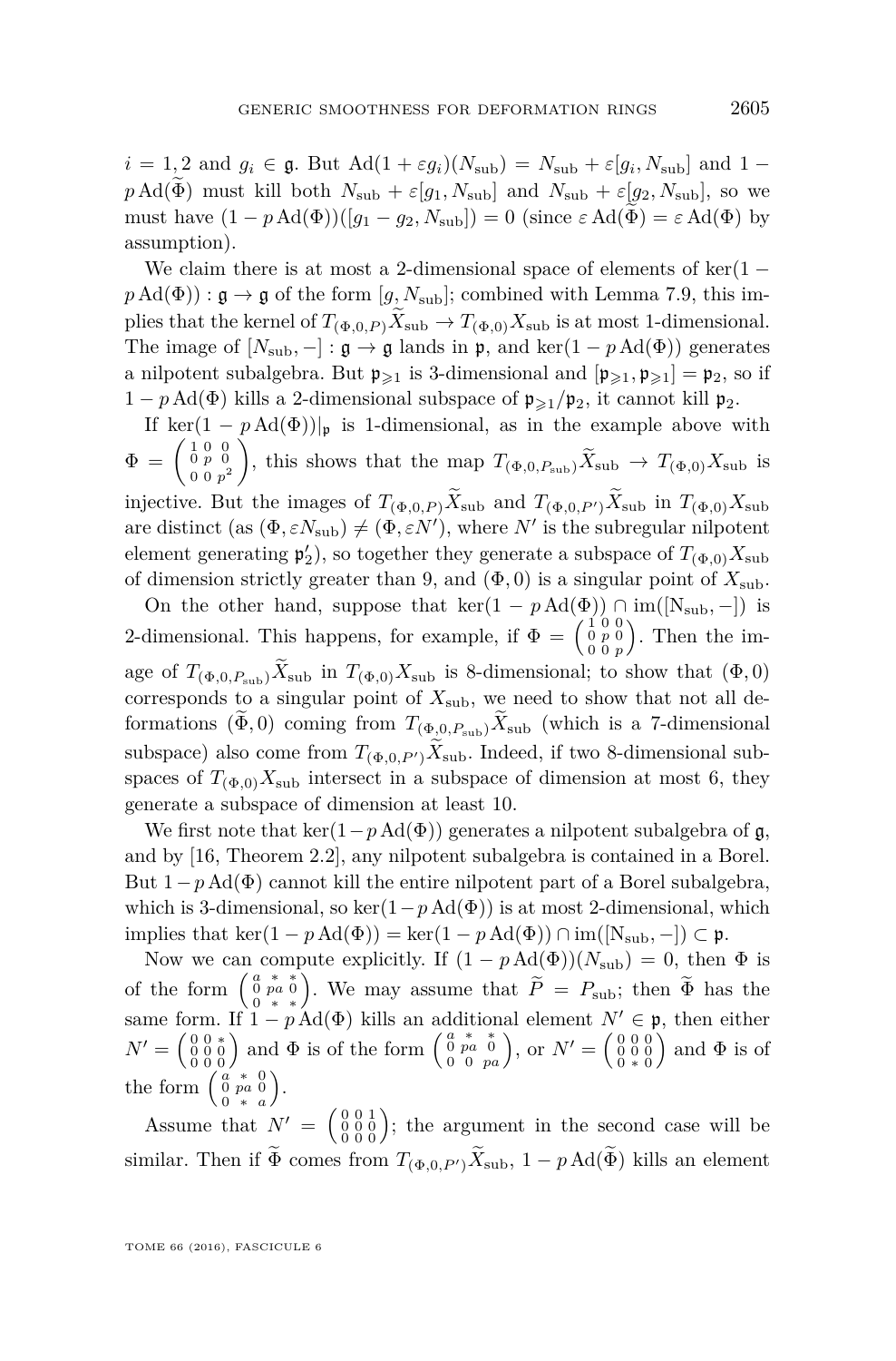$i = 1, 2$  and  $g_i \in \mathfrak{g}$ . But  $\text{Ad}(1 + \varepsilon g_i)(N_{\text{sub}}) = N_{\text{sub}} + \varepsilon [g_i, N_{\text{sub}}]$  and  $1$  $p \text{Ad}(\widetilde{\Phi})$  must kill both  $N_{\text{sub}} + \varepsilon [g_1, N_{\text{sub}}]$  and  $N_{\text{sub}} + \varepsilon [g_2, N_{\text{sub}}]$ , so we must have  $(1 - p \text{Ad}(\Phi))([g_1 - g_2, N_{sub}]) = 0$  (since  $\varepsilon \text{Ad}(\widetilde{\Phi}) = \varepsilon \text{Ad}(\Phi)$  by assumption).

We claim there is at most a 2-dimensional space of elements of  $\ker(1$  $p \text{Ad}(\Phi)$ ) :  $\mathfrak{g} \to \mathfrak{g}$  of the form [*g, N*<sub>sub</sub>]; combined with Lemma [7.9,](#page-39-0) this implies that the kernel of  $T_{(\Phi,0,P)}X_{\text{sub}} \to T_{(\Phi,0)}X_{\text{sub}}$  is at most 1-dimensional. The image of  $[N_{sub}, -] : \mathfrak{g} \to \mathfrak{g}$  lands in  $\mathfrak{p}$ , and ker $(1 - p \text{Ad}(\Phi))$  generates a nilpotent subalgebra. But  $\mathfrak{p}_{\geqslant1}$  is 3-dimensional and  $[\mathfrak{p}_{\geqslant1}, \mathfrak{p}_{\geqslant1}] = \mathfrak{p}_2$ , so if  $1 - p \text{Ad}(\Phi)$  kills a 2-dimensional subspace of  $\mathfrak{p}_{\geq 1}/\mathfrak{p}_2$ , it cannot kill  $\mathfrak{p}_2$ .

If ker(1 –  $p \text{Ad}(\Phi)$ )|<sub>p</sub> is 1-dimensional, as in the example above with  $\Phi = \left(\begin{smallmatrix} 1 & 0 & 0 \ 0 & p & 0 \ 0 & 0 & 0 \end{smallmatrix}\right)$  $0 \; 0 \; p^2$ ), this shows that the map  $T_{(\Phi,0,P_{\text{sub}})}\widetilde{X}_{\text{sub}} \to T_{(\Phi,0)}X_{\text{sub}}$  is injective. But the images of  $T_{(\Phi,0,P)}\widetilde{X}_{\text{sub}}$  and  $T_{(\Phi,0,P')}\widetilde{X}_{\text{sub}}$  in  $T_{(\Phi,0)}X_{\text{sub}}$ are distinct  $(\text{as } (\Phi, \varepsilon N_{\text{sub}}) \neq (\Phi, \varepsilon N')$ , where *N'* is the subregular nilpotent element generating  $\mathfrak{p}'_2$ ), so together they generate a subspace of  $T_{(\Phi,0)}X_{\text{sub}}$ of dimension strictly greater than 9, and  $(\Phi, 0)$  is a singular point of  $X_{\text{sub}}$ .

On the other hand, suppose that  $\ker(1 - p \text{Ad}(\Phi)) \cap \text{im}([N_{sub}, -])$  is 2-dimensional. This happens, for example, if  $\Phi = \begin{pmatrix} 1 & 0 & 0 \\ 0 & p & 0 \\ 0 & 0 & p \end{pmatrix}$  . Then the image of  $T_{(\Phi,0,P_{\text{sub}})}\widetilde{X}_{\text{sub}}$  in  $T_{(\Phi,0)}X_{\text{sub}}$  is 8-dimensional; to show that  $(\Phi,0)$ corresponds to a singular point of  $X_{sub}$ , we need to show that not all deformations  $(\widetilde{\Phi}, 0)$  coming from  $T_{(\Phi, 0, P_{\text{sub}})} \widetilde{X}_{\text{sub}}$  (which is a 7-dimensional subspace) also come from  $T_{(\Phi,0,P')}$ ,  $\widetilde{X}_{\text{sub}}$ . Indeed, if two 8-dimensional subspaces of  $T_{(\Phi,0)}X_{\text{sub}}$  intersect in a subspace of dimension at most 6, they generate a subspace of dimension at least 10.

We first note that ker( $1-p \text{Ad}(\Phi)$ ) generates a nilpotent subalgebra of g, and by [\[16,](#page-55-12) Theorem 2.2], any nilpotent subalgebra is contained in a Borel. But  $1-p \text{Ad}(\Phi)$  cannot kill the entire nilpotent part of a Borel subalgebra, which is 3-dimensional, so ker $(1-p \text{Ad}(\Phi))$  is at most 2-dimensional, which implies that ker(1 – *p* Ad( $\Phi$ )) = ker(1 – *p* Ad( $\Phi$ )) ∩ im([N<sub>sub</sub>, –]) ⊂ **p**.

Now we can compute explicitly. If  $(1 - p \text{Ad}(\Phi))(N_{\text{sub}}) = 0$ , then  $\Phi$  is of the form  $\begin{pmatrix} a & * & * \\ 0 & p a & * \end{pmatrix}$ . We may assume that  $\widetilde{P} = P_{\text{sub}}$ ; then  $\widetilde{\Phi}$  has the same form. If  $1 - p \text{Ad}(\Phi)$  kills an additional element  $N' \in \mathfrak{p}$ , then either  $N' = \begin{pmatrix} 0 & 0 & * \\ 0 & 0 & 0 \\ 0 & 0 & 0 \end{pmatrix}$  and  $\Phi$  is of the form  $\begin{pmatrix} a & * & * \\ 0 & p a & 0 \\ 0 & p a & 0 \end{pmatrix}$ , or  $N' = \begin{pmatrix} 0 & 0 & 0 \\ 0 & 0 & 0 \\ 0 & * & 0 \end{pmatrix}$ ) and  $\Phi$  is of the form  $\begin{pmatrix} a & * & 0 \\ 0 & pa & 0 \\ 0 & * & a \end{pmatrix}$ .

Assume that  $N' = \begin{pmatrix} 0 & 0 & 1 \\ 0 & 0 & 0 \\ 0 & 0 & 0 \end{pmatrix}$ ; the argument in the second case will be similar. Then if  $\widetilde{\Phi}$  comes from  $T_{(\Phi,0,P')}$ ,  $\widetilde{X}_{\text{sub}}$ , 1 – *p* Ad( $\widetilde{\Phi}$ ) kills an element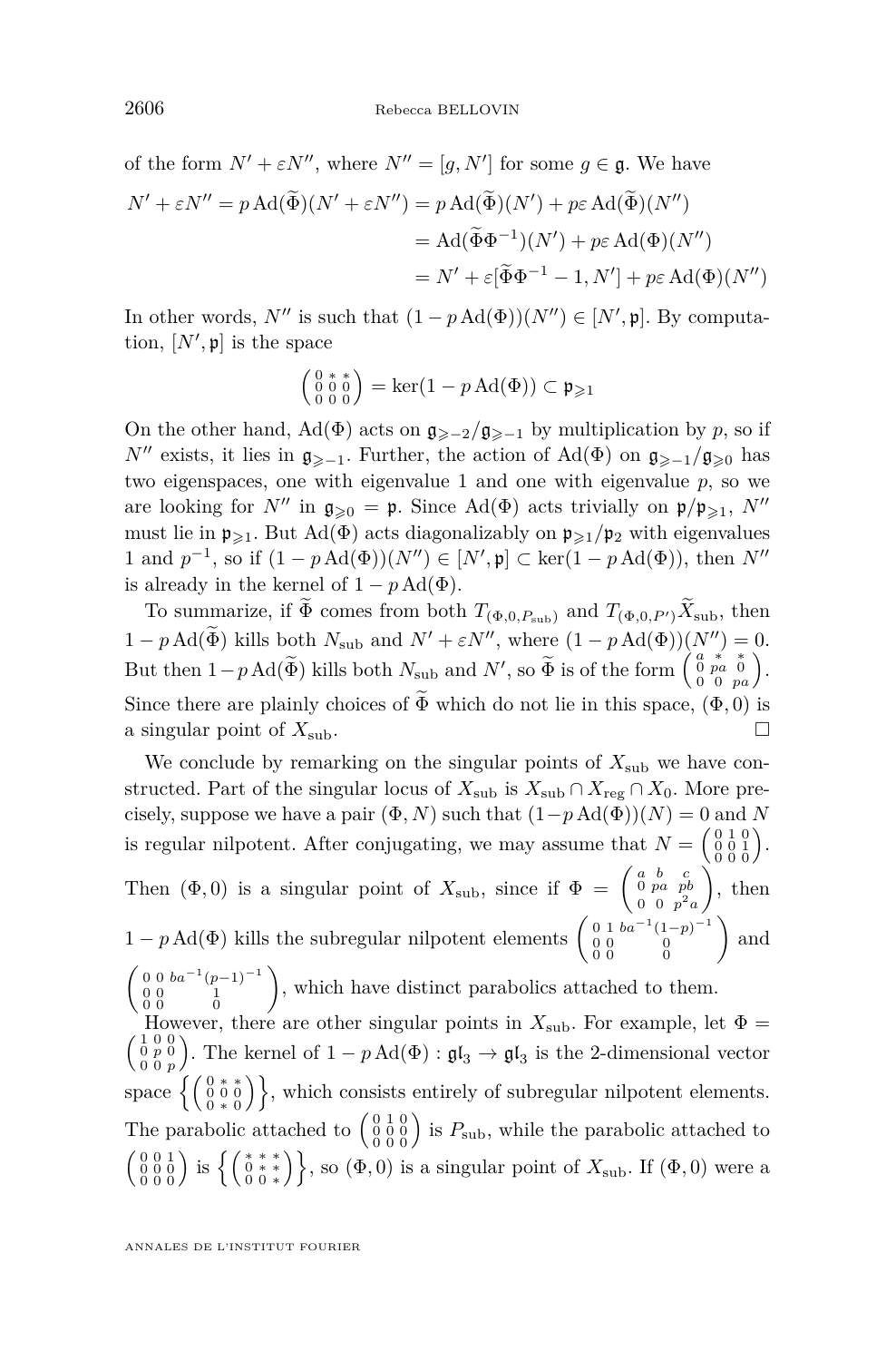of the form 
$$
N' + \varepsilon N''
$$
, where  $N'' = [g, N']$  for some  $g \in \mathfrak{g}$ . We have  
\n
$$
N' + \varepsilon N'' = p \operatorname{Ad}(\widetilde{\Phi})(N' + \varepsilon N'') = p \operatorname{Ad}(\widetilde{\Phi})(N') + p\varepsilon \operatorname{Ad}(\widetilde{\Phi})(N'')
$$
\n
$$
= \operatorname{Ad}(\widetilde{\Phi}\Phi^{-1})(N') + p\varepsilon \operatorname{Ad}(\Phi)(N'')
$$
\n
$$
= N' + \varepsilon[\widetilde{\Phi}\Phi^{-1} - 1, N'] + p\varepsilon \operatorname{Ad}(\Phi)(N'')
$$

In other words,  $N''$  is such that  $(1 - p \operatorname{Ad}(\Phi))(N'') \in [N', \mathfrak{p}]$ . By computation,  $[N', \mathfrak{p}]$  is the space

$$
\left(\begin{smallmatrix} 0 & * & * \\ 0 & 0 & 0 \\ 0 & 0 & 0 \end{smallmatrix}\right) = \ker(1 - p \operatorname{Ad}(\Phi)) \subset \mathfrak{p}_{\geqslant 1}
$$

On the other hand, Ad( $\Phi$ ) acts on  $\mathfrak{g}_{\geq 2}/\mathfrak{g}_{\geq -1}$  by multiplication by *p*, so if *N*<sup>0</sup> exists, it lies in  $\mathfrak{g}_{\geq -1}$ . Further, the action of Ad( $\Phi$ ) on  $\mathfrak{g}_{\geq -1}/\mathfrak{g}_{\geq 0}$  has two eigenspaces, one with eigenvalue 1 and one with eigenvalue *p*, so we are looking for *N<sup>0</sup>* in  $\mathfrak{g}_{\geqslant 0} = \mathfrak{p}$ . Since Ad( $\Phi$ ) acts trivially on  $\mathfrak{p}/\mathfrak{p}_{\geqslant 1}$ , *N<sup>0</sup>* must lie in  $\mathfrak{p}_{\geqslant 1}$ . But Ad( $\Phi$ ) acts diagonalizably on  $\mathfrak{p}_{\geqslant 1}/\mathfrak{p}_2$  with eigenvalues 1 and  $p^{-1}$ , so if  $(1 - p \text{Ad}(\Phi))(N'') \in [N', \mathfrak{p}]$  ⊂ ker $(1 - p \text{Ad}(\Phi))$ , then  $N''$ is already in the kernel of  $1 - p \text{Ad}(\Phi)$ .

To summarize, if  $\widetilde{\Phi}$  comes from both  $T_{(\Phi,0,P_{sub})}$  and  $T_{(\Phi,0,P')}$   $\widetilde{X}_{sub}$ , then  $1 - p \operatorname{Ad}(\Phi)$  kills both  $N_{\text{sub}}$  and  $N' + \varepsilon N''$ , where  $(1 - p \operatorname{Ad}(\Phi))\begin{pmatrix} N'' \\ a * * \\ a \end{pmatrix} = 0.$ But then  $1-p \text{Ad}(\widetilde{\Phi})$  kills both  $N_{\text{sub}}$  and  $N'$ , so  $\widetilde{\Phi}$  is of the form  $\begin{pmatrix} a & * & * \\ 0 & p & a \end{pmatrix}$ . Since there are plainly choices of  $\widetilde{\Phi}$  which do not lie in this space,  $(\Phi, 0)$  is a singular point of  $X_{\text{sub}}$ . a singular point of  $X_{\text{sub}}$ .

We conclude by remarking on the singular points of  $X_{\text{sub}}$  we have constructed. Part of the singular locus of  $X_{sub}$  is  $X_{sub} \cap X_{reg} \cap X_0$ . More precisely, suppose we have a pair  $(\Phi, N)$  such that  $(1-p \operatorname{Ad}(\Phi))(N) = 0$  and *N* is regular nilpotent. After conjugating, we may assume that  $N = \begin{pmatrix} 0 & 1 & 0 \\ 0 & 0 & 1 \\ 0 & 0 & 0 \end{pmatrix}$ . Then  $(\Phi, 0)$  is a singular point of  $X_{\text{sub}}$ , since if  $\Phi = \begin{pmatrix} a & b & c \\ 0 & pa & pb \\ 0 & a & b \end{pmatrix}$  $0 \t0 \t p^2 a$  $\Big)$ , then  $1 - p \text{Ad}(\Phi)$  kills the subregular nilpotent elements  $\begin{pmatrix} 0 & 1 & ba^{-1}(1-p)^{-1} \\ 0 & 0 & 0 \end{pmatrix}$  $\begin{smallmatrix} 0 & 1 & ba^{-1}(1-p)^{-1} \\ 0 & 0 & 0 \\ 0 & 0 & 0 \end{smallmatrix}$  and  $\begin{pmatrix} 0 & 0 & b a^{-1} (p-1)^{-1} \\ 0 & 0 & 1 \\ 0 & 0 & 0 \end{pmatrix}$ , which have distinct parabolics attached to them. However, there are other singular points in  $X_{\text{sub}}$ . For example, let  $\Phi =$  $\left(\begin{smallmatrix} 1 & 0 & 0 \\ 0 & p & 0 \\ 0 & 0 & p \end{smallmatrix}\right)$ ). The kernel of  $1 - p \text{Ad}(\Phi) : \mathfrak{gl}_3 \to \mathfrak{gl}_3$  is the 2-dimensional vector space  $\left\{ \left( \begin{smallmatrix} 0 & * & * \\ 0 & 0 & 0 \\ 0 & * & 0 \end{smallmatrix} \right) \right\}$ , which consists entirely of subregular nilpotent elements. The parabolic attached to  $\begin{pmatrix} 0 & 1 & 0 \\ 0 & 0 & 0 \\ 0 & 0 & 0 \end{pmatrix}$  is  $P_{\text{sub}}$ , while the parabolic attached to  $\begin{pmatrix} 0 & 0 & 1 \\ 0 & 0 & 0 \\ 0 & 0 & 0 \end{pmatrix}$  is  $\left\{ \begin{pmatrix} * & * & * \\ 0 & * & * \\ 0 & 0 & * \end{pmatrix} \right\}$ , so  $(\Phi, 0)$  is a singular point of  $X_{\text{sub}}$ . If  $(\Phi, 0)$  were a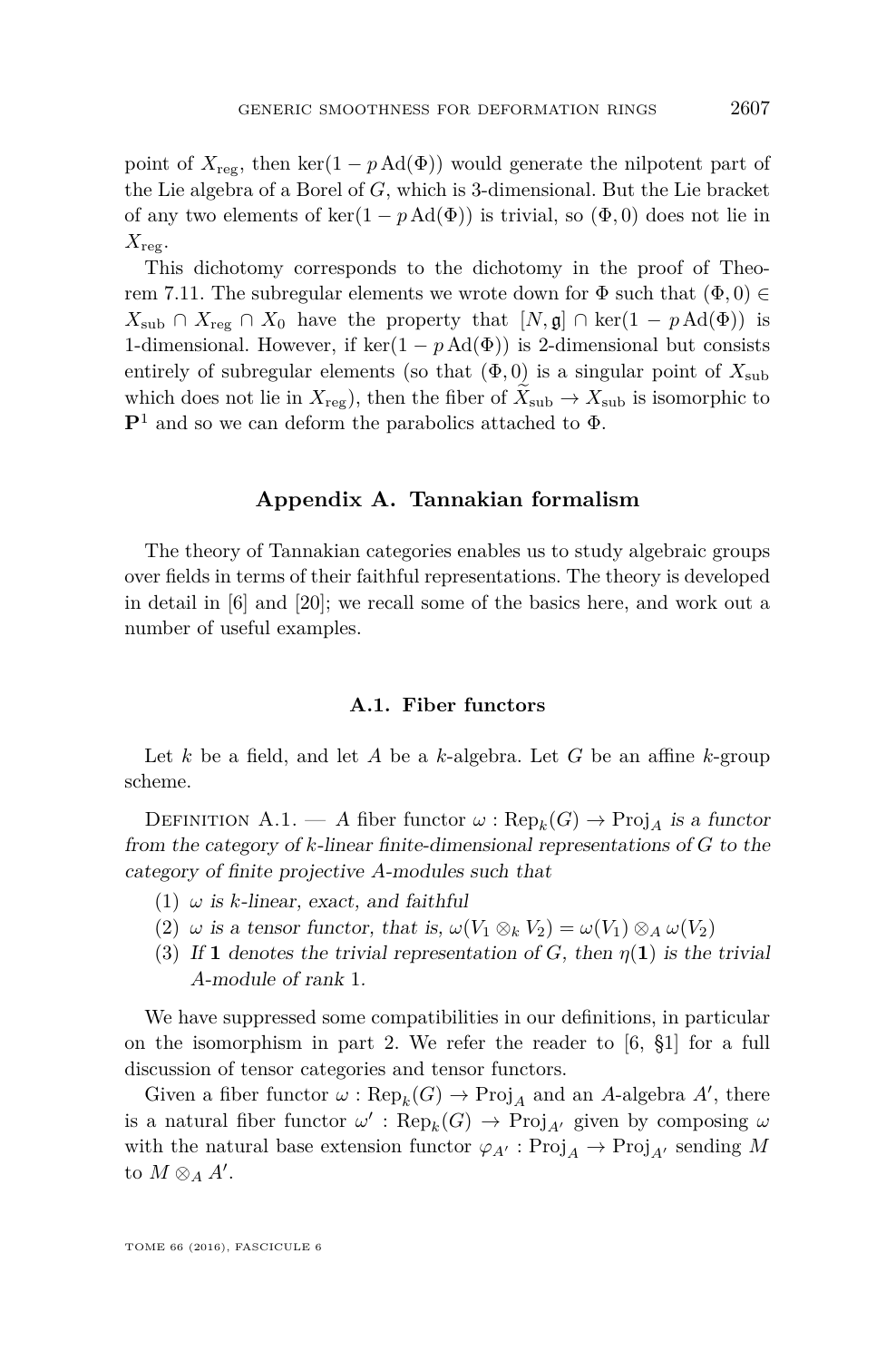point of  $X_{\text{rec}}$ , then ker(1 – *p* Ad( $\Phi$ )) would generate the nilpotent part of the Lie algebra of a Borel of *G*, which is 3-dimensional. But the Lie bracket of any two elements of ker(1 – *p* Ad( $\Phi$ )) is trivial, so ( $\Phi$ , 0) does not lie in  $X_{\text{reg}}$ .

This dichotomy corresponds to the dichotomy in the proof of Theo-rem [7.11.](#page-40-0) The subregular elements we wrote down for  $\Phi$  such that  $(\Phi, 0) \in$ *X*<sub>sub</sub> ∩ *X*<sub>reg</sub> ∩ *X*<sub>0</sub> have the property that  $[N, \mathfrak{g}]$  ∩ ker(1 − *p* Ad( $\Phi$ )) is 1-dimensional. However, if  $\ker(1 - p \text{Ad}(\Phi))$  is 2-dimensional but consists entirely of subregular elements (so that  $(\Phi, 0)$  is a singular point of  $X_{sub}$ which does not lie in  $X_{\text{reg}}$ ), then the fiber of  $X_{\text{sub}} \to X_{\text{sub}}$  is isomorphic to **P**<sup>1</sup> and so we can deform the parabolics attached to Φ.

#### **Appendix A. Tannakian formalism**

The theory of Tannakian categories enables us to study algebraic groups over fields in terms of their faithful representations. The theory is developed in detail in [\[6\]](#page-55-13) and [\[20\]](#page-56-4); we recall some of the basics here, and work out a number of useful examples.

#### **A.1. Fiber functors**

Let *k* be a field, and let *A* be a *k*-algebra. Let *G* be an affine *k*-group scheme.

DEFINITION A.1. — A fiber functor  $\omega$ :  $\text{Rep}_k(G) \to \text{Proj}_A$  is a functor from the category of *k*-linear finite-dimensional representations of *G* to the category of finite projective *A*-modules such that

- $(1)$   $\omega$  is *k*-linear, exact, and faithful
- <span id="page-43-0"></span>(2)  $\omega$  is a tensor functor, that is,  $\omega(V_1 \otimes_k V_2) = \omega(V_1) \otimes_A \omega(V_2)$
- (3) If **1** denotes the trivial representation of *G*, then  $\eta(1)$  is the trivial *A*-module of rank 1.

We have suppressed some compatibilities in our definitions, in particular on the isomorphism in part [2.](#page-43-0) We refer the reader to [\[6,](#page-55-13) §1] for a full discussion of tensor categories and tensor functors.

Given a fiber functor  $\omega$ :  $\text{Rep}_k(G) \to \text{Proj}_A$  and an *A*-algebra *A'*, there is a natural fiber functor  $\omega'$ :  $\text{Rep}_k(G) \to \text{Proj}_{A'}$  given by composing  $\omega$ with the natural base extension functor  $\varphi_{A'} : \text{Proj}_A \to \text{Proj}_{A'}$  sending M to  $M \otimes_A A'$ .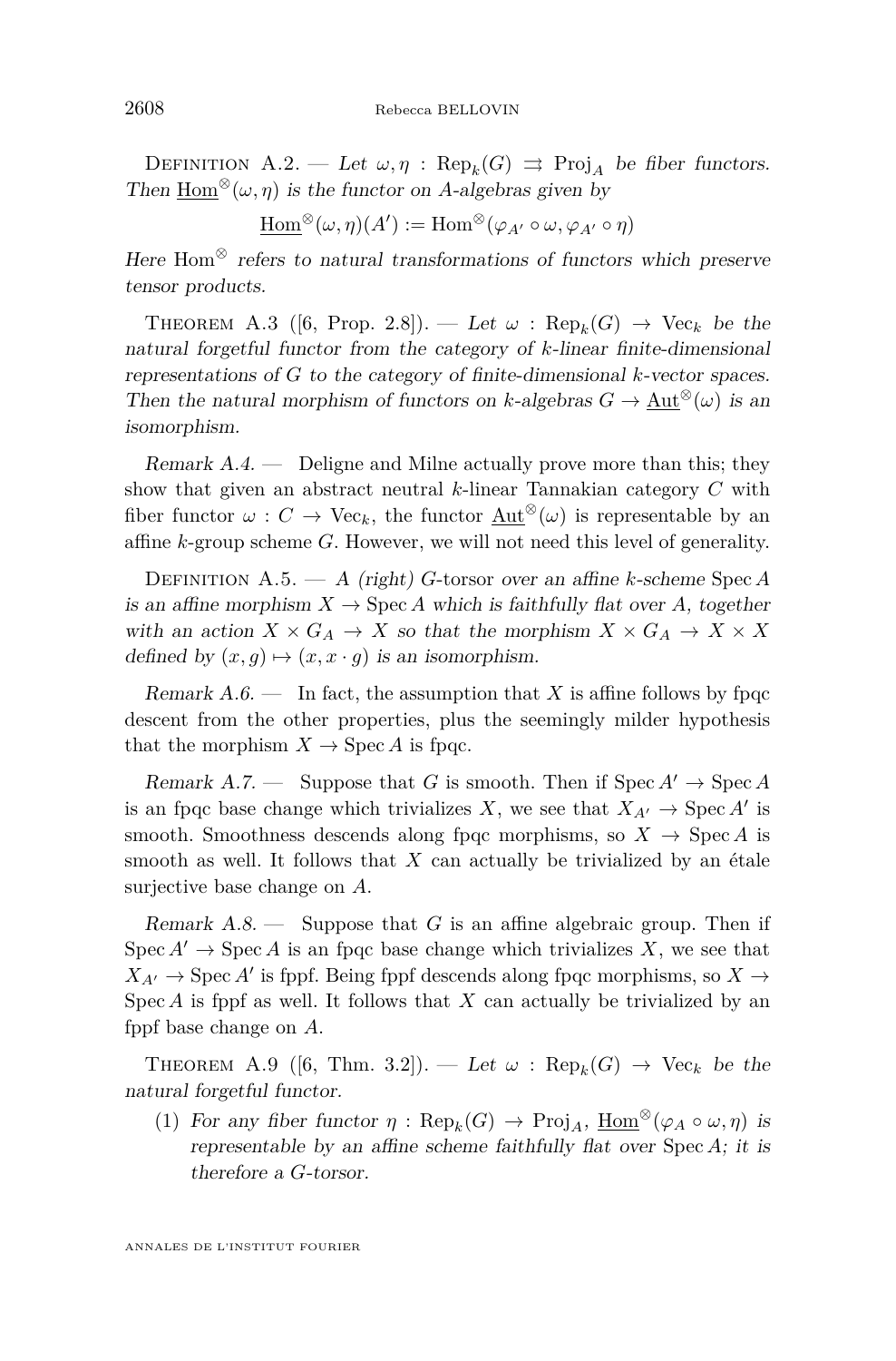DEFINITION A.2. — Let  $\omega, \eta$ : Rep<sub>k</sub>(G)  $\Rightarrow$  Proj<sub>A</sub> be fiber functors. Then Hom<sup>⊗</sup>( $\omega$ ,  $\eta$ ) is the functor on *A*-algebras given by

 $\underline{\mathrm{Hom}}^{\otimes}(\omega, \eta)(A') := \mathrm{Hom}^{\otimes}(\varphi_{A'} \circ \omega, \varphi_{A'} \circ \eta)$ 

Here  $Hom^{\otimes}$  refers to natural transformations of functors which preserve tensor products.

THEOREM A.3 ([\[6,](#page-55-13) Prop. 2.8]). — Let  $\omega$ :  $\text{Rep}_k(G) \rightarrow \text{Vec}_k$  be the natural forgetful functor from the category of *k*-linear finite-dimensional representations of *G* to the category of finite-dimensional *k*-vector spaces. Then the natural morphism of functors on *k*-algebras  $G \to \text{Aut}^{\otimes}(\omega)$  is an isomorphism.

Remark A.4. — Deligne and Milne actually prove more than this; they show that given an abstract neutral *k*-linear Tannakian category *C* with fiber functor  $\omega : C \to \text{Vec}_k$ , the functor  $\text{Aut}^{\otimes}(\omega)$  is representable by an affine *k*-group scheme *G*. However, we will not need this level of generality.

Definition A.5. — A (right) *G*-torsor over an affine *k*-scheme Spec *A* is an affine morphism  $X \to \text{Spec } A$  which is faithfully flat over A, together with an action  $X \times G_A \to X$  so that the morphism  $X \times G_A \to X \times X$ defined by  $(x, g) \mapsto (x, x \cdot g)$  is an isomorphism.

Remark  $A.6.$  — In fact, the assumption that X is affine follows by fpqc descent from the other properties, plus the seemingly milder hypothesis that the morphism  $X \to \text{Spec } A$  is fpqc.

Remark A.7. — Suppose that *G* is smooth. Then if  $Spec A' \rightarrow Spec A$ is an fpqc base change which trivializes *X*, we see that  $X_{A'} \to \text{Spec } A'$  is smooth. Smoothness descends along fpqc morphisms, so  $X \to \text{Spec } A$  is smooth as well. It follows that *X* can actually be trivialized by an étale surjective base change on *A*.

Remark A.8. — Suppose that *G* is an affine algebraic group. Then if  $Spec A' \rightarrow Spec A$  is an fpqc base change which trivializes X, we see that  $X_{A'} \rightarrow \text{Spec } A'$  is fppf. Being fppf descends along fpqc morphisms, so  $X \rightarrow$ Spec *A* is fppf as well. It follows that *X* can actually be trivialized by an fppf base change on *A*.

THEOREM A.9 ([\[6,](#page-55-13) Thm. 3.2]). — Let  $\omega$ : Rep<sub>k</sub>(G)  $\rightarrow$  Vec<sub>k</sub> be the natural forgetful functor.

(1) For any fiber functor  $\eta : \text{Rep}_k(G) \to \text{Proj}_A$ ,  $\underline{\text{Hom}}^{\otimes}(\varphi_A \circ \omega, \eta)$  is representable by an affine scheme faithfully flat over Spec *A*; it is therefore a *G*-torsor.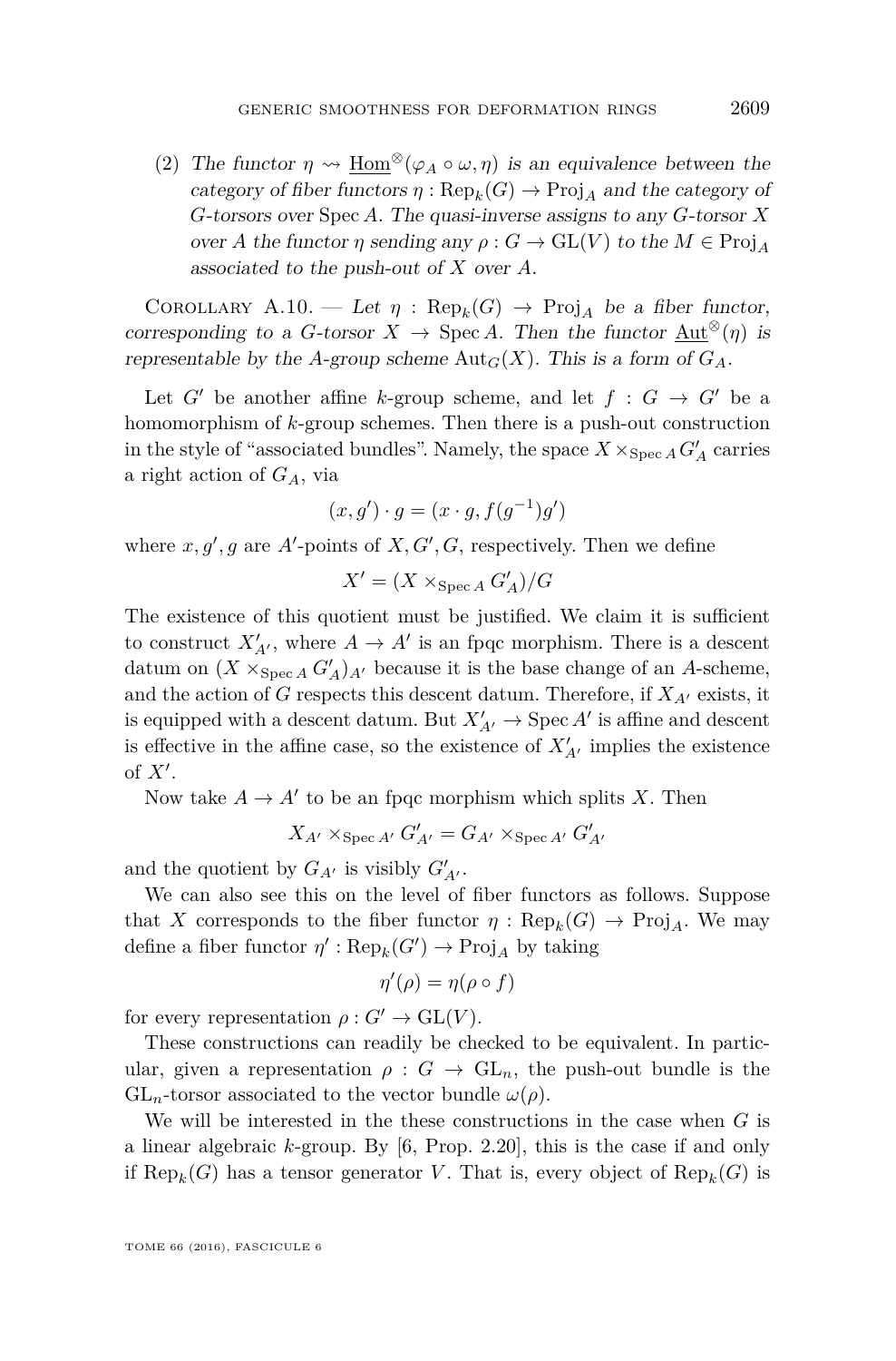(2) The functor  $\eta \leadsto \text{Hom}^{\otimes}(\varphi_A \circ \omega, \eta)$  is an equivalence between the category of fiber functors  $\eta : \text{Rep}_k(G) \to \text{Proj}_A$  and the category of *G*-torsors over Spec *A*. The quasi-inverse assigns to any *G*-torsor *X* over *A* the functor *η* sending any  $\rho$ :  $G \to GL(V)$  to the  $M \in Proj_A$ associated to the push-out of *X* over *A*.

COROLLARY A.10. — Let  $\eta$ : Rep<sub>k</sub>(G)  $\rightarrow$  Proj<sub>A</sub> be a fiber functor, corresponding to a *G*-torsor  $X \to \text{Spec } A$ . Then the functor  $\text{Aut}^{\otimes}(\eta)$  is representable by the *A*-group scheme  $\text{Aut}_G(X)$ . This is a form of  $G_A$ .

Let *G*<sup> $\prime$ </sup> be another affine *k*-group scheme, and let  $f : G \rightarrow G'$  be a homomorphism of *k*-group schemes. Then there is a push-out construction in the style of "associated bundles". Namely, the space  $X \times_{\operatorname{Spec} A} G'_A$  carries a right action of *GA*, via

$$
(x,g') \cdot g = (x \cdot g, f(g^{-1})g')
$$

where  $x, g', g$  are  $A'$ -points of  $X, G', G$ , respectively. Then we define

$$
X' = (X \times_{\operatorname{Spec} A} G'_A)/G
$$

The existence of this quotient must be justified. We claim it is sufficient to construct  $X'_{A'}$ , where  $A \to A'$  is an fpqc morphism. There is a descent datum on  $(X \times_{\text{Spec } A} G'_{A})_{A'}$  because it is the base change of an *A*-scheme, and the action of *G* respects this descent datum. Therefore, if  $X_{A'}$  exists, it is equipped with a descent datum. But  $X'_{A'} \to \text{Spec } A'$  is affine and descent is effective in the affine case, so the existence of  $X'_{A'}$  implies the existence of  $X'$ .

Now take  $A \to A'$  to be an fpqc morphism which splits *X*. Then

$$
X_{A'} \times_{\operatorname{Spec} A'} G'_{A'} = G_{A'} \times_{\operatorname{Spec} A'} G'_{A'}
$$

and the quotient by  $G_{A'}$  is visibly  $G'_{A'}$ .

We can also see this on the level of fiber functors as follows. Suppose that *X* corresponds to the fiber functor  $\eta$ :  $\text{Rep}_k(G) \to \text{Proj}_A$ . We may define a fiber functor  $\eta' : \text{Rep}_k(G') \to \text{Proj}_A$  by taking

$$
\eta'(\rho) = \eta(\rho \circ f)
$$

for every representation  $\rho: G' \to \text{GL}(V)$ .

These constructions can readily be checked to be equivalent. In particular, given a representation  $\rho: G \to GL_n$ , the push-out bundle is the  $GL_n$ -torsor associated to the vector bundle  $\omega(\rho)$ .

We will be interested in the these constructions in the case when *G* is a linear algebraic *k*-group. By [\[6,](#page-55-13) Prop. 2.20], this is the case if and only if  $\text{Rep}_k(G)$  has a tensor generator *V*. That is, every object of  $\text{Rep}_k(G)$  is

TOME 66 (2016), FASCICULE 6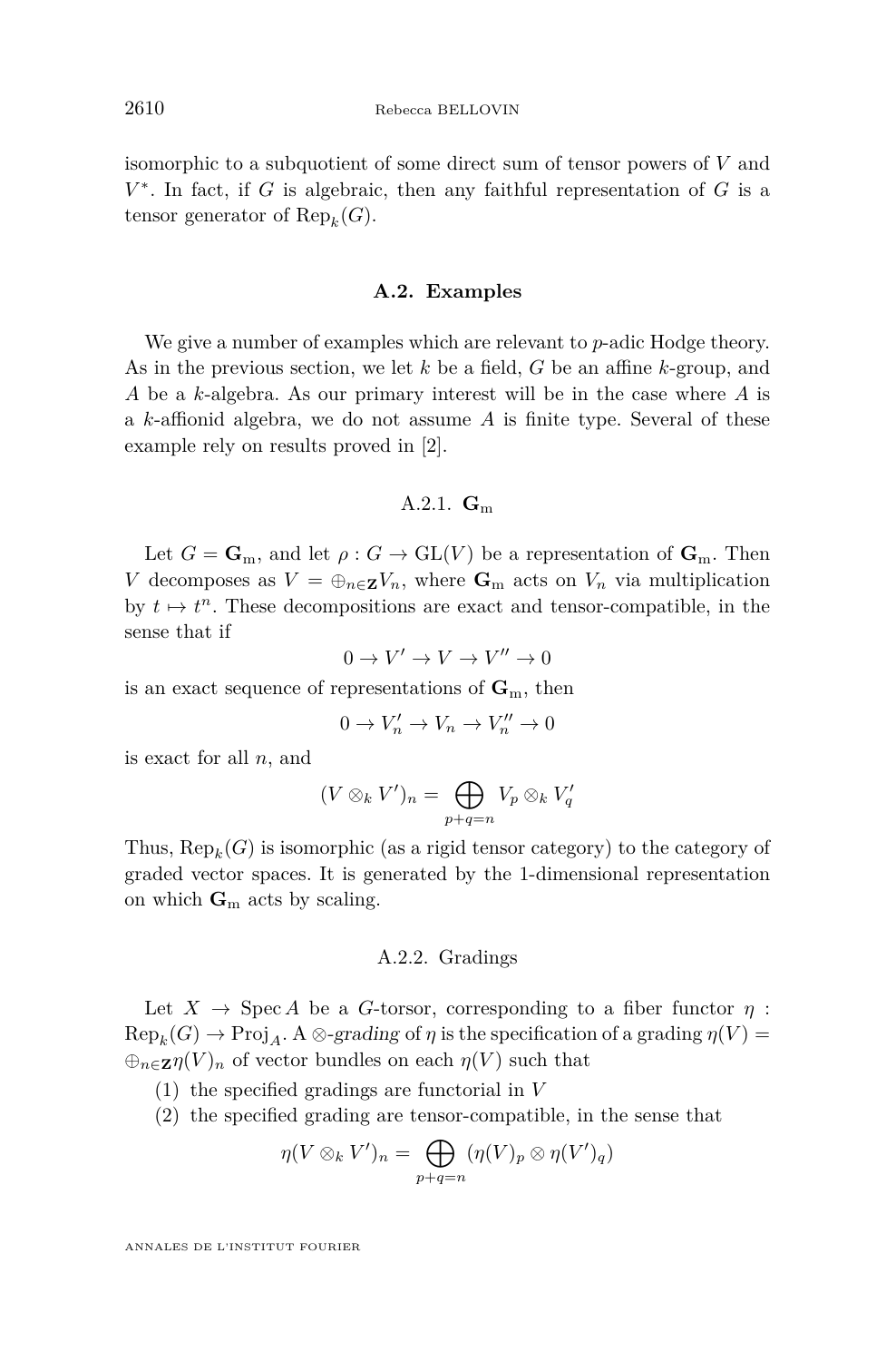isomorphic to a subquotient of some direct sum of tensor powers of *V* and *V* ∗ . In fact, if *G* is algebraic, then any faithful representation of *G* is a tensor generator of  $\text{Rep}_k(G)$ .

#### **A.2. Examples**

We give a number of examples which are relevant to *p*-adic Hodge theory. As in the previous section, we let *k* be a field, *G* be an affine *k*-group, and *A* be a *k*-algebra. As our primary interest will be in the case where *A* is a *k*-affionid algebra, we do not assume *A* is finite type. Several of these example rely on results proved in [\[2\]](#page-55-14).

#### A.2.1. **G**<sup>m</sup>

Let  $G = \mathbf{G}_m$ , and let  $\rho : G \to \mathrm{GL}(V)$  be a representation of  $\mathbf{G}_m$ . Then *V* decomposes as  $V = \bigoplus_{n \in \mathbb{Z}} V_n$ , where  $\mathbf{G}_m$  acts on  $V_n$  via multiplication by  $t \mapsto t^n$ . These decompositions are exact and tensor-compatible, in the sense that if

$$
0 \to V' \to V \to V'' \to 0
$$

is an exact sequence of representations of  $\mathbf{G}_m$ , then

$$
0 \to V'_n \to V_n \to V''_n \to 0
$$

is exact for all *n*, and

$$
(V \otimes_k V')_n = \bigoplus_{p+q=n} V_p \otimes_k V'_q
$$

Thus,  $\text{Rep}_k(G)$  is isomorphic (as a rigid tensor category) to the category of graded vector spaces. It is generated by the 1-dimensional representation on which  $\mathbf{G}_m$  acts by scaling.

#### A.2.2. Gradings

Let  $X \to \text{Spec } A$  be a *G*-torsor, corresponding to a fiber functor  $\eta$ :  $\operatorname{Rep}_k(G) \to \operatorname{Proj}_A$ . A  $\otimes$ -grading of  $\eta$  is the specification of a grading  $\eta(V)$  =  $\bigoplus_{n\in\mathbb{Z}}\eta(V)_n$  of vector bundles on each  $\eta(V)$  such that

- (1) the specified gradings are functorial in *V*
- (2) the specified grading are tensor-compatible, in the sense that

$$
\eta(V\otimes_k V')_n=\bigoplus_{p+q=n}(\eta(V)_p\otimes \eta(V')_q)
$$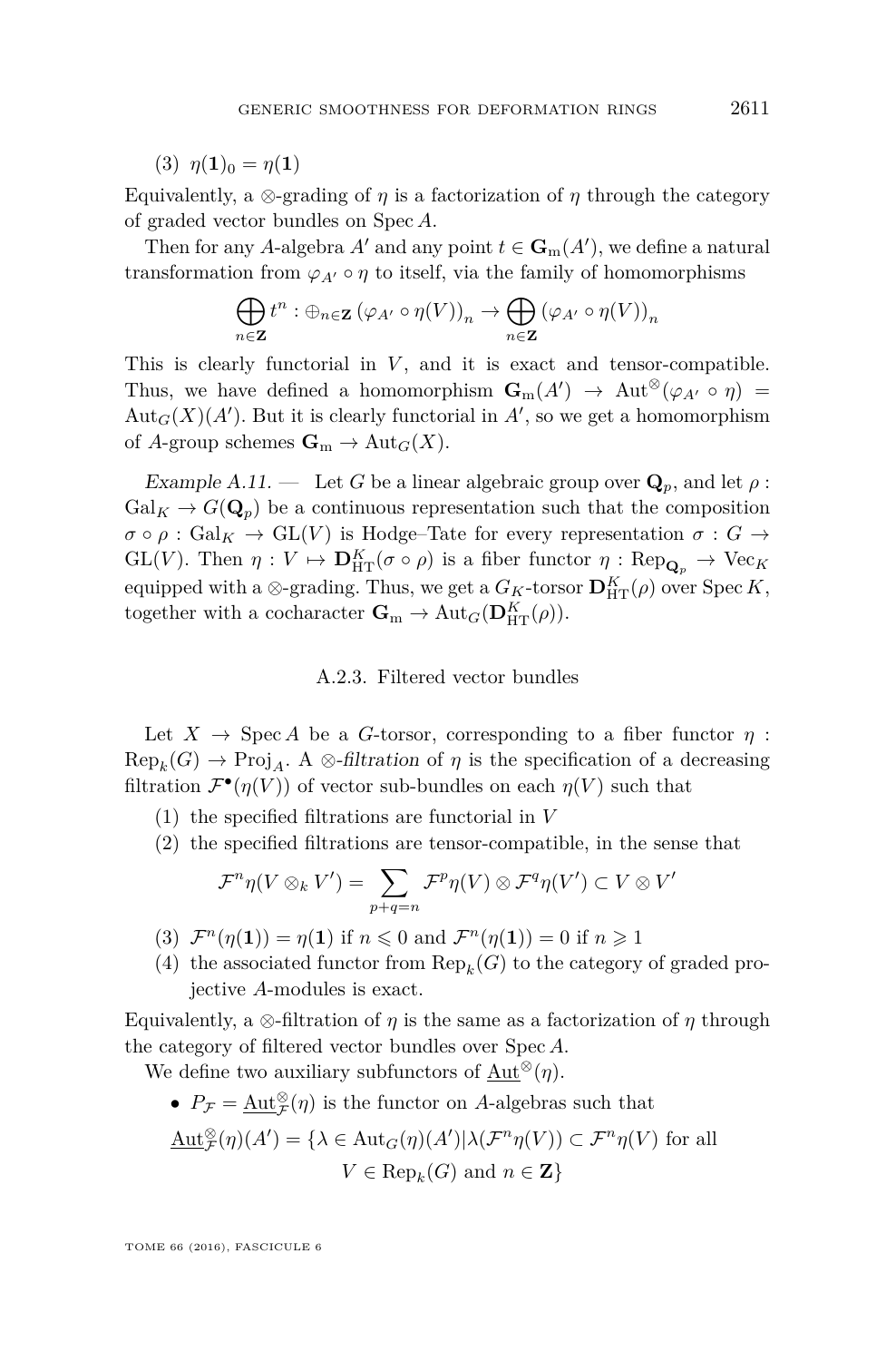(3)  $\eta(1)_0 = \eta(1)$ 

Equivalently, a  $\otimes$ -grading of *η* is a factorization of *η* through the category of graded vector bundles on Spec *A*.

Then for any *A*-algebra  $A'$  and any point  $t \in \mathbf{G}_{m}(A')$ , we define a natural transformation from  $\varphi_{A}$  o  $\eta$  to itself, via the family of homomorphisms

$$
\bigoplus_{n\in\mathbf{Z}}t^n:\oplus_{n\in\mathbf{Z}}\left(\varphi_{A'}\circ\eta(V)\right)_n\to\bigoplus_{n\in\mathbf{Z}}\left(\varphi_{A'}\circ\eta(V)\right)_n
$$

This is clearly functorial in *V* , and it is exact and tensor-compatible. Thus, we have defined a homomorphism  $\mathbf{G}_{m}(A') \to \text{Aut}^{\otimes}(\varphi_{A'} \circ \eta) =$  $\text{Aut}_G(X)(A')$ . But it is clearly functorial in  $A'$ , so we get a homomorphism of *A*-group schemes  $\mathbf{G}_m \to \text{Aut}_G(X)$ .

Example A.11. — Let G be a linear algebraic group over  $\mathbf{Q}_p$ , and let  $\rho$ :  $Gal_K \to G(\mathbf{Q}_p)$  be a continuous representation such that the composition  $\sigma \circ \rho : \text{Gal}_K \to \text{GL}(V)$  is Hodge–Tate for every representation  $\sigma : G \to$  $GL(V)$ . Then  $\eta: V \mapsto \mathbf{D}_{\mathrm{HT}}^K(\sigma \circ \rho)$  is a fiber functor  $\eta: \mathrm{Rep}_{\mathbf{Q}_p} \to \mathrm{Vec}_K$ equipped with a  $\otimes$ -grading. Thus, we get a  $G_K$ -torsor  $\mathbf{D}_{\mathrm{HT}}^K(\rho)$  over  $\mathrm{Spec} K$ , together with a cocharacter  $\mathbf{G}_{m} \to \text{Aut}_{G}(\mathbf{D}_{\text{HT}}^{K}(\rho)).$ 

#### A.2.3. Filtered vector bundles

<span id="page-47-0"></span>Let  $X \to \text{Spec } A$  be a *G*-torsor, corresponding to a fiber functor  $\eta$ :  $Rep_k(G) \to Proj_A$ . A  $\otimes$ -filtration of  $\eta$  is the specification of a decreasing filtration  $\mathcal{F}^{\bullet}(\eta(V))$  of vector sub-bundles on each  $\eta(V)$  such that

- (1) the specified filtrations are functorial in *V*
- (2) the specified filtrations are tensor-compatible, in the sense that

$$
\mathcal{F}^n\eta(V\otimes_k V')=\sum_{p+q=n}\mathcal{F}^p\eta(V)\otimes\mathcal{F}^q\eta(V')\subset V\otimes V'
$$

- (3)  $\mathcal{F}^n(\eta(\mathbf{1})) = \eta(\mathbf{1})$  if  $n \leq 0$  and  $\mathcal{F}^n(\eta(\mathbf{1})) = 0$  if  $n \geq 1$
- (4) the associated functor from  $\text{Rep}_k(G)$  to the category of graded projective *A*-modules is exact.

Equivalently, a  $\otimes$ -filtration of *η* is the same as a factorization of *η* through the category of filtered vector bundles over Spec *A*.

We define two auxiliary subfunctors of Aut<sup>⊗</sup> $(\eta)$ .

•  $P_{\mathcal{F}} = \underline{\mathrm{Aut}}_{\mathcal{F}}^{\otimes}(\eta)$  is the functor on *A*-algebras such that

$$
\underline{\mathrm{Aut}}_{\mathcal{F}}^{\otimes}(\eta)(A') = \{ \lambda \in \mathrm{Aut}_G(\eta)(A') | \lambda(\mathcal{F}^n\eta(V)) \subset \mathcal{F}^n\eta(V) \text{ for all }
$$

$$
V \in \mathrm{Rep}_k(G) \text{ and } n \in \mathbf{Z} \}
$$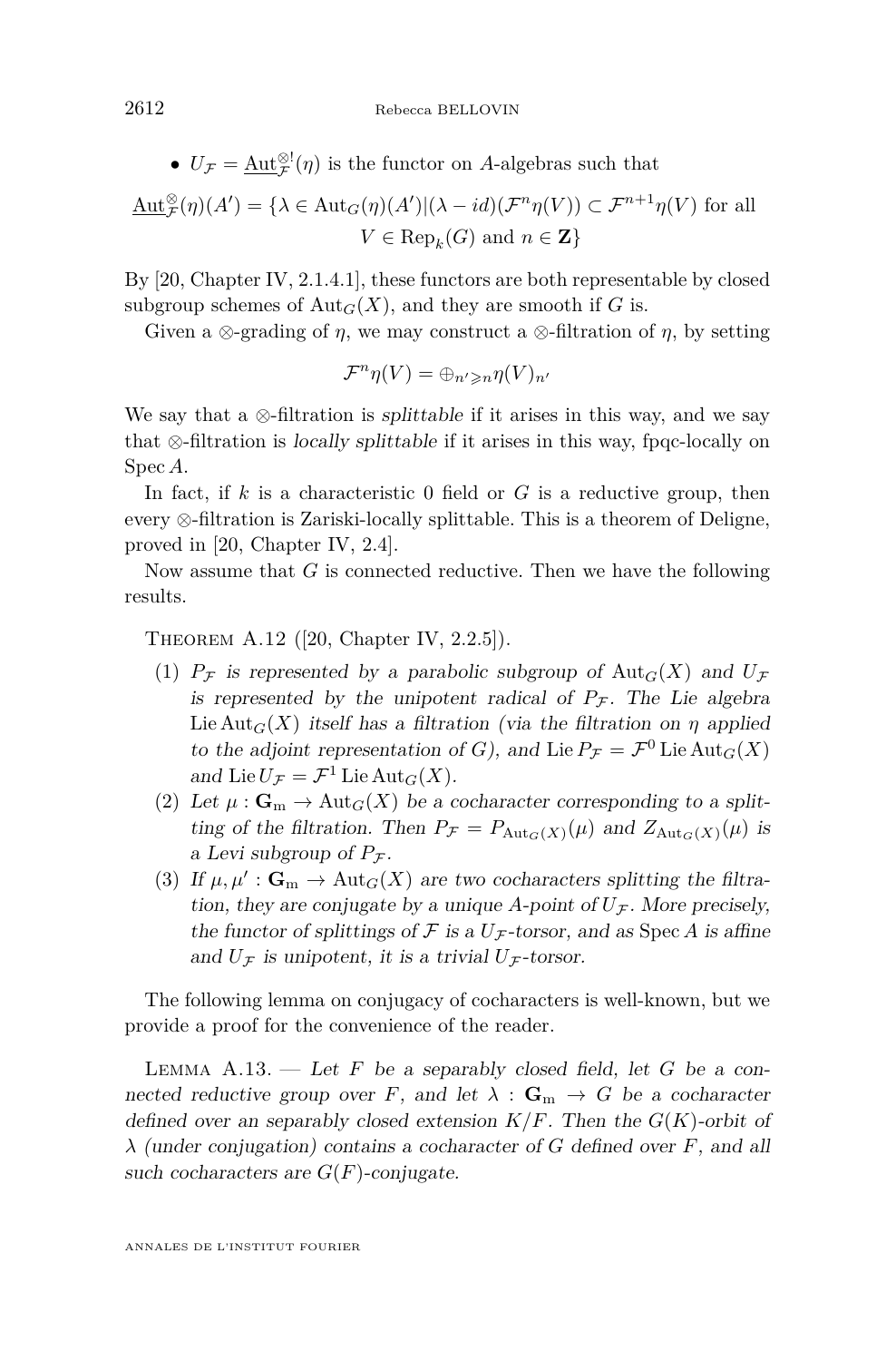•  $U_{\mathcal{F}} = \underline{\text{Aut}_{\mathcal{F}}^{\otimes l}}(\eta)$  is the functor on *A*-algebras such that

$$
\underline{\mathrm{Aut}}_{\mathcal{F}}^{\otimes}(\eta)(A') = \{ \lambda \in \mathrm{Aut}_G(\eta)(A') | (\lambda - id)(\mathcal{F}^n \eta(V)) \subset \mathcal{F}^{n+1} \eta(V) \text{ for all } V \in \mathrm{Rep}_k(G) \text{ and } n \in \mathbf{Z} \}
$$

By [\[20,](#page-56-4) Chapter IV, 2.1.4.1], these functors are both representable by closed subgroup schemes of  $\text{Aut}_G(X)$ , and they are smooth if *G* is.

Given a  $\otimes$ -grading of *η*, we may construct a  $\otimes$ -filtration of *η*, by setting

$$
\mathcal{F}^n\eta(V)=\oplus_{n'\geqslant n}\eta(V)_{n'}
$$

We say that a  $\otimes$ -filtration is *splittable* if it arises in this way, and we say that ⊗-filtration is locally splittable if it arises in this way, fpqc-locally on Spec *A*.

In fact, if *k* is a characteristic 0 field or *G* is a reductive group, then every ⊗-filtration is Zariski-locally splittable. This is a theorem of Deligne, proved in [\[20,](#page-56-4) Chapter IV, 2.4].

Now assume that *G* is connected reductive. Then we have the following results.

Theorem A.12 ([\[20,](#page-56-4) Chapter IV, 2.2.5]).

- (1)  $P<sub>F</sub>$  is represented by a parabolic subgroup of Aut<sub>*G*</sub>(*X*) and  $U<sub>F</sub>$ is represented by the unipotent radical of  $P<sub>F</sub>$ . The Lie algebra Lie Aut<sub>*G*</sub>(*X*) itself has a filtration (via the filtration on *η* applied to the adjoint representation of *G*), and Lie  $P_{\mathcal{F}} = \mathcal{F}^0$  Lie  $\text{Aut}_G(X)$ and Lie  $U_{\mathcal{F}} = \mathcal{F}^1$  Lie  $\text{Aut}_G(X)$ .
- (2) Let  $\mu: \mathbf{G}_m \to \text{Aut}_G(X)$  be a cocharacter corresponding to a splitting of the filtration. Then  $P_{\mathcal{F}} = P_{\text{Aut}_G(X)}(\mu)$  and  $Z_{\text{Aut}_G(X)}(\mu)$  is a Levi subgroup of  $P_{\mathcal{F}}$ .
- (3) If  $\mu, \mu' : \mathbf{G}_m \to \text{Aut}_G(X)$  are two cocharacters splitting the filtration, they are conjugate by a unique *A*-point of  $U_{\mathcal{F}}$ . More precisely, the functor of splittings of  $\mathcal F$  is a  $U_{\mathcal F}$ -torsor, and as Spec A is affine and  $U_{\mathcal{F}}$  is unipotent, it is a trivial  $U_{\mathcal{F}}$ -torsor.

The following lemma on conjugacy of cocharacters is well-known, but we provide a proof for the convenience of the reader.

<span id="page-48-0"></span>LEMMA  $A.13.$  — Let *F* be a separably closed field, let *G* be a connected reductive group over *F*, and let  $\lambda : \mathbf{G}_m \to G$  be a cocharacter defined over an separably closed extension *K/F*. Then the *G*(*K*)-orbit of *λ* (under conjugation) contains a cocharacter of *G* defined over *F*, and all such cocharacters are  $G(F)$ -conjugate.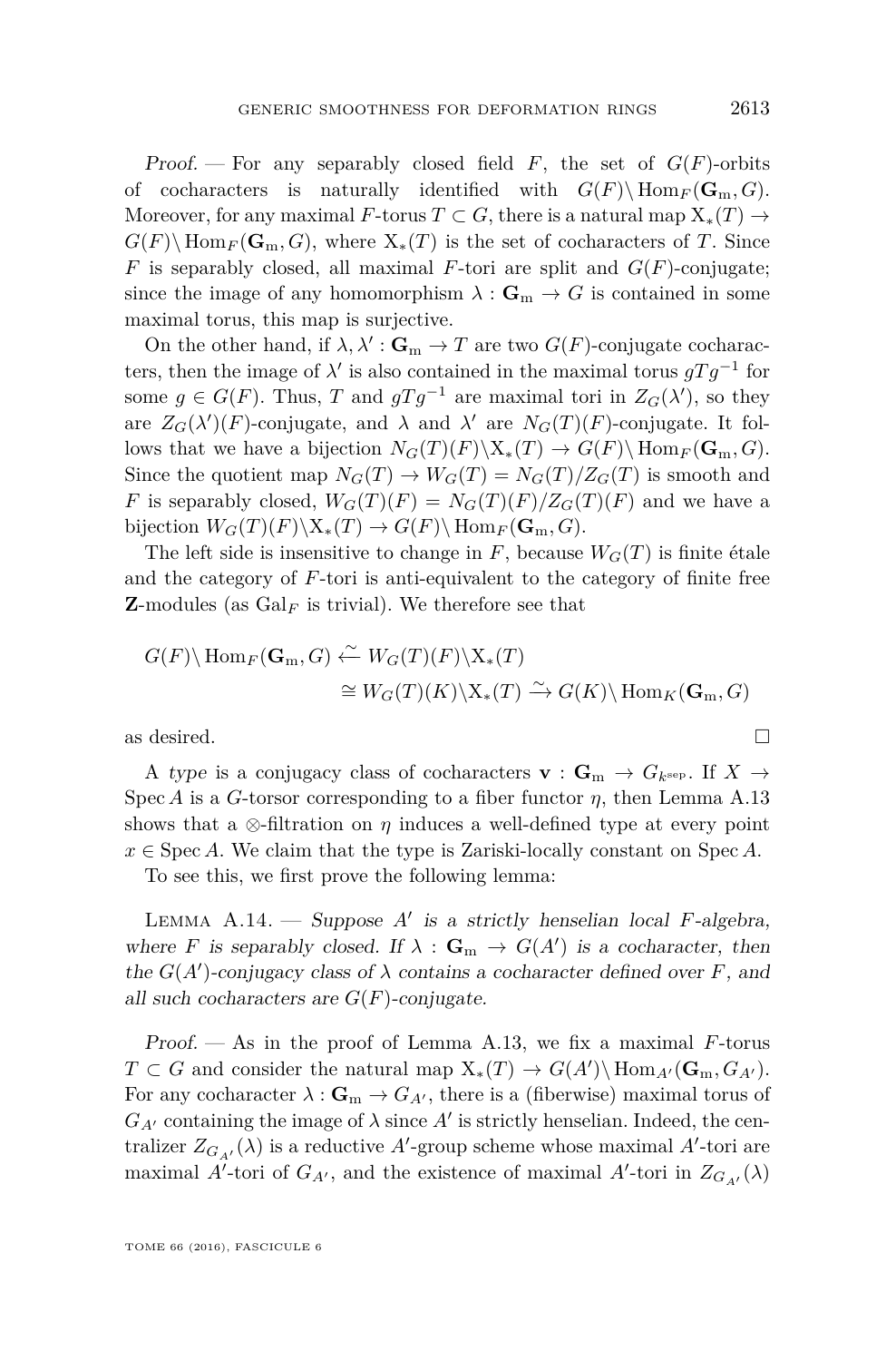Proof. — For any separably closed field *F*, the set of *G*(*F*)-orbits of cocharacters is naturally identified with  $G(F) \setminus \text{Hom}_F(\mathbf{G}_m, G)$ . Moreover, for any maximal *F*-torus  $T \subset G$ , there is a natural map  $X_*(T) \to$  $G(F) \setminus \text{Hom}_F(\mathbf{G}_m, G)$ , where  $X_*(T)$  is the set of cocharacters of *T*. Since *F* is separably closed, all maximal *F*-tori are split and  $G(F)$ -conjugate; since the image of any homomorphism  $\lambda : \mathbf{G}_{m} \to G$  is contained in some maximal torus, this map is surjective.

On the other hand, if  $\lambda, \lambda' : \mathbf{G}_m \to T$  are two  $G(F)$ -conjugate cocharacters, then the image of  $\lambda'$  is also contained in the maximal torus  $gTg^{-1}$  for some  $g \in G(F)$ . Thus, *T* and  $gTg^{-1}$  are maximal tori in  $Z_G(\lambda')$ , so they are  $Z_G(\lambda')(F)$ -conjugate, and  $\lambda$  and  $\lambda'$  are  $N_G(T)(F)$ -conjugate. It follows that we have a bijection  $N_G(T)(F)\backslash X_*(T) \to G(F)\backslash \text{Hom}_F(\mathbf{G}_{\mathrm{m}}, G)$ . Since the quotient map  $N_G(T) \to W_G(T) = N_G(T)/Z_G(T)$  is smooth and *F* is separably closed,  $W_G(T)(F) = N_G(T)(F)/Z_G(T)(F)$  and we have a bijection  $W_G(T)(F)\backslash X_*(T) \to G(F)\backslash \operatorname{Hom}_F(\mathbf{G}_m, G)$ .

The left side is insensitive to change in  $F$ , because  $W_G(T)$  is finite étale and the category of *F*-tori is anti-equivalent to the category of finite free **Z**-modules (as  $Gal_F$  is trivial). We therefore see that

$$
G(F)\backslash \text{Hom}_F(\mathbf{G}_m, G) \xleftarrow{\sim} W_G(T)(F)\backslash X_*(T)
$$
  
\n
$$
\cong W_G(T)(K)\backslash X_*(T) \xrightarrow{\sim} G(K)\backslash \text{Hom}_K(\mathbf{G}_m, G)
$$
  
\nas desired.

A type is a conjugacy class of cocharacters **v** :  $\mathbf{G}_{\text{m}} \to G_{k^{\text{sep}}}$ . If  $X \to$ Spec *A* is a *G*-torsor corresponding to a fiber functor *η*, then Lemma [A.13](#page-48-0) shows that a  $\otimes$ -filtration on  $\eta$  induces a well-defined type at every point  $x \in \text{Spec } A$ . We claim that the type is Zariski-locally constant on Spec *A*.

To see this, we first prove the following lemma:

<span id="page-49-0"></span>Lemma A.14. — Suppose *A*<sup>0</sup> is a strictly henselian local *F*-algebra, where *F* is separably closed. If  $\lambda : \mathbf{G}_m \to G(A')$  is a cocharacter, then the  $G(A')$ -conjugacy class of  $\lambda$  contains a cocharacter defined over *F*, and all such cocharacters are  $G(F)$ -conjugate.

Proof. — As in the proof of Lemma [A.13,](#page-48-0) we fix a maximal *F*-torus  $T \subset G$  and consider the natural map  $X_*(T) \to G(A')\backslash \text{Hom}_{A'}(G_m, G_{A'})$ . For any cocharacter  $\lambda : \mathbf{G}_m \to G_{A'}$ , there is a (fiberwise) maximal torus of  $G_{A'}$  containing the image of  $\lambda$  since  $A'$  is strictly henselian. Indeed, the centralizer  $Z_{G_{A'}}(\lambda)$  is a reductive A'-group scheme whose maximal A'-tori are maximal *A*<sup> $\prime$ </sup>-tori of *G*<sub>*A*<sup> $\prime$ </sup>, and the existence of maximal *A*<sup> $\prime$ </sup>-tori in  $Z_{G_{A'}}(\lambda)$ </sub>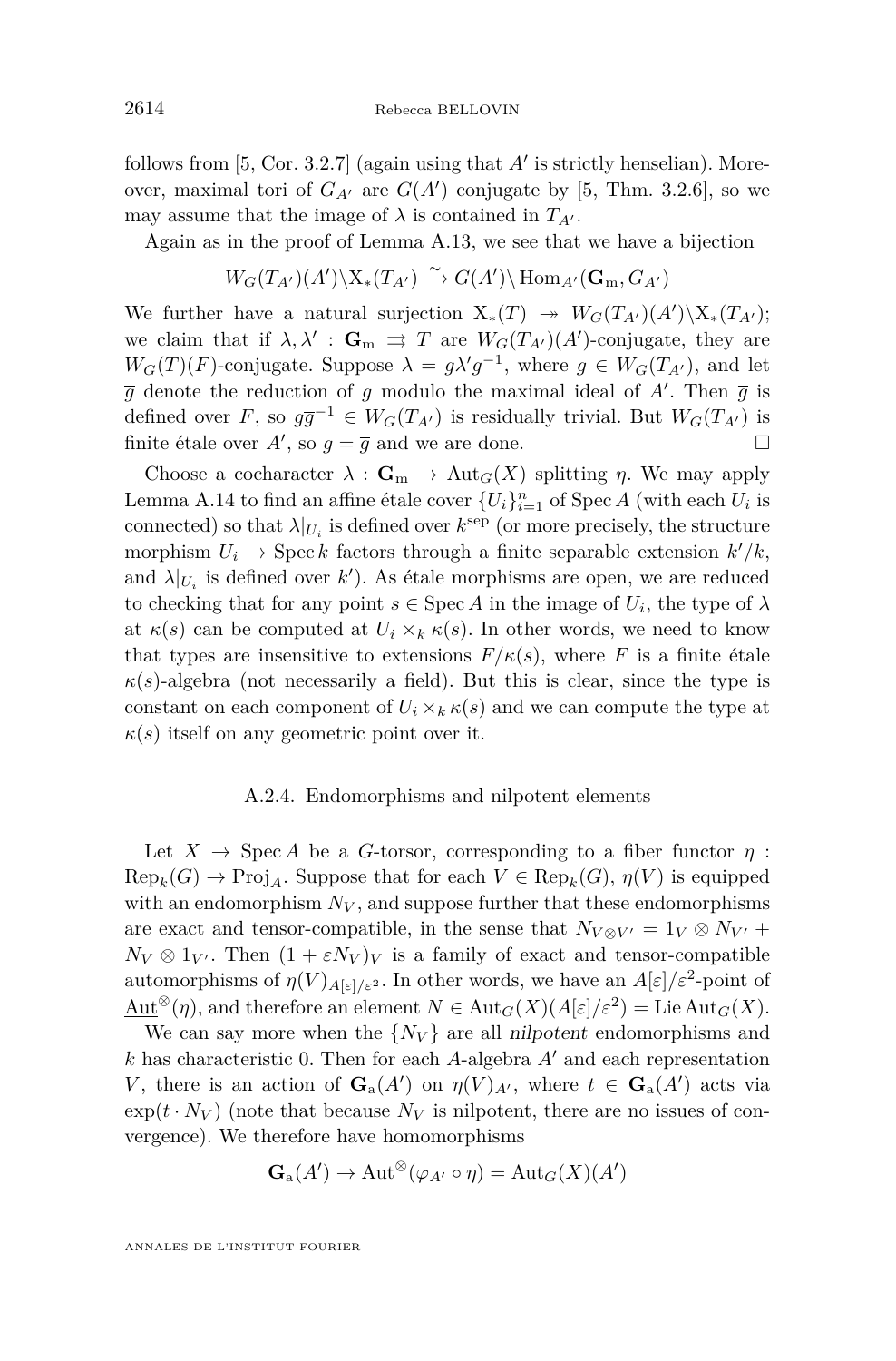follows from  $[5, Cor. 3.2.7]$  $[5, Cor. 3.2.7]$  (again using that  $A'$  is strictly henselian). Moreover, maximal tori of  $G_{A}$  are  $G(A')$  conjugate by [\[5,](#page-55-15) Thm. 3.2.6], so we may assume that the image of  $\lambda$  is contained in  $T_{A}$ .

Again as in the proof of Lemma [A.13,](#page-48-0) we see that we have a bijection

$$
W_G(T_{A'}) (A') \backslash X_*(T_{A'}) \xrightarrow{\sim} G(A') \backslash \text{Hom}_{A'}(G_m, G_{A'})
$$

We further have a natural surjection  $X_*(T) \rightarrow W_G(T_{A'})$   $(X_*(T_{A'});$ we claim that if  $\lambda, \lambda' : \mathbf{G}_m \implies T$  are  $W_G(T_{A'})$  (*A'*)-conjugate, they are  $W_G(T)(F)$ -conjugate. Suppose  $\lambda = g\lambda'g^{-1}$ , where  $g \in W_G(T_{A'})$ , and let  $\overline{g}$  denote the reduction of *g* modulo the maximal ideal of *A*'. Then  $\overline{g}$  is defined over *F*, so  $g\overline{g}^{-1} \in W_G(T_{A'})$  is residually trivial. But  $W_G(T_{A'})$  is finite étale over  $A'$ , so  $g = \overline{g}$  and we are done.

Choose a cocharacter  $\lambda : \mathbf{G}_m \to \text{Aut}_G(X)$  splitting *η*. We may apply Lemma [A.14](#page-49-0) to find an affine étale cover  $\{U_i\}_{i=1}^n$  of Spec *A* (with each  $U_i$  is connected) so that  $\lambda|_{U_i}$  is defined over  $k^{\text{sep}}$  (or more precisely, the structure morphism  $U_i \rightarrow \text{Spec } k$  factors through a finite separable extension  $k'/k$ , and  $\lambda|_{U_i}$  is defined over  $k'$ ). As étale morphisms are open, we are reduced to checking that for any point  $s \in \text{Spec } A$  in the image of  $U_i$ , the type of  $\lambda$ at  $\kappa(s)$  can be computed at  $U_i \times_k \kappa(s)$ . In other words, we need to know that types are insensitive to extensions  $F/\kappa(s)$ , where *F* is a finite étale  $\kappa(s)$ -algebra (not necessarily a field). But this is clear, since the type is constant on each component of  $U_i \times_k \kappa(s)$  and we can compute the type at  $\kappa(s)$  itself on any geometric point over it.

#### A.2.4. Endomorphisms and nilpotent elements

<span id="page-50-0"></span>Let  $X \to \text{Spec } A$  be a *G*-torsor, corresponding to a fiber functor  $\eta$ :  $\text{Rep}_k(G) \to \text{Proj}_A$ . Suppose that for each  $V \in \text{Rep}_k(G)$ ,  $\eta(V)$  is equipped with an endomorphism  $N_V$ , and suppose further that these endomorphisms are exact and tensor-compatible, in the sense that  $N_{V\otimes V'} = 1_V \otimes N_{V'} +$  $N_V \otimes 1_{V'}$ . Then  $(1 + \varepsilon N_V)_V$  is a family of exact and tensor-compatible automorphisms of  $\eta(V)_{A[\varepsilon]/\varepsilon^2}$ . In other words, we have an  $A[\varepsilon]/\varepsilon^2$ -point of  $\text{Aut}^{\otimes}(\eta)$ , and therefore an element  $N \in \text{Aut}_G(X)(A[\varepsilon]/\varepsilon^2) = \text{Lie} \text{Aut}_G(X)$ .

We can say more when the  $\{N_V\}$  are all nilpotent endomorphisms and  $k$  has characteristic 0. Then for each *A*-algebra  $A'$  and each representation *V*, there is an action of  $\mathbf{G}_a(A')$  on  $\eta(V)_{A'}$ , where  $t \in \mathbf{G}_a(A')$  acts via  $\exp(t \cdot N_V)$  (note that because  $N_V$  is nilpotent, there are no issues of convergence). We therefore have homomorphisms

$$
\mathbf{G}_{\mathrm{a}}(A') \to \mathrm{Aut}^{\otimes}(\varphi_{A'} \circ \eta) = \mathrm{Aut}_G(X)(A')
$$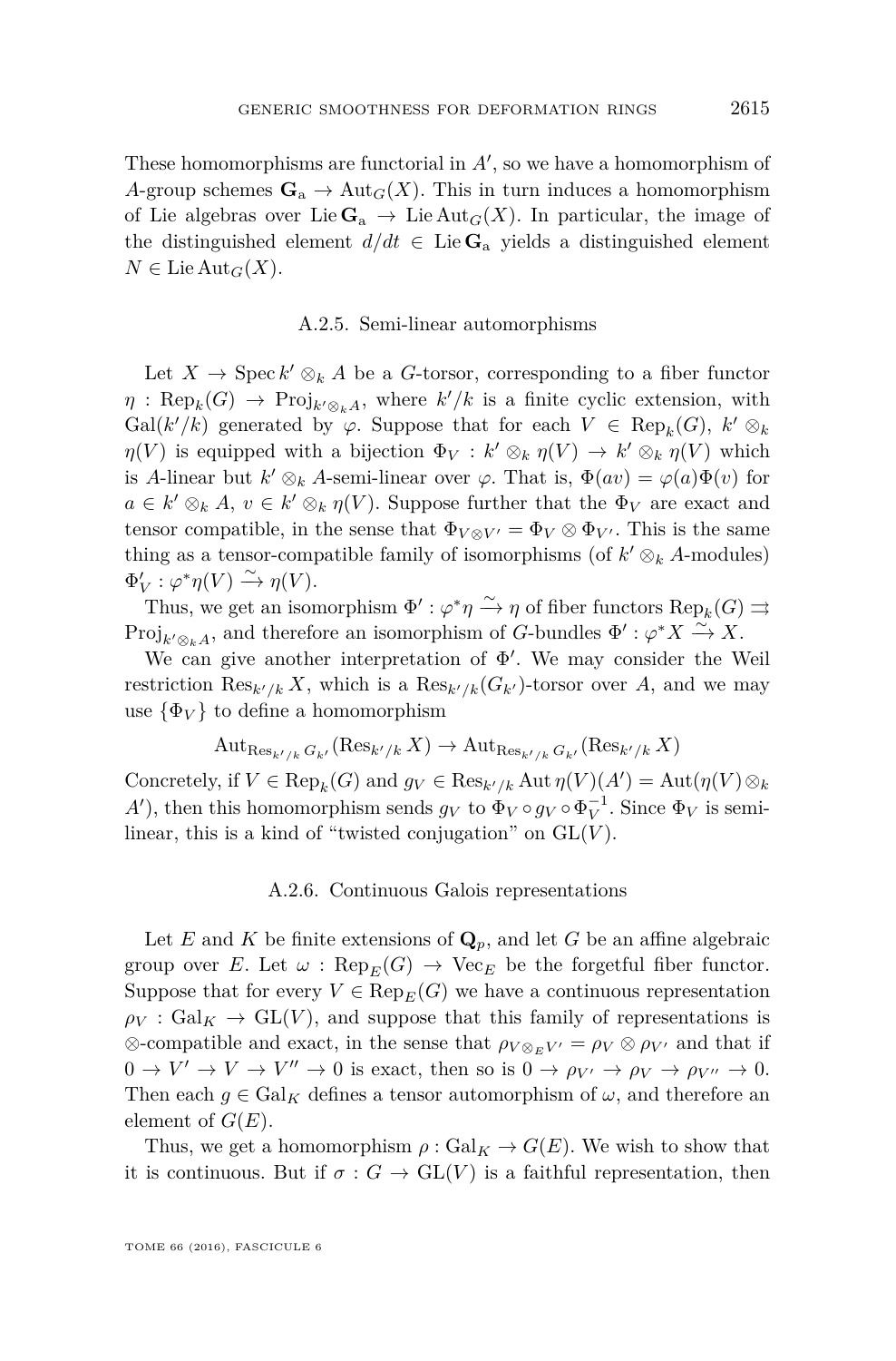These homomorphisms are functorial in  $A'$ , so we have a homomorphism of *A*-group schemes  $\mathbf{G}_a \to \text{Aut}_G(X)$ . This in turn induces a homomorphism of Lie algebras over Lie  $\mathbf{G}_a \to \text{Lie Aut}_G(X)$ . In particular, the image of the distinguished element  $d/dt \in \text{Lie } \mathbf{G}_a$  yields a distinguished element  $N \in \text{Lie Aut}_G(X)$ .

#### A.2.5. Semi-linear automorphisms

<span id="page-51-0"></span>Let  $X \to \text{Spec } k' \otimes_k A$  be a *G*-torsor, corresponding to a fiber functor  $\eta$ : Rep<sub>k</sub>(*G*)  $\to$  Proj<sub>k' $\otimes_k A$ , where  $k'/k$  is a finite cyclic extension, with</sub> Gal( $k'/k$ ) generated by  $\varphi$ . Suppose that for each  $V \in \text{Rep}_k(G)$ ,  $k' \otimes_k$ *η*(*V*) is equipped with a bijection  $\Phi_V : k' \otimes_k \eta(V) \to k' \otimes_k \eta(V)$  which is *A*-linear but  $k' \otimes_k A$ -semi-linear over  $\varphi$ . That is,  $\Phi(av) = \varphi(a)\Phi(v)$  for  $a \in k' \otimes_k A, v \in k' \otimes_k \eta(V)$ . Suppose further that the  $\Phi_V$  are exact and tensor compatible, in the sense that  $\Phi_{V \otimes V'} = \Phi_V \otimes \Phi_{V'}$ . This is the same thing as a tensor-compatible family of isomorphisms (of  $k' \otimes_k A$ -modules)  $\Phi'_{V}: \varphi^*\eta(V) \xrightarrow{\sim} \eta(V).$ 

Thus, we get an isomorphism  $\Phi' : \varphi^* \eta \xrightarrow{\sim} \eta$  of fiber functors  $\text{Rep}_k(G) \rightrightarrows$ Proj<sub> $k' \otimes_k A$ , and therefore an isomorphism of *G*-bundles  $\Phi' : \varphi^* X \xrightarrow{\sim} X$ .</sub>

We can give another interpretation of  $\Phi'$ . We may consider the Weil restriction  $\text{Res}_{k'/k} X$ , which is a  $\text{Res}_{k'/k}(G_{k'})$ -torsor over *A*, and we may use  $\{\Phi_V\}$  to define a homomorphism

$$
\mathrm{Aut}_{\mathrm{Res}_{k'/k} G_{k'}}(\mathrm{Res}_{k'/k} X) \to \mathrm{Aut}_{\mathrm{Res}_{k'/k} G_{k'}}(\mathrm{Res}_{k'/k} X)
$$

Concretely, if  $V \in \text{Rep}_k(G)$  and  $g_V \in \text{Res}_{k'/k}$  Aut  $\eta(V)(A') = \text{Aut}(\eta(V) \otimes_k$ *A*<sup> $\prime$ </sup>), then this homomorphism sends  $g_V$  to  $\Phi_V \circ g_V \circ \Phi_V^{-1}$ . Since  $\Phi_V$  is semilinear, this is a kind of "twisted conjugation" on  $GL(V)$ .

#### A.2.6. Continuous Galois representations

<span id="page-51-1"></span>Let *E* and *K* be finite extensions of  $\mathbf{Q}_p$ , and let *G* be an affine algebraic group over *E*. Let  $\omega$ :  $\text{Rep}_E(G) \to \text{Vec}_E$  be the forgetful fiber functor. Suppose that for every  $V \in \text{Rep}_E(G)$  we have a continuous representation  $\rho_V$ : Gal<sub>K</sub>  $\rightarrow$  GL(*V*), and suppose that this family of representations is  $\otimes$ -compatible and exact, in the sense that  $\rho_{V\otimes_E V'} = \rho_V \otimes \rho_{V'}$  and that if  $0 \to V' \to V \to V'' \to 0$  is exact, then so is  $0 \to \rho_{V'} \to \rho_V \to \rho_{V''} \to 0$ . Then each  $g \in \text{Gal}_K$  defines a tensor automorphism of  $\omega$ , and therefore an element of  $G(E)$ .

Thus, we get a homomorphism  $\rho: Gal_K \to G(E)$ . We wish to show that it is continuous. But if  $\sigma : G \to GL(V)$  is a faithful representation, then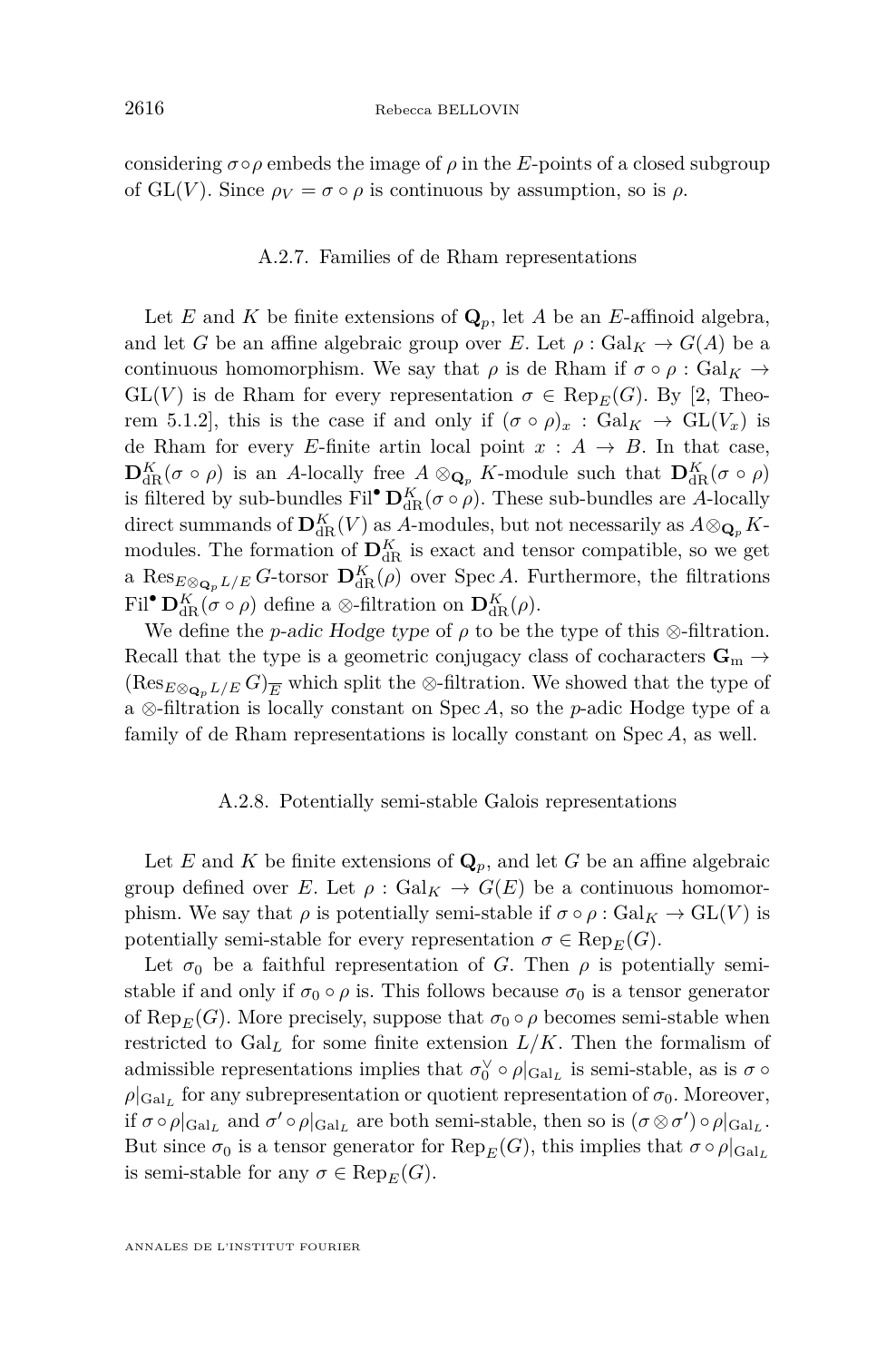considering  $\sigma \circ \rho$  embeds the image of  $\rho$  in the *E*-points of a closed subgroup of GL(*V*). Since  $\rho_V = \sigma \circ \rho$  is continuous by assumption, so is  $\rho$ .

#### A.2.7. Families of de Rham representations

Let *E* and *K* be finite extensions of  $\mathbf{Q}_p$ , let *A* be an *E*-affinoid algebra, and let *G* be an affine algebraic group over *E*. Let  $\rho : \text{Gal}_K \to G(A)$  be a continuous homomorphism. We say that  $\rho$  is de Rham if  $\sigma \circ \rho : \text{Gal}_K \to$  $GL(V)$  is de Rham for every representation  $\sigma \in \text{Rep}_E(G)$ . By [\[2,](#page-55-14) Theorem 5.1.2], this is the case if and only if  $(\sigma \circ \rho)_x : \text{Gal}_K \to \text{GL}(V_x)$  is de Rham for every *E*-finite artin local point  $x : A \rightarrow B$ . In that case,  $\mathbf{D}_{dR}^K(\sigma \circ \rho)$  is an *A*-locally free  $A \otimes_{\mathbf{Q}_p} K$ -module such that  $\mathbf{D}_{dR}^K(\sigma \circ \rho)$ is filtered by sub-bundles Fil<sup>•</sup>  $\mathbf{D}_{dR}^K(\sigma \circ \rho)$ . These sub-bundles are *A*-locally direct summands of  $\mathbf{D}_{\text{dR}}^K(V)$  as *A*-modules, but not necessarily as  $A \otimes_{\mathbf{Q}_p} K$ modules. The formation of  $\mathbf{D}_{dR}^K$  is exact and tensor compatible, so we get a  $\text{Res}_{E \otimes_{\mathbf{Q}_p} L/E} G$ -torsor  $\mathbf{D}^K_{dR}(\rho)$  over Spec *A*. Furthermore, the filtrations  $\text{Fil}^{\bullet} \mathbf{D}_{\text{dR}}^{K}(\sigma \circ \rho)$  define a  $\otimes$ -filtration on  $\mathbf{D}_{\text{dR}}^{K}(\rho)$ .

We define the *p*-adic Hodge type of  $\rho$  to be the type of this  $\otimes$ -filtration. Recall that the type is a geometric conjugacy class of cocharacters  $\mathbf{G}_{m} \rightarrow$  $(\text{Res}_{E\otimes_{\mathbf{Q}_n}L/E} G)_{\overline{E}}$  which split the  $\otimes$ -filtration. We showed that the type of a ⊗-filtration is locally constant on Spec *A*, so the *p*-adic Hodge type of a family of de Rham representations is locally constant on Spec *A*, as well.

#### A.2.8. Potentially semi-stable Galois representations

Let *E* and *K* be finite extensions of  $\mathbf{Q}_p$ , and let *G* be an affine algebraic group defined over *E*. Let  $\rho$  : Gal<sub>K</sub>  $\rightarrow$  *G*(*E*) be a continuous homomorphism. We say that  $\rho$  is potentially semi-stable if  $\sigma \circ \rho : \text{Gal}_K \to \text{GL}(V)$  is potentially semi-stable for every representation  $\sigma \in \text{Rep}_E(G)$ .

Let  $\sigma_0$  be a faithful representation of *G*. Then  $\rho$  is potentially semistable if and only if  $\sigma_0 \circ \rho$  is. This follows because  $\sigma_0$  is a tensor generator of Rep<sub>*E*</sub>(*G*). More precisely, suppose that  $\sigma_0 \circ \rho$  becomes semi-stable when restricted to  $Gal<sub>L</sub>$  for some finite extension  $L/K$ . Then the formalism of admissible representations implies that  $\sigma_0^{\vee} \circ \rho|_{Gal_L}$  is semi-stable, as is  $\sigma \circ$  $\rho|_{\text{Gal}_L}$  for any subrepresentation or quotient representation of  $\sigma_0$ . Moreover, if  $\sigma \circ \rho|_{Gal_L}$  and  $\sigma' \circ \rho|_{Gal_L}$  are both semi-stable, then so is  $(\sigma \otimes \sigma') \circ \rho|_{Gal_L}$ . But since  $\sigma_0$  is a tensor generator for  $\text{Rep}_E(G)$ , this implies that  $\sigma \circ \rho|_{\text{Gal}_L}$ is semi-stable for any  $\sigma \in \text{Rep}_E(G)$ .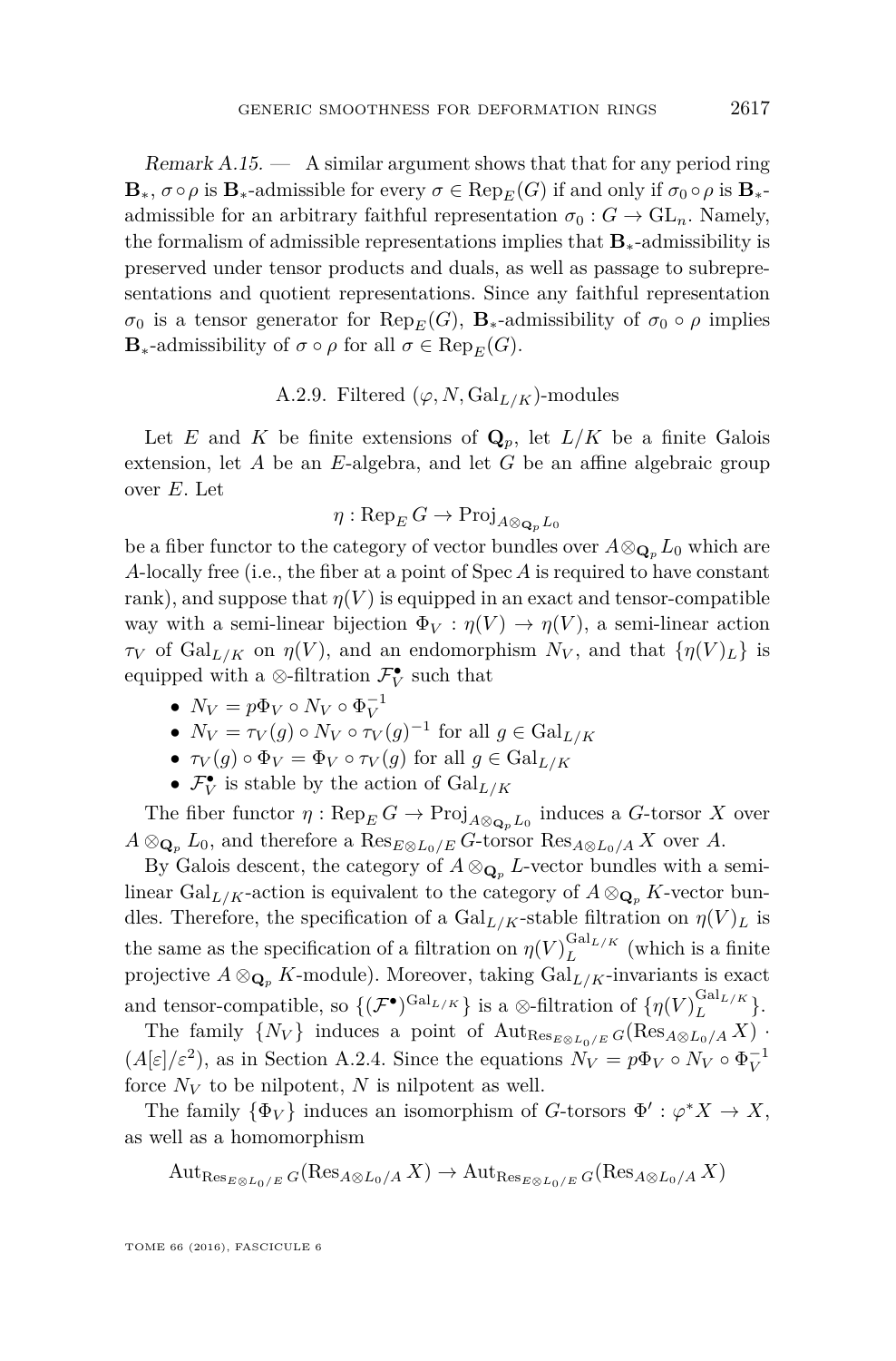Remark  $A.15.$  — A similar argument shows that that for any period ring  $\mathbf{B}_{*}, \sigma \circ \rho$  is  $\mathbf{B}_{*}$ -admissible for every  $\sigma \in \text{Rep}_{E}(G)$  if and only if  $\sigma_{0} \circ \rho$  is  $\mathbf{B}_{*}$ admissible for an arbitrary faithful representation  $\sigma_0 : G \to GL_n$ . Namely, the formalism of admissible representations implies that **B**∗-admissibility is preserved under tensor products and duals, as well as passage to subrepresentations and quotient representations. Since any faithful representation  $\sigma_0$  is a tensor generator for Rep<sub>*E*</sub>(*G*), **B**<sub>\*</sub>-admissibility of  $\sigma_0 \circ \rho$  implies **B**<sub>\*</sub>-admissibility of  $\sigma \circ \rho$  for all  $\sigma \in \text{Rep}_E(G)$ .

#### A.2.9. Filtered  $(\varphi, N, \mathrm{Gal}_{L/K})$ -modules

<span id="page-53-0"></span>Let *E* and *K* be finite extensions of  $\mathbf{Q}_p$ , let  $L/K$  be a finite Galois extension, let *A* be an *E*-algebra, and let *G* be an affine algebraic group over *E*. Let

$$
\eta: \operatorname{Rep}_E G \to \operatorname{Proj}_{A \otimes_{\mathbf{Q}_p} L_0}
$$

be a fiber functor to the category of vector bundles over  $A \otimes_{\mathbf{Q}_p} L_0$  which are *A*-locally free (i.e., the fiber at a point of Spec *A* is required to have constant rank), and suppose that  $\eta(V)$  is equipped in an exact and tensor-compatible way with a semi-linear bijection  $\Phi_V : \eta(V) \to \eta(V)$ , a semi-linear action *τV* of Gal<sub>*L/K*</sub> on *η*(*V*), and an endomorphism  $N_V$ , and that  $\{\eta(V)_L\}$  is equipped with a  $\otimes$ -filtration  $\mathcal{F}_V^{\bullet}$  such that

- $N_V = p\Phi_V \circ N_V \circ \Phi_V^{-1}$
- $\bullet$   $N_V = \tau_V(g) \circ N_V \circ \tau_V(g)^{-1}$  for all  $g \in \text{Gal}_{L/K}$
- $\tau_V(g) \circ \Phi_V = \Phi_V \circ \tau_V(g)$  for all  $g \in \text{Gal}_{L/K}$
- $\bullet$   $\mathcal{F}_{V}^{\bullet}$  is stable by the action of  $\mathrm{Gal}_{L/K}$

The fiber functor  $\eta$ :  $\text{Rep}_E G \to \text{Proj}_{A \otimes_{\mathbf{Q}_p} L_0}$  induces a *G*-torsor *X* over  $A \otimes_{\mathbf{Q}_p} L_0$ , and therefore a  $\text{Res}_{E \otimes L_0/E} G$ -torsor  $\text{Res}_{A \otimes L_0/A} X$  over *A*.

By Galois descent, the category of  $A \otimes_{\mathbf{Q}_p} L$ -vector bundles with a semilinear Gal<sub>L/K</sub>-action is equivalent to the category of  $A \otimes_{\mathbf{Q}_p} K$ -vector bundles. Therefore, the specification of a  $Gal_{L/K}$ -stable filtration on  $\eta(V)_L$  is the same as the specification of a filtration on  $\eta(V)^{\text{Gal}_{L/K}}_{L}$  $L^{GauL/K}$  (which is a finite projective  $A \otimes_{\mathbf{Q}_p} K$ -module). Moreover, taking  $\mathrm{Gal}_{L/K}$ -invariants is exact and tensor-compatible, so  $\{(\mathcal{F}^{\bullet})^{\text{Gal}_{L/K}}\}$  is a ⊗-filtration of  $\{\eta(V)^{\text{Gal}_{L/K}}_{L\}$  $\frac{U_{\text{aI}}L/K}{L}$ .

The family  $\{N_V\}$  induces a point of  $\text{Aut}_{\text{Res}_{E\otimes E_0/L_0/E}} G(\text{Res}_{A\otimes L_0/A} X)$ .  $(A[\varepsilon]/\varepsilon^2)$ , as in Section [A.2.4.](#page-50-0) Since the equations  $N_V = p\Phi_V \circ N_V \circ \Phi_V^{-1}$ force  $N_V$  to be nilpotent,  $N$  is nilpotent as well.

The family  $\{\Phi_V\}$  induces an isomorphism of *G*-torsors  $\Phi' : \varphi^* X \to X$ , as well as a homomorphism

$$
\mathrm{Aut}_{\mathrm{Res}_{E\otimes L_0/E}}(R\mathrm{es}_{A\otimes L_0/A}X)\to \mathrm{Aut}_{\mathrm{Res}_{E\otimes L_0/E}}(R\mathrm{es}_{A\otimes L_0/A}X)
$$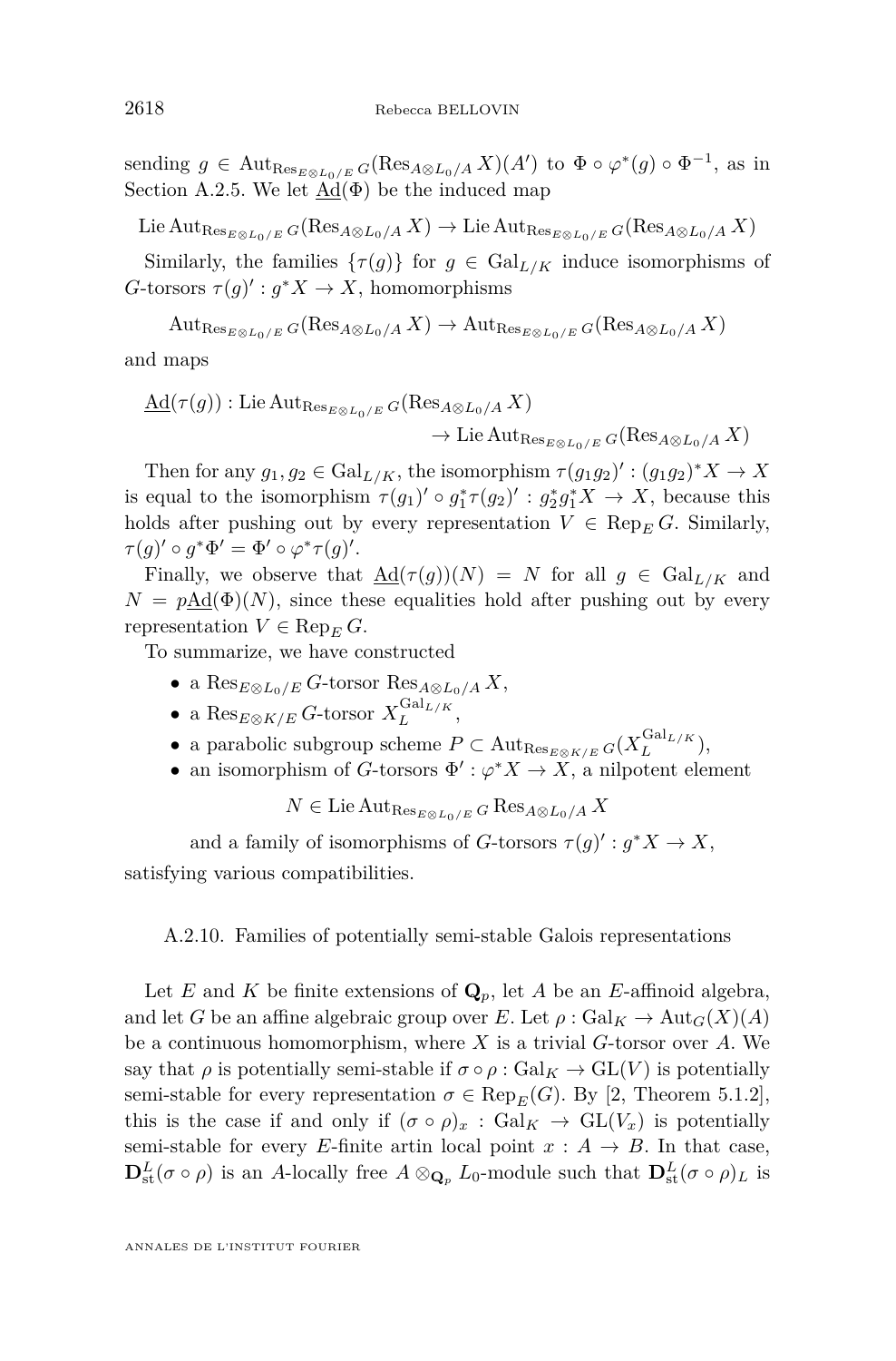sending  $g \in \text{Aut}_{\text{Res}_{E \otimes L_0/E}} G(\text{Res}_{A \otimes L_0/A} X)(A')$  to  $\Phi \circ \varphi^*(g) \circ \Phi^{-1}$ , as in Section [A.2.5.](#page-51-0) We let  $\text{Ad}(\Phi)$  be the induced map

 $\text{Lie Aut}_{\text{Res}_{E\otimes L_0/E}} G(\text{Res}_{A\otimes L_0/A} X) \to \text{Lie Aut}_{\text{Res}_{E\otimes L_0/E}} G(\text{Res}_{A\otimes L_0/A} X)$ 

Similarly, the families  $\{\tau(g)\}\$ for  $g \in \text{Gal}_{L/K}$  induce isomorphisms of  $G$ -torsors  $\tau(g)' : g^*X \to X$ , homomorphisms

 $\text{Aut}_{\text{Res}_{E\otimes E\otimes I} \circ F} G(\text{Res}_{A\otimes L_0/A} X) \to \text{Aut}_{\text{Res}_{E\otimes L_0/L} F} G(\text{Res}_{A\otimes L_0/A} X)$ 

and maps

$$
\underline{\mathrm{Ad}}(\tau(g)) : \mathrm{Lie} \, \mathrm{Aut}_{\mathrm{Res}_{E \otimes L_0/E}} G(\mathrm{Res}_{A \otimes L_0/A} X) \\
 \longrightarrow \mathrm{Lie} \, \mathrm{Aut}_{\mathrm{Res}_{E \otimes L_0/E}} G(\mathrm{Res}_{A \otimes L_0/A} X)
$$

Then for any  $g_1, g_2 \in \text{Gal}_{L/K}$ , the isomorphism  $\tau(g_1g_2)' : (g_1g_2)^*X \to X$ is equal to the isomorphism  $\tau(g_1)' \circ g_1^* \tau(g_2)' : g_2^* g_1^* X \to X$ , because this holds after pushing out by every representation  $V \in \text{Rep}_E G$ . Similarly,  $\tau(g)' \circ g^* \Phi' = \Phi' \circ \varphi^* \tau(g)'$ .

Finally, we observe that  $\underline{\mathrm{Ad}}(\tau(g))(N) = N$  for all  $g \in \mathrm{Gal}_{L/K}$  and  $N = p \underline{\text{Ad}}(\Phi)(N)$ , since these equalities hold after pushing out by every representation  $V \in \text{Rep}_E G$ .

To summarize, we have constructed

- a Res*E*⊗*L*0*/E G*-torsor Res*A*⊗*L*0*/A X*,
- $\bullet$  a Res<sub>E⊗K/E</sub> *G*-torsor  $X_L^{\text{Gal}_{L/K}}$  $\frac{L}{L}$ ,  $\frac{L}{K}$ ,
- a parabolic subgroup scheme  $P \subset \text{Aut}_{\text{Res}_{E \otimes K/E}} G(X_L^{\text{Gal}_{L/K}})$  $\frac{L}{L}$ <sup>L/*K*</sup>),
- an isomorphism of *G*-torsors  $\Phi' : \varphi^* X \to X$ , a nilpotent element

 $N \in \text{Lie} \text{Aut}_{\text{Res}_{E \otimes L_0/E}} G \text{Res}_{A \otimes L_0/A} X$ 

and a family of isomorphisms of *G*-torsors  $\tau(g)' : g^*X \to X$ , satisfying various compatibilities.

<span id="page-54-0"></span>A.2.10. Families of potentially semi-stable Galois representations

Let *E* and *K* be finite extensions of  $\mathbf{Q}_p$ , let *A* be an *E*-affinoid algebra, and let *G* be an affine algebraic group over *E*. Let  $\rho : \text{Gal}_K \to \text{Aut}_G(X)(A)$ be a continuous homomorphism, where *X* is a trivial *G*-torsor over *A*. We say that  $\rho$  is potentially semi-stable if  $\sigma \circ \rho : \text{Gal}_K \to \text{GL}(V)$  is potentially semi-stable for every representation  $\sigma \in \text{Rep}_E(G)$ . By [\[2,](#page-55-14) Theorem 5.1.2], this is the case if and only if  $(\sigma \circ \rho)_x : \text{Gal}_K \to \text{GL}(V_x)$  is potentially semi-stable for every *E*-finite artin local point  $x : A \rightarrow B$ . In that case,  $\mathbf{D}^L_{\rm st}(\sigma \circ \rho)$  is an *A*-locally free  $A \otimes_{\mathbf{Q}_p} L_0$ -module such that  $\mathbf{D}^L_{\rm st}(\sigma \circ \rho)_L$  is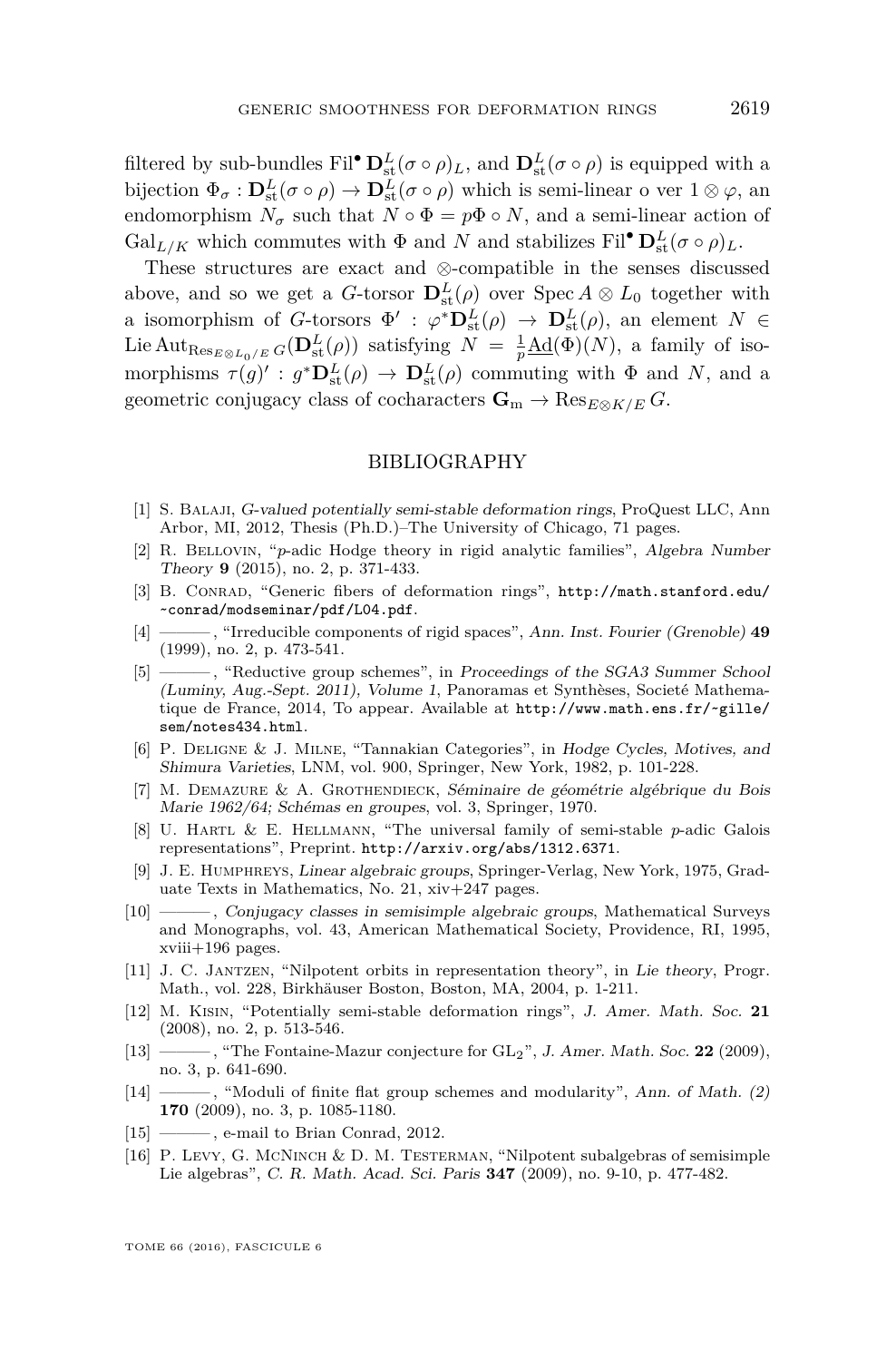filtered by sub-bundles Fil<sup>•</sup>  $\mathbf{D}^L_{st}(\sigma \circ \rho)_L$ , and  $\mathbf{D}^L_{st}(\sigma \circ \rho)$  is equipped with a bijection  $\Phi_{\sigma} : D^L_{st}(\sigma \circ \rho) \to D^L_{st}(\sigma \circ \rho)$  which is semi-linear o ver  $1 \otimes \varphi$ , an endomorphism  $N_{\sigma}$  such that  $N \circ \Phi = p\Phi \circ N$ , and a semi-linear action of Gal<sub>L/K</sub> which commutes with  $\Phi$  and  $N$  and stabilizes Fil<sup>•</sup>  $\mathbf{D}_{st}^L(\sigma \circ \rho)_L$ .

These structures are exact and ⊗-compatible in the senses discussed above, and so we get a *G*-torsor  $\mathbf{D}_{st}^{L}(\rho)$  over  $\text{Spec } A \otimes L_0$  together with a isomorphism of *G*-torsors  $\Phi' : \varphi^* \mathbf{D}^L_{st}(\rho) \to \mathbf{D}^L_{st}(\rho)$ , an element  $N \in$ Lie  $\text{Aut}_{\text{Res}_{E\otimes L_0/E}} G(\mathbf{D}^L_{\text{st}}(\rho))$  satisfying  $N = \frac{1}{p}\underline{\text{Ad}}(\Phi)(N)$ , a family of isomorphisms  $\tau(g)' : g^* \mathbf{D}^L_{st}(\rho) \to \mathbf{D}^L_{st}(\rho)$  commuting with  $\Phi$  and *N*, and a geometric conjugacy class of cocharacters  $\mathbf{G}_m \to \text{Res}_{E \otimes K/E} G$ .

#### BIBLIOGRAPHY

- <span id="page-55-2"></span>[1] S. Balaji, G-valued potentially semi-stable deformation rings, ProQuest LLC, Ann Arbor, MI, 2012, Thesis (Ph.D.)–The University of Chicago, 71 pages.
- <span id="page-55-14"></span>[2] R. Bellovin, "*p*-adic Hodge theory in rigid analytic families", Algebra Number Theory **9** (2015), no. 2, p. 371-433.
- <span id="page-55-10"></span>[3] B. Conrad, "Generic fibers of deformation rings", [http://math.stanford.edu/](http://math.stanford.edu/~conrad/modseminar/pdf/L04.pdf) [~conrad/modseminar/pdf/L04.pdf](http://math.stanford.edu/~conrad/modseminar/pdf/L04.pdf).
- <span id="page-55-11"></span>[4] ——— , "Irreducible components of rigid spaces", Ann. Inst. Fourier (Grenoble) **49** (1999), no. 2, p. 473-541.
- <span id="page-55-15"></span>[5] ——— , "Reductive group schemes", in Proceedings of the SGA3 Summer School (Luminy, Aug.-Sept. 2011), Volume 1, Panoramas et Synthèses, Societé Mathematique de France, 2014, To appear. Available at [http://www.math.ens.fr/~gille/](http://www.math.ens.fr/~gille/sem/notes434.html) [sem/notes434.html](http://www.math.ens.fr/~gille/sem/notes434.html).
- <span id="page-55-13"></span>[6] P. Deligne & J. Milne, "Tannakian Categories", in Hodge Cycles, Motives, and Shimura Varieties, LNM, vol. 900, Springer, New York, 1982, p. 101-228.
- <span id="page-55-5"></span>[7] M. Demazure & A. Grothendieck, Séminaire de géométrie algébrique du Bois Marie 1962/64; Schémas en groupes, vol. 3, Springer, 1970.
- <span id="page-55-1"></span>[8] U. Hartl & E. Hellmann, "The universal family of semi-stable *p*-adic Galois representations", Preprint. <http://arxiv.org/abs/1312.6371>.
- <span id="page-55-8"></span>[9] J. E. Humphreys, Linear algebraic groups, Springer-Verlag, New York, 1975, Graduate Texts in Mathematics, No. 21, xiv+247 pages.
- <span id="page-55-7"></span>[10] ——— , Conjugacy classes in semisimple algebraic groups, Mathematical Surveys and Monographs, vol. 43, American Mathematical Society, Providence, RI, 1995, xviii+196 pages.
- <span id="page-55-6"></span>[11] J. C. Jantzen, "Nilpotent orbits in representation theory", in Lie theory, Progr. Math., vol. 228, Birkhäuser Boston, Boston, MA, 2004, p. 1-211.
- <span id="page-55-0"></span>[12] M. Kisin, "Potentially semi-stable deformation rings", J. Amer. Math. Soc. **21** (2008), no. 2, p. 513-546.
- <span id="page-55-3"></span>[13] ——— , "The Fontaine-Mazur conjecture for GL2", J. Amer. Math. Soc. **22** (2009), no. 3, p. 641-690.
- <span id="page-55-9"></span>[14] ——, "Moduli of finite flat group schemes and modularity", Ann. of Math. (2) **170** (2009), no. 3, p. 1085-1180.
- <span id="page-55-4"></span>[15] ——, e-mail to Brian Conrad, 2012.
- <span id="page-55-12"></span>[16] P. Levy, G. McNinch & D. M. Testerman, "Nilpotent subalgebras of semisimple Lie algebras", C. R. Math. Acad. Sci. Paris **347** (2009), no. 9-10, p. 477-482.